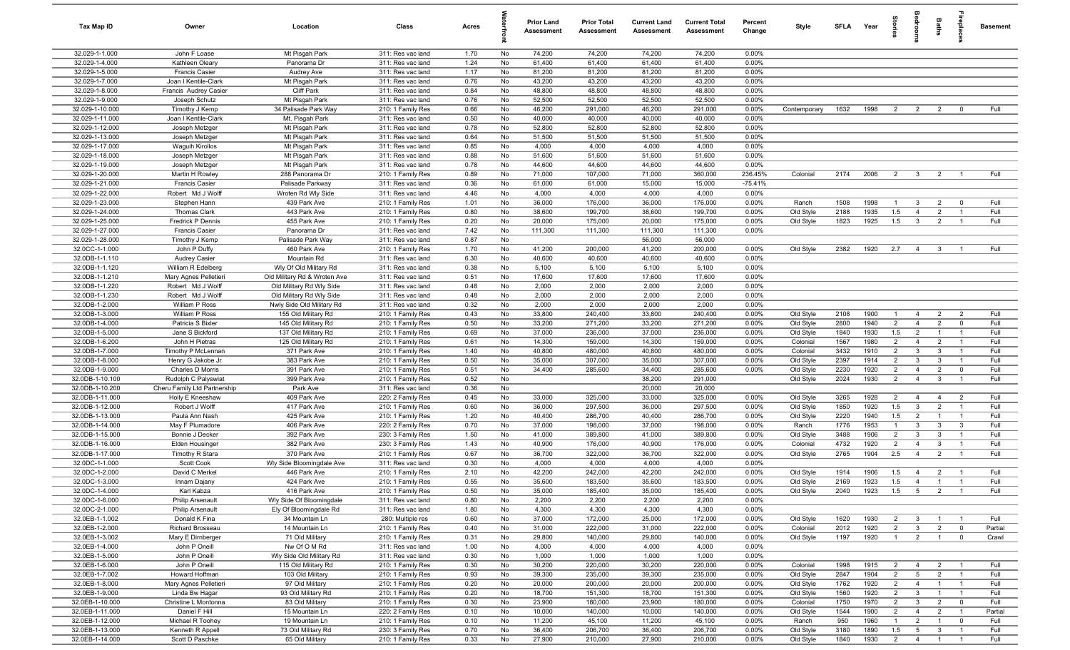| <b>Tax Map ID</b>                  | Owner                                         | Location                                 | Class                                  | Acres        |           | Prior Land<br>Assessment | <b>Prior Total</b><br>Assessment | <b>Current Land</b><br>Assessment | <b>Current Total</b><br><b>Assessment</b> | Percent<br>Change | Style                  |              | SFLA Year    | 흞                                | droom                             | Baths                          | 률                                | <b>Basement</b> |
|------------------------------------|-----------------------------------------------|------------------------------------------|----------------------------------------|--------------|-----------|--------------------------|----------------------------------|-----------------------------------|-------------------------------------------|-------------------|------------------------|--------------|--------------|----------------------------------|-----------------------------------|--------------------------------|----------------------------------|-----------------|
| 32.029-1-1.000                     | John F Loase                                  | Mt Pisgah Park                           | 311: Res vac land                      | 1.70         | No        | 74,200                   | 74,200                           | 74,200                            | 74,200                                    | 0.00%             |                        |              |              |                                  |                                   |                                |                                  |                 |
| 32.029-1-4.000                     | Kathleen Oleary                               | Panorama Dr                              | 311: Res vac land                      | 1.24         | No        | 61,400                   | 61,400                           | 61,400                            | 61,400                                    | 0.00%             |                        |              |              |                                  |                                   |                                |                                  |                 |
| 32.029-1-5.000<br>32.029-1-7.000   | <b>Francis Casier</b>                         | Audrey Ave                               | 311: Res vac land                      | 1.17         | No        | 81,200                   | 81,200                           | 81,200                            | 81,200                                    | 0.00%             |                        |              |              |                                  |                                   |                                |                                  |                 |
| 32.029-1-8.000                     | Joan I Kentile-Clark<br>Francis Audrey Casier | Mt Pisgah Park<br><b>Cliff Park</b>      | 311: Res vac land<br>311: Res vac land | 0.76<br>0.84 | No<br>No  | 43,200<br>48,800         | 43,200<br>48,800                 | 43,200<br>48,800                  | 43,200<br>48,800                          | 0.00%<br>0.00%    |                        |              |              |                                  |                                   |                                |                                  |                 |
| 32.029-1-9.000                     | Joseph Schutz                                 | Mt Pisgah Park                           | 311: Res vac land                      | 0.76         | No        | 52,500                   | 52,500                           | 52,500                            | 52,500                                    | 0.00%             |                        |              |              |                                  |                                   |                                |                                  |                 |
| 32.029-1-10.000                    | Timothy J Kemp                                | 34 Palisade Park Way                     | 210: 1 Family Res                      | 0.66         | No        | 46,200                   | 291,000                          | 46,200                            | 291,000                                   | 0.00%             | Contemporary           | 1632         | 1998         | $\overline{2}$                   | $\overline{2}$                    | $\overline{2}$                 | $\overline{\mathbf{0}}$          | Full            |
| 32.029-1-11.000                    | Joan I Kentile-Clark                          | Mt. Pisgah Park                          | 311: Res vac land                      | 0.50         | No        | 40,000                   | 40,000                           | 40,000                            | 40,000                                    | 0.00%             |                        |              |              |                                  |                                   |                                |                                  |                 |
| 32.029-1-12.000                    | Joseph Metzger                                | Mt Pisgah Park                           | 311: Res vac land                      | 0.78         | No        | 52,800                   | 52,800                           | 52,800                            | 52,800                                    | 0.00%             |                        |              |              |                                  |                                   |                                |                                  |                 |
| 32.029-1-13.000                    | Joseph Metzger                                | Mt Pisgah Park                           | 311: Res vac land                      | 0.64         | No        | 51,500                   | 51,500                           | 51,500                            | 51,500                                    | 0.00%             |                        |              |              |                                  |                                   |                                |                                  |                 |
| 32.029-1-17.000                    | <b>Waguih Kirollos</b>                        | Mt Pisgah Park                           | 311: Res vac land                      | 0.85         | No        | 4,000                    | 4,000                            | 4,000                             | 4,000                                     | 0.00%             |                        |              |              |                                  |                                   |                                |                                  |                 |
| 32.029-1-18.000                    | Joseph Metzger                                | Mt Pisgah Park                           | 311: Res vac land                      | 0.88         | No        | 51,600                   | 51,600                           | 51,600                            | 51,600                                    | 0.00%             |                        |              |              |                                  |                                   |                                |                                  |                 |
| 32.029-1-19.000                    | Joseph Metzger                                | Mt Pisgah Park                           | 311: Res vac land                      | 0.78         | No        | 44,600                   | 44,600                           | 44,600                            | 44,600                                    | 0.00%             |                        |              |              |                                  |                                   |                                |                                  |                 |
| 32.029-1-20.000                    | Martin H Rowley                               | 288 Panorama Dr                          | 210: 1 Family Res                      | 0.89         | No        | 71,000                   | 107,000                          | 71,000                            | 360,000                                   | 236.45%           | Colonial               | 2174         | 2006         | $\overline{2}$                   | $\overline{\mathbf{3}}$           | $\overline{2}$                 | $\overline{1}$                   | Full            |
| 32.029-1-21.000                    | <b>Francis Casier</b>                         | Palisade Parkway                         | 311: Res vac land                      | 0.36         | No        | 61,000                   | 61,000                           | 15,000                            | 15,000                                    | $-75.41%$         |                        |              |              |                                  |                                   |                                |                                  |                 |
| 32.029-1-22.000                    | Robert Md J Wolff                             | Wroten Rd Wly Side                       | 311: Res vac land                      | 4.46         | No        | 4,000                    | 4,000                            | 4,000                             | 4,000                                     | 0.00%             |                        |              |              |                                  |                                   |                                |                                  |                 |
| 32.029-1-23.000                    | Stephen Hann                                  | 439 Park Ave                             | 210: 1 Family Res                      | 1.01         | No        | 36,000                   | 176,000                          | 36,000                            | 176,000                                   | 0.00%             | Ranch                  | 1508         | 1998         | $\mathbf{1}$                     | $\mathbf{3}$                      | $\overline{2}$                 | $\overline{\mathbf{0}}$          | Full            |
| 32.029-1-24.000                    | <b>Thomas Clark</b>                           | 443 Park Ave                             | 210: 1 Family Res                      | 0.80         | No        | 38,600                   | 199,700                          | 38,600                            | 199,700                                   | 0.00%             | Old Style              | 2188         | 1935         | 1.5                              | $\overline{4}$                    | $\overline{2}$                 | $\overline{1}$                   | Full            |
| 32.029-1-25.000<br>32.029-1-27.000 | Fredrick P Dennis<br><b>Francis Casier</b>    | 455 Park Ave<br>Panorama Dr              | 210: 1 Family Res<br>311: Res vac land | 0.20<br>7.42 | No<br>No  | 20,000<br>111,300        | 175,000<br>111,300               | 20,000<br>111,300                 | 175,000<br>111,300                        | 0.00%<br>0.00%    | Old Style              | 1823         | 1925         | 1.5                              | $\mathbf{3}$                      | $\overline{2}$                 | $\overline{1}$                   | Full            |
| 32.029-1-28.000                    | Timothy J Kemp                                | Palisade Park Way                        | 311: Res vac land                      | 0.87         | No        |                          |                                  | 56,000                            | 56,000                                    |                   |                        |              |              |                                  |                                   |                                |                                  |                 |
| 32.0CC-1-1.000                     | John P Duffy                                  | 460 Park Ave                             | 210: 1 Family Res                      | 1.70         | No        | 41,200                   | 200,000                          | 41,200                            | 200,000                                   | 0.00%             | Old Style              | 2382         | 1920         | 2.7                              | $\overline{4}$                    | 3                              | $\overline{1}$                   | Full            |
| 32.0DB-1-1.110                     | Audrey Casier                                 | Mountain Rd                              | 311: Res vac land                      | 6.30         | No        | 40,600                   | 40,600                           | 40,600                            | 40,600                                    | 0.00%             |                        |              |              |                                  |                                   |                                |                                  |                 |
| 32.0DB-1-1.120                     | William R Edelberg                            | Wly Of Old Military Rd                   | 311: Res vac land                      | 0.38         | No        | 5,100                    | 5,100                            | 5,100                             | 5,100                                     | 0.00%             |                        |              |              |                                  |                                   |                                |                                  |                 |
| 32.0DB-1-1.210                     | Mary Agnes Pelletieri                         | Old Military Rd & Wroten Ave             | 311: Res vac land                      | 0.51         | No        | 17,600                   | 17,600                           | 17,600                            | 17,600                                    | 0.00%             |                        |              |              |                                  |                                   |                                |                                  |                 |
| 32.0DB-1-1.220                     | Robert Md J Wolff                             | Old Military Rd Wly Side                 | 311: Res vac land                      | 0.48         | No        | 2,000                    | 2,000                            | 2,000                             | 2,000                                     | 0.00%             |                        |              |              |                                  |                                   |                                |                                  |                 |
| 32.0DB-1-1.230                     | Robert Md J Wolff                             | Old Military Rd Wly Side                 | 311: Res vac land                      | 0.48         | No        | 2,000                    | 2,000                            | 2,000                             | 2,000                                     | 0.00%             |                        |              |              |                                  |                                   |                                |                                  |                 |
| 32.0DB-1-2.000                     | William P Ross                                | Nwly Side Old Military Rd                | 311: Res vac land                      | 0.32         | No        | 2,000                    | 2,000                            | 2,000                             | 2,000                                     | 0.00%             |                        |              |              |                                  |                                   |                                |                                  |                 |
| 32.0DB-1-3.000                     | William P Ross                                | 155 Old Military Rd                      | 210: 1 Family Res                      | 0.43         | No        | 33,800                   | 240,400                          | 33,800                            | 240,400                                   | 0.00%             | Old Style              | 2108         | 1900         | $\overline{1}$                   | $\overline{4}$                    | $\overline{2}$                 | $\overline{2}$                   | Full            |
| 32.0DB-1-4.000                     | Patricia S Bixler                             | 145 Old Military Rd                      | 210: 1 Family Res                      | 0.50         | No        | 33,200                   | 271,200                          | 33,200                            | 271,200                                   | 0.00%             | Old Style              | 2800         | 1940         | $\overline{2}$                   | $\overline{4}$                    | $\overline{2}$                 | $\overline{0}$                   | Full            |
| 32.0DB-1-5.000                     | Jane S Bickford                               | 137 Old Military Rd                      | 210: 1 Family Res                      | 0.69         | No        | 37,000                   | 236,000                          | 37,000                            | 236,000                                   | 0.00%             | Old Style              | 1840         | 1930         | 1.5                              | $\overline{2}$                    | $\overline{1}$                 | $\overline{1}$                   | Full            |
| 32.0DB-1-6.200                     | John H Pietras                                | 125 Old Military Rd                      | 210: 1 Family Res                      | 0.61         | No        | 14,300                   | 159,000                          | 14,300                            | 159,000                                   | 0.00%             | Colonial               | 1567         | 1980         | $\overline{2}$                   | $\overline{4}$                    | $\overline{2}$                 | $\overline{1}$                   | Full            |
| 32.0DB-1-7.000                     | Timothy P McLennan                            | 371 Park Ave                             | 210: 1 Family Res                      | 1.40         | No        | 40,800                   | 480,000                          | 40,800                            | 480,000                                   | 0.00%             | Colonial               | 3432         | 1910         | $\overline{2}$                   | $\mathbf{3}$                      | $\mathbf{3}$                   | $\overline{1}$<br>$\overline{1}$ | Full            |
| 32.0DB-1-8.000<br>32.0DB-1-9.000   | Henry G Jakobe Jr<br>Charles D Morris         | 383 Park Ave<br>391 Park Ave             | 210: 1 Family Res<br>210: 1 Family Res | 0.50<br>0.51 | No<br>No  | 35,000<br>34,400         | 307,000<br>285,600               | 35,000<br>34,400                  | 307,000<br>285,600                        | 0.00%<br>0.00%    | Old Style<br>Old Style | 2397<br>2230 | 1914<br>1920 | $\overline{2}$<br>$\overline{2}$ | $\mathbf{3}$<br>$\overline{4}$    | $\mathbf{3}$<br>$\overline{2}$ | $\overline{0}$                   | Full<br>Full    |
| 32.0DB-1-10.100                    | Rudolph C Palyswiat                           | 399 Park Ave                             | 210: 1 Family Res                      | 0.52         | No        |                          |                                  | 38,200                            | 291,000                                   |                   | Old Style              | 2024         | 1930         | 2                                | $\overline{4}$                    | $\mathbf{3}$                   | $\overline{1}$                   | Full            |
| 32.0DB-1-10.200                    | Cheru Family Ltd Partnership                  | Park Ave                                 | 311: Res vac land                      | 0.36         | No        |                          |                                  | 20,000                            | 20,000                                    |                   |                        |              |              |                                  |                                   |                                |                                  |                 |
| 32.0DB-1-11.000                    | Holly E Kneeshaw                              | 409 Park Ave                             | 220: 2 Family Res                      | 0.45         | No        | 33,000                   | 325,000                          | 33,000                            | 325,000                                   | 0.00%             | Old Style              | 3265         | 1928         | 2                                | $\overline{4}$                    | $\overline{4}$                 | $\overline{2}$                   | Full            |
| 32.0DB-1-12.000                    | Robert J Wolff                                | 417 Park Ave                             | 210: 1 Family Res                      | 0.60         | No        | 36,000                   | 297,500                          | 36,000                            | 297,500                                   | 0.00%             | Old Style              | 1850         | 1920         | 1.5                              | $\overline{3}$                    | $\overline{2}$                 | $\overline{1}$                   | Full            |
| 32.0DB-1-13.000                    | Paula Ann Nash                                | 425 Park Ave                             | 210: 1 Family Res                      | 1.20         | No        | 40,400                   | 286,700                          | 40,400                            | 286,700                                   | 0.00%             | Old Style              | 2220         | 1940         | 1.5                              | $\overline{2}$                    | $\overline{1}$                 | $\overline{1}$                   | Full            |
| 32.0DB-1-14.000                    | May F Plumadore                               | 406 Park Ave                             | 220: 2 Family Res                      | 0.70         | No        | 37,000                   | 198,000                          | 37,000                            | 198,000                                   | 0.00%             | Ranch                  | 1776         | 1953         | $\mathbf{1}$                     | $\mathbf{3}$                      | 3                              | $\mathbf{3}$                     | Full            |
| 32.0DB-1-15.000                    | Bonnie J Decker                               | 392 Park Ave                             | 230: 3 Family Res                      | 1.50         | No        | 41,000                   | 389,800                          | 41,000                            | 389,800                                   | 0.00%             | Old Style              | 3488         | 1906         | $\overline{2}$                   | $\mathbf{3}$                      | 3                              | $\overline{1}$                   | Full            |
| 32.0DB-1-16.000                    | <b>Elden Housinger</b>                        | 382 Park Ave                             | 230: 3 Family Res                      | 1.43         | No        | 40,900                   | 176,000                          | 40,900                            | 176,000                                   | 0.00%             | Colonial               | 4732         | 1920         | $\overline{2}$                   | $\overline{4}$                    | $\mathbf{3}$                   | $\overline{1}$                   | Full            |
| 32.0DB-1-17.000                    | Timothy R Stara                               | 370 Park Ave                             | 210: 1 Family Res                      | 0.67         | No        | 36,700                   | 322,000                          | 36,700                            | 322,000                                   | 0.00%             | Old Style              | 2765         | 1904         | 2.5                              | $\overline{4}$                    | $\overline{2}$                 | $\overline{1}$                   | Full            |
| 32.0DC-1-1.000                     | Scott Cook                                    | Wly Side Bloomingdale Ave                | 311: Res vac land                      | 0.30         | No        | 4,000                    | 4,000                            | 4,000                             | 4,000                                     | 0.00%             |                        |              |              |                                  |                                   |                                |                                  |                 |
| 32.0DC-1-2.000                     | David C Merkel                                | 446 Park Ave                             | 210: 1 Family Res                      | 2.10         | No        | 42,200                   | 242,000                          | 42,200                            | 242,000                                   | 0.00%             | Old Style              | 1914         | 1906         | 1.5                              | $\overline{4}$                    | $\overline{2}$                 | $\overline{1}$                   | Full            |
| 32.0DC-1-3.000                     | Innam Dajany                                  | 424 Park Ave                             | 210: 1 Family Res                      | 0.55         | <b>No</b> | 35,600                   | 183,500                          | 35,600                            | 183,500                                   | 0.00%             | Old Style              | 2169         | 1923         | 1.5                              | $\overline{4}$                    |                                | $\overline{1}$                   | Full            |
| 32.0DC-1-4.000<br>32.0DC-1-6.000   | Karl Kabza<br><b>Philip Arsenault</b>         | 416 Park Ave<br>Wly Side Of Bloomingdale | 210: 1 Family Res<br>311: Res vac land | 0.50<br>0.80 | No<br>No  | 35,000<br>2,200          | 185,400<br>2,200                 | 35,000<br>2,200                   | 185,400<br>2,200                          | 0.00%<br>0.00%    | Old Style              | 2040         | 1923         | 1.5                              | $5\overline{)}$                   | $\overline{2}$                 | $\overline{1}$                   | Full            |
| 32.0DC-2-1.000                     | <b>Philip Arsenault</b>                       | Ely Of Bloomingdale Rd                   | 311: Res vac land                      | 1.80         | No        | 4,300                    | 4,300                            | 4,300                             | 4,300                                     | 0.00%             |                        |              |              |                                  |                                   |                                |                                  |                 |
| 32.0EB-1-1.002                     | Donald K Fina                                 | 34 Mountain Ln                           | 280: Multiple res                      | 0.60         | No        | 37,000                   | 172,000                          | 25,000                            | 172,000                                   | 0.00%             | Old Style              | 1620         | 1930         | $\overline{2}$                   | $\mathbf{3}$                      | $\overline{1}$                 | $\overline{1}$                   | Full            |
| 32.0EB-1-2.000                     | Richard Brosseau                              | 14 Mountain Ln                           | 210: 1 Family Res                      | 0.40         | No        | 31,000                   | 222,000                          | 31,000                            | 222,000                                   | 0.00%             | Colonial               | 2012         | 1920         | $\overline{2}$                   | $\mathbf{3}$                      | $\overline{2}$                 | $\mathbf{0}$                     | Partial         |
| 32.0EB-1-3.002                     | Mary E Dirnberger                             | 71 Old Military                          | 210: 1 Family Res                      | 0.31         | No        | 29,800                   | 140,000                          | 29,800                            | 140,000                                   | 0.00%             | Old Style              | 1197         | 1920         | $\overline{1}$                   | $\overline{2}$                    | $\overline{1}$                 | $\overline{0}$                   | Crawl           |
| 32.0EB-1-4.000                     | John P Oneill                                 | Nw Of O M Rd                             | 311: Res vac land                      | 1.00         | No        | 4,000                    | 4,000                            | 4,000                             | 4,000                                     | 0.00%             |                        |              |              |                                  |                                   |                                |                                  |                 |
| 32.0EB-1-5.000                     | John P Oneill                                 | Wly Side Old Military Rd                 | 311: Res vac land                      | 0.30         | No        | 1,000                    | 1,000                            | 1,000                             | 1,000                                     | 0.00%             |                        |              |              |                                  |                                   |                                |                                  |                 |
| 32.0EB-1-6.000                     | John P Oneill                                 | 115 Old Military Rd                      | 210: 1 Family Res                      | 0.30         | No        | 30,200                   | 220,000                          | 30,200                            | 220,000                                   | $0.00\%$          | Colonial               | 1998         | 1915         | $\overline{2}$                   | $\overline{4}$                    | $\overline{2}$                 | $\overline{1}$                   | Full            |
| 32.0EB-1-7.002                     | Howard Hoffman                                | 103 Old Military                         | 210: 1 Family Res                      | 0.93         | No        | 39,300                   | 235,000                          | 39,300                            | 235,000                                   | 0.00%             | Old Style              | 2847         | 1904         | $\overline{2}$                   | $5\overline{)}$                   | $\overline{2}$                 | $\overline{1}$                   | Full            |
| 32.0EB-1-8.000                     | Mary Agnes Pelletieri                         | 97 Old Military                          | 210: 1 Family Res                      | 0.20         | No        | 20,000                   | 200,000                          | 20,000                            | 200,000                                   | 0.00%             | Old Style              | 1762         | 1920         | $\overline{2}$                   | $\overline{4}$                    | $\overline{1}$                 | $\overline{1}$                   | Full            |
| 32.0EB-1-9.000                     | Linda Bw Hagar                                | 93 Old Military Rd                       | 210: 1 Family Res                      | 0.20         | No        | 18,700                   | 151,300                          | 18,700                            | 151,300                                   | 0.00%             | Old Style              | 1560         | 1920         | $\overline{2}$                   | $\mathbf{3}$                      | $\overline{1}$                 | $\overline{1}$                   | Full            |
| 32.0EB-1-10.000                    | Christine L Montonna                          | 83 Old Military                          | 210: 1 Family Res                      | 0.30         | No        | 23,900                   | 180,000                          | 23,900                            | 180,000                                   | 0.00%             | Colonial               | 1750         | 1970         | $\overline{2}$                   | $\mathbf{3}$                      | $\overline{2}$                 | $\mathbf{0}$                     | Full            |
| 32.0EB-1-11.000                    | Daniel F Hill                                 | 15 Mountain Ln                           | 220: 2 Family Res                      | 0.10         | No        | 10,000                   | 140,000                          | 10,000                            | 140,000                                   | 0.00%             | Old Style              | 1544         | 1900         | $\overline{2}$                   | $\overline{4}$                    | $\overline{2}$                 | $\overline{1}$                   | Partial         |
| 32.0EB-1-12.000                    | Michael R Toohey                              | 19 Mountain Ln                           | 210: 1 Family Res                      | 0.10         | No        | 11,200                   | 45,100                           | 11,200                            | 45,100                                    | 0.00%             | Ranch                  | 950          | 1960         | $\overline{1}$                   | $\overline{2}$                    | $\overline{1}$                 | $\overline{0}$                   | Full            |
| 32.0EB-1-13.000<br>32.0EB-1-14.000 | Kenneth R Appell<br>Scott D Paschke           | 73 Old Military Rd<br>65 Old Military    | 230: 3 Family Res<br>210: 1 Family Res | 0.70<br>0.33 | No<br>No  | 36,400<br>27,900         | 206,700<br>210,000               | 36,400<br>27,900                  | 206,700<br>210,000                        | 0.00%<br>0.00%    | Old Style<br>Old Style | 3180<br>1840 | 1890<br>1930 | 1.5<br>$\overline{2}$            | $5\overline{5}$<br>$\overline{4}$ | $\mathbf{3}$<br>$\overline{1}$ | $\overline{1}$<br>$\overline{1}$ | Full<br>Full    |
|                                    |                                               |                                          |                                        |              |           |                          |                                  |                                   |                                           |                   |                        |              |              |                                  |                                   |                                |                                  |                 |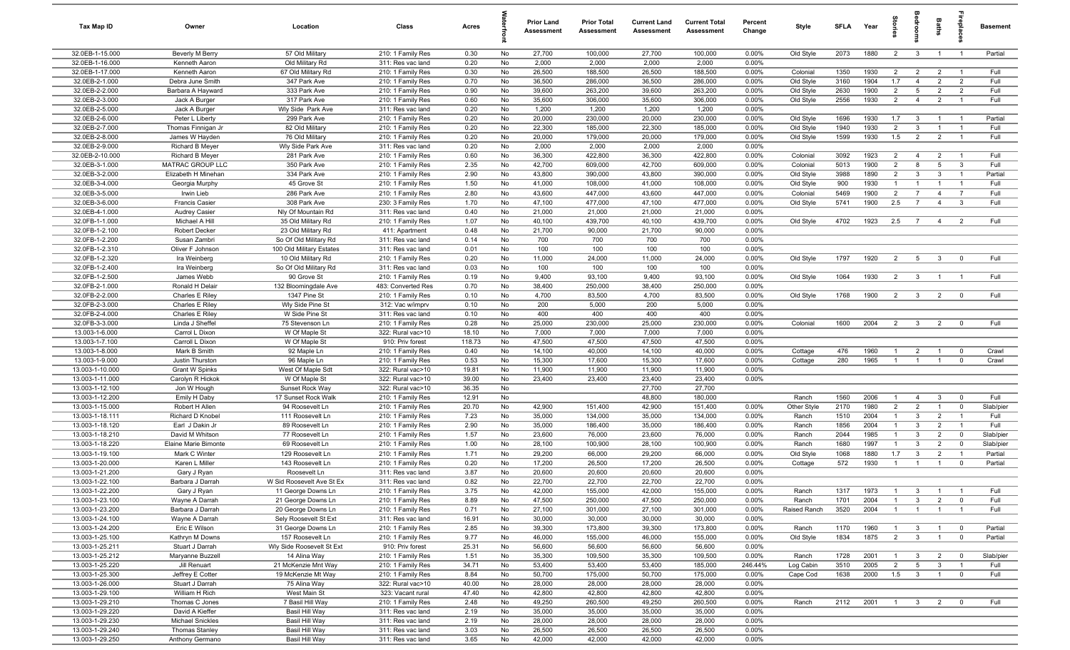| Tax Map ID                         | Owner                                            | Location                                    | Class                                  | Acres          |          | <b>Prior Land</b><br>Assessment | <b>Prior Total</b><br>Assessment | <b>Current Land</b><br>Assessment | <b>Current Total</b><br><b>Assessment</b> | Percent<br>Change | Style          | SFI A        | Year         | $\frac{5}{2}$  | arool                        | Baths                            |                                  | <b>Basement</b> |
|------------------------------------|--------------------------------------------------|---------------------------------------------|----------------------------------------|----------------|----------|---------------------------------|----------------------------------|-----------------------------------|-------------------------------------------|-------------------|----------------|--------------|--------------|----------------|------------------------------|----------------------------------|----------------------------------|-----------------|
| 32.0EB-1-15.000                    | Beverly M Berry                                  | 57 Old Military                             | 210: 1 Family Res                      | 0.30           | No       | 27,700                          | 100,000                          | 27,700                            | 100,000                                   | 0.00%             | Old Style      | 2073         | 1880         | $\overline{2}$ | $\mathbf{3}$                 | $\overline{1}$                   | $\overline{1}$                   | Partial         |
| 32.0EB-1-16.000                    | Kenneth Aaron                                    | Old Military Rd                             | 311: Res vac land                      | 0.20           | No       | 2,000                           | 2,000                            | 2,000                             | 2,000                                     | $0.00\%$          |                |              |              |                |                              |                                  |                                  |                 |
| 32.0EB-1-17.000                    | Kenneth Aaron                                    | 67 Old Military Rd                          | 210: 1 Family Res                      | 0.30           | No       | 26,500                          | 188,500                          | 26,500                            | 188,500                                   | 0.00%             | Colonial       | 1350         | 1930         | $\overline{2}$ | $\overline{2}$               | $\overline{2}$                   | $\overline{1}$                   | Full            |
| 32.0EB-2-1.000                     | Debra June Smith                                 | 347 Park Ave                                | 210: 1 Family Res                      | 0.70           | No       | 36,500                          | 286,000                          | 36,500                            | 286,000                                   | 0.00%             | Old Style      | 3160         | 1904         | 1.7            | $\overline{4}$               | $\overline{2}$                   | $\overline{2}$                   | Full            |
| 32.0EB-2-2.000                     | Barbara A Hayward                                | 333 Park Ave                                | 210: 1 Family Res                      | 0.90           | No       | 39,600                          | 263,200                          | 39,600                            | 263,200                                   | 0.00%             | Old Style      | 2630         | 1900         | $\overline{2}$ | 5                            | $\overline{2}$<br>$\overline{2}$ | $\overline{2}$<br>$\overline{1}$ | Full<br>Full    |
| 32.0EB-2-3.000<br>32.0EB-2-5.000   | Jack A Burger<br>Jack A Burger                   | 317 Park Ave<br>Wly Side Park Ave           | 210: 1 Family Res<br>311: Res vac land | 0.60<br>0.20   | No<br>No | 35,600<br>1,200                 | 306,000<br>1,200                 | 35,600<br>1,200                   | 306,000<br>1,200                          | 0.00%<br>0.00%    | Old Style      | 2556         | 1930         | $\overline{2}$ | $\overline{4}$               |                                  |                                  |                 |
| 32.0EB-2-6.000                     | Peter L Liberty                                  | 299 Park Ave                                | 210: 1 Family Res                      | 0.20           | No       | 20,000                          | 230,000                          | 20,000                            | 230,000                                   | 0.00%             | Old Style      | 1696         | 1930         | 1.7            | $\mathbf{3}$                 | $\overline{1}$                   | $\overline{1}$                   | Partial         |
| 32.0EB-2-7.000                     | Thomas Finnigan Jr                               | 82 Old Military                             | 210: 1 Family Res                      | 0.20           | No       | 22,300                          | 185,000                          | 22,300                            | 185,000                                   | 0.00%             | Old Style      | 1940         | 1930         | $\overline{2}$ | $\mathbf{3}$                 | $\overline{1}$                   | $\overline{1}$                   | Full            |
| 32.0EB-2-8.000                     | James W Hayden                                   | 76 Old Military                             | 210: 1 Family Res                      | 0.20           | No       | 20,000                          | 179,000                          | 20,000                            | 179,000                                   | 0.00%             | Old Style      | 1599         | 1930         | 1.5            | $\overline{2}$               | $\overline{2}$                   | $\overline{1}$                   | Full            |
| 32.0EB-2-9.000                     | <b>Richard B Meyer</b>                           | Wly Side Park Ave                           | 311: Res vac land                      | 0.20           | No       | 2,000                           | 2,000                            | 2,000                             | 2,000                                     | 0.00%             |                |              |              |                |                              |                                  |                                  |                 |
| 32.0EB-2-10.000                    | Richard B Meyer                                  | 281 Park Ave                                | 210: 1 Family Res                      | 0.60           | No       | 36,300                          | 422,800                          | 36,300                            | 422,800                                   | 0.00%             | Colonial       | 3092         | 1923         | $\overline{2}$ | $\overline{4}$               | $\overline{2}$                   | $\overline{1}$                   | Full            |
| 32.0EB-3-1.000                     | MATRAC GROUP LLC                                 | 350 Park Ave                                | 210: 1 Family Res                      | 2.35           | No       | 42,700                          | 609,000                          | 42,700                            | 609,000                                   | 0.00%             | Colonial       | 5013         | 1900         | $\overline{2}$ | 8                            | $5\overline{5}$                  | $\mathbf{3}$                     | Full            |
| 32.0EB-3-2.000                     | Elizabeth H Minehan                              | 334 Park Ave                                | 210: 1 Family Res                      | 2.90           | No       | 43,800                          | 390,000                          | 43,800                            | 390,000                                   | 0.00%             | Old Style      | 3988         | 1890         | $\overline{2}$ | $\mathbf{3}$                 | $\mathbf{3}$                     | $\overline{1}$                   | Partial         |
| 32.0EB-3-4.000                     | Georgia Murphy                                   | 45 Grove St                                 | 210: 1 Family Res                      | 1.50           | No       | 41,000                          | 108,000                          | 41,000                            | 108,000                                   | 0.00%             | Old Style      | 900          | 1930         | $\mathbf{1}$   | $\overline{1}$               |                                  | $\overline{1}$                   | Full            |
| 32.0EB-3-5.000                     | Irwin Lieb                                       | 286 Park Ave                                | 210: 1 Family Res                      | 2.80           | No       | 43,600                          | 447,000                          | 43,600                            | 447,000                                   | 0.00%             | Colonial       | 5469         | 1900         | $\overline{2}$ | $\overline{7}$               | $\overline{4}$                   | $\overline{7}$                   | Full            |
| 32.0EB-3-6.000                     | <b>Francis Casier</b>                            | 308 Park Ave                                | 230: 3 Family Res                      | 1.70           | No       | 47,100                          | 477,000                          | 47,100                            | 477,000                                   | 0.00%             | Old Style      | 5741         | 1900         | 2.5            | $\overline{7}$               | $\overline{4}$                   | $\mathbf{3}$                     | Full            |
| 32.0EB-4-1.000                     | <b>Audrey Casier</b>                             | Nly Of Mountain Rd                          | 311: Res vac land                      | 0.40           | No       | 21,000                          | 21,000                           | 21,000                            | 21,000                                    | 0.00%             |                |              |              |                |                              |                                  |                                  |                 |
| 32.0FB-1-1.000                     | Michael A Hill                                   | 35 Old Military Rd                          | 210: 1 Family Res                      | 1.07           | No       | 40,100                          | 439,700                          | 40,100                            | 439,700                                   | 0.00%             | Old Style      | 4702         | 1923         | 2.5            | $\overline{7}$               | $\overline{4}$                   | $\overline{2}$                   | Full            |
| 32.0FB-1-2.100<br>32.0FB-1-2.200   | Robert Decker<br>Susan Zambri                    | 23 Old Military Rd<br>So Of Old Military Rd | 411: Apartment<br>311: Res vac land    | 0.48<br>0.14   | No<br>No | 21,700<br>700                   | 90,000<br>700                    | 21,700<br>700                     | 90,000<br>700                             | 0.00%<br>0.00%    |                |              |              |                |                              |                                  |                                  |                 |
| 32.0FB-1-2.310                     | Oliver F Johnson                                 | 100 Old Military Estates                    | 311: Res vac land                      | 0.01           | No       | 100                             | 100                              | 100                               | 100                                       | 0.00%             |                |              |              |                |                              |                                  |                                  |                 |
| 32.0FB-1-2.320                     | Ira Weinberg                                     | 10 Old Military Rd                          | 210: 1 Family Res                      | 0.20           | No       | 11,000                          | 24,000                           | 11,000                            | 24,000                                    | 0.00%             | Old Style      | 1797         | 1920         | $\overline{2}$ | $5\overline{)}$              | $\mathbf{3}$                     | $\overline{0}$                   | Full            |
| 32.0FB-1-2.400                     | Ira Weinberg                                     | So Of Old Military Rd                       | 311: Res vac land                      | 0.03           | No       | 100                             | 100                              | 100                               | 100                                       | 0.00%             |                |              |              |                |                              |                                  |                                  |                 |
| 32.0FB-1-2.500                     | James Webb                                       | 90 Grove St                                 | 210: 1 Family Res                      | 0.19           | No       | 9,400                           | 93,100                           | 9,400                             | 93,100                                    | 0.00%             | Old Style      | 1064         | 1930         | 2              | $\mathbf{3}$                 | $\overline{1}$                   | $\overline{1}$                   | Full            |
| 32.0FB-2-1.000                     | Ronald H Delair                                  | 132 Bloomingdale Ave                        | 483: Converted Res                     | 0.70           | No       | 38,400                          | 250,000                          | 38,400                            | 250,000                                   | $0.00\%$          |                |              |              |                |                              |                                  |                                  |                 |
| 32.0FB-2-2.000                     | Charles E Riley                                  | 1347 Pine St                                | 210: 1 Family Res                      | 0.10           | No       | 4,700                           | 83,500                           | 4,700                             | 83,500                                    | 0.00%             | Old Style      | 1768         | 1900         | $\overline{2}$ | $\mathbf{3}$                 | $\overline{2}$                   | $\overline{0}$                   | Full            |
| 32.0FB-2-3.000                     | Charles E Riley                                  | Wly Side Pine St                            | 312: Vac w/imprv                       | 0.10           | No       | 200                             | 5,000                            | 200                               | 5,000                                     | 0.00%             |                |              |              |                |                              |                                  |                                  |                 |
| 32.0FB-2-4.000                     | Charles E Riley                                  | W Side Pine St                              | 311: Res vac land                      | 0.10           | No       | 400                             | 400                              | 400                               | 400                                       | 0.00%             |                |              |              |                |                              |                                  |                                  |                 |
| 32.0FB-3-3.000                     | Linda J Sheffel                                  | 75 Stevenson Ln                             | 210: 1 Family Res                      | 0.28           | No       | 25,000                          | 230,000                          | 25,000                            | 230,000                                   | 0.00%             | Colonial       | 1600         | 2004         | $\overline{2}$ | $\overline{\mathbf{3}}$      | $\overline{2}$                   | $\overline{0}$                   | Full            |
| 13.003-1-6.000                     | Carrol L Dixon                                   | W Of Maple St                               | 322: Rural vac>10                      | 18.10          | No       | 7,000                           | 7,000                            | 7,000                             | 7,000                                     | 0.00%             |                |              |              |                |                              |                                  |                                  |                 |
| 13.003-1-7.100                     | Carroll L Dixon                                  | W Of Maple St                               | 910: Priv forest                       | 118.73         | No       | 47,500                          | 47,500                           | 47,500                            | 47,500                                    | 0.00%             |                |              |              |                |                              |                                  |                                  |                 |
| 13.003-1-8.000                     | Mark B Smith                                     | 92 Maple Ln                                 | 210: 1 Family Res                      | 0.40           | No       | 14,100                          | 40,000                           | 14,100                            | 40,000                                    | 0.00%             | Cottage        | 476          | 1960         | $\overline{1}$ | $\overline{2}$               | $\overline{1}$                   | $\overline{\mathbf{0}}$          | Crawl           |
| 13.003-1-9.000                     | Justin Thurston                                  | 96 Maple Ln                                 | 210: 1 Family Res                      | 0.53           | No       | 15,300                          | 17,600                           | 15,300                            | 17,600                                    | 0.00%             | Cottage        | 280          | 1965         | $\overline{1}$ | $\overline{1}$               | $\overline{1}$                   | $\overline{0}$                   | Crawl           |
| 13.003-1-10.000<br>13.003-1-11.000 | <b>Grant W Spinks</b><br>Carolyn R Hickok        | West Of Maple Sdt<br>W Of Maple St          | 322: Rural vac>10<br>322: Rural vac>10 | 19.81<br>39.00 | No<br>No | 11,900<br>23,400                | 11,900<br>23,400                 | 11,900<br>23,400                  | 11,900<br>23,400                          | 0.00%<br>0.00%    |                |              |              |                |                              |                                  |                                  |                 |
| 13.003-1-12.100                    | Jon W Hough                                      | Sunset Rock Way                             | 322: Rural vac>10                      | 36.35          | No       |                                 |                                  | 27,700                            | 27,700                                    |                   |                |              |              |                |                              |                                  |                                  |                 |
| 13.003-1-12.200                    | Emily H Daby                                     | 17 Sunset Rock Walk                         | 210: 1 Family Res                      | 12.91          | No       |                                 |                                  | 48,800                            | 180,000                                   |                   | Ranch          | 1560         | 2006         | $\overline{1}$ | $\overline{4}$               | $\mathbf{3}$                     | $\overline{0}$                   | Full            |
| 13.003-1-15.000                    | Robert H Allen                                   | 94 Roosevelt Ln                             | 210: 1 Family Res                      | 20.70          | No       | 42,900                          | 151,400                          | 42,900                            | 151,400                                   | 0.00%             | Other Style    | 2170         | 1980         | $\overline{2}$ | $\overline{2}$               | $\overline{1}$                   | $\mathbf 0$                      | Slab/pier       |
| 13.003-1-18.111                    | Richard D Knobel                                 | 111 Roosevelt Ln                            | 210: 1 Family Res                      | 7.23           | No       | 35,000                          | 134,000                          | 35,000                            | 134,000                                   | 0.00%             | Ranch          | 1510         | 2004         | $\mathbf{1}$   | $\mathbf{3}$                 | $\overline{2}$                   | $\overline{1}$                   | Full            |
| 13.003-1-18.120                    | Earl J Dakin Jr                                  | 89 Roosevelt Ln                             | 210: 1 Family Res                      | 2.90           | No       | 35,000                          | 186,400                          | 35,000                            | 186,400                                   | 0.00%             | Ranch          | 1856         | 2004         | $\mathbf{1}$   | $\mathbf{3}$                 | 2                                | $\overline{1}$                   | Full            |
| 13.003-1-18.210                    | David M Whitson                                  | 77 Roosevelt Ln                             | 210: 1 Family Res                      | 1.57           | No       | 23,600                          | 76,000                           | 23,600                            | 76,000                                    | 0.00%             | Ranch          | 2044         | 1985         | $\mathbf{1}$   | $\mathbf{3}$                 | $\overline{2}$                   | $\overline{0}$                   | Slab/pier       |
| 13.003-1-18.220                    | Elaine Marie Bimonte                             | 69 Roosevelt Ln                             | 210: 1 Family Res                      | 1.00           | No       | 28,100                          | 100,900                          | 28,100                            | 100,900                                   | 0.00%             | Ranch          | 1680         | 1997         | $\overline{1}$ | $\mathbf{3}$                 | $\overline{2}$                   | $\overline{0}$                   | Slab/pier       |
| 13.003-1-19.100                    | Mark C Winter                                    | 129 Roosevelt Ln                            | 210: 1 Family Res                      | 1.71           | No       | 29,200                          | 66,000                           | 29,200                            | 66,000                                    | 0.00%             | Old Style      | 1068         | 1880         | 1.7            | $\overline{3}$               | $\overline{2}$                   | $\overline{1}$                   | Partial         |
| 13.003-1-20.000                    | Karen L Miller                                   | 143 Roosevelt Ln                            | 210: 1 Family Res                      | 0.20           | No       | 17,200                          | 26,500                           | 17,200                            | 26,500                                    | 0.00%             | Cottage        | 572          | 1930         | $\overline{1}$ | $\overline{1}$               | $\overline{1}$                   | $\mathbf 0$                      | Partial         |
| 13.003-1-21.200                    | Gary J Ryan                                      | Roosevelt Ln                                | 311: Res vac land                      | 3.87           | No       | 20,600                          | 20,600                           | 20,600                            | 20,600                                    | 0.00%             |                |              |              |                |                              |                                  |                                  |                 |
| 13.003-1-22.100                    | Barbara J Darrah                                 | W Sid Roosevelt Ave St Ex                   | 311: Res vac land                      | 0.82           | No.      | 22,700                          | 22,700                           | 22,700                            | 22,700                                    | 0.00%<br>0.00%    |                |              |              | $\overline{1}$ |                              | $\overline{1}$                   | $\overline{1}$                   |                 |
| 13.003-1-22.200<br>13.003-1-23.100 | Gary J Ryan<br>Wayne A Darrah                    | 11 George Downs Ln<br>21 George Downs Ln    | 210: 1 Family Res<br>210: 1 Family Res | 3.75<br>8.89   | No<br>No | 42,000<br>47,500                | 155,000<br>250,000               | 42,000<br>47,500                  | 155,000<br>250,000                        | 0.00%             | Ranch<br>Ranch | 1317<br>1701 | 1973<br>2004 | $\overline{1}$ | $\mathbf{3}$<br>$\mathbf{3}$ | $\overline{2}$                   | $\mathbf 0$                      | Full<br>Full    |
| 13.003-1-23.200                    | Barbara J Darrah                                 | 20 George Downs Ln                          | 210: 1 Family Res                      | 0.71           | No       | 27,100                          | 301,000                          | 27,100                            | 301,000                                   | 0.00%             | Raised Ranch   | 3520         | 2004         | $\overline{1}$ | $\overline{1}$               | $\overline{1}$                   | $\overline{1}$                   | Full            |
| 13.003-1-24.100                    | Wayne A Darrah                                   | Sely Roosevelt St Ext                       | 311: Res vac land                      | 16.91          | No       | 30,000                          | 30,000                           | 30,000                            | 30,000                                    | $0.00\%$          |                |              |              |                |                              |                                  |                                  |                 |
| 13.003-1-24.200                    | Eric E Wilson                                    | 31 George Downs Ln                          | 210: 1 Family Res                      | 2.85           | No       | 39,300                          | 173,800                          | 39,300                            | 173,800                                   | 0.00%             | Ranch          | 1170         | 1960         | $\mathbf{1}$   | $\mathbf{3}$                 | $\mathbf{1}$                     | $\overline{0}$                   | Partial         |
| 13.003-1-25.100                    | Kathryn M Downs                                  | 157 Roosevelt Ln                            | 210: 1 Family Res                      | 9.77           | No       | 46,000                          | 155,000                          | 46,000                            | 155,000                                   | $0.00\%$          | Old Style      | 1834         | 1875         | $\overline{2}$ | $\mathbf{3}$                 | $\overline{1}$                   | $\mathbf{0}$                     | Partial         |
| 13.003-1-25.211                    | Stuart J Darrah                                  | Wly Side Roosevelt St Ext                   | 910: Priv forest                       | 25.31          | No       | 56,600                          | 56,600                           | 56,600                            | 56,600                                    | 0.00%             |                |              |              |                |                              |                                  |                                  |                 |
| 13.003-1-25.212                    | Maryanne Buzzell                                 | 14 Alina Way                                | 210: 1 Family Res                      | 1.51           | No       | 35,300                          | 109,500                          | 35,300                            | 109,500                                   | 0.00%             | Ranch          | 1728         | 2001         | $\mathbf{1}$   | $\mathbf{3}$                 | $\overline{2}$                   | $\overline{\mathbf{0}}$          | Slab/pier       |
| 13.003-1-25.220                    | Jill Renuart                                     | 21 McKenzie Mnt Way                         | 210: 1 Family Res                      | 34.71          | No       | 53,400                          | 53,400                           | 53,400                            | 185,000                                   | 246.44%           | Log Cabin      | 3510         | 2005         | $\overline{2}$ | 5                            | $\mathbf{3}$                     | $\overline{1}$                   | Full            |
| 13.003-1-25.300                    | Jeffrey E Cotter                                 | 19 McKenzie Mt Way                          | 210: 1 Family Res                      | 8.84           | No       | 50,700                          | 175,000                          | 50,700                            | 175,000                                   | 0.00%             | Cape Cod       | 1638         | 2000         | 1.5            | $\overline{\mathbf{3}}$      | $\overline{1}$                   | $\overline{0}$                   | Full            |
| 13.003-1-26.000                    | Stuart J Darrah                                  | 75 Alina Way                                | 322: Rural vac>10                      | 40.00          | No       | 28,000                          | 28,000                           | 28,000                            | 28,000                                    | 0.00%             |                |              |              |                |                              |                                  |                                  |                 |
| 13.003-1-29.100                    | William H Rich                                   | West Main St                                | 323: Vacant rural                      | 47.40          | No       | 42,800                          | 42,800                           | 42,800                            | 42,800                                    | 0.00%             |                |              |              |                |                              |                                  |                                  |                 |
| 13.003-1-29.210                    | Thomas C Jones                                   | 7 Basil Hill Wav                            | 210: 1 Family Res                      | 2.48           | No       | 49,250                          | 260,500                          | 49,250                            | 260,500                                   | 0.00%             | Ranch          | 2112         | 2001         | $\overline{1}$ | $\overline{\mathbf{3}}$      | $\overline{2}$                   | $\overline{0}$                   | Full            |
| 13.003-1-29.220                    | David A Kieffer                                  | Basil Hill Way<br>Basil Hill Way            | 311: Res vac land                      | 2.19           | No       | 35,000                          | 35,000                           | 35,000                            | 35,000                                    | 0.00%             |                |              |              |                |                              |                                  |                                  |                 |
| 13.003-1-29.230<br>13.003-1-29.240 | <b>Michael Snickles</b><br><b>Thomas Stanley</b> | Basil Hill Way                              | 311: Res vac land<br>311: Res vac land | 2.19<br>3.03   | No<br>No | 28,000<br>26,500                | 28,000<br>26,500                 | 28,000<br>26,500                  | 28,000<br>26,500                          | 0.00%<br>0.00%    |                |              |              |                |                              |                                  |                                  |                 |
| 13.003-1-29.250                    | Anthony Germano                                  | Basil Hill Way                              | 311: Res vac land                      | 3.65           | No       | 42,000                          | 42,000                           | 42,000                            | 42,000                                    | 0.00%             |                |              |              |                |                              |                                  |                                  |                 |
|                                    |                                                  |                                             |                                        |                |          |                                 |                                  |                                   |                                           |                   |                |              |              |                |                              |                                  |                                  |                 |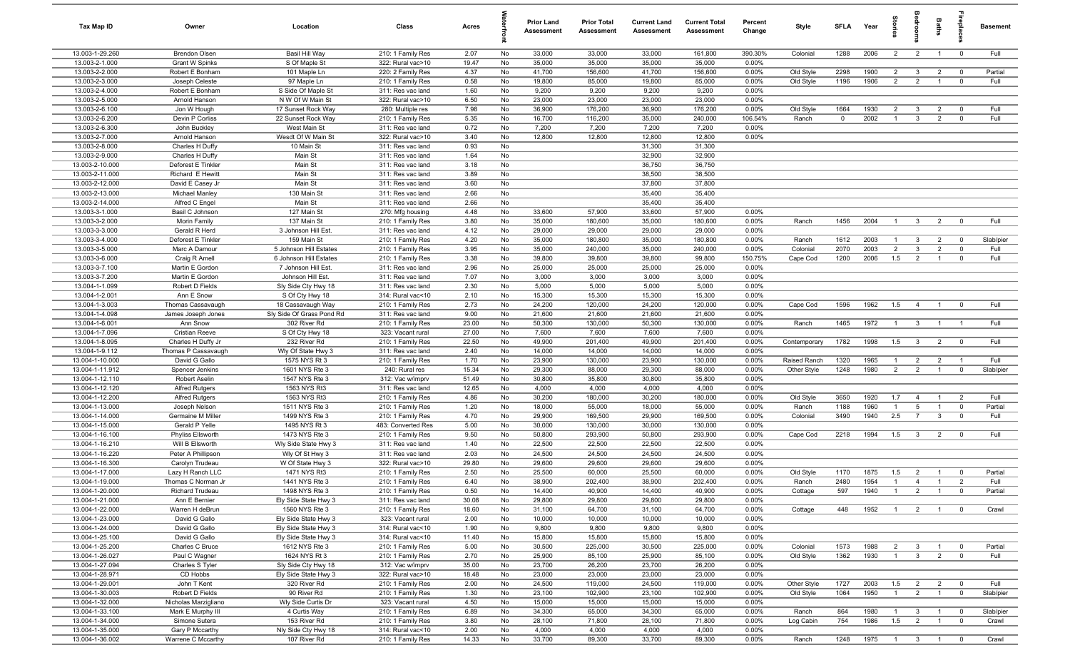| Tax Map ID                         | Owner                                          | Location                                         | Class                                  | Acres         |          | <b>Prior Land</b><br>Assessment | <b>Prior Total</b><br>Assessment | <b>Current Land</b><br><b>Assessment</b> | <b>Current Total</b><br><b>Assessment</b> | Percent<br>Change | Style               | <b>SFLA</b>  | Year         | $\overline{a}$                   | ă                            | <b>Baths</b>                     | epla                         | <b>Basement</b> |
|------------------------------------|------------------------------------------------|--------------------------------------------------|----------------------------------------|---------------|----------|---------------------------------|----------------------------------|------------------------------------------|-------------------------------------------|-------------------|---------------------|--------------|--------------|----------------------------------|------------------------------|----------------------------------|------------------------------|-----------------|
| 13.003-1-29.260                    | <b>Brendon Olsen</b>                           | Basil Hill Way                                   | 210: 1 Family Res                      | 2.07          | No       | 33,000                          | 33,000                           | 33,000                                   | 161,800                                   | 390.30%           | Colonial            | 1288         | 2006         | 2                                | $\overline{2}$               | $\overline{1}$                   | $\overline{0}$               | Full            |
| 13.003-2-1.000                     | Grant W Spinks                                 | S Of Maple St                                    | 322: Rural vac>10                      | 19.47         | No       | 35,000                          | 35,000                           | 35,000                                   | 35,000                                    | 0.00%             |                     |              |              |                                  |                              |                                  |                              |                 |
| 13.003-2-2.000                     | Robert E Bonham                                | 101 Maple Ln                                     | 220: 2 Family Res                      | 4.37          | No       | 41,700                          | 156,600                          | 41,700                                   | 156,600                                   | 0.00%             | Old Style           | 2298         | 1900         | $\overline{2}$                   | $\mathbf{3}$                 | $\overline{2}$                   | $\overline{0}$               | Partial         |
| 13.003-2-3.000                     | Joseph Celeste                                 | 97 Maple Ln                                      | 210: 1 Family Res                      | 0.58          | No       | 19,800                          | 85,000                           | 19,800                                   | 85,000                                    | 0.00%             | Old Style           | 1196         | 1906         | $\overline{2}$                   | $\overline{2}$               | $\mathbf{1}$                     | $\overline{0}$               | Full            |
| 13.003-2-4.000                     | Robert E Bonham                                | S Side Of Maple St                               | 311: Res vac land                      | 1.60          | No       | 9,200                           | 9,200                            | 9,200                                    | 9,200                                     | 0.00%             |                     |              |              |                                  |                              |                                  |                              |                 |
| 13.003-2-5.000<br>13.003-2-6.100   | Arnold Hanson                                  | N W Of W Main St                                 | 322: Rural vac>10                      | 6.50<br>7.98  | No<br>No | 23,000<br>36,900                | 23,000<br>176,200                | 23,000<br>36,900                         | 23,000<br>176,200                         | 0.00%<br>0.00%    |                     | 1664         | 1930         | $\overline{2}$                   | $\overline{3}$               | $\overline{2}$                   | $\overline{0}$               | Full            |
| 13.003-2-6.200                     | Jon W Hough<br>Devin P Corliss                 | 17 Sunset Rock Way<br>22 Sunset Rock Way         | 280: Multiple res<br>210: 1 Family Res | 5.35          | No       | 16,700                          | 116,200                          | 35,000                                   | 240,000                                   | 106.54%           | Old Style<br>Ranch  | $\mathbf 0$  | 2002         | $\overline{1}$                   | $\mathbf{3}$                 | $\overline{2}$                   | $\overline{0}$               | Full            |
| 13.003-2-6.300                     | John Buckley                                   | West Main St                                     | 311: Res vac land                      | 0.72          | No       | 7,200                           | 7,200                            | 7,200                                    | 7,200                                     | 0.00%             |                     |              |              |                                  |                              |                                  |                              |                 |
| 13.003-2-7.000                     | Arnold Hanson                                  | Wesdt Of W Main St                               | 322: Rural vac>10                      | 3.40          | No       | 12,800                          | 12,800                           | 12,800                                   | 12,800                                    | 0.00%             |                     |              |              |                                  |                              |                                  |                              |                 |
| 13.003-2-8.000                     | Charles H Duffy                                | 10 Main St                                       | 311: Res vac land                      | 0.93          | No       |                                 |                                  | 31,300                                   | 31,300                                    |                   |                     |              |              |                                  |                              |                                  |                              |                 |
| 13.003-2-9.000                     | Charles H Duffy                                | Main St                                          | 311: Res vac land                      | 1.64          | No       |                                 |                                  | 32,900                                   | 32,900                                    |                   |                     |              |              |                                  |                              |                                  |                              |                 |
| 13.003-2-10.000                    | Deforest E Tinkler                             | Main St                                          | 311: Res vac land                      | 3.18          | No       |                                 |                                  | 36,750                                   | 36,750                                    |                   |                     |              |              |                                  |                              |                                  |                              |                 |
| 13.003-2-11.000                    | Richard E Hewitt                               | Main St                                          | 311: Res vac land                      | 3.89          | No       |                                 |                                  | 38,500                                   | 38,500                                    |                   |                     |              |              |                                  |                              |                                  |                              |                 |
| 13.003-2-12.000                    | David E Casey Jr                               | Main St                                          | 311: Res vac land                      | 3.60          | No       |                                 |                                  | 37,800                                   | 37,800                                    |                   |                     |              |              |                                  |                              |                                  |                              |                 |
| 13.003-2-13.000                    | Michael Manley                                 | 130 Main St                                      | 311: Res vac land                      | 2.66          | No       |                                 |                                  | 35,400                                   | 35,400                                    |                   |                     |              |              |                                  |                              |                                  |                              |                 |
| 13.003-2-14.000                    | Alfred C Engel                                 | Main St                                          | 311: Res vac land                      | 2.66          | No       |                                 |                                  | 35,400                                   | 35,400                                    |                   |                     |              |              |                                  |                              |                                  |                              |                 |
| 13.003-3-1.000                     | Basil C Johnson                                | 127 Main St                                      | 270: Mfg housing                       | 4.48          | No       | 33,600                          | 57,900                           | 33,600                                   | 57,900                                    | 0.00%             |                     |              |              |                                  |                              |                                  |                              |                 |
| 13.003-3-2.000                     | Morin Family                                   | 137 Main St                                      | 210: 1 Family Res                      | 3.80          | No       | 35,000                          | 180,600                          | 35,000                                   | 180,600                                   | 0.00%             | Ranch               | 1456         | 2004         | $\overline{1}$                   | $\mathbf{3}$                 | $\overline{2}$                   | $\overline{0}$               | Full            |
| 13.003-3-3.000                     | Gerald R Herd                                  | 3 Johnson Hill Est                               | 311: Res vac land                      | 4.12          | No       | 29,000                          | 29,000                           | 29,000                                   | 29,000                                    | 0.00%             |                     |              |              |                                  |                              |                                  |                              |                 |
| 13.003-3-4.000<br>13.003-3-5.000   | Deforest E Tinkler                             | 159 Main St                                      | 210: 1 Family Res                      | 4.20          | No       | 35,000                          | 180,800                          | 35,000                                   | 180,800                                   | 0.00%             | Ranch               | 1612<br>2070 | 2003<br>2003 | $\overline{1}$<br>$\overline{2}$ | $\mathbf{3}$<br>$\mathbf{3}$ | $\overline{2}$                   | $\overline{0}$<br>$^{\circ}$ | Slab/pier       |
| 13.003-3-6.000                     | Marc A Damour<br>Craig R Amell                 | 5 Johnson Hill Estates<br>6 Johnson Hill Estates | 210: 1 Family Res<br>210: 1 Family Res | 3.95<br>3.38  | No<br>No | 35,000<br>39,800                | 240,000<br>39,800                | 35,000<br>39,800                         | 240,000<br>99,800                         | 0.00%<br>150.75%  | Colonia<br>Cape Cod | 1200         | 2006         | 1.5                              | 2                            | $\overline{2}$<br>$\overline{1}$ | $\mathbf 0$                  | Full<br>Full    |
| 13.003-3-7.100                     | Martin E Gordon                                | 7 Johnson Hill Est.                              | 311: Res vac land                      | 2.96          | No       | 25,000                          | 25,000                           | 25,000                                   | 25,000                                    | 0.00%             |                     |              |              |                                  |                              |                                  |                              |                 |
| 13.003-3-7.200                     | Martin E Gordon                                | Johnson Hill Est.                                | 311: Res vac land                      | 7.07          | No       | 3,000                           | 3,000                            | 3,000                                    | 3,000                                     | 0.00%             |                     |              |              |                                  |                              |                                  |                              |                 |
| 13.004-1-1.099                     | Robert D Fields                                | Sly Side Cty Hwy 18                              | 311: Res vac land                      | 2.30          | No       | 5,000                           | 5,000                            | 5,000                                    | 5,000                                     | 0.00%             |                     |              |              |                                  |                              |                                  |                              |                 |
| 13.004-1-2.001                     | Ann E Snow                                     | S Of Cty Hwy 18                                  | 314: Rural vac<10                      | 2.10          | No       | 15,300                          | 15,300                           | 15,300                                   | 15,300                                    | 0.00%             |                     |              |              |                                  |                              |                                  |                              |                 |
| 13.004-1-3.003                     | Thomas Cassavaugh                              | 18 Cassavaugh Way                                | 210: 1 Family Res                      | 2.73          | No       | 24,200                          | 120,000                          | 24,200                                   | 120,000                                   | 0.00%             | Cape Cod            | 1596         | 1962         | 1.5                              | $\overline{4}$               | $\overline{1}$                   | $\overline{0}$               | Full            |
| 13.004-1-4.098                     | James Joseph Jones                             | Sly Side Of Grass Pond Rd                        | 311: Res vac land                      | 9.00          | No       | 21,600                          | 21,600                           | 21,600                                   | 21,600                                    | 0.00%             |                     |              |              |                                  |                              |                                  |                              |                 |
| 13.004-1-6.001                     | Ann Snow                                       | 302 River Rd                                     | 210: 1 Family Res                      | 23.00         | No       | 50,300                          | 130,000                          | 50,300                                   | 130,000                                   | 0.00%             | Ranch               | 1465         | 1972         | $\overline{1}$                   | $\mathbf{3}$                 | $\overline{1}$                   | $\overline{1}$               | Full            |
| 13.004-1-7.096                     | <b>Cristian Reeve</b>                          | S Of Cty Hwy 18                                  | 323: Vacant rural                      | 27.00         | No       | 7,600                           | 7,600                            | 7,600                                    | 7,600                                     | 0.00%             |                     |              |              |                                  |                              |                                  |                              |                 |
| 13.004-1-8.095                     | Charles H Duffy Jr                             | 232 River Rd                                     | 210: 1 Family Res                      | 22.50         | No       | 49,900                          | 201,400                          | 49,900                                   | 201,400                                   | 0.00%             | Contemporary        | 1782         | 1998         | 1.5                              | $\overline{3}$               | $\overline{2}$                   | $\overline{0}$               | Full            |
| 13.004-1-9.112                     | Thomas P Cassavaugh                            | Wly Of State Hwy 3                               | 311: Res vac land                      | 2.40          | No       | 14,000                          | 14,000                           | 14,000                                   | 14,000                                    | 0.00%             |                     |              |              |                                  |                              |                                  |                              |                 |
| 13.004-1-10.000                    | David G Gallo                                  | 1575 NYS Rt 3                                    | 210: 1 Family Res                      | 1.70          | No       | 23,900                          | 130,000                          | 23,900                                   | 130,000                                   | 0.00%             | Raised Ranch        | 1320         | 1965         | $\overline{1}$                   | $\overline{2}$               | $\overline{2}$                   | $\overline{1}$               | Full            |
| 13.004-1-11.912                    | Spencer Jenkins                                | 1601 NYS Rte 3                                   | 240: Rural res                         | 15.34         | No       | 29,300                          | 88,000                           | 29,300                                   | 88,000                                    | 0.00%             | Other Style         | 1248         | 1980         | $\overline{2}$                   | $\overline{2}$               | $\overline{1}$                   | $\overline{0}$               | Slab/pier       |
| 13.004-1-12.110<br>13.004-1-12.120 | Robert Aselin                                  | 1547 NYS Rte 3<br>1563 NYS Rt3                   | 312: Vac w/imprv                       | 51.49         | No<br>No | 30,800<br>4,000                 | 35,800<br>4,000                  | 30,800<br>4,000                          | 35,800<br>4,000                           | 0.00%<br>0.00%    |                     |              |              |                                  |                              |                                  |                              |                 |
| 13.004-1-12.200                    | <b>Alfred Rutgers</b><br><b>Alfred Rutgers</b> | 1563 NYS Rt3                                     | 311: Res vac land<br>210: 1 Family Res | 12.65<br>4.86 | No       | 30,200                          | 180,000                          | 30,200                                   | 180,000                                   | 0.00%             | Old Style           | 3650         | 1920         | 1.7                              | $\overline{4}$               | $\overline{1}$                   | $\overline{2}$               | Full            |
| 13.004-1-13.000                    | Joseph Nelson                                  | 1511 NYS Rte 3                                   | 210: 1 Family Res                      | 1.20          | No       | 18,000                          | 55,000                           | 18,000                                   | 55,000                                    | 0.00%             | Ranch               | 1188         | 1960         | $\overline{1}$                   | 5                            | $\overline{1}$                   | $\overline{0}$               | Partial         |
| 13.004-1-14.000                    | Germaine M Miller                              | 1499 NYS Rte 3                                   | 210: 1 Family Res                      | 4.70          | No       | 29,900                          | 169,500                          | 29,900                                   | 169,500                                   | 0.00%             | Colonial            | 3490         | 1940         | 2.5                              | $\overline{7}$               | $\mathbf{3}$                     | $\overline{0}$               | Full            |
| 13.004-1-15.000                    | Gerald P Yelle                                 | 1495 NYS Rt 3                                    | 483: Converted Res                     | 5.00          | No       | 30,000                          | 130,000                          | 30,000                                   | 130,000                                   | 0.00%             |                     |              |              |                                  |                              |                                  |                              |                 |
| 13.004-1-16.100                    | Phyliss Ellsworth                              | 1473 NYS Rte 3                                   | 210: 1 Family Res                      | 9.50          | No       | 50,800                          | 293,900                          | 50,800                                   | 293,900                                   | 0.00%             | Cape Cod            | 2218         | 1994         | 1.5                              | $\overline{\mathbf{3}}$      | $\overline{2}$                   | $\overline{0}$               | Full            |
| 13.004-1-16.210                    | Will B Ellsworth                               | Wly Side State Hwy 3                             | 311: Res vac land                      | 1.40          | No       | 22,500                          | 22,500                           | 22,500                                   | 22,500                                    | 0.00%             |                     |              |              |                                  |                              |                                  |                              |                 |
| 13.004-1-16.220                    | Peter A Phillipson                             | Wly Of St Hwy 3                                  | 311: Res vac land                      | 2.03          | No       | 24,500                          | 24,500                           | 24,500                                   | 24,500                                    | 0.00%             |                     |              |              |                                  |                              |                                  |                              |                 |
| 13.004-1-16.300                    | Carolyn Trudeau                                | W Of State Hwy 3                                 | 322: Rural vac>10                      | 29.80         | No       | 29,600                          | 29,600                           | 29,600                                   | 29,600                                    | 0.00%             |                     |              |              |                                  |                              |                                  |                              |                 |
| 13.004-1-17.000                    | Lazy H Ranch LLC                               | 1471 NYS Rt3                                     | 210: 1 Family Res                      | 2.50          | No       | 25,500                          | 60,000                           | 25,500                                   | 60,000                                    | 0.00%             | Old Style           | 1170         | 1875         | 1.5                              | $\overline{2}$               | $\overline{1}$                   | $\mathbf 0$                  | Partial         |
| 13.004-1-19.000                    | Thomas C Norman Jr                             | 1441 NYS Rte 3                                   | 210: 1 Family Res                      | 6.40          | No       | 38,900                          | 202,400                          | 38,900                                   | 202,400                                   | 0.00%             | Ranch               | 2480         | 1954         | $\overline{1}$                   | $\overline{A}$               | $\overline{1}$                   |                              | Full            |
| 13.004-1-20.000                    | Richard Trudeau                                | 1498 NYS Rte 3                                   | 210: 1 Family Res                      | 0.50          | No       | 14,400                          | 40,900                           | 14,400                                   | 40,900                                    | 0.00%             | Cottage             | 597          | 1940         | $\overline{1}$                   | $\overline{2}$               | $\overline{1}$                   | $\mathbf 0$                  | Partial         |
| 13.004-1-21.000                    | Ann E Bernier                                  | Ely Side State Hwy 3                             | 311: Res vac land                      | 30.08         | No       | 29,800                          | 29,800                           | 29,800                                   | 29,800                                    | 0.00%             |                     |              |              |                                  |                              |                                  |                              |                 |
| 13.004-1-22.000                    | Warren H deBrun                                | 1560 NYS Rte 3                                   | 210: 1 Family Res                      | 18.60         | No       | 31,100                          | 64,700                           | 31,100                                   | 64,700                                    | 0.00%             | Cottage             | 448          | 1952         | $\overline{1}$                   | $\overline{2}$               | $\overline{1}$                   | $\overline{0}$               | Crawl           |
| 13.004-1-23.000<br>13.004-1-24.000 | David G Gallo<br>David G Gallo                 | Ely Side State Hwy 3<br>Ely Side State Hwy 3     | 323: Vacant rural<br>314: Rural vac<10 | 2.00<br>1.90  | No<br>No | 10,000<br>9,800                 | 10,000<br>9,800                  | 10,000<br>9,800                          | 10,000<br>9,800                           | 0.00%<br>0.00%    |                     |              |              |                                  |                              |                                  |                              |                 |
| 13.004-1-25.100                    | David G Gallo                                  | Ely Side State Hwy 3                             | 314: Rural vac<10                      | 11.40         | No       | 15,800                          | 15,800                           | 15,800                                   | 15,800                                    | 0.00%             |                     |              |              |                                  |                              |                                  |                              |                 |
| 13.004-1-25.200                    | Charles C Bruce                                | 1612 NYS Rte 3                                   | 210: 1 Family Res                      | 5.00          | No       | 30,500                          | 225,000                          | 30,500                                   | 225,000                                   | 0.00%             | Colonial            | 1573         | 1988         | $\overline{2}$                   | $\mathbf{3}$                 | $\overline{1}$                   | $\overline{0}$               | Partial         |
| 13.004-1-26.027                    | Paul C Wagner                                  | 1624 NYS Rt 3                                    | 210: 1 Family Res                      | 2.70          | No       | 25,900                          | 85,100                           | 25,900                                   | 85,100                                    | 0.00%             | Old Style           | 1362         | 1930         | $\overline{1}$                   | $\mathbf{3}$                 | $\overline{2}$                   | $\overline{0}$               | Full            |
| 13.004-1-27.094                    | Charles S Tyler                                | Sly Side Cty Hwy 18                              | 312: Vac w/imprv                       | 35.00         | No       | 23,700                          | 26,200                           | 23,700                                   | 26,200                                    | 0.00%             |                     |              |              |                                  |                              |                                  |                              |                 |
| 13.004-1-28.971                    | CD Hobbs                                       | Ely Side State Hwy 3                             | 322: Rural vac>10                      | 18.48         | No       | 23,000                          | 23,000                           | 23,000                                   | 23,000                                    | 0.00%             |                     |              |              |                                  |                              |                                  |                              |                 |
| 13.004-1-29.001                    | John T Kent                                    | 320 River Rd                                     | 210: 1 Family Res                      | 2.00          | No       | 24,500                          | 119,000                          | 24,500                                   | 119,000                                   | 0.00%             | Other Style         | 1727         | 2003         | 1.5                              | $\overline{2}$               | $\overline{2}$                   | $\overline{0}$               | Full            |
| 13.004-1-30.003                    | Robert D Fields                                | 90 River Rd                                      | 210: 1 Family Res                      | 1.30          | No       | 23,100                          | 102,900                          | 23,100                                   | 102,900                                   | 0.00%             | Old Style           | 1064         | 1950         | $\overline{1}$                   | 2                            | $\overline{1}$                   | $\overline{0}$               | Slab/pier       |
| 13.004-1-32.000                    | Nicholas Marzigliano                           | Wly Side Curtis Dr                               | 323: Vacant rural                      | 4.50          | No       | 15,000                          | 15,000                           | 15,000                                   | 15,000                                    | 0.00%             |                     |              |              |                                  |                              |                                  |                              |                 |
| 13.004-1-33.100                    | Mark E Murphy III                              | 4 Curtis Way                                     | 210: 1 Family Res                      | 6.89          | No       | 34,300                          | 65,000                           | 34,300                                   | 65,000                                    | 0.00%             | Ranch               | 864          | 1980         | $\overline{1}$                   | $\mathbf{3}$                 | $\overline{1}$                   | $\overline{\mathbf{0}}$      | Slab/pier       |
| 13.004-1-34.000                    | Simone Sutera                                  | 153 River Rd                                     | 210: 1 Family Res                      | 3.80          | No       | 28,100                          | 71,800                           | 28,100                                   | 71,800                                    | 0.00%             | Log Cabin           | 754          | 1986         | 1.5                              | $\overline{2}$               | $\overline{1}$                   | $\overline{0}$               | Crawl           |
| 13.004-1-35.000                    | Gary P Mccarthy                                | Nly Side Cty Hwy 18                              | 314: Rural vac<10                      | 2.00          | No       | 4,000                           | 4,000                            | 4,000                                    | 4,000                                     | 0.00%             |                     |              |              |                                  |                              |                                  |                              |                 |
| 13.004-1-36.002                    | Warrene C Mccarthy                             | 107 River Rd                                     | 210: 1 Family Res                      | 14.33         | No       | 33,700                          | 89,300                           | 33,700                                   | 89,300                                    | $0.00\%$          | Ranch               | 1248         | 1975         |                                  | $1 \quad 3 \quad 1$          |                                  | $\overline{0}$               | Crawl           |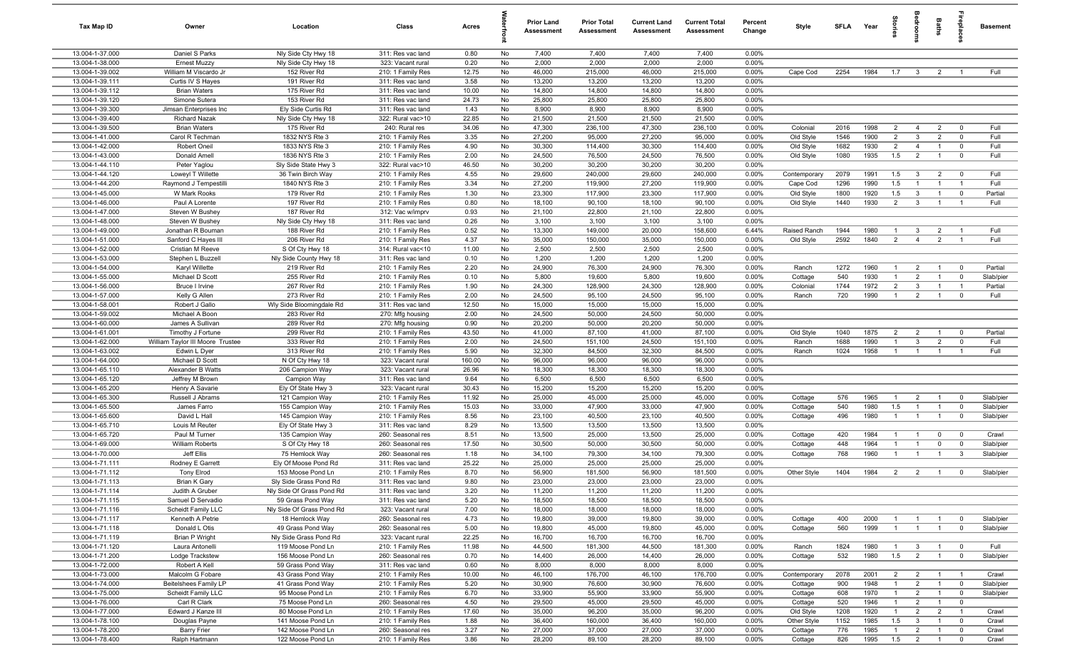| Tax Map ID                         | Owner                                          | Location                                  | Class                                  | Acres         |          | <b>Prior Land</b><br>Assessment | <b>Prior Total</b><br>Assessment | <b>Current Land</b><br><b>Assessment</b> | <b>Current Total</b><br><b>Assessment</b> | Percent<br>Change | Style        | SFLA Year |      | g<br>=         | droom                   | Baths          | <b>G</b> bla            | <b>Basement</b> |
|------------------------------------|------------------------------------------------|-------------------------------------------|----------------------------------------|---------------|----------|---------------------------------|----------------------------------|------------------------------------------|-------------------------------------------|-------------------|--------------|-----------|------|----------------|-------------------------|----------------|-------------------------|-----------------|
| 13.004-1-37.000                    | Daniel S Parks                                 | Nly Side Cty Hwy 18                       | 311: Res vac land                      | 0.80          | No       | 7,400                           | 7,400                            | 7,400                                    | 7,400                                     | 0.00%             |              |           |      |                |                         |                |                         |                 |
| 13.004-1-38.000                    | <b>Ernest Muzzy</b>                            | Nly Side Cty Hwy 18                       | 323: Vacant rural                      | 0.20          | No       | 2,000                           | 2,000                            | 2,000                                    | 2,000                                     | 0.00%             |              |           |      |                |                         |                |                         |                 |
| 13.004-1-39.002                    | William M Viscardo Jr                          | 152 River Rd                              | 210: 1 Family Res                      | 12.75         | No       | 46,000                          | 215,000                          | 46,000                                   | 215,000                                   | 0.00%             | Cape Cod     | 2254      | 1984 | 1.7            | $\overline{\mathbf{3}}$ | $\overline{2}$ | $\overline{1}$          | Full            |
| 13.004-1-39.111                    | Curtis IV S Hayes                              | 191 River Rd                              | 311: Res vac land                      | 3.58          | No       | 13,200                          | 13,200                           | 13,200                                   | 13,200                                    | 0.00%             |              |           |      |                |                         |                |                         |                 |
| 13.004-1-39.112                    | <b>Brian Waters</b>                            | 175 River Rd                              | 311: Res vac land                      | 10.00         | No       | 14,800                          | 14,800                           | 14,800                                   | 14,800                                    | 0.00%             |              |           |      |                |                         |                |                         |                 |
| 13.004-1-39.120<br>13.004-1-39.300 | Simone Sutera                                  | 153 River Rd                              | 311: Res vac land                      | 24.73<br>1.43 | No<br>No | 25,800<br>8,900                 | 25,800<br>8,900                  | 25,800<br>8,900                          | 25,800<br>8,900                           | 0.00%<br>0.00%    |              |           |      |                |                         |                |                         |                 |
| 13.004-1-39.400                    | Jimsan Enterprises Inc<br><b>Richard Nazak</b> | Ely Side Curtis Rd<br>Nly Side Cty Hwy 18 | 311: Res vac land<br>322: Rural vac>10 | 22.85         | No       | 21,500                          | 21,500                           | 21,500                                   | 21,500                                    | 0.00%             |              |           |      |                |                         |                |                         |                 |
| 13.004-1-39.500                    | <b>Brian Waters</b>                            | 175 River Rd                              | 240: Rural res                         | 34.06         | No       | 47,300                          | 236,100                          | 47,300                                   | 236,100                                   | 0.00%             | Colonia      | 2016      | 1998 | $\overline{2}$ | $\overline{4}$          | $\overline{2}$ | $\mathbf{0}$            | Full            |
| 13.004-1-41.000                    | Carol R Techman                                | 1832 NYS Rte 3                            | 210: 1 Family Res                      | 3.35          | No       | 27,200                          | 95,000                           | 27,200                                   | 95,000                                    | 0.00%             | Old Style    | 1546      | 1900 | 2              | $\mathbf{3}$            | 2              | $\overline{0}$          | Full            |
| 13.004-1-42.000                    | Robert Oneil                                   | 1833 NYS Rte 3                            | 210: 1 Family Res                      | 4.90          | No       | 30,300                          | 114,400                          | 30,300                                   | 114,400                                   | 0.00%             | Old Style    | 1682      | 1930 | $\overline{2}$ | $\overline{4}$          | $\overline{1}$ | $\overline{\mathbf{0}}$ | Full            |
| 13.004-1-43.000                    | Donald Amell                                   | 1836 NYS Rte 3                            | 210: 1 Family Res                      | 2.00          | No       | 24,500                          | 76,500                           | 24,500                                   | 76,500                                    | 0.00%             | Old Style    | 1080      | 1935 | 1.5            | $\overline{2}$          | $\overline{1}$ | $\overline{0}$          | Full            |
| 13.004-1-44.110                    | Peter Yaglou                                   | Sly Side State Hwy 3                      | 322: Rural vac>10                      | 46.50         | No       | 30,200                          | 30,200                           | 30,200                                   | 30,200                                    | 0.00%             |              |           |      |                |                         |                |                         |                 |
| 13.004-1-44.120                    | Loweyl T Willette                              | 36 Twin Birch Way                         | 210: 1 Family Res                      | 4.55          | No       | 29,600                          | 240,000                          | 29,600                                   | 240,000                                   | 0.00%             | Contemporary | 2079      | 1991 | 1.5            | $\mathbf{3}$            | $\overline{2}$ | $\overline{0}$          | Full            |
| 13.004-1-44.200                    | Raymond J Tempestilli                          | 1840 NYS Rte 3                            | 210: 1 Family Res                      | 3.34          | No       | 27,200                          | 119,900                          | 27,200                                   | 119,900                                   | 0.00%             | Cape Cod     | 1296      | 1990 | 1.5            | $\overline{1}$          | $\mathbf{1}$   | $\overline{1}$          | Full            |
| 13.004-1-45.000                    | W Mark Rooks                                   | 179 River Rd                              | 210: 1 Family Res                      | 1.30          | No       | 23,300                          | 117,900                          | 23,300                                   | 117,900                                   | 0.00%             | Old Style    | 1800      | 1920 | 1.5            | $\mathbf{3}$            | $\overline{1}$ | $\overline{0}$          | Partial         |
| 13.004-1-46.000                    | Paul A Lorente                                 | 197 River Rd                              | 210: 1 Family Res                      | 0.80          | No       | 18,100                          | 90,100                           | 18,100                                   | 90,100                                    | 0.00%             | Old Style    | 1440      | 1930 | $\overline{2}$ | $\mathbf{3}$            | $\mathbf{1}$   | $\overline{1}$          | Full            |
| 13.004-1-47.000                    | Steven W Bushey                                | 187 River Rd                              | 312: Vac w/imprv                       | 0.93          | No       | 21,100                          | 22,800                           | 21,100                                   | 22,800                                    | 0.00%             |              |           |      |                |                         |                |                         |                 |
| 13.004-1-48.000                    | Steven W Bushey                                | Nly Side Cty Hwy 18                       | 311: Res vac land                      | 0.26          | No       | 3,100                           | 3,100                            | 3,100                                    | 3,100                                     | 0.00%             |              |           |      |                |                         |                |                         |                 |
| 13.004-1-49.000                    | Jonathan R Bouman                              | 188 River Rd                              | 210: 1 Family Res                      | 0.52          | No       | 13,300                          | 149,000                          | 20,000                                   | 158,600                                   | 6.44%             | Raised Ranch | 1944      | 1980 | $\overline{1}$ | $\mathbf{3}$            | $\overline{2}$ | $\overline{1}$          | Full            |
| 13.004-1-51.000                    | Sanford C Hayes III                            | 206 River Rd                              | 210: 1 Family Res                      | 4.37          | No       | 35,000                          | 150,000                          | 35,000                                   | 150,000                                   | 0.00%             | Old Style    | 2592      | 1840 | 2              | $\overline{4}$          | 2              | $\overline{1}$          | Full            |
| 13.004-1-52.000<br>13.004-1-53.000 | Cristian M Reeve<br>Stephen L Buzzell          | S Of Cty Hwy 18<br>Nly Side County Hwy 18 | 314: Rural vac<10<br>311: Res vac land | 11.00<br>0.10 | No<br>No | 2,500<br>1,200                  | 2,500<br>1,200                   | 2,500<br>1,200                           | 2,500<br>1,200                            | 0.00%<br>0.00%    |              |           |      |                |                         |                |                         |                 |
| 13.004-1-54.000                    | Karyl Willette                                 | 219 River Rd                              | 210: 1 Family Res                      | 2.20          | No       | 24,900                          | 76,300                           | 24,900                                   | 76,300                                    | 0.00%             | Ranch        | 1272      | 1960 | $\overline{1}$ | $\overline{2}$          | $\overline{1}$ | $\overline{0}$          | Partial         |
| 13.004-1-55.000                    | Michael D Scott                                | 255 River Rd                              | 210: 1 Family Res                      | 0.10          | No       | 5,800                           | 19,600                           | 5,800                                    | 19,600                                    | 0.00%             | Cottage      | 540       | 1930 | $\overline{1}$ | $\overline{2}$          | $\overline{1}$ | $\overline{0}$          | Slab/pier       |
| 13.004-1-56.000                    | Bruce I Irvine                                 | 267 River Rd                              | 210: 1 Family Res                      | 1.90          | No       | 24,300                          | 128,900                          | 24,300                                   | 128,900                                   | 0.00%             | Colonial     | 1744      | 1972 | $\overline{2}$ | $\mathbf{3}$            | $\overline{1}$ | $\overline{1}$          | Partial         |
| 13.004-1-57.000                    | Kelly G Allen                                  | 273 River Rd                              | 210: 1 Family Res                      | 2.00          | No       | 24,500                          | 95,100                           | 24,500                                   | 95,100                                    | 0.00%             | Ranch        | 720       | 1990 | $\overline{1}$ | $\overline{2}$          | $\overline{1}$ | $\overline{0}$          | Full            |
| 13.004-1-58.001                    | Robert J Gallo                                 | Wly Side Bloomingdale Rd                  | 311: Res vac land                      | 12.50         | No       | 15,000                          | 15,000                           | 15,000                                   | 15,000                                    | 0.00%             |              |           |      |                |                         |                |                         |                 |
| 13.004-1-59.002                    | Michael A Boon                                 | 283 River Rd                              | 270: Mfg housing                       | 2.00          | No       | 24,500                          | 50,000                           | 24,500                                   | 50,000                                    | 0.00%             |              |           |      |                |                         |                |                         |                 |
| 13.004-1-60.000                    | James A Sullivan                               | 289 River Rd                              | 270: Mfg housing                       | 0.90          | No       | 20,200                          | 50,000                           | 20,200                                   | 50,000                                    | 0.00%             |              |           |      |                |                         |                |                         |                 |
| 13.004-1-61.001                    | Timothy J Fortune                              | 299 River Rd                              | 210: 1 Family Res                      | 43.50         | No       | 41,000                          | 87,100                           | 41,000                                   | 87,100                                    | 0.00%             | Old Style    | 1040      | 1875 | $\overline{2}$ | $\overline{2}$          | $\overline{1}$ | $\mathbf{0}$            | Partial         |
| 13.004-1-62.000                    | William Taylor III Moore Trustee               | 333 River Rd                              | 210: 1 Family Res                      | 2.00          | No       | 24,500                          | 151,100                          | 24,500                                   | 151,100                                   | 0.00%             | Ranch        | 1688      | 1990 | $\overline{1}$ | $\mathbf{3}$            | $\overline{2}$ | $\mathbf 0$             | Full            |
| 13.004-1-63.002                    | Edwin L Dyer                                   | 313 River Rd                              | 210: 1 Family Res                      | 5.90          | No       | 32,300                          | 84,500                           | 32,300                                   | 84,500                                    | 0.00%             | Ranch        | 1024      | 1958 | $\overline{1}$ | $\overline{1}$          | $\overline{1}$ | $\overline{1}$          | Full            |
| 13.004-1-64.000                    | Michael D Scott                                | N Of Cty Hwy 18                           | 323: Vacant rural                      | 160.00        | No       | 96,000                          | 96,000                           | 96,000                                   | 96,000                                    | 0.00%             |              |           |      |                |                         |                |                         |                 |
| 13.004-1-65.110                    | Alexander B Watts                              | 206 Campion Way                           | 323: Vacant rural                      | 26.96         | No       | 18,300                          | 18,300                           | 18,300                                   | 18,300                                    | 0.00%             |              |           |      |                |                         |                |                         |                 |
| 13.004-1-65.120<br>13.004-1-65.200 | Jeffrey M Brown                                | Campion Way<br>Ely Of State Hwy 3         | 311: Res vac land                      | 9.64<br>30.43 | No       | 6,500<br>15,200                 | 6,500<br>15,200                  | 6,500<br>15,200                          | 6,500<br>15,200                           | 0.00%<br>0.00%    |              |           |      |                |                         |                |                         |                 |
| 13.004-1-65.300                    | Henry A Savarie<br>Russell J Abrams            | 121 Campion Way                           | 323: Vacant rural<br>210: 1 Family Res | 11.92         | No<br>No | 25,000                          | 45,000                           | 25,000                                   | 45,000                                    | 0.00%             | Cottage      | 576       | 1965 | $\overline{1}$ | $\overline{2}$          | $\overline{1}$ | $\overline{0}$          | Slab/pier       |
| 13.004-1-65.500                    | James Farro                                    | 155 Campion Way                           | 210: 1 Family Res                      | 15.03         | No       | 33,000                          | 47,900                           | 33,000                                   | 47,900                                    | 0.00%             | Cottage      | 540       | 1980 | 1.5            | $\overline{1}$          | $\overline{1}$ | $\overline{0}$          | Slab/pier       |
| 13.004-1-65.600                    | David L Hall                                   | 145 Campion Way                           | 210: 1 Family Res                      | 8.56          | No       | 23,100                          | 40,500                           | 23,100                                   | 40,500                                    | 0.00%             | Cottage      | 496       | 1980 | $\overline{1}$ | $\overline{1}$          | $\overline{1}$ | $\overline{0}$          | Slab/pier       |
| 13.004-1-65.710                    | Louis M Reuter                                 | Ely Of State Hwy 3                        | 311: Res vac land                      | 8.29          | No       | 13,500                          | 13,500                           | 13,500                                   | 13,500                                    | 0.00%             |              |           |      |                |                         |                |                         |                 |
| 13.004-1-65.720                    | Paul M Turner                                  | 135 Campion Way                           | 260: Seasonal res                      | 8.51          | No       | 13,500                          | 25,000                           | 13,500                                   | 25,000                                    | 0.00%             | Cottage      | 420       | 1984 | $\overline{1}$ | $\overline{1}$          | $\overline{0}$ | $\overline{0}$          | Crawl           |
| 13.004-1-69.000                    | William Roberts                                | S Of Cty Hwy 18                           | 260: Seasonal res                      | 17.50         | No       | 30,500                          | 50,000                           | 30,500                                   | 50,000                                    | 0.00%             | Cottage      | 448       | 1964 | $\overline{1}$ | $\overline{1}$          | $\mathbf 0$    | $\mathbf 0$             | Slab/pier       |
| 13.004-1-70.000                    | Jeff Ellis                                     | 75 Hemlock Way                            | 260: Seasonal res                      | 1.18          | No       | 34,100                          | 79,300                           | 34,100                                   | 79,300                                    | 0.00%             | Cottage      | 768       | 1960 | $\overline{1}$ | $\overline{1}$          | $\overline{1}$ | $\mathbf{3}$            | Slab/pier       |
| 13.004-1-71.111                    | Rodney E Garrett                               | Ely Of Moose Pond Rd                      | 311: Res vac land                      | 25.22         | No       | 25,000                          | 25,000                           | 25,000                                   | 25,000                                    | 0.00%             |              |           |      |                |                         |                |                         |                 |
| 13.004-1-71.112                    | <b>Tony Elrod</b>                              | 153 Moose Pond Ln                         | 210: 1 Family Res                      | 8.70          | No       | 56,900                          | 181,500                          | 56,900                                   | 181,500                                   | 0.00%             | Other Style  | 1404      | 1984 | 2              | $\overline{2}$          | $\overline{1}$ | $\overline{0}$          | Slab/pier       |
| 13.004-1-71.113                    | Brian K Gary                                   | Sly Side Grass Pond Rd                    | 311: Res vac land                      | 9.80          | No       | 23,000                          | 23,000                           | 23,000                                   | 23,000                                    | 0.00%             |              |           |      |                |                         |                |                         |                 |
| 13.004-1-71.114                    | Judith A Gruber                                | Nly Side Of Grass Pond Rd                 | 311: Res vac land                      | 3.20          | No       | 11,200                          | 11,200                           | 11,200                                   | 11,200                                    | 0.00%             |              |           |      |                |                         |                |                         |                 |
| 13.004-1-71.115                    | Samuel D Servadio                              | 59 Grass Pond Way                         | 311: Res vac land                      | 5.20          | No       | 18,500                          | 18,500                           | 18,500                                   | 18,500                                    | 0.00%             |              |           |      |                |                         |                |                         |                 |
| 13.004-1-71.116                    | Scheidt Family LLC                             | Nly Side Of Grass Pond Rd                 | 323: Vacant rural                      | 7.00          | No       | 18,000                          | 18,000                           | 18,000                                   | 18,000                                    | 0.00%             |              |           |      |                |                         |                |                         |                 |
| 13.004-1-71.117                    | Kenneth A Petrie                               | 18 Hemlock Way<br>49 Grass Pond Way       | 260: Seasonal res                      | 4.73          | No       | 19,800                          | 39,000                           | 19,800                                   | 39,000                                    | 0.00%             | Cottage      | 400       | 2000 | $\overline{1}$ | $\overline{1}$          | $\overline{1}$ | $\overline{0}$          | Slab/pier       |
| 13.004-1-71.118<br>13.004-1-71.119 | Donald L Otis<br><b>Brian P Wright</b>         | Nly Side Grass Pond Rd                    | 260: Seasonal res<br>323: Vacant rural | 5.00<br>22.25 | No<br>No | 19,800<br>16,700                | 45,000<br>16,700                 | 19,800<br>16,700                         | 45,000<br>16,700                          | 0.00%<br>0.00%    | Cottage      | 560       | 1999 | $\overline{1}$ | $\overline{1}$          | $\overline{1}$ | $\overline{0}$          | Slab/pier       |
| 13.004-1-71.120                    | Laura Antonelli                                | 119 Moose Pond Ln                         | 210: 1 Family Res                      | 11.98         | No       | 44,500                          | 181,300                          | 44,500                                   | 181,300                                   | 0.00%             | Ranch        | 1824      | 1980 | $\overline{1}$ | $\mathbf{3}$            | $\overline{1}$ | $\overline{0}$          | Full            |
| 13.004-1-71.200                    | Lodge Trackstew                                | 156 Moose Pond Ln                         | 260: Seasonal res                      | 0.70          | No       | 14,400                          | 26,000                           | 14,400                                   | 26,000                                    | 0.00%             | Cottage      | 532       | 1980 | 1.5            | $\overline{2}$          | $\overline{1}$ | $\overline{0}$          | Slab/pier       |
| 13.004-1-72.000                    | Robert A Kell                                  | 59 Grass Pond Way                         | 311: Res vac land                      | 0.60          | No       | 8,000                           | 8,000                            | 8,000                                    | 8,000                                     | 0.00%             |              |           |      |                |                         |                |                         |                 |
| 13.004-1-73.000                    | Malcolm G Fobare                               | 43 Grass Pond Way                         | 210: 1 Family Res                      | 10.00         | No       | 46,100                          | 176,700                          | 46,100                                   | 176,700                                   | 0.00%             | Contemporary | 2078      | 2001 | $\overline{2}$ | $\overline{2}$          | $\overline{1}$ | $\overline{1}$          | Crawl           |
| 13.004-1-74.000                    | Beitelshees Family LP                          | 41 Grass Pond Way                         | 210: 1 Family Res                      | 5.20          | No       | 30,900                          | 76,600                           | 30,900                                   | 76,600                                    | 0.00%             | Cottage      | 900       | 1948 | $\overline{1}$ | $\overline{2}$          | $\overline{1}$ | $\mathbf{0}$            | Slab/pier       |
| 13.004-1-75.000                    | Scheidt Family LLC                             | 95 Moose Pond Ln                          | 210: 1 Family Res                      | 6.70          | No       | 33,900                          | 55,900                           | 33,900                                   | 55,900                                    | 0.00%             | Cottage      | 608       | 1970 | $\mathbf{1}$   | $\overline{2}$          | $\overline{1}$ | $\overline{0}$          | Slab/pier       |
| 13.004-1-76.000                    | Carl R Clark                                   | 75 Moose Pond Ln                          | 260: Seasonal res                      | 4.50          | No       | 29,500                          | 45,000                           | 29,500                                   | 45,000                                    | 0.00%             | Cottage      | 520       | 1946 | $\overline{1}$ | $\overline{2}$          | $\overline{1}$ | $\overline{0}$          |                 |
| 13.004-1-77.000                    | Edward J Kanze III                             | 80 Moose Pond Ln                          | 210: 1 Family Res                      | 17.60         | No       | 35,000                          | 96,200                           | 35,000                                   | 96,200                                    | 0.00%             | Old Style    | 1208      | 1920 | $\overline{1}$ | $\overline{2}$          | $\overline{2}$ | $\overline{1}$          | Crawl           |
| 13.004-1-78.100                    | Douglas Payne                                  | 141 Moose Pond Ln                         | 210: 1 Family Res                      | 1.88          | No       | 36,400                          | 160,000                          | 36,400                                   | 160,000                                   | 0.00%             | Other Style  | 1152      | 1985 | 1.5            | $\mathbf{3}$            | $\overline{1}$ | $\overline{0}$          | Crawl           |
| 13.004-1-78.200                    | <b>Barry Frier</b>                             | 142 Moose Pond Ln                         | 260: Seasonal res                      | 3.27          | No       | 27,000                          | 37,000                           | 27,000                                   | 37,000                                    | 0.00%             | Cottage      | 776       | 1985 | $\overline{1}$ | $\overline{2}$          | $\overline{1}$ | $\overline{0}$          | Crawl           |
| 13.004-1-78.400                    | Ralph Hartmann                                 | 122 Moose Pond Ln                         | 210: 1 Family Res                      | 3.86          | No       | 28,200                          | 89,100                           | 28,200                                   | 89,100                                    | $0.00\%$          | Cottage      | 826       | 1995 | 1.5            | $\overline{2}$          | $\overline{1}$ | $\overline{0}$          | Crawl           |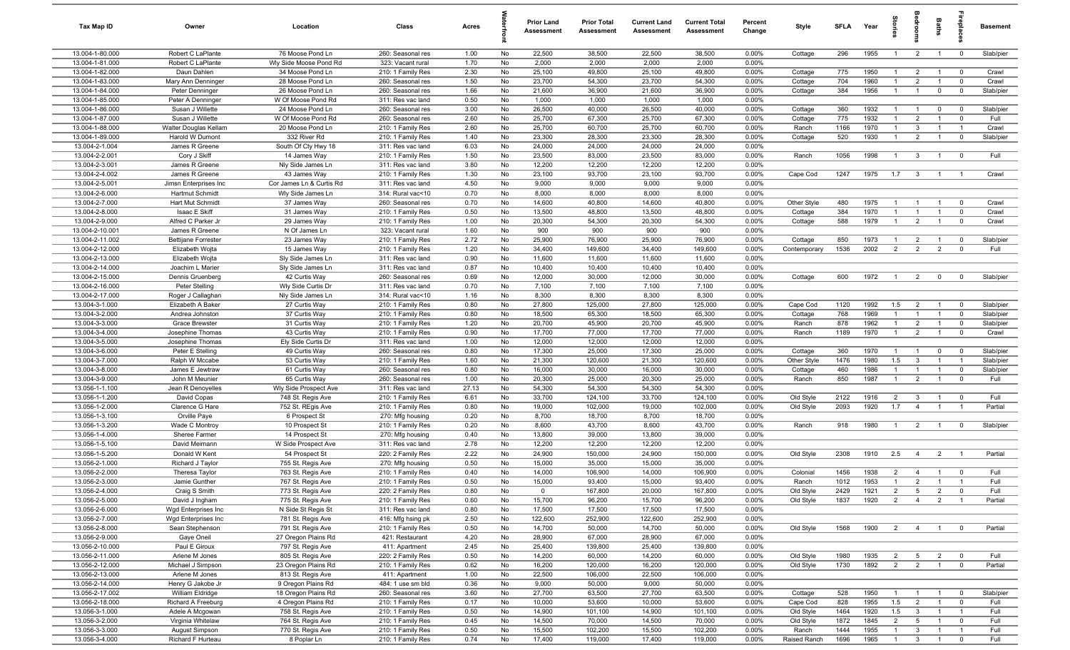| Tax Map ID                         | Owner                                  | Location                                   | Class                                  | Acres         |          | <b>Prior Land</b><br>Assessment | <b>Prior Total</b><br><b>Assessment</b> | <b>Current Land</b><br>Assessment | <b>Current Total</b><br>Assessment | Percent<br>Change | Style              | <b>SFLA</b> | Year         | $\frac{1}{2}$  | ē                                | Baths                         |                            | <b>Basement</b>   |
|------------------------------------|----------------------------------------|--------------------------------------------|----------------------------------------|---------------|----------|---------------------------------|-----------------------------------------|-----------------------------------|------------------------------------|-------------------|--------------------|-------------|--------------|----------------|----------------------------------|-------------------------------|----------------------------|-------------------|
| 13.004-1-80.000                    | Robert C LaPlante                      | 76 Moose Pond Ln                           | 260: Seasonal res                      | 1.00          | No       | 22,500                          | 38,500                                  | 22,500                            | 38,500                             | 0.00%             | Cottage            | 296         | 1955         | $\overline{1}$ | $\overline{2}$                   | $\mathbf{1}$                  | $\overline{0}$             | Slab/pier         |
| 13.004-1-81.000                    | Robert C LaPlante                      | Wly Side Moose Pond Rd                     | 323: Vacant rural                      | 1.70          | No       | 2,000                           | 2,000                                   | 2,000                             | 2,000                              | 0.00%             |                    |             |              |                |                                  |                               |                            |                   |
| 13.004-1-82.000                    | Daun Dahlen                            | 34 Moose Pond Ln                           | 210: 1 Family Res                      | 2.30          | No       | 25,100                          | 49,800                                  | 25,100                            | 49,800                             | 0.00%             | Cottage            | 775         | 1950         | $\mathbf{1}$   | $\overline{2}$                   | $\overline{1}$                | $\overline{\mathbf{0}}$    | Crawl             |
| 13.004-1-83.000                    | Mary Ann Denninger                     | 28 Moose Pond Ln                           | 260: Seasonal res                      | 1.50          | No       | 23,700                          | 54,300                                  | 23,700                            | 54,300                             | 0.00%             | Cottage            | 704         | 1960         | -1             | $\overline{2}$                   | $\mathbf{1}$                  | $\mathbf{0}$               | Crawl             |
| 13.004-1-84.000                    | Peter Denninger                        | 26 Moose Pond Ln                           | 260: Seasonal res                      | 1.66          | No       | 21,600                          | 36,900                                  | 21,600                            | 36,900                             | 0.00%             | Cottage            | 384         | 1956         | $\mathbf{1}$   | $\overline{1}$                   | $\mathbf 0$                   | $\mathbf 0$                | Slab/pier         |
| 13.004-1-85.000                    | Peter A Denninger                      | W Of Moose Pond Rd                         | 311: Res vac land                      | 0.50          | No       | 1,000                           | 1,000                                   | 1,000                             | 1,000                              | 0.00%             |                    |             |              | $\overline{1}$ |                                  |                               |                            |                   |
| 13.004-1-86.000<br>13.004-1-87.000 | Susan J Willette<br>Susan J Willette   | 24 Moose Pond Ln<br>W Of Moose Pond Rd     | 260: Seasonal res<br>260: Seasonal res | 3.00<br>2.60  | No<br>No | 26,500<br>25,700                | 40,000<br>67,300                        | 26,500<br>25,700                  | 40,000<br>67,300                   | 0.00%<br>0.00%    | Cottage<br>Cottage | 360<br>775  | 1932<br>1932 | $\overline{1}$ | $\overline{1}$<br>$\overline{2}$ | $\mathbf 0$<br>$\overline{1}$ | $\mathbf 0$<br>$\mathbf 0$ | Slab/pier<br>Full |
| 13.004-1-88.000                    | Walter Douglas Kellam                  | 20 Moose Pond Ln                           | 210: 1 Family Res                      | 2.60          | No       | 25,700                          | 60,700                                  | 25,700                            | 60,700                             | 0.00%             | Ranch              | 1166        | 1970         | $\overline{1}$ | $\mathbf{3}$                     | $\overline{1}$                | $\overline{1}$             | Crawl             |
| 13.004-1-89.000                    | Harold W Dumont                        | 332 River Rd                               | 210: 1 Family Res                      | 1.40          | No       | 23,300                          | 28,300                                  | 23,300                            | 28,300                             | 0.00%             | Cottage            | 520         | 1930         | $\overline{1}$ | $\overline{2}$                   | $\overline{1}$                | $\mathbf 0$                | Slab/pier         |
| 13.004-2-1.004                     | James R Greene                         | South Of Cty Hwy 18                        | 311: Res vac land                      | 6.03          | No       | 24,000                          | 24,000                                  | 24,000                            | 24,000                             | 0.00%             |                    |             |              |                |                                  |                               |                            |                   |
| 13.004-2-2.001                     | Cory J Skiff                           | 14 James Way                               | 210: 1 Family Res                      | 1.50          | No       | 23,500                          | 83,000                                  | 23,500                            | 83,000                             | 0.00%             | Ranch              | 1056        | 1998         | $\overline{1}$ | $\mathbf{3}$                     | $\overline{1}$                | $\overline{0}$             | Full              |
| 13.004-2-3.001                     | James R Greene                         | Nly Side James Ln                          | 311: Res vac land                      | 3.80          | No       | 12,200                          | 12,200                                  | 12,200                            | 12,200                             | 0.00%             |                    |             |              |                |                                  |                               |                            |                   |
| 13.004-2-4.002                     | James R Greene                         | 43 James Way                               | 210: 1 Family Res                      | 1.30          | No       | 23,100                          | 93,700                                  | 23,100                            | 93,700                             | 0.00%             | Cape Cod           | 1247        | 1975         | 1.7            | $\mathbf{3}$                     | $\mathbf{1}$                  | $\overline{1}$             | Crawl             |
| 13.004-2-5.001                     | Jimsn Enterprises Inc                  | Cor James Ln & Curtis Rd                   | 311: Res vac land                      | 4.50          | No       | 9,000                           | 9,000                                   | 9,000                             | 9,000                              | 0.00%             |                    |             |              |                |                                  |                               |                            |                   |
| 13.004-2-6.000                     | Hartmut Schmidt                        | Wly Side James Ln                          | 314: Rural vac<10                      | 0.70          | No       | 8,000                           | 8,000                                   | 8,000                             | 8,000                              | 0.00%             |                    |             |              |                |                                  |                               |                            |                   |
| 13.004-2-7.000                     | Hart Mut Schmidt                       | 37 James Way                               | 260: Seasonal res                      | 0.70          | No       | 14,600                          | 40,800                                  | 14,600                            | 40,800                             | 0.00%             | Other Style        | 480         | 1975         |                | $\overline{1}$                   | $\overline{1}$                | $\overline{0}$             | Crawl             |
| 13.004-2-8.000                     | Isaac E Skiff                          | 31 James Way                               | 210: 1 Family Res                      | 0.50          | No       | 13,500                          | 48,800                                  | 13,500                            | 48,800                             | 0.00%             | Cottage            | 384         | 1970         | $\mathbf{1}$   | $\mathbf{1}$                     | $\overline{1}$                | $\overline{\mathbf{0}}$    | Crawl             |
| 13.004-2-9.000                     | Alfred C Parker Jr                     | 29 James Way                               | 210: 1 Family Res                      | 1.00          | No       | 20,300                          | 54,300                                  | 20,300                            | 54,300                             | 0.00%             | Cottage            | 588         | 1979         | $\mathbf{1}$   | $\overline{2}$                   | $\overline{1}$                | $\mathbf 0$                | Crawl             |
| 13.004-2-10.001                    | James R Greene                         | N Of James Ln                              | 323: Vacant rural                      | 1.60          | No       | 900                             | 900                                     | 900                               | 900                                | 0.00%             |                    |             |              |                |                                  |                               |                            |                   |
| 13.004-2-11.002                    | <b>Bettijane Forrester</b>             | 23 James Way                               | 210: 1 Family Res                      | 2.72          | No       | 25,900                          | 76,900                                  | 25,900                            | 76,900                             | 0.00%             | Cottage            | 850         | 1973         | $\overline{1}$ | $\overline{2}$                   | $\overline{1}$                | $\mathbf 0$                | Slab/pier         |
| 13.004-2-12.000<br>13.004-2-13.000 | Elizabeth Wojta                        | 15 James Way                               | 210: 1 Family Res<br>311: Res vac land | 1.20          | No       | 34,400                          | 149,600                                 | 34,400                            | 149,600                            | 0.00%<br>0.00%    | Contemporary       | 1536        | 2002         | $\overline{2}$ | $\overline{2}$                   | $\overline{2}$                | $\overline{0}$             | Full              |
| 13.004-2-14.000                    | Elizabeth Wojta<br>Joachim L Marier    | Sly Side James Ln<br>Sly Side James Ln     | 311: Res vac land                      | 0.90<br>0.87  | No<br>No | 11,600<br>10,400                | 11,600<br>10,400                        | 11,600<br>10,400                  | 11,600<br>10,400                   | 0.00%             |                    |             |              |                |                                  |                               |                            |                   |
| 13.004-2-15.000                    | Dennis Gruenberg                       | 42 Curtis Way                              | 260: Seasonal res                      | 0.69          | No       | 12,000                          | 30,000                                  | 12,000                            | 30,000                             | 0.00%             | Cottage            | 600         | 1972         | $\overline{1}$ | $\overline{2}$                   | $\mathbf 0$                   | $\mathbf 0$                | Slab/pier         |
| 13.004-2-16.000                    | Peter Stelling                         | Wly Side Curtis Dr                         | 311: Res vac land                      | 0.70          | No       | 7,100                           | 7,100                                   | 7,100                             | 7,100                              | 0.00%             |                    |             |              |                |                                  |                               |                            |                   |
| 13.004-2-17.000                    | Roger J Callaghan                      | Nly Side James Ln                          | 314: Rural vac<10                      | 1.16          | No       | 8,300                           | 8,300                                   | 8,300                             | 8,300                              | 0.00%             |                    |             |              |                |                                  |                               |                            |                   |
| 13.004-3-1.000                     | Elizabeth A Baker                      | 27 Curtis Way                              | 210: 1 Family Res                      | 0.80          | No       | 27,800                          | 125,000                                 | 27,800                            | 125,000                            | 0.00%             | Cape Cod           | 1120        | 1992         | 1.5            | $\overline{2}$                   | $\overline{1}$                | $\overline{0}$             | Slab/pier         |
| 13.004-3-2.000                     | Andrea Johnston                        | 37 Curtis Way                              | 210: 1 Family Res                      | 0.80          | No       | 18,500                          | 65,300                                  | 18,500                            | 65,300                             | 0.00%             | Cottage            | 768         | 1969         |                | $\mathbf{1}$                     | $\overline{1}$                | $\overline{0}$             | Slab/pier         |
| 13.004-3-3.000                     | <b>Grace Brewster</b>                  | 31 Curtis Way                              | 210: 1 Family Res                      | 1.20          | No       | 20,700                          | 45,900                                  | 20,700                            | 45,900                             | 0.00%             | Ranch              | 878         | 1962         | $\mathbf{1}$   | $\overline{2}$                   | $\overline{1}$                | $\mathbf 0$                | Slab/pier         |
| 13.004-3-4.000                     | Josephine Thomas                       | 43 Curtis Way                              | 210: 1 Family Res                      | 0.90          | No       | 17,700                          | 77,000                                  | 17,700                            | 77,000                             | 0.00%             | Ranch              | 1189        | 1970         | $\overline{1}$ | $\overline{2}$                   | $\overline{1}$                | $\overline{\mathbf{0}}$    | Crawl             |
| 13.004-3-5.000                     | Josephine Thomas                       | Ely Side Curtis Dr                         | 311: Res vac land                      | 1.00          | No       | 12,000                          | 12,000                                  | 12,000                            | 12,000                             | 0.00%             |                    |             |              |                |                                  |                               |                            |                   |
| 13.004-3-6.000                     | Peter E Stelling                       | 49 Curtis Way                              | 260: Seasonal res                      | 0.80          | No       | 17,300                          | 25,000                                  | 17,300                            | 25,000                             | 0.00%             | Cottage            | 360         | 1970         | $\overline{1}$ | $\overline{1}$                   | $\mathbf 0$                   | $\mathbf 0$                | Slab/pier         |
| 13.004-3-7.000                     | Ralph W Mccabe                         | 53 Curtis Way                              | 210: 1 Family Res                      | 1.60          | No       | 21,300                          | 120,600                                 | 21,300                            | 120,600                            | 0.00%             | Other Style        | 1476        | 1980         | 1.5            | $\overline{3}$                   | $\overline{1}$                | $\overline{1}$             | Slab/pier         |
| 13.004-3-8.000                     | James E Jewtraw                        | 61 Curtis Way                              | 260: Seasonal res                      | 0.80          | No       | 16,000                          | 30,000                                  | 16,000                            | 30,000                             | 0.00%             | Cottage            | 460         | 1986         | $\overline{1}$ | $\overline{1}$                   | $\overline{1}$                | $\overline{0}$             | Slab/pier         |
| 13.004-3-9.000                     | John M Meunier                         | 65 Curtis Way                              | 260: Seasonal res                      | 1.00          | No       | 20,300                          | 25,000                                  | 20,300                            | 25,000                             | 0.00%             | Ranch              | 850         | 1987         | $\overline{1}$ | $\overline{2}$                   | $\mathbf{1}$                  | $\mathbf{0}$               | Full              |
| 13.056-1-1.100<br>13.056-1-1.200   | Jean R Denoyelles<br>David Copas       | Wly Side Prospect Ave<br>748 St. Regis Ave | 311: Res vac land<br>210: 1 Family Res | 27.13<br>6.61 | No<br>No | 54,300<br>33,700                | 54,300<br>124,100                       | 54,300<br>33,700                  | 54,300<br>124,100                  | 0.00%<br>0.00%    | Old Style          | 2122        | 1916         | $\overline{2}$ | $\mathbf{3}$                     | $\mathbf{1}$                  | $\overline{0}$             | Full              |
| 13.056-1-2.000                     | Clarence G Hare                        | 752 St. REgis Ave                          | 210: 1 Family Res                      | 0.80          | No       | 19,000                          | 102,000                                 | 19,000                            | 102,000                            | 0.00%             | Old Style          | 2093        | 1920         | 1.7            | $\overline{4}$                   | $\overline{1}$                | $\overline{1}$             | Partial           |
| 13.056-1-3.100                     | Orville Paye                           | 6 Prospect St                              | 270: Mfg housing                       | 0.20          | No       | 8,700                           | 18,700                                  | 8,700                             | 18,700                             | 0.00%             |                    |             |              |                |                                  |                               |                            |                   |
| 13.056-1-3.200                     | Wade C Montroy                         | 10 Prospect St                             | 210: 1 Family Res                      | 0.20          | No       | 8,600                           | 43,700                                  | 8,600                             | 43,700                             | 0.00%             | Ranch              | 918         | 1980         | -1             | $\overline{2}$                   | $\mathbf{1}$                  | $\mathbf 0$                | Slab/pier         |
| 13.056-1-4.000                     | Sheree Farmer                          | 14 Prospect St                             | 270: Mfg housing                       | 0.40          | No       | 13,800                          | 39,000                                  | 13,800                            | 39,000                             | 0.00%             |                    |             |              |                |                                  |                               |                            |                   |
| 13.056-1-5.100                     | David Meimann                          | W Side Prospect Ave                        | 311: Res vac land                      | 2.78          | No       | 12,200                          | 12,200                                  | 12,200                            | 12,200                             | 0.00%             |                    |             |              |                |                                  |                               |                            |                   |
| 13.056-1-5.200                     | Donald W Kent                          | 54 Prospect St                             | 220: 2 Family Res                      | 2.22          | No       | 24,900                          | 150,000                                 | 24,900                            | 150,000                            | 0.00%             | Old Style          | 2308        | 1910         | 2.5            | $\overline{4}$                   | $\overline{2}$                | $\overline{1}$             | Partial           |
| 13.056-2-1.000                     | Richard J Taylor                       | 755 St. Regis Ave                          | 270: Mfg housing                       | 0.50          | No       | 15,000                          | 35,000                                  | 15,000                            | 35,000                             | 0.00%             |                    |             |              |                |                                  |                               |                            |                   |
| 13.056-2-2.000                     | Theresa Taylor                         | 763 St. Regis Ave                          | 210: 1 Family Res                      | 0.40          | No       | 14,000                          | 106,900                                 | 14,000                            | 106,900                            | 0.00%             | Colonial           | 1456        | 1938         | $\overline{2}$ | $\overline{4}$                   | $\overline{1}$                | $\mathbf 0$                | Full              |
| 13.056-2-3.000                     | Jamie Gunther                          | 767 St. Regis Ave                          | 210: 1 Family Res                      | 0.50          | No       | 15,000                          | 93,400                                  | 15,000                            | 93,400                             | 0.00%             | Ranch              | 1012        | 1953         | $\overline{1}$ | 2                                |                               |                            | Full              |
| 13.056-2-4.000                     | Craig S Smith                          | 773 St. Regis Ave                          | 220: 2 Family Res                      | 0.80          | No       | $\mathbf 0$                     | 167,800                                 | 20,000                            | 167,800                            | 0.00%             | Old Style          | 2429        | 1921         | $\overline{2}$ | $5\overline{6}$                  | $\overline{2}$                | $\mathbf 0$                | Full              |
| 13.056-2-5.000                     | David J Ingham                         | 775 St. Regis Ave                          | 210: 1 Family Res                      | 0.60          | No       | 15,700                          | 96,200                                  | 15,700                            | 96,200                             | 0.00%             | Old Style          | 1837        | 1920         | 2              | $\overline{4}$                   | $\overline{2}$                | $\overline{1}$             | Partial           |
| 13.056-2-6.000                     | Wgd Enterprises Inc                    | N Side St Regis St                         | 311: Res vac land                      | 0.80          | No       | 17,500                          | 17,500                                  | 17,500                            | 17,500                             | 0.00%             |                    |             |              |                |                                  |                               |                            |                   |
| 13.056-2-7.000<br>13.056-2-8.000   | Wgd Enterprises Inc<br>Sean Stephenson | 781 St. Regis Ave                          | 416: Mfg hsing pk<br>210: 1 Family Res | 2.50          | No       | 122,600<br>14,700               | 252,900<br>50,000                       | 122,600<br>14,700                 | 252,900<br>50,000                  | 0.00%<br>0.00%    | Old Style          | 1568        | 1900         | $\overline{2}$ | $\overline{4}$                   | $\mathbf{1}$                  | $\overline{0}$             | Partial           |
| 13.056-2-9.000                     | Gaye Oneil                             | 791 St. Regis Ave<br>27 Oregon Plains Rd   | 421: Restaurant                        | 0.50<br>4.20  | No<br>No | 28,900                          | 67,000                                  | 28,900                            | 67,000                             | 0.00%             |                    |             |              |                |                                  |                               |                            |                   |
| 13.056-2-10.000                    | Paul E Giroux                          | 797 St. Regis Ave                          | 411: Apartment                         | 2.45          | No       | 25,400                          | 139,800                                 | 25,400                            | 139,800                            | 0.00%             |                    |             |              |                |                                  |                               |                            |                   |
| 13.056-2-11.000                    | Arlene M Jones                         | 805 St. Regis Ave                          | 220: 2 Family Res                      | 0.50          | No       | 14,200                          | 60,000                                  | 14,200                            | 60,000                             | 0.00%             | Old Style          | 1980        | 1935         | $\overline{2}$ | $5\overline{5}$                  | $\overline{2}$                | $\overline{\mathbf{0}}$    | Full              |
| 13.056-2-12.000                    | Michael J Simpson                      | 23 Oregon Plains Rd                        | 210: 1 Family Res                      | 0.62          | No       | 16,200                          | 120,000                                 | 16,200                            | 120,000                            | 0.00%             | Old Style          | 1730        | 1892         | $\overline{2}$ | $\overline{2}$                   | $\mathbf{1}$                  | $\overline{0}$             | Partial           |
| 13.056-2-13.000                    | Arlene M Jones                         | 813 St. Regis Ave                          | 411: Apartment                         | 1.00          | No       | 22,500                          | 106,000                                 | 22,500                            | 106,000                            | 0.00%             |                    |             |              |                |                                  |                               |                            |                   |
| 13.056-2-14.000                    | Henry G Jakobe Jr                      | 9 Oregon Plains Rd                         | 484: 1 use sm bld                      | 0.36          | No       | 9,000                           | 50,000                                  | 9,000                             | 50,000                             | 0.00%             |                    |             |              |                |                                  |                               |                            |                   |
| 13.056-2-17.002                    | <b>William Eldridge</b>                | 18 Oregon Plains Rd                        | 260: Seasonal res                      | 3.60          | No       | 27,700                          | 63,500                                  | 27,700                            | 63,500                             | 0.00%             | Cottage            | 528         | 1950         | $\overline{1}$ | $\overline{1}$                   | $\overline{1}$                | $\mathbf 0$                | Slab/pier         |
| 13.056-2-18.000                    | Richard A Freeburg                     | 4 Oregon Plains Rd                         | 210: 1 Family Res                      | 0.17          | No       | 10,000                          | 53,600                                  | 10,000                            | 53,600                             | 0.00%             | Cape Cod           | 828         | 1955         | 1.5            | $\overline{2}$                   | $\overline{1}$                | $\overline{0}$             | Full              |
| 13.056-3-1.000                     | Adele A Mcgowan                        | 758 St. Regis Ave                          | 210: 1 Family Res                      | 0.50          | No       | 14,900                          | 101,100                                 | 14,900                            | 101,100                            | 0.00%             | Old Style          | 1464        | 1920         | 1.5            | $\mathbf{3}$                     | $\mathbf{1}$                  | $\overline{1}$             | Full              |
| 13.056-3-2.000                     | Virginia Whitelaw                      | 764 St. Regis Ave                          | 210: 1 Family Res                      | 0.45          | No       | 14,500                          | 70,000                                  | 14,500                            | 70,000                             | 0.00%             | Old Style          | 1872        | 1845         | $2^{\circ}$    | $5\overline{)}$                  | $\mathbf{1}$                  | $\overline{0}$             | Full              |
| 13.056-3-3.000                     | August Simpson                         | 770 St. Regis Ave                          | 210: 1 Family Res                      | 0.50          | No       | 15,500                          | 102,200                                 | 15,500                            | 102,200                            | 0.00%             | Ranch              | 1444        | 1955         | $\mathbf{1}$   | $\mathbf{3}$                     | $\mathbf{1}$                  | $\overline{1}$             | Full              |
| 13.056-3-4.000                     | Richard F Hurteau                      | 8 Poplar Ln                                | 210: 1 Family Res                      | 0.74          | No       | 17,400                          | 119,000                                 | 17,400                            | 119,000                            | 0.00%             | Raised Ranch       | 1696        | 1965         | $\overline{1}$ | $\overline{\mathbf{3}}$          | $\overline{1}$                | $\overline{0}$             | Full              |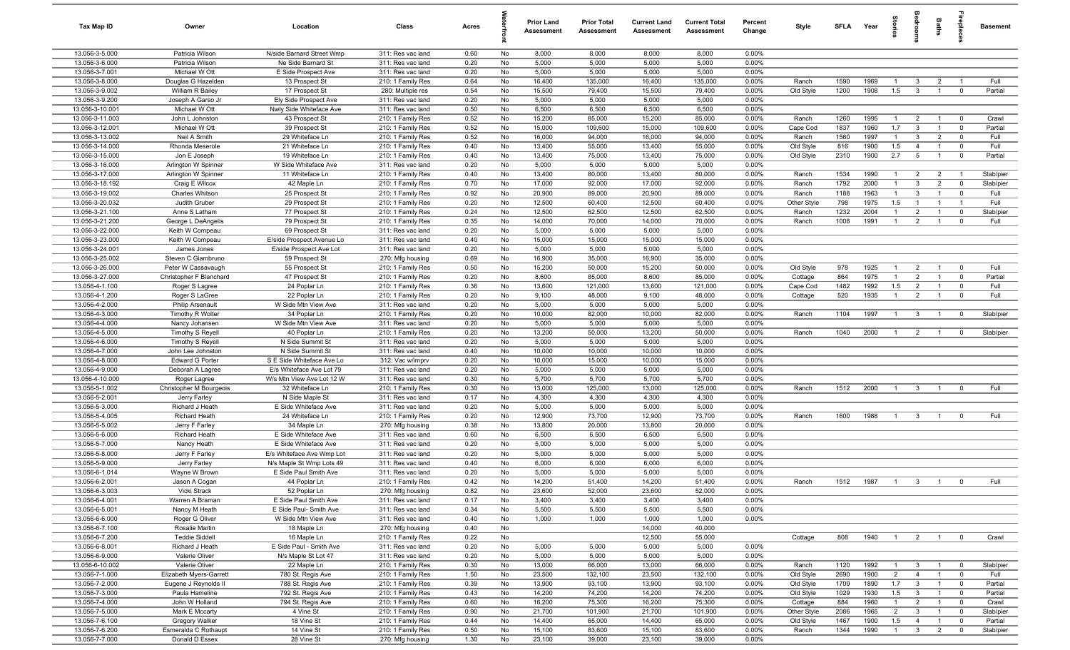| Tax Map ID                         | Owner                                        | Location                                          | Class                                  | Acres        |          | <b>Prior Land</b><br>Assessment | <b>Prior Total</b><br><b>Assessment</b> | <b>Current Land</b><br>Assessment | <b>Current Total</b><br><b>Assessment</b> | Percent<br>Change | Style                  |              | SFLA Year    | $\overline{a}$        | a<br>So                          | Baths                            | <b>Treplai</b>                            | <b>Basement</b>   |
|------------------------------------|----------------------------------------------|---------------------------------------------------|----------------------------------------|--------------|----------|---------------------------------|-----------------------------------------|-----------------------------------|-------------------------------------------|-------------------|------------------------|--------------|--------------|-----------------------|----------------------------------|----------------------------------|-------------------------------------------|-------------------|
| 13.056-3-5.000                     | Patricia Wilson                              | N/side Barnard Street Wmp                         | 311: Res vac land                      | 0.60         | No       | 8,000                           | 8,000                                   | 8,000                             | 8,000                                     | 0.00%             |                        |              |              |                       |                                  |                                  |                                           |                   |
| 13.056-3-6.000                     | Patricia Wilson                              | Ne Side Barnard St                                | 311: Res vac land                      | 0.20         | No       | 5,000                           | 5,000                                   | 5,000                             | 5,000                                     | 0.00%             |                        |              |              |                       |                                  |                                  |                                           |                   |
| 13.056-3-7.001                     | Michael W Ott                                | E Side Prospect Ave                               | 311: Res vac land                      | 0.20         | No       | 5,000                           | 5,000                                   | 5,000                             | 5,000                                     | 0.00%             |                        |              |              |                       |                                  |                                  |                                           |                   |
| 13.056-3-8.000                     | Douglas G Hazelden                           | 13 Prospect St                                    | 210: 1 Family Res                      | 0.64         | No       | 16,400                          | 135,000                                 | 16,400                            | 135,000                                   | 0.00%             | Ranch                  | 1590         | 1969         | $\overline{1}$        | $\mathbf{3}$                     | $\overline{2}$                   |                                           | Full              |
| 13.056-3-9.002<br>13.056-3-9.200   | William R Bailey<br>Joseph A Garso Jr        | 17 Prospect St<br>Ely Side Prospect Ave           | 280: Multiple res<br>311: Res vac land | 0.54<br>0.20 | No<br>No | 15,500<br>5,000                 | 79,400<br>5,000                         | 15,500<br>5,000                   | 79,400<br>5,000                           | 0.00%<br>0.00%    | Old Style              | 1200         | 1908         | 1.5                   | $\overline{\mathbf{3}}$          | $\overline{1}$                   | $\overline{0}$                            | Partial           |
| 13.056-3-10.001                    | Michael W Ott                                | Nwly Side Whiteface Ave                           | 311: Res vac land                      | 0.50         | No       | 6,500                           | 6,500                                   | 6,500                             | 6,500                                     | 0.00%             |                        |              |              |                       |                                  |                                  |                                           |                   |
| 13.056-3-11.003                    | John L Johnston                              | 43 Prospect St                                    | 210: 1 Family Res                      | 0.52         | No       | 15,200                          | 85,000                                  | 15,200                            | 85,000                                    | 0.00%             | Ranch                  | 1260         | 1995         | $\overline{1}$        | $\overline{2}$                   | $\overline{1}$                   | $\overline{0}$                            | Crawl             |
| 13.056-3-12.001                    | Michael W Ott                                | 39 Prospect St                                    | 210: 1 Family Res                      | 0.52         | No       | 15,000                          | 109,600                                 | 15,000                            | 109,600                                   | 0.00%             | Cape Cod               | 1837         | 1960         | 1.7                   | $\mathbf{3}$                     | $\overline{1}$                   | $\overline{\mathbf{0}}$                   | Partial           |
| 13.056-3-13.002                    | Neil A Smith                                 | 29 Whiteface Ln                                   | 210: 1 Family Res                      | 0.52         | No       | 16,000                          | 94,000                                  | 16,000                            | 94,000                                    | 0.00%             | Ranch                  | 1560         | 1997         | $\overline{1}$        | -3                               | $\overline{2}$                   | $\overline{\mathbf{0}}$                   | Full              |
| 13.056-3-14.000                    | Rhonda Meserole                              | 21 Whiteface Ln                                   | 210: 1 Family Res                      | 0.40         | No       | 13,400                          | 55,000                                  | 13,400                            | 55,000                                    | 0.00%             | Old Style              | 816          | 1900         | 1.5                   | $\overline{4}$                   | $\overline{1}$                   | $\overline{\mathbf{0}}$                   | Full              |
| 13.056-3-15.000                    | Jon E Joseph                                 | 19 Whiteface Ln                                   | 210: 1 Family Res                      | 0.40         | No       | 13,400                          | 75,000                                  | 13,400                            | 75,000                                    | 0.00%             | Old Style              | 2310         | 1900         | 2.7                   | 5                                | $\overline{1}$                   | $\overline{0}$                            | Partial           |
| 13.056-3-16.000                    | Arlington W Spinner                          | W Side Whiteface Ave                              | 311: Res vac land                      | 0.20         | No       | 5,000                           | 5,000                                   | 5,000                             | 5,000                                     | 0.00%             |                        |              |              |                       |                                  |                                  |                                           |                   |
| 13.056-3-17.000                    | Arlington W Spinner                          | 11 Whiteface Ln                                   | 210: 1 Family Res                      | 0.40         | No       | 13,400                          | 80,000                                  | 13,400                            | 80,000                                    | 0.00%             | Ranch                  | 1534         | 1990         | $\mathbf{1}$          | $\overline{2}$                   | $\overline{2}$                   | $\overline{1}$                            | Slab/pier         |
| 13.056-3-18.192                    | Craig E Wilcox                               | 42 Maple Ln                                       | 210: 1 Family Res                      | 0.70         | No       | 17,000                          | 92,000                                  | 17,000                            | 92,000                                    | 0.00%             | Ranch                  | 1792         | 2000         | $\overline{1}$        | $\mathbf{3}$                     | $\overline{2}$                   | $\overline{0}$                            | Slab/pier         |
| 13.056-3-19.002                    | Charles Whitson                              | 25 Prospect St                                    | 210: 1 Family Res                      | 0.92         | No       | 20,900                          | 89,000                                  | 20,900                            | 89,000                                    | 0.00%             | Ranch                  | 1188         | 1963         | $\overline{1}$        | $\mathbf{3}$                     | $\overline{1}$                   | $\overline{\mathbf{0}}$                   | Full              |
| 13.056-3-20.032                    | Judith Gruber                                | 29 Prospect St                                    | 210: 1 Family Res<br>210: 1 Family Res | 0.20         | No       | 12,500                          | 60,400                                  | 12,500                            | 60,400                                    | 0.00%             | Other Style            | 798          | 1975<br>2004 | 1.5<br>$\mathbf{1}$   | $\overline{2}$                   | $\overline{1}$                   |                                           | Full              |
| 13.056-3-21.100<br>13.056-3-21.200 | Anne S Latham<br>George L DeAngelis          | 77 Prospect St<br>79 Prospect St                  | 210: 1 Family Res                      | 0.24<br>0.35 | No<br>No | 12,500<br>14,000                | 62,500<br>70,000                        | 12,500<br>14,000                  | 62,500<br>70,000                          | 0.00%<br>0.00%    | Ranch<br>Ranch         | 1232<br>1008 | 1991         | $\overline{1}$        | $\overline{2}$                   | $\overline{1}$                   | $\overline{0}$<br>$\overline{\mathbf{0}}$ | Slab/pier<br>Full |
| 13.056-3-22.000                    | Keith W Compeau                              | 69 Prospect St                                    | 311: Res vac land                      | 0.20         | No       | 5,000                           | 5,000                                   | 5,000                             | 5,000                                     | 0.00%             |                        |              |              |                       |                                  |                                  |                                           |                   |
| 13.056-3-23.000                    | Keith W Compeau                              | E/side Prospect Avenue Lo                         | 311: Res vac land                      | 0.40         | No       | 15,000                          | 15,000                                  | 15,000                            | 15,000                                    | 0.00%             |                        |              |              |                       |                                  |                                  |                                           |                   |
| 13.056-3-24.001                    | James Jones                                  | E/side Prospect Ave Lot                           | 311: Res vac land                      | 0.20         | No       | 5,000                           | 5,000                                   | 5,000                             | 5,000                                     | 0.00%             |                        |              |              |                       |                                  |                                  |                                           |                   |
| 13.056-3-25.002                    | Steven C Giambruno                           | 59 Prospect St                                    | 270: Mfg housing                       | 0.69         | No       | 16,900                          | 35,000                                  | 16,900                            | 35,000                                    | 0.00%             |                        |              |              |                       |                                  |                                  |                                           |                   |
| 13.056-3-26.000                    | Peter W Cassavaugh                           | 55 Prospect St                                    | 210: 1 Family Res                      | 0.50         | No       | 15,200                          | 50,000                                  | 15,200                            | 50,000                                    | 0.00%             | Old Style              | 978          | 1925         | $\overline{1}$        | $\overline{2}$                   | $\overline{1}$                   | $\overline{0}$                            | Full              |
| 13.056-3-27.000                    | Christopher F Blanchard                      | 47 Prospect St                                    | 210: 1 Family Res                      | 0.20         | No       | 8,600                           | 85,000                                  | 8,600                             | 85,000                                    | 0.00%             | Cottage                | 864          | 1975         | $\mathbf{1}$          | $\overline{2}$                   | $\overline{1}$                   | $\overline{0}$                            | Partial           |
| 13.056-4-1.100                     | Roger S Lagree                               | 24 Poplar Ln                                      | 210: 1 Family Res                      | 0.36         | No       | 13,600                          | 121,000                                 | 13,600                            | 121,000                                   | 0.00%             | Cape Cod               | 1482         | 1992         | 1.5                   | $\overline{2}$                   | $\overline{1}$                   | $\overline{0}$                            | Full              |
| 13.056-4-1.200                     | Roger S LaGree                               | 22 Poplar Ln                                      | 210: 1 Family Res                      | 0.20         | No       | 9,100                           | 48,000                                  | 9,100                             | 48,000                                    | 0.00%             | Cottage                | 520          | 1935         | $\overline{1}$        | $\overline{2}$                   | $\overline{1}$                   | $\overline{0}$                            | Full              |
| 13.056-4-2.000                     | <b>Philip Arsenault</b>                      | W Side Mtn View Ave                               | 311: Res vac land                      | 0.20         | No       | 5,000                           | 5,000                                   | 5,000                             | 5,000                                     | 0.00%             |                        |              |              |                       |                                  |                                  |                                           |                   |
| 13.056-4-3.000                     | <b>Timothy R Wolter</b>                      | 34 Poplar Ln                                      | 210: 1 Family Res                      | 0.20         | No       | 10,000                          | 82,000                                  | 10,000                            | 82,000                                    | 0.00%             | Ranch                  | 1104         | 1997         | $\overline{1}$        | $\mathbf{3}$                     | $\overline{1}$                   | $\overline{0}$                            | Slab/pier         |
| 13.056-4-4.000                     | Nancy Johansen                               | W Side Mtn View Ave                               | 311: Res vac land                      | 0.20         | No       | 5,000                           | 5,000                                   | 5,000                             | 5,000                                     | 0.00%             |                        |              |              |                       |                                  |                                  |                                           |                   |
| 13.056-4-5.000<br>13.056-4-6.000   | <b>Timothy S Reyell</b>                      | 40 Poplar Ln                                      | 210: 1 Family Res                      | 0.20         | No       | 13,200<br>5,000                 | 50,000<br>5,000                         | 13,200<br>5,000                   | 50,000<br>5,000                           | 0.00%<br>0.00%    | Ranch                  | 1040         | 2000         | $\overline{1}$        | $\overline{2}$                   | $\overline{1}$                   | $\overline{0}$                            | Slab/pier         |
| 13.056-4-7.000                     | <b>Timothy S Reyell</b><br>John Lee Johnston | N Side Summit St<br>N Side Summit St              | 311: Res vac land<br>311: Res vac land | 0.20<br>0.40 | No<br>No | 10,000                          | 10,000                                  | 10,000                            | 10,000                                    | 0.00%             |                        |              |              |                       |                                  |                                  |                                           |                   |
| 13.056-4-8.000                     | Edward G Porter                              | S E Side Whiteface Ave Lo                         | 312: Vac w/imprv                       | 0.20         | No       | 10,000                          | 15,000                                  | 10,000                            | 15,000                                    | 0.00%             |                        |              |              |                       |                                  |                                  |                                           |                   |
| 13.056-4-9.000                     | Deborah A Lagree                             | E/s Whiteface Ave Lot 79                          | 311: Res vac land                      | 0.20         | No       | 5,000                           | 5,000                                   | 5,000                             | 5,000                                     | 0.00%             |                        |              |              |                       |                                  |                                  |                                           |                   |
| 13.056-4-10.000                    | Roger Lagree                                 | W/s Mtn View Ave Lot 12 W                         | 311: Res vac land                      | 0.30         | No       | 5,700                           | 5,700                                   | 5,700                             | 5,700                                     | 0.00%             |                        |              |              |                       |                                  |                                  |                                           |                   |
| 13.056-5-1.002                     | Christopher M Bourgeois                      | 32 Whiteface Ln                                   | 210: 1 Family Res                      | 0.30         | No       | 13,000                          | 125,000                                 | 13,000                            | 125,000                                   | 0.00%             | Ranch                  | 1512         | 2000         | $\overline{1}$        | $\mathbf{3}$                     | $\overline{1}$                   | $\overline{0}$                            | Full              |
| 13.056-5-2.001                     | Jerry Farley                                 | N Side Maple St                                   | 311: Res vac land                      | 0.17         | No       | 4,300                           | 4,300                                   | 4,300                             | 4,300                                     | 0.00%             |                        |              |              |                       |                                  |                                  |                                           |                   |
| 13.056-5-3.000                     | Richard J Heath                              | E Side Whiteface Ave                              | 311: Res vac land                      | 0.20         | No       | 5,000                           | 5,000                                   | 5,000                             | 5,000                                     | 0.00%             |                        |              |              |                       |                                  |                                  |                                           |                   |
| 13.056-5-4.005                     | Richard Heath                                | 24 Whiteface Ln                                   | 210: 1 Family Res                      | 0.20         | No       | 12,900                          | 73,700                                  | 12,900                            | 73,700                                    | 0.00%             | Ranch                  | 1600         | 1988         | $\overline{1}$        | $\mathbf{3}$                     | $\overline{1}$                   | $\mathbf 0$                               | Full              |
| 13.056-5-5.002                     | Jerry F Farley                               | 34 Maple Ln                                       | 270: Mfg housing                       | 0.38         | No       | 13,800                          | 20,000                                  | 13,800                            | 20,000                                    | 0.00%             |                        |              |              |                       |                                  |                                  |                                           |                   |
| 13.056-5-6.000                     | Richard Heath                                | E Side Whiteface Ave                              | 311: Res vac land                      | 0.60         | No       | 6,500                           | 6,500                                   | 6,500                             | 6,500                                     | 0.00%             |                        |              |              |                       |                                  |                                  |                                           |                   |
| 13.056-5-7.000                     | Nancy Heath                                  | E Side Whiteface Ave                              | 311: Res vac land                      | 0.20         | No       | 5,000                           | 5,000                                   | 5,000                             | 5,000                                     | 0.00%             |                        |              |              |                       |                                  |                                  |                                           |                   |
| 13.056-5-8.000<br>13.056-5-9.000   | Jerry F Farley                               | E/s Whiteface Ave Wmp Lot                         | 311: Res vac land<br>311: Res vac land | 0.20         | No       | 5,000                           | 5,000                                   | 5,000                             | 5,000                                     | 0.00%             |                        |              |              |                       |                                  |                                  |                                           |                   |
| 13.056-6-1.014                     | Jerry Farley<br>Wayne W Brown                | N/s Maple St Wmp Lots 49<br>E Side Paul Smith Ave | 311: Res vac land                      | 0.40<br>0.20 | No<br>No | 6,000<br>5,000                  | 6,000<br>5,000                          | 6,000<br>5,000                    | 6,000<br>5,000                            | 0.00%<br>0.00%    |                        |              |              |                       |                                  |                                  |                                           |                   |
| 13.056-6-2.001                     | Jason A Cogan                                | 44 Poplar Ln                                      | 210: 1 Family Res                      | 0.42         | No       | 14,200                          | 51,400                                  | 14,200                            | 51,400                                    | 0.00%             | Ranch                  | 1512         | 1987         | $\overline{1}$        |                                  |                                  |                                           | Full              |
| 13.056-6-3.003                     | Vicki Strack                                 | 52 Poplar Ln                                      | 270: Mfg housing                       | 0.82         | No       | 23,600                          | 52,000                                  | 23,600                            | 52,000                                    | 0.00%             |                        |              |              |                       |                                  |                                  |                                           |                   |
| 13.056-6-4.001                     | Warren A Braman                              | E Side Paul Smith Ave                             | 311: Res vac land                      | 0.17         | No       | 3,400                           | 3,400                                   | 3,400                             | 3,400                                     | 0.00%             |                        |              |              |                       |                                  |                                  |                                           |                   |
| 13.056-6-5.001                     | Nancy M Heath                                | E Side Paul- Smith Ave                            | 311: Res vac land                      | 0.34         | No       | 5,500                           | 5,500                                   | 5,500                             | 5,500                                     | 0.00%             |                        |              |              |                       |                                  |                                  |                                           |                   |
| 13.056-6-6.000                     | Roger G Oliver                               | W Side Mtn View Ave                               | 311: Res vac land                      | 0.40         | No       | 1,000                           | 1,000                                   | 1,000                             | 1,000                                     | 0.00%             |                        |              |              |                       |                                  |                                  |                                           |                   |
| 13.056-6-7.100                     | Rosalie Martin                               | 18 Maple Ln                                       | 270: Mfg housing                       | 0.40         | No       |                                 |                                         | 14,000                            | 40,000                                    |                   |                        |              |              |                       |                                  |                                  |                                           |                   |
| 13.056-6-7.200                     | <b>Teddie Siddell</b>                        | 16 Maple Ln                                       | 210: 1 Family Res                      | 0.22         | No       |                                 |                                         | 12,500                            | 55,000                                    |                   | Cottage                | 808          | 1940         | $\overline{1}$        |                                  | 2 1                              | $\overline{\mathbf{0}}$                   | Crawl             |
| 13.056-6-8.001                     | Richard J Heath                              | E Side Paul - Smith Ave                           | 311: Res vac land                      | 0.20         | No       | 5,000                           | 5,000                                   | 5,000                             | 5,000                                     | 0.00%             |                        |              |              |                       |                                  |                                  |                                           |                   |
| 13.056-6-9.000                     | Valerie Oliver                               | N/s Maple St Lot 47                               | 311: Res vac land                      | 0.20         | No       | 5,000                           | 5,000                                   | 5,000                             | 5,000                                     | 0.00%             |                        |              |              |                       |                                  |                                  |                                           |                   |
| 13.056-6-10.002                    | Valerie Oliver                               | 22 Maple Ln                                       | 210: 1 Family Res                      | 0.30         | No       | 13,000                          | 66,000                                  | 13,000                            | 66,000                                    | 0.00%             | Ranch                  | 1120         | 1992         |                       | $\mathbf{3}$                     | $\overline{1}$                   | $\overline{0}$                            | Slab/pier         |
| 13.056-7-1.000                     | Elizabeth Myers-Garrett                      | 780 St. Regis Ave                                 | 210: 1 Family Res                      | 1.50         | No       | 23,500                          | 132,100                                 | 23,500                            | 132,100                                   | 0.00%             | Old Style              | 2690         | 1900         | $\overline{2}$        | $\overline{4}$                   | $\overline{1}$                   | $\overline{0}$                            | Full              |
| 13.056-7-2.000                     | Eugene J Reynolds II                         | 788 St. Regis Ave                                 | 210: 1 Family Res                      | 0.39         | No       | 13,900                          | 93,100                                  | 13,900                            | 93,100                                    | 0.00%             | Old Style              | 1709         | 1890         | 1.7                   | $\overline{3}$                   | $\mathbf{1}$                     | $\overline{0}$                            | Partial           |
| 13.056-7-3.000<br>13.056-7-4.000   | Paula Hameline<br>John W Holland             | 792 St. Regis Ave                                 | 210: 1 Family Res<br>210: 1 Family Res | 0.43<br>0.60 | No<br>No | 14,200<br>16,200                | 74,200<br>75,300                        | 14,200<br>16,200                  | 74,200<br>75,300                          | 0.00%<br>0.00%    | Old Style              | 1029<br>884  | 1930<br>1960 | 1.5<br>$\overline{1}$ | $\overline{3}$<br>$\overline{2}$ | $\overline{1}$<br>$\overline{1}$ | $\overline{0}$<br>$\overline{0}$          | Partial<br>Crawl  |
| 13.056-7-5.000                     | Mark E Mccarty                               | 794 St. Regis Ave<br>4 Vine St                    | 210: 1 Family Res                      | 0.90         | No       | 21,700                          | 101,900                                 | 21,700                            | 101,900                                   | 0.00%             | Cottage<br>Other Style | 2086         | 1965         | $\overline{2}$        | $\mathbf{3}$                     | $\overline{1}$                   | $\overline{0}$                            | Slab/pier         |
| 13.056-7-6.100                     | Gregory Walker                               | 18 Vine St                                        | 210: 1 Family Res                      | 0.44         | No       | 14,400                          | 65,000                                  | 14,400                            | 65,000                                    | 0.00%             | Old Style              | 1467         | 1900         | 1.5                   | $\overline{4}$                   | $\overline{1}$                   | $\overline{0}$                            | Partial           |
| 13.056-7-6.200                     | Esmeralda C Rothaupt                         | 14 Vine St                                        | 210: 1 Family Res                      | 0.50         | No       | 15,100                          | 83,600                                  | 15,100                            | 83,600                                    | 0.00%             | Ranch                  | 1344         | 1990         | $\overline{1}$        | $3\overline{3}$                  | $\overline{2}$                   | $\overline{0}$                            | Slab/pier         |
| 13.056-7-7.000                     | Donald D Essex                               | 28 Vine St                                        | 270: Mfg housing                       | 1.30         | No       | 23,100                          | 39,000                                  | 23,100                            | 39,000                                    | 0.00%             |                        |              |              |                       |                                  |                                  |                                           |                   |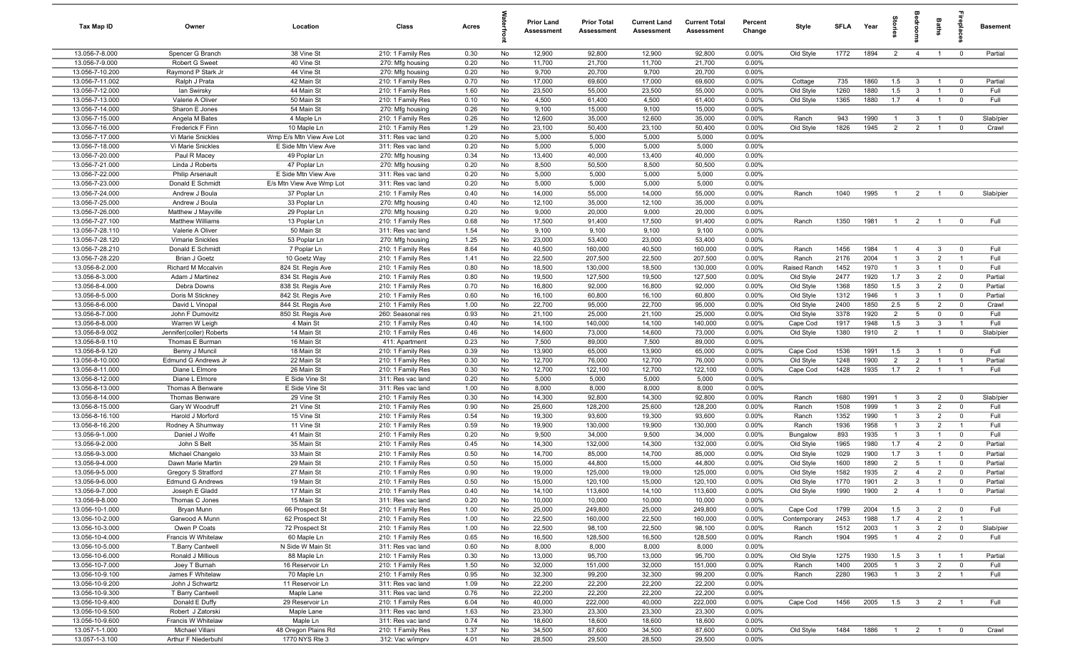| Tax Map ID                         | Owner                                 | Location                     | Class                                  | Acres        |          | <b>Prior Land</b><br>Assessment | <b>Prior Total</b><br><b>Assessment</b> | <b>Current Land</b><br>Assessment | <b>Current Total</b><br><b>Assessment</b> | Percent<br>Change | Style                 | <b>SFLA</b>  | Year         | $\overline{a}$ | groo                             | Baths                            | repla                                     | <b>Basement</b> |
|------------------------------------|---------------------------------------|------------------------------|----------------------------------------|--------------|----------|---------------------------------|-----------------------------------------|-----------------------------------|-------------------------------------------|-------------------|-----------------------|--------------|--------------|----------------|----------------------------------|----------------------------------|-------------------------------------------|-----------------|
| 13.056-7-8.000                     | Spencer G Branch                      | 38 Vine St                   | 210: 1 Family Res                      | 0.30         | No       | 12,900                          | 92,800                                  | 12,900                            | 92,800                                    | 0.00%             | Old Style             | 1772         | 1894         | $\overline{2}$ | $\overline{4}$                   | $\overline{1}$                   | $\overline{0}$                            | Partial         |
| 13.056-7-9.000                     | Robert G Sweet                        | 40 Vine St                   | 270: Mfg housing                       | 0.20         | No       | 11,700                          | 21,700                                  | 11,700                            | 21,700                                    | 0.00%             |                       |              |              |                |                                  |                                  |                                           |                 |
| 13.056-7-10.200                    | Raymond P Stark Jr                    | 44 Vine St                   | 270: Mfg housing                       | 0.20         | No       | 9,700                           | 20,700                                  | 9,700                             | 20,700                                    | 0.00%             |                       |              |              |                |                                  |                                  |                                           |                 |
| 13.056-7-11.002                    | Ralph J Prata                         | 42 Main St                   | 210: 1 Family Res                      | 0.70         | No       | 17,000                          | 69,600                                  | 17,000                            | 69,600                                    | 0.00%             | Cottage               | 735          | 1860         | 1.5            | $\mathbf{3}$                     | $\overline{1}$                   | $\overline{\mathbf{0}}$                   | Partial         |
| 13.056-7-12.000<br>13.056-7-13.000 | lan Swirsky                           | 44 Main St<br>50 Main St     | 210: 1 Family Res                      | 1.60<br>0.10 | No       | 23,500<br>4,500                 | 55,000<br>61,400                        | 23,500<br>4,500                   | 55,000<br>61,400                          | 0.00%<br>0.00%    | Old Style             | 1260<br>1365 | 1880<br>1880 | 1.5<br>1.7     | $\overline{3}$                   | $\mathbf{1}$<br>$\overline{1}$   | $\overline{\mathbf{0}}$<br>$\overline{0}$ | Full<br>Full    |
| 13.056-7-14.000                    | Valerie A Oliver<br>Sharon E Jones    | 54 Main St                   | 210: 1 Family Res<br>270: Mfg housing  | 0.26         | No<br>No | 9,100                           | 15,000                                  | 9,100                             | 15,000                                    | 0.00%             | Old Style             |              |              |                | $\overline{4}$                   |                                  |                                           |                 |
| 13.056-7-15.000                    | Angela M Bates                        | 4 Maple Ln                   | 210: 1 Family Res                      | 0.26         | No       | 12,600                          | 35,000                                  | 12,600                            | 35,000                                    | 0.00%             | Ranch                 | 943          | 1990         | $\overline{1}$ | $\mathbf{3}$                     | $\overline{1}$                   | $\overline{0}$                            | Slab/pier       |
| 13.056-7-16.000                    | Frederick F Finn                      | 10 Maple Ln                  | 210: 1 Family Res                      | 1.29         | No       | 23,100                          | 50,400                                  | 23,100                            | 50,400                                    | 0.00%             | Old Style             | 1826         | 1945         | $\overline{2}$ | $\overline{2}$                   | $\overline{1}$                   | $\overline{\mathbf{0}}$                   | Crawl           |
| 13.056-7-17.000                    | Vi Marie Snickles                     | Wmp E/s Mtn View Ave Lot     | 311: Res vac land                      | 0.20         | No       | 5,000                           | 5,000                                   | 5,000                             | 5,000                                     | 0.00%             |                       |              |              |                |                                  |                                  |                                           |                 |
| 13.056-7-18.000                    | Vi Marie Snickles                     | E Side Mtn View Ave          | 311: Res vac land                      | 0.20         | No       | 5,000                           | 5,000                                   | 5,000                             | 5,000                                     | 0.00%             |                       |              |              |                |                                  |                                  |                                           |                 |
| 13.056-7-20.000                    | Paul R Macey                          | 49 Poplar Ln                 | 270: Mfg housing                       | 0.34         | No       | 13,400                          | 40,000                                  | 13,400                            | 40,000                                    | 0.00%             |                       |              |              |                |                                  |                                  |                                           |                 |
| 13.056-7-21.000                    | Linda J Roberts                       | 47 Poplar Ln                 | 270: Mfg housing                       | 0.20         | No       | 8,500                           | 50,500                                  | 8,500                             | 50,500                                    | 0.00%             |                       |              |              |                |                                  |                                  |                                           |                 |
| 13.056-7-22.000                    | <b>Philip Arsenault</b>               | E Side Mtn View Ave          | 311: Res vac land                      | 0.20         | No       | 5,000                           | 5,000                                   | 5,000                             | 5,000                                     | 0.00%             |                       |              |              |                |                                  |                                  |                                           |                 |
| 13.056-7-23.000                    | Donald E Schmidt                      | E/s Mtn View Ave Wmp Lot     | 311: Res vac land                      | 0.20         | No       | 5,000                           | 5,000                                   | 5,000                             | 5,000                                     | 0.00%             |                       |              |              |                |                                  |                                  |                                           |                 |
| 13.056-7-24.000                    | Andrew J Boula                        | 37 Poplar Ln                 | 210: 1 Family Res                      | 0.40         | No       | 14,000                          | 55,000                                  | 14,000                            | 55,000                                    | 0.00%             | Ranch                 | 1040         | 1995         | $\overline{1}$ | $\overline{2}$                   | $\overline{1}$                   | $\overline{0}$                            | Slab/pier       |
| 13.056-7-25.000                    | Andrew J Boula                        | 33 Poplar Ln                 | 270: Mfg housing                       | 0.40         | No       | 12,100                          | 35,000                                  | 12,100                            | 35,000                                    | 0.00%             |                       |              |              |                |                                  |                                  |                                           |                 |
| 13.056-7-26.000                    | Matthew J Mayville                    | 29 Poplar Ln                 | 270: Mfg housing                       | 0.20         | No       | 9,000                           | 20,000                                  | 9,000                             | 20,000                                    | 0.00%             |                       |              |              |                |                                  |                                  |                                           |                 |
| 13.056-7-27.100<br>13.056-7-28.110 | <b>Matthew Williams</b>               | 13 Poplar Ln                 | 210: 1 Family Res                      | 0.68<br>1.54 | No       | 17,500                          | 91,400                                  | 17,500                            | 91,400                                    | 0.00%             | Ranch                 | 1350         | 1981         | $\overline{1}$ | $\overline{2}$                   | $\overline{1}$                   | $\overline{0}$                            | Full            |
| 13.056-7-28.120                    | Valerie A Oliver<br>Vimarie Snickles  | 50 Main St<br>53 Poplar Ln   | 311: Res vac land<br>270: Mfg housing  | 1.25         | No<br>No | 9,100<br>23,000                 | 9,100<br>53,400                         | 9,100<br>23,000                   | 9,100<br>53,400                           | 0.00%<br>0.00%    |                       |              |              |                |                                  |                                  |                                           |                 |
| 13.056-7-28.210                    | Donald E Schmidt                      | 7 Poplar Ln                  | 210: 1 Family Res                      | 8.64         | No       | 40,500                          | 160,000                                 | 40,500                            | 160,000                                   | 0.00%             | Ranch                 | 1456         | 1984         | $\overline{1}$ | $\overline{4}$                   | $\mathbf{3}$                     | $\overline{\mathbf{0}}$                   | Full            |
| 13.056-7-28.220                    | Brian J Goetz                         | 10 Goetz Way                 | 210: 1 Family Res                      | 1.41         | No       | 22,500                          | 207,500                                 | 22,500                            | 207,500                                   | 0.00%             | Ranch                 | 2176         | 2004         | $\overline{1}$ | $\mathbf{3}$                     | $\overline{2}$                   | $\overline{1}$                            | Full            |
| 13.056-8-2.000                     | Richard M Mccalvin                    | 824 St. Regis Ave            | 210: 1 Family Res                      | 0.80         | No       | 18,500                          | 130,000                                 | 18,500                            | 130,000                                   | 0.00%             | Raised Ranch          | 1452         | 1970         | $\overline{1}$ | $\mathbf{3}$                     | $\mathbf{1}$                     | $\overline{0}$                            | Full            |
| 13.056-8-3.000                     | Adam J Martinez                       | 834 St. Regis Ave            | 210: 1 Family Res                      | 0.80         | No       | 19,500                          | 127,500                                 | 19,500                            | 127,500                                   | 0.00%             | Old Style             | 2477         | 1920         | 1.7            | $\mathbf{3}$                     | $\overline{2}$                   | $\overline{0}$                            | Partial         |
| 13.056-8-4.000                     | Debra Downs                           | 838 St. Regis Ave            | 210: 1 Family Res                      | 0.70         | No       | 16,800                          | 92,000                                  | 16,800                            | 92,000                                    | 0.00%             | Old Style             | 1368         | 1850         | 1.5            | $\mathbf{3}$                     | $\overline{2}$                   | $\overline{0}$                            | Partial         |
| 13.056-8-5.000                     | Doris M Stickney                      | 842 St. Regis Ave            | 210: 1 Family Res                      | 0.60         | No       | 16,100                          | 60,800                                  | 16,100                            | 60,800                                    | 0.00%             | Old Style             | 1312         | 1946         | $\mathbf{1}$   | $\mathbf{3}$                     | $\overline{1}$                   | $\overline{0}$                            | Partial         |
| 13.056-8-6.000                     | David L Vinopal                       | 844 St. Regis Ave            | 210: 1 Family Res                      | 1.00         | No       | 22,700                          | 95,000                                  | 22,700                            | 95,000                                    | 0.00%             | Old Style             | 2400         | 1850         | 2.5            | 5                                | $\overline{2}$                   | $\overline{0}$                            | Crawl           |
| 13.056-8-7.000                     | John F Dumovitz                       | 850 St. Regis Ave            | 260: Seasonal res                      | 0.93         | No       | 21,100                          | 25,000                                  | 21,100                            | 25,000                                    | 0.00%             | Old Style             | 3378         | 1920         | 2              | 5                                | $\mathbf{0}$                     | $\mathbf 0$                               | Full            |
| 13.056-8-8.000                     | Warren W Leigh                        | 4 Main St                    | 210: 1 Family Res                      | 0.40         | No       | 14,100                          | 140,000                                 | 14,100                            | 140,000                                   | 0.00%             | Cape Cod              | 1917         | 1948         | 1.5            | 3                                | 3                                |                                           | Full            |
| 13.056-8-9.002                     | Jennifer(coller) Roberts              | 14 Main St                   | 210: 1 Family Res                      | 0.46         | No       | 14,600                          | 73,000                                  | 14,600                            | 73,000                                    | 0.00%             | Old Style             | 1380         | 1910         | $\overline{2}$ | $\overline{1}$                   | $\overline{1}$                   | $\overline{0}$                            | Slab/pier       |
| 13.056-8-9.110                     | Thomas E Burman                       | 16 Main St                   | 411: Apartment                         | 0.23         | No       | 7,500                           | 89,000                                  | 7,500                             | 89,000                                    | 0.00%             |                       |              |              |                |                                  |                                  |                                           |                 |
| 13.056-8-9.120                     | Benny J Muncil                        | 18 Main St                   | 210: 1 Family Res                      | 0.39         | No       | 13,900                          | 65,000                                  | 13,900                            | 65,000                                    | 0.00%             | Cape Cod              | 1536         | 1991         | 1.5            | $\mathbf{3}$                     | $\overline{1}$                   | $\overline{\mathbf{0}}$                   | Full            |
| 13.056-8-10.000<br>13.056-8-11.000 | Edmund G Andrews Jr<br>Diane L Elmore | 22 Main St<br>26 Main St     | 210: 1 Family Res<br>210: 1 Family Res | 0.30<br>0.30 | No<br>No | 12,700<br>12,700                | 76,000<br>122,100                       | 12,700<br>12,700                  | 76,000<br>122,100                         | 0.00%<br>0.00%    | Old Style<br>Cape Cod | 1248<br>1428 | 1900<br>1935 | 2<br>1.7       | $\overline{2}$<br>$\overline{2}$ | $\overline{1}$<br>$\overline{1}$ | $\overline{1}$<br>$\overline{1}$          | Partial<br>Full |
| 13.056-8-12.000                    | Diane L Elmore                        | E Side Vine St               | 311: Res vac land                      | 0.20         | No       | 5,000                           | 5,000                                   | 5,000                             | 5,000                                     | 0.00%             |                       |              |              |                |                                  |                                  |                                           |                 |
| 13.056-8-13.000                    | Thomas A Benware                      | E Side Vine St               | 311: Res vac land                      | 1.00         | No       | 8,000                           | 8,000                                   | 8,000                             | 8,000                                     | 0.00%             |                       |              |              |                |                                  |                                  |                                           |                 |
| 13.056-8-14.000                    | Thomas Benware                        | 29 Vine St                   | 210: 1 Family Res                      | 0.30         | No       | 14,300                          | 92,800                                  | 14,300                            | 92,800                                    | 0.00%             | Ranch                 | 1680         | 1991         | $\overline{1}$ | $\mathbf{3}$                     | $\overline{2}$                   | $\overline{0}$                            | Slab/pier       |
| 13.056-8-15.000                    | Gary W Woodruff                       | 21 Vine St                   | 210: 1 Family Res                      | 0.90         | No       | 25,600                          | 128,200                                 | 25,600                            | 128,200                                   | 0.00%             | Ranch                 | 1508         | 1999         | $\overline{1}$ | 3                                | $\overline{2}$                   | $\overline{0}$                            | Full            |
| 13.056-8-16.100                    | Harold J Morford                      | 15 Vine St                   | 210: 1 Family Res                      | 0.54         | No       | 19,300                          | 93,600                                  | 19,300                            | 93,600                                    | 0.00%             | Ranch                 | 1352         | 1990         | $\overline{1}$ | $\mathbf{3}$                     | $\overline{2}$                   | $\overline{0}$                            | Full            |
| 13.056-8-16.200                    | Rodney A Shumway                      | 11 Vine St                   | 210: 1 Family Res                      | 0.59         | No       | 19,900                          | 130,000                                 | 19,900                            | 130,000                                   | 0.00%             | Ranch                 | 1936         | 1958         | $\overline{1}$ | 3                                | 2                                | -1                                        | Full            |
| 13.056-9-1.000                     | Daniel J Wolfe                        | 41 Main St                   | 210: 1 Family Res                      | 0.20         | No       | 9,500                           | 34,000                                  | 9,500                             | 34,000                                    | 0.00%             | Bungalow              | 893          | 1935         | $\overline{1}$ | $\mathbf{3}$                     | $\overline{1}$                   | $\overline{0}$                            | Full            |
| 13.056-9-2.000                     | John S Belt                           | 35 Main St                   | 210: 1 Family Res                      | 0.45         | No       | 14,300                          | 132,000                                 | 14,300                            | 132,000                                   | 0.00%             | Old Style             | 1965         | 1980         | 1.7            | $\overline{4}$                   | $\overline{2}$                   | $\overline{0}$                            | Partial         |
| 13.056-9-3.000                     | Michael Changelo                      | 33 Main St                   | 210: 1 Family Res                      | 0.50         | No       | 14,700                          | 85,000                                  | 14,700                            | 85,000                                    | 0.00%             | Old Style             | 1029         | 1900         | 1.7            | $\mathbf{3}$                     | $\mathbf{1}$                     | $\overline{\mathbf{0}}$                   | Partial         |
| 13.056-9-4.000                     | Dawn Marie Martin                     | 29 Main St                   | 210: 1 Family Res                      | 0.50         | No       | 15,000                          | 44,800                                  | 15,000                            | 44,800                                    | 0.00%             | Old Style             | 1600         | 1890         | $\overline{2}$ | 5                                | $\overline{1}$                   | $\overline{0}$                            | Partial         |
| 13.056-9-5.000                     | Gregory S Stratford                   | 27 Main St                   | 210: 1 Family Res                      | 0.90         | No       | 19,000                          | 125,000                                 | 19,000                            | 125,000                                   | 0.00%             | Old Style             | 1582         | 1935         | $\overline{2}$ | $\overline{4}$                   | $\overline{2}$                   | $\overline{\mathbf{0}}$                   | Partial         |
| 13.056-9-6.000                     | Edmund G Andrews                      | 19 Main St                   | 210: 1 Family Res                      | 0.50         | No       | 15,000                          | 120,100                                 | 15,000                            | 120,100                                   | 0.00%             | Old Style             | 1770         | 1901         | $\overline{2}$ | 3                                |                                  | $\overline{\mathbf{0}}$                   | Partial         |
| 13.056-9-7.000                     | Joseph E Gladd                        | 17 Main St                   | 210: 1 Family Res                      | 0.40         | No       | 14,100                          | 113,600                                 | 14,100                            | 113,600                                   | 0.00%             | Old Style             | 1990         | 1900         | 2              | $\overline{4}$                   | $\overline{1}$                   | $\overline{0}$                            | Partial         |
| 13.056-9-8.000<br>13.056-10-1.000  | Thomas C Jones<br>Bryan Munn          | 15 Main St<br>66 Prospect St | 311: Res vac land<br>210: 1 Family Res | 0.20<br>1.00 | No<br>No | 10,000<br>25,000                | 10,000<br>249,800                       | 10,000<br>25,000                  | 10,000<br>249,800                         | 0.00%<br>0.00%    | Cape Cod              | 1799         | 2004         | 1.5            | $\overline{\mathbf{3}}$          | $\overline{2}$                   | $\overline{0}$                            | Full            |
| 13.056-10-2.000                    | Garwood A Munn                        | 62 Prospect St               | 210: 1 Family Res                      | 1.00         | No       | 22,500                          | 160,000                                 | 22,500                            | 160,000                                   | 0.00%             | Contemporary          | 2453         | 1988         | 1.7            | $\overline{4}$                   | $\overline{2}$                   | $\overline{1}$                            |                 |
| 13.056-10-3.000                    | Owen P Coats                          | 72 Prospect St               | 210: 1 Family Res                      | 1.00         | No       | 22,500                          | 98,100                                  | 22,500                            | 98,100                                    | 0.00%             | Ranch                 | 1512         | 2003         | $\overline{1}$ | $\overline{3}$                   | $\overline{2}$                   | $\overline{0}$                            | Slab/pier       |
| 13.056-10-4.000                    | Francis W Whitelaw                    | 60 Maple Ln                  | 210: 1 Family Res                      | 0.65         | No       | 16,500                          | 128,500                                 | 16,500                            | 128,500                                   | 0.00%             | Ranch                 | 1904         | 1995         | $\overline{1}$ | $\overline{4}$                   | $\overline{2}$                   | $\overline{0}$                            | Full            |
| 13.056-10-5.000                    | <b>T.Barry Cantwell</b>               | N Side W Main St             | 311: Res vac land                      | 0.60         | No       | 8,000                           | 8,000                                   | 8,000                             | 8,000                                     | 0.00%             |                       |              |              |                |                                  |                                  |                                           |                 |
| 13.056-10-6.000                    | Ronald J Millious                     | 88 Maple Ln                  | 210: 1 Family Res                      | 0.30         | No       | 13,000                          | 95,700                                  | 13,000                            | 95,700                                    | 0.00%             | Old Style             | 1275         | 1930         | 1.5            | $\overline{\mathbf{3}}$          | $\overline{1}$                   |                                           | Partial         |
| 13.056-10-7.000                    | Joey T Burnah                         | 16 Reservoir Ln              | 210: 1 Family Res                      | 1.50         | No       | 32,000                          | 151,000                                 | 32,000                            | 151,000                                   | 0.00%             | Ranch                 | 1400         | 2005         |                | $\mathbf{3}$                     | $\overline{2}$                   | $\overline{0}$                            | Full            |
| 13.056-10-9.100                    | James F Whitelaw                      | 70 Maple Ln                  | 210: 1 Family Res                      | 0.95         | No       | 32,300                          | 99,200                                  | 32,300                            | 99,200                                    | 0.00%             | Ranch                 | 2280         | 1963         | $\overline{1}$ | $\mathbf{3}$                     | $\overline{2}$                   | $\overline{1}$                            | Full            |
| 13.056-10-9.200                    | John J Schwartz                       | 11 Reservoir Ln              | 311: Res vac land                      | 1.09         | No       | 22,200                          | 22,200                                  | 22,200                            | 22,200                                    | 0.00%             |                       |              |              |                |                                  |                                  |                                           |                 |
| 13.056-10-9.300                    | T Barry Cantwell                      | Maple Lane                   | 311: Res vac land                      | 0.76         | No       | 22,200                          | 22,200                                  | 22,200                            | 22,200                                    | 0.00%             |                       |              |              |                |                                  |                                  |                                           |                 |
| 13.056-10-9.400                    | Donald E Duffy                        | 29 Reservoir Ln              | 210: 1 Family Res                      | 6.04         | No       | 40,000                          | 222,000                                 | 40,000                            | 222,000                                   | 0.00%             | Cape Cod              | 1456         | 2005         | $1.5\qquad 3$  |                                  | $\overline{2}$                   | $\overline{1}$                            | Full            |
| 13.056-10-9.500                    | Robert J Zatorski                     | Maple Lane                   | 311: Res vac land                      | 1.63         | No       | 23,300                          | 23,300                                  | 23,300                            | 23,300                                    | 0.00%             |                       |              |              |                |                                  |                                  |                                           |                 |
| 13.056-10-9.600                    | Francis W Whitelaw                    | Maple Ln                     | 311: Res vac land                      | 0.74         | No       | 18,600                          | 18,600                                  | 18,600                            | 18,600                                    | 0.00%             |                       |              |              |                |                                  |                                  |                                           |                 |
| 13.057-1-1.000                     | Michael Villani                       | 48 Oregon Plains Rd          | 210: 1 Family Res                      | 1.37         | No       | 34,500                          | 87,600                                  | 34,500                            | 87,600                                    | 0.00%             | Old Style             | 1484         | 1886         | $\overline{1}$ | $\overline{2}$                   | $\overline{1}$                   | $\overline{0}$                            | Crawl           |
| 13.057-1-3.100                     | Arthur F Niederbuhl                   | 1770 NYS Rte 3               | 312: Vac w/imprv                       | 4.01         | No       | 28,500                          | 29,500                                  | 28,500                            | 29,500                                    | 0.00%             |                       |              |              |                |                                  |                                  |                                           |                 |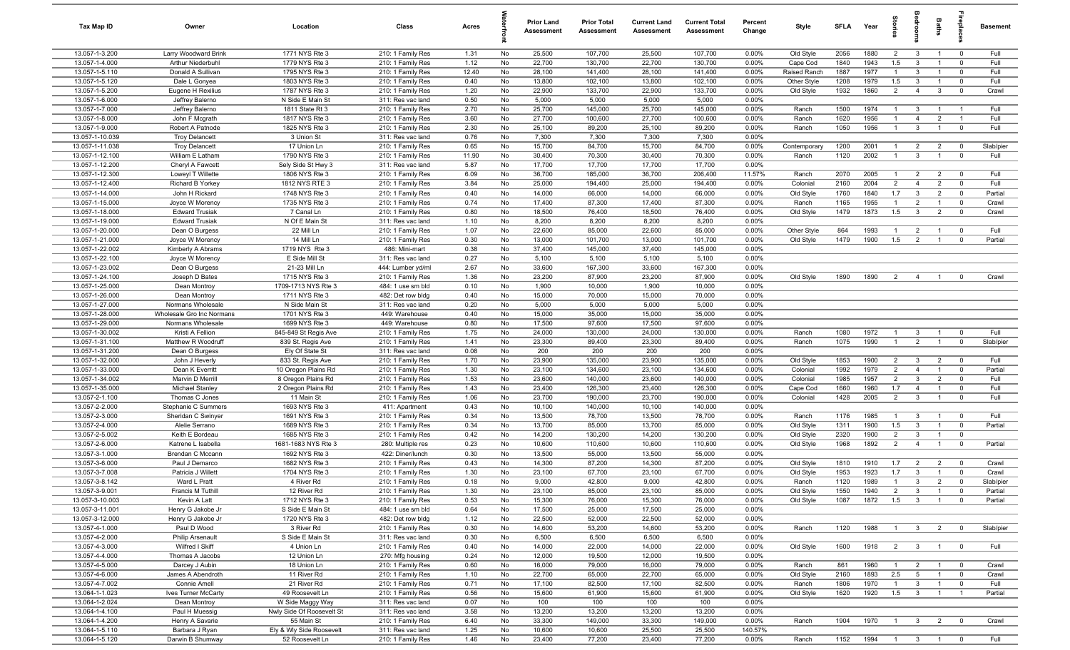| Tax Map ID                         | Owner                                      | Location                          | Class                                  | Acres        |          | <b>Prior Land</b><br><b>Assessment</b> | <b>Prior Total</b><br>Assessment | <b>Current Land</b><br><b>Assessment</b> | <b>Current Total</b><br><b>Assessment</b> | Percent<br>Change | Style                | <b>SFLA</b>  | Year         | g<br>1                         |                                | Baths                            | -8                               | <b>Basement</b> |
|------------------------------------|--------------------------------------------|-----------------------------------|----------------------------------------|--------------|----------|----------------------------------------|----------------------------------|------------------------------------------|-------------------------------------------|-------------------|----------------------|--------------|--------------|--------------------------------|--------------------------------|----------------------------------|----------------------------------|-----------------|
| 13.057-1-3.200                     | Larry Woodward Brink                       | 1771 NYS Rte 3                    | 210: 1 Family Res                      | 1.31         | No       | 25,500                                 | 107,700                          | 25,500                                   | 107,700                                   | 0.00%             | Old Style            | 2056         | 1880         | $\overline{2}$                 | $\mathbf{3}$                   | $\overline{1}$                   | $\mathbf{0}$                     | Full            |
| 13.057-1-4.000                     | Arthur Niederbuhl                          | 1779 NYS Rte 3                    | 210: 1 Family Res                      | 1.12         | No       | 22,700                                 | 130,700                          | 22,700                                   | 130,700                                   | 0.00%             | Cape Cod             | 1840         | 1943         | 1.5                            | $\mathbf{3}$                   | $\overline{1}$                   | $\mathbf 0$                      | Full            |
| 13.057-1-5.110                     | Donald A Sullivan                          | 1795 NYS Rte 3                    | 210: 1 Family Res                      | 12.40        | No       | 28,100                                 | 141,400                          | 28,100                                   | 141,400                                   | 0.00%             | Raised Ranch         | 1887         | 1977         | -1                             | $\mathbf{3}$                   | $\overline{1}$                   | $\mathbf 0$                      | Full            |
| 13.057-1-5.120                     | Dale L Gonyea                              | 1803 NYS Rte 3                    | 210: 1 Family Res                      | 0.40         | No       | 13,800                                 | 102,100                          | 13,800                                   | 102,100                                   | 0.00%             | Other Style          | 1208         | 1979         | 1.5                            | $\mathbf{3}$                   | $\overline{1}$                   | $\mathbf 0$                      | Full            |
| 13.057-1-5.200                     | Eugene H Rexilius                          | 1787 NYS Rte 3                    | 210: 1 Family Res                      | 1.20         | No       | 22,900                                 | 133,700                          | 22,900                                   | 133,700                                   | 0.00%             | Old Style            | 1932         | 1860         | 2                              | $\overline{4}$                 | $\mathbf{3}$                     | $\mathbf 0$                      | Crawl           |
| 13.057-1-6.000                     | Jeffrey Balerno                            | N Side E Main St                  | 311: Res vac land                      | 0.50         | No       | 5,000                                  | 5,000                            | 5,000                                    | 5,000                                     | 0.00%             |                      |              |              |                                |                                |                                  |                                  |                 |
| 13.057-1-7.000<br>13.057-1-8.000   | Jeffrey Balerno<br>John F Mcgrath          | 1811 State Rt 3<br>1817 NYS Rte 3 | 210: 1 Family Res                      | 2.70<br>3.60 | No       | 25,700                                 | 145,000                          | 25,700                                   | 145,000                                   | 0.00%             | Ranch                | 1500<br>1620 | 1974<br>1956 | $\mathbf{1}$<br>$\overline{1}$ | $\mathbf{3}$<br>$\overline{4}$ | $\overline{1}$<br>$\overline{2}$ | $\overline{1}$<br>$\overline{1}$ | Full<br>Full    |
| 13.057-1-9.000                     | Robert A Patnode                           | 1825 NYS Rte 3                    | 210: 1 Family Res<br>210: 1 Family Res | 2.30         | No<br>No | 27,700<br>25,100                       | 100,600<br>89,200                | 27,700<br>25,100                         | 100,600<br>89,200                         | 0.00%<br>0.00%    | Ranch<br>Ranch       | 1050         | 1956         | $\overline{1}$                 | $\mathbf{3}$                   | $\mathbf{1}$                     | $\mathbf 0$                      | Full            |
| 13.057-1-10.039                    | <b>Troy Delancett</b>                      | 3 Union St                        | 311: Res vac land                      | 0.76         | No       | 7,300                                  | 7,300                            | 7,300                                    | 7,300                                     | 0.00%             |                      |              |              |                                |                                |                                  |                                  |                 |
| 13.057-1-11.038                    | <b>Troy Delancett</b>                      | 17 Union Ln                       | 210: 1 Family Res                      | 0.65         | No       | 15,700                                 | 84,700                           | 15,700                                   | 84,700                                    | 0.00%             | Contemporary         | 1200         | 2001         | $\overline{1}$                 | $\overline{2}$                 | $\overline{2}$                   | $^{\circ}$                       | Slab/pier       |
| 13.057-1-12.100                    | William E Latham                           | 1790 NYS Rte 3                    | 210: 1 Family Res                      | 11.90        | No       | 30,400                                 | 70,300                           | 30,400                                   | 70,300                                    | 0.00%             | Ranch                | 1120         | 2002         | $\overline{1}$                 | $\mathbf{3}$                   | $\overline{1}$                   | $^{\circ}$                       | Full            |
| 13.057-1-12.200                    | Cheryl A Fawcett                           | Sely Side St Hwy 3                | 311: Res vac land                      | 5.87         | No       | 17,700                                 | 17,700                           | 17,700                                   | 17,700                                    | 0.00%             |                      |              |              |                                |                                |                                  |                                  |                 |
| 13.057-1-12.300                    | Loweyl T Willette                          | 1806 NYS Rte 3                    | 210: 1 Family Res                      | 6.09         | No       | 36,700                                 | 185,000                          | 36,700                                   | 206,400                                   | 11.57%            | Ranch                | 2070         | 2005         | -1                             | 2                              | 2                                | $\mathbf 0$                      | Full            |
| 13.057-1-12.400                    | <b>Richard B Yorkey</b>                    | 1812 NYS RTE 3                    | 210: 1 Family Res                      | 3.84         | No       | 25,000                                 | 194,400                          | 25,000                                   | 194,400                                   | 0.00%             | Colonial             | 2160         | 2004         | $\overline{2}$                 | $\overline{4}$                 | $\overline{2}$                   | $\mathbf 0$                      | Full            |
| 13.057-1-14.000                    | John H Rickard                             | 1748 NYS Rte 3                    | 210: 1 Family Res                      | 0.40         | No       | 14,000                                 | 66,000                           | 14,000                                   | 66,000                                    | 0.00%             | Old Style            | 1760         | 1840         | 1.7                            | $\mathbf{3}$                   | $\overline{2}$                   | $\mathbf 0$                      | Partial         |
| 13.057-1-15.000                    | Joyce W Morency                            | 1735 NYS Rte 3                    | 210: 1 Family Res                      | 0.74         | No       | 17,400                                 | 87,300                           | 17,400                                   | 87,300                                    | 0.00%             | Ranch                | 1165         | 1955         |                                | $\overline{2}$                 | $\mathbf{1}$                     | $\mathbf 0$                      | Crawl           |
| 13.057-1-18.000                    | <b>Edward Trusiak</b>                      | 7 Canal Ln                        | 210: 1 Family Res                      | 0.80         | No       | 18,500                                 | 76,400                           | 18,500                                   | 76,400                                    | 0.00%             | Old Style            | 1479         | 1873         | 1.5                            | $\mathbf{3}$                   | $\overline{2}$                   | $^{\circ}$                       | Crawl           |
| 13.057-1-19.000                    | <b>Edward Trusiak</b>                      | N Of E Main St                    | 311: Res vac land                      | 1.10         | No       | 8,200                                  | 8,200                            | 8,200                                    | 8,200                                     | 0.00%             |                      |              |              |                                |                                |                                  |                                  |                 |
| 13.057-1-20.000                    | Dean O Burgess                             | 22 Mill Ln                        | 210: 1 Family Res                      | 1.07         | No       | 22,600                                 | 85,000                           | 22,600                                   | 85,000                                    | 0.00%             | Other Style          | 864          | 1993         | $\mathbf 1$                    | $\overline{2}$                 | $\overline{1}$                   | $\mathbf 0$                      | Full            |
| 13.057-1-21.000                    | Joyce W Morency                            | 14 Mill Ln                        | 210: 1 Family Res                      | 0.30         | No       | 13,000                                 | 101,700                          | 13,000                                   | 101,700                                   | 0.00%             | Old Style            | 1479         | 1900         | 1.5                            | $\overline{2}$                 | $\overline{1}$                   | $\mathbf 0$                      | Partial         |
| 13.057-1-22.002                    | Kimberly A Abrams                          | 1719 NYS Rte 3                    | 486: Mini-mart                         | 0.38         | No       | 37,400                                 | 145,000                          | 37,400                                   | 145,000                                   | 0.00%             |                      |              |              |                                |                                |                                  |                                  |                 |
| 13.057-1-22.100<br>13.057-1-23.002 | Joyce W Morency<br>Dean O Burgess          | E Side Mill St<br>21-23 Mill Ln   | 311: Res vac land<br>444: Lumber yd/ml | 0.27<br>2.67 | No<br>No | 5,100<br>33,600                        | 5,100<br>167,300                 | 5,100<br>33,600                          | 5,100<br>167,300                          | 0.00%<br>0.00%    |                      |              |              |                                |                                |                                  |                                  |                 |
| 13.057-1-24.100                    | Joseph D Bates                             | 1715 NYS Rte 3                    | 210: 1 Family Res                      | 1.36         | No       | 23,200                                 | 87,900                           | 23,200                                   | 87,900                                    | 0.00%             | Old Style            | 1890         | 1890         | 2                              | $\overline{4}$                 | $\overline{1}$                   | $\mathbf 0$                      | Crawl           |
| 13.057-1-25.000                    | Dean Montroy                               | 1709-1713 NYS Rte 3               | 484: 1 use sm bld                      | 0.10         | No       | 1,900                                  | 10,000                           | 1,900                                    | 10,000                                    | 0.00%             |                      |              |              |                                |                                |                                  |                                  |                 |
| 13.057-1-26.000                    | Dean Montroy                               | 1711 NYS Rte 3                    | 482: Det row bldg                      | 0.40         | No       | 15,000                                 | 70,000                           | 15,000                                   | 70,000                                    | 0.00%             |                      |              |              |                                |                                |                                  |                                  |                 |
| 13.057-1-27.000                    | Normans Wholesale                          | N Side Main St                    | 311: Res vac land                      | 0.20         | No       | 5,000                                  | 5,000                            | 5,000                                    | 5,000                                     | 0.00%             |                      |              |              |                                |                                |                                  |                                  |                 |
| 13.057-1-28.000                    | Wholesale Gro Inc Normans                  | 1701 NYS Rte 3                    | 449: Warehouse                         | 0.40         | No       | 15,000                                 | 35,000                           | 15,000                                   | 35,000                                    | 0.00%             |                      |              |              |                                |                                |                                  |                                  |                 |
| 13.057-1-29.000                    | Normans Wholesale                          | 1699 NYS Rte 3                    | 449: Warehouse                         | 0.80         | No       | 17,500                                 | 97,600                           | 17,500                                   | 97,600                                    | 0.00%             |                      |              |              |                                |                                |                                  |                                  |                 |
| 13.057-1-30.002                    | Kristi A Fellion                           | 845-849 St Regis Ave              | 210: 1 Family Res                      | 1.75         | No       | 24,000                                 | 130,000                          | 24,000                                   | 130,000                                   | 0.00%             | Ranch                | 1080         | 1972         |                                | $\mathbf{3}$                   | $\overline{1}$                   | $\mathbf 0$                      | Full            |
| 13.057-1-31.100                    | Matthew R Woodruff                         | 839 St. Regis Ave                 | 210: 1 Family Res                      | 1.41         | No       | 23,300                                 | 89,400                           | 23,300                                   | 89,400                                    | 0.00%             | Ranch                | 1075         | 1990         | $\overline{1}$                 | $\overline{2}$                 | $\overline{1}$                   | $\mathbf 0$                      | Slab/pier       |
| 13.057-1-31.200                    | Dean O Burgess                             | Ely Of State St                   | 311: Res vac land                      | 0.08         | No       | 200                                    | 200                              | 200                                      | 200                                       | 0.00%             |                      |              |              |                                |                                |                                  |                                  |                 |
| 13.057-1-32.000                    | John J Heverly                             | 833 St. Regis Ave                 | 210: 1 Family Res                      | 1.70         | No       | 23,900                                 | 135,000                          | 23,900                                   | 135,000                                   | 0.00%             | Old Style            | 1853         | 1900         | $\overline{2}$                 | $\overline{3}$                 | $\overline{2}$                   | $\mathbf 0$                      | Full            |
| 13.057-1-33.000                    | Dean K Everritt                            | 10 Oregon Plains Rd               | 210: 1 Family Res                      | 1.30         | No       | 23,100                                 | 134,600                          | 23,100                                   | 134,600                                   | 0.00%             | Colonial             | 1992         | 1979         | 2                              | $\overline{4}$                 | $\overline{1}$                   | $\mathbf 0$                      | Partial         |
| 13.057-1-34.002                    | Marvin D Merrill                           | 8 Oregon Plains Rd                | 210: 1 Family Res                      | 1.53         | No       | 23,600                                 | 140,000                          | 23,600                                   | 140,000                                   | 0.00%             | Colonial             | 1985         | 1957         | $\overline{2}$                 | $\mathbf{3}$                   | $\overline{2}$                   | $^{\circ}$                       | Full            |
| 13.057-1-35.000<br>13.057-2-1.100  | <b>Michael Stanley</b><br>Thomas C Jones   | 2 Oregon Plains Rd<br>11 Main St  | 210: 1 Family Res<br>210: 1 Family Res | 1.43<br>1.06 | No<br>No | 23,400<br>23,700                       | 126,300<br>190,000               | 23,400<br>23,700                         | 126,300<br>190,000                        | 0.00%<br>0.00%    | Cape Cod<br>Colonial | 1660<br>1428 | 1960<br>2005 | 1.7<br>$\overline{2}$          | $\overline{4}$<br>$\mathbf{3}$ | $\overline{1}$<br>$\mathbf{1}$   | $^{\circ}$<br>$\mathbf 0$        | Full<br>Full    |
| 13.057-2-2.000                     | Stephanie C Summers                        | 1693 NYS Rte 3                    | 411: Apartment                         | 0.43         | No       | 10,100                                 | 140,000                          | 10,100                                   | 140,000                                   | 0.00%             |                      |              |              |                                |                                |                                  |                                  |                 |
| 13.057-2-3.000                     | Sheridan C Swinyer                         | 1691 NYS Rte 3                    | 210: 1 Family Res                      | 0.34         | No       | 13,500                                 | 78,700                           | 13,500                                   | 78,700                                    | 0.00%             | Ranch                | 1176         | 1985         | $\mathbf{1}$                   | $\mathbf{3}$                   | $\mathbf{1}$                     | $\mathbf 0$                      | Full            |
| 13.057-2-4.000                     | Alelie Serrano                             | 1689 NYS Rte 3                    | 210: 1 Family Res                      | 0.34         | No       | 13,700                                 | 85,000                           | 13,700                                   | 85,000                                    | 0.00%             | Old Style            | 1311         | 1900         | 1.5                            | $\mathbf{3}$                   | $\overline{1}$                   | $\mathbf 0$                      | Partial         |
| 13.057-2-5.002                     | Keith E Bordeau                            | 1685 NYS Rte 3                    | 210: 1 Family Res                      | 0.42         | No       | 14,200                                 | 130,200                          | 14,200                                   | 130,200                                   | 0.00%             | Old Style            | 2320         | 1900         | $\overline{2}$                 | $\mathbf{3}$                   | $\mathbf{1}$                     | $\mathbf 0$                      |                 |
| 13.057-2-6.000                     | Katrene L Isabella                         | 1681-1683 NYS Rte 3               | 280: Multiple res                      | 0.23         | No       | 10,600                                 | 110,600                          | 10,600                                   | 110,600                                   | 0.00%             | Old Style            | 1968         | 1892         | $\overline{2}$                 | $\overline{4}$                 |                                  | $\mathbf 0$                      | Partial         |
| 13.057-3-1.000                     | Brendan C Mccann                           | 1692 NYS Rte 3                    | 422: Diner/lunch                       | 0.30         | No       | 13,500                                 | 55,000                           | 13,500                                   | 55,000                                    | 0.00%             |                      |              |              |                                |                                |                                  |                                  |                 |
| 13.057-3-6.000                     | Paul J Demarco                             | 1682 NYS Rte 3                    | 210: 1 Family Res                      | 0.43         | No       | 14,300                                 | 87,200                           | 14,300                                   | 87,200                                    | 0.00%             | Old Style            | 1810         | 1910         | 1.7                            | $\overline{2}$                 | $\overline{2}$                   | $\mathbf 0$                      | Crawl           |
| 13.057-3-7.008                     | Patricia J Willett                         | 1704 NYS Rte 3                    | 210: 1 Family Res                      | 1.30         | No       | 23,100                                 | 67,700                           | 23,100                                   | 67,700                                    | 0.00%             | Old Style            | 1953         | 1923         | 1.7                            | $\mathbf{3}$                   | $\overline{1}$                   | $\mathbf 0$                      | Crawl           |
| 13.057-3-8.142                     | Ward L Pratt                               | 4 River Rd                        | 210: 1 Family Res                      | 0.18         | No       | 9,000                                  | 42,800                           | 9,000                                    | 42,800                                    | 0.00%             | Ranch                | 1120         | 1989         | $\overline{1}$                 | $\mathcal{R}$                  | $\overline{2}$                   |                                  | Slab/pier       |
| 13.057-3-9.001                     | Francis M Tuthill                          | 12 River Rd                       | 210: 1 Family Res                      | 1.30         | No       | 23,100                                 | 85,000                           | 23,100                                   | 85,000                                    | 0.00%             | Old Style            | 1550         | 1940         | $\overline{2}$                 | $\mathbf{3}$                   | $\overline{1}$                   | $\mathbf 0$                      | Partial         |
| 13.057-3-10.003                    | Kevin A Latt                               | 1712 NYS Rte 3                    | 210: 1 Family Res                      | 0.53         | No       | 15,300                                 | 76,000                           | 15,300                                   | 76,000                                    | 0.00%             | Old Style            | 1087         | 1872         | 1.5                            | $\mathbf{3}$                   | $\overline{1}$                   | $^{\circ}$                       | Partial         |
| 13.057-3-11.001                    | Henry G Jakobe Jr                          | S Side E Main St                  | 484: 1 use sm bld                      | 0.64         | No       | 17,500                                 | 25,000                           | 17,500                                   | 25,000                                    | 0.00%             |                      |              |              |                                |                                |                                  |                                  |                 |
| 13.057-3-12.000                    | Henry G Jakobe Jr                          | 1720 NYS Rte 3                    | 482: Det row bldg                      | 1.12         | No       | 22,500                                 | 52,000                           | 22,500                                   | 52,000                                    | 0.00%             |                      |              |              | $\mathbf{1}$                   |                                |                                  |                                  |                 |
| 13.057-4-1.000<br>13.057-4-2.000   | Paul D Wood                                | 3 River Rd<br>S Side E Main St    | 210: 1 Family Res                      | 0.30         | No       | 14,600                                 | 53,200                           | 14,600                                   | 53,200                                    | 0.00%             | Ranch                | 1120         | 1988         |                                | $\overline{\mathbf{3}}$        | $\overline{2}$                   | $\overline{0}$                   | Slab/pier       |
| 13.057-4-3.000                     | <b>Philip Arsenault</b><br>Wilfred I Skiff | 4 Union Ln                        | 311: Res vac land<br>210: 1 Family Res | 0.30<br>0.40 | No<br>No | 6,500<br>14,000                        | 6,500<br>22,000                  | 6,500<br>14,000                          | 6,500<br>22,000                           | 0.00%<br>0.00%    | Old Style            | 1600         | 1918         | 2                              | $\mathbf{3}$                   | $\mathbf{1}$                     | $\mathbf 0$                      | Full            |
| 13.057-4-4.000                     | Thomas A Jacobs                            | 12 Union Ln                       | 270: Mfg housing                       | 0.24         | No       | 12,000                                 | 19,500                           | 12,000                                   | 19,500                                    | 0.00%             |                      |              |              |                                |                                |                                  |                                  |                 |
| 13.057-4-5.000                     | Darcey J Aubin                             | 18 Union Ln                       | 210: 1 Family Res                      | 0.60         | No       | 16,000                                 | 79,000                           | 16,000                                   | 79,000                                    | 0.00%             | Ranch                | 861          | 1960         |                                | $\overline{2}$                 |                                  | $\mathbf 0$                      | Crawl           |
| 13.057-4-6.000                     | James A Abendroth                          | 11 River Rd                       | 210: 1 Family Res                      | 1.10         | No       | 22,700                                 | 65,000                           | 22,700                                   | 65,000                                    | 0.00%             | Old Style            | 2160         | 1893         | 2.5                            | $5\overline{)}$                | $\mathbf{1}$                     | $\mathbf 0$                      | Crawl           |
| 13.057-4-7.002                     | Connie Amell                               | 21 River Rd                       | 210: 1 Family Res                      | 0.71         | No       | 17,100                                 | 82,500                           | 17,100                                   | 82,500                                    | 0.00%             | Ranch                | 1806         | 1970         | $\overline{1}$                 | $\mathbf{3}$                   | $\overline{1}$                   | $\mathbf 0$                      | Full            |
| 13.064-1-1.023                     | Ives Turner McCarty                        | 49 Roosevelt Ln                   | 210: 1 Family Res                      | 0.56         | No       | 15,600                                 | 61,900                           | 15,600                                   | 61,900                                    | 0.00%             | Old Style            | 1620         | 1920         | 1.5                            | $\mathbf{3}$                   | $\overline{1}$                   | $\overline{1}$                   | Partial         |
| 13.064-1-2.024                     | Dean Montroy                               | W Side Maggy Way                  | 311: Res vac land                      | 0.07         | No       | 100                                    | 100                              | 100                                      | 100                                       | 0.00%             |                      |              |              |                                |                                |                                  |                                  |                 |
| 13.064-1-4.100                     | Paul H Muessig                             | Nwly Side Of Roosevelt St         | 311: Res vac land                      | 3.58         | No       | 13,200                                 | 13,200                           | 13,200                                   | 13,200                                    | 0.00%             |                      |              |              |                                |                                |                                  |                                  |                 |
| 13.064-1-4.200                     | Henry A Savarie                            | 55 Main St                        | 210: 1 Family Res                      | 6.40         | No       | 33,300                                 | 149,000                          | 33,300                                   | 149,000                                   | 0.00%             | Ranch                | 1904         | 1970         | $\overline{1}$                 | $\mathbf{3}$                   | $\overline{2}$                   | $\mathbf 0$                      | Crawl           |
| 13.064-1-5.110                     | Barbara J Ryan                             | Ely & Wly Side Roosevelt          | 311: Res vac land                      | 1.25         | No       | 10,600                                 | 10,600                           | 25,500                                   | 25,500                                    | 140.57%           |                      |              |              |                                |                                |                                  |                                  |                 |
| 13.064-1-5.120                     | Darwin B Shumway                           | 52 Roosevelt Ln                   | 210: 1 Family Res                      | 1.46         | No       | 23,400                                 | 77,200                           | 23,400                                   | 77,200                                    | 0.00%             | Ranch                | 1152         | 1994         |                                |                                | 1 3 1 0                          |                                  | Full            |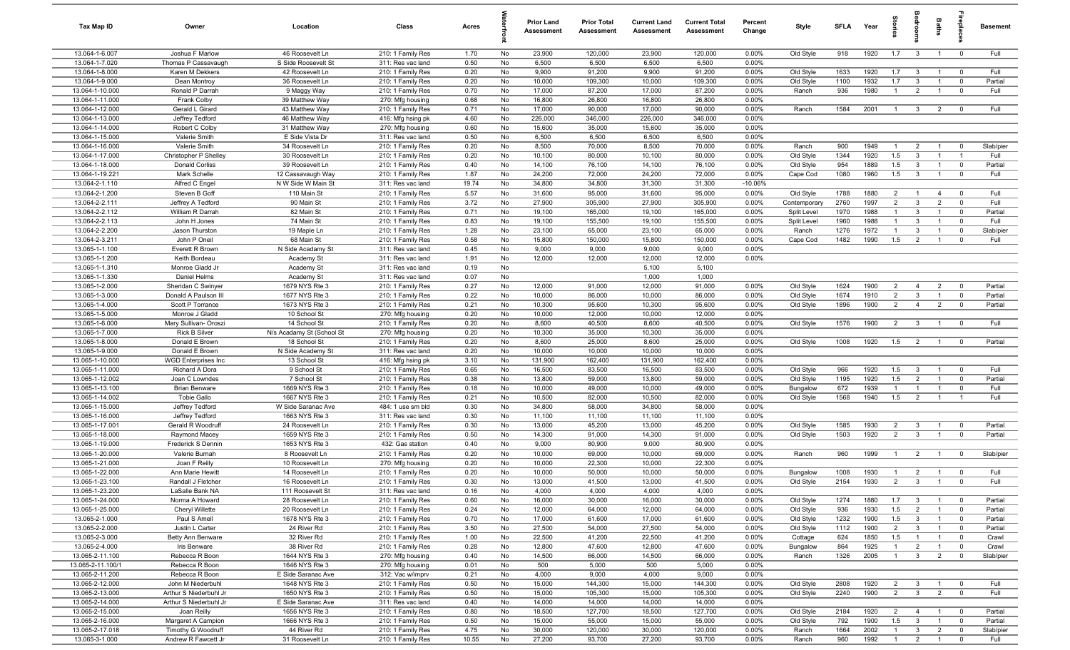| Tax Map ID                         | Owner                            | Location                                | Class                                  | Acres         |          | <b>Prior Land</b><br>Assessment | <b>Prior Total</b><br>Assessment | <b>Current Land</b><br>Assessment | <b>Current Total</b><br>Assessment | Percent<br>Change  | Style                  | <b>SFLA</b> | Year         | tories                           |                                | Baths                            | repla                            | <b>Basement</b>    |
|------------------------------------|----------------------------------|-----------------------------------------|----------------------------------------|---------------|----------|---------------------------------|----------------------------------|-----------------------------------|------------------------------------|--------------------|------------------------|-------------|--------------|----------------------------------|--------------------------------|----------------------------------|----------------------------------|--------------------|
| 13.064-1-6.007                     | Joshua F Marlow                  | 46 Roosevelt Ln                         | 210: 1 Family Res                      | 1.70          | No       | 23,900                          | 120,000                          | 23,900                            | 120,000                            | 0.00%              | Old Style              | 918         | 1920         | 1.7                              | $\mathbf{3}$                   | $\overline{1}$                   | $\overline{0}$                   | Full               |
| 13.064-1-7.020                     | Thomas P Cassavaugh              | S Side Roosevelt St                     | 311: Res vac land                      | 0.50          | No       | 6,500                           | 6,500                            | 6,500                             | 6,500                              | 0.00%              |                        |             |              |                                  |                                |                                  |                                  |                    |
| 13.064-1-8.000                     | Karen M Dekkers                  | 42 Roosevelt Ln                         | 210: 1 Family Res                      | 0.20          | No       | 9,900                           | 91,200                           | 9,900                             | 91,200                             | 0.00%              | Old Style              | 1633        | 1920         | 1.7                              | $\mathbf{3}$                   | $\overline{1}$<br>$\overline{1}$ | $\overline{0}$<br>$\overline{0}$ | Full<br>Partial    |
| 13.064-1-9.000<br>13.064-1-10.000  | Dean Montroy<br>Ronald P Darrah  | 36 Roosevelt Ln<br>9 Maggy Way          | 210: 1 Family Res<br>210: 1 Family Res | 0.20<br>0.70  | No<br>No | 10,000<br>17,000                | 109,300<br>87,200                | 10,000<br>17,000                  | 109,300<br>87,200                  | 0.00%<br>0.00%     | Old Style<br>Ranch     | 1100<br>936 | 1932<br>1980 | 1.7<br>$\overline{1}$            | $\mathbf{3}$<br>$\overline{2}$ | $\overline{1}$                   | $\overline{0}$                   | Full               |
| 13.064-1-11.000                    | Frank Colby                      | 39 Matthew Way                          | 270: Mfg housing                       | 0.68          | No       | 16,800                          | 26,800                           | 16,800                            | 26,800                             | 0.00%              |                        |             |              |                                  |                                |                                  |                                  |                    |
| 13.064-1-12.000                    | Gerald L Girard                  | 43 Matthew Way                          | 210: 1 Family Res                      | 0.71          | No       | 17,000                          | 90,000                           | 17,000                            | 90,000                             | 0.00%              | Ranch                  | 1584        | 2001         | $\overline{1}$                   | $\mathbf{3}$                   | $\overline{2}$                   | $\overline{\mathbf{0}}$          | Full               |
| 13.064-1-13.000                    | Jeffrey Tedford                  | 46 Matthew Way                          | 416: Mfg hsing pk                      | 4.60          | No       | 226,000                         | 346,000                          | 226,000                           | 346,000                            | 0.00%              |                        |             |              |                                  |                                |                                  |                                  |                    |
| 13.064-1-14.000                    | Robert C Colby                   | 31 Matthew Way                          | 270: Mfg housing                       | 0.60          | No       | 15,600                          | 35,000                           | 15,600                            | 35,000                             | 0.00%              |                        |             |              |                                  |                                |                                  |                                  |                    |
| 13.064-1-15.000                    | Valerie Smith                    | E Side Vista Dr                         | 311: Res vac land                      | 0.50          | No       | 6,500                           | 6,500                            | 6,500                             | 6,500                              | 0.00%              |                        |             |              |                                  |                                |                                  |                                  |                    |
| 13.064-1-16.000                    | Valerie Smith                    | 34 Roosevelt Ln                         | 210: 1 Family Res                      | 0.20          | No       | 8,500                           | 70,000                           | 8,500                             | 70,000                             | 0.00%              | Ranch                  | 900         | 1949         | $\overline{1}$                   | $\overline{2}$                 | $\overline{1}$                   | $\Omega$                         | Slab/pier          |
| 13.064-1-17.000                    | Christopher P Shelley            | 30 Roosevelt Ln                         | 210: 1 Family Res                      | 0.20          | No       | 10,100                          | 80,000                           | 10,100                            | 80,000                             | 0.00%              | Old Style              | 1344        | 1920         | 1.5                              | 3                              | $\mathbf{1}$                     | $\overline{1}$                   | Full               |
| 13.064-1-18.000                    | Donald Corliss                   | 39 Roosevelt Ln                         | 210: 1 Family Res                      | 0.40          | No       | 14,100                          | 76,100                           | 14,100                            | 76,100                             | 0.00%              | Old Style              | 954         | 1889         | 1.5                              | $\mathbf{3}$                   | -1                               | $\overline{0}$<br>$\mathbf 0$    | Partial<br>Full    |
| 13.064-1-19.221<br>13.064-2-1.110  | Mark Schelle<br>Alfred C Engel   | 12 Cassavaugh Way<br>N W Side W Main St | 210: 1 Family Res<br>311: Res vac land | 1.87<br>19.74 | No<br>No | 24,200<br>34,800                | 72,000<br>34,800                 | 24,200<br>31,300                  | 72,000<br>31,300                   | 0.00%<br>$-10.06%$ | Cape Cod               | 1080        | 1960         | 1.5                              | $\mathbf{3}$                   | $\overline{1}$                   |                                  |                    |
| 13.064-2-1.200                     | Steven B Goff                    | 110 Main St                             | 210: 1 Family Res                      | 5.57          | No       | 31,600                          | 95,000                           | 31,600                            | 95,000                             | 0.00%              | Old Style              | 1788        | 1880         | $\overline{2}$                   | $\overline{1}$                 | $\overline{4}$                   | $\overline{0}$                   | Full               |
| 13.064-2-2.111                     | Jeffrey A Tedford                | 90 Main St                              | 210: 1 Family Res                      | 3.72          | No       | 27,900                          | 305,900                          | 27,900                            | 305,900                            | 0.00%              | Contemporary           | 2760        | 1997         | $\overline{2}$                   | $\mathbf{3}$                   | $\overline{2}$                   | $\overline{0}$                   | Full               |
| 13.064-2-2.112                     | William R Darrah                 | 82 Main St                              | 210: 1 Family Res                      | 0.71          | No       | 19,100                          | 165,000                          | 19,100                            | 165,000                            | 0.00%              | Split Level            | 1970        | 1988         | $\mathbf{1}$                     | $\mathbf{3}$                   | $\overline{1}$                   | $\overline{0}$                   | Partial            |
| 13.064-2-2.113                     | John H Jones                     | 74 Main St                              | 210: 1 Family Res                      | 0.83          | No       | 19,100                          | 155,500                          | 19,100                            | 155,500                            | 0.00%              | Split Level            | 1960        | 1988         | $\overline{1}$                   | 3                              | $\overline{1}$                   | $\overline{\mathbf{0}}$          | Full               |
| 13.064-2-2.200                     | Jason Thurston                   | 19 Maple Ln                             | 210: 1 Family Res                      | 1.28          | No       | 23,100                          | 65,000                           | 23,100                            | 65,000                             | 0.00%              | Ranch                  | 1276        | 1972         | $\overline{1}$                   | $\mathbf{3}$                   | $\overline{1}$                   | $\overline{0}$                   | Slab/pier          |
| 13.064-2-3.211                     | John P Oneil                     | 68 Main St                              | 210: 1 Family Res                      | 0.58          | No       | 15,800                          | 150,000                          | 15,800                            | 150,000                            | 0.00%              | Cape Cod               | 1482        | 1990         | 1.5                              | $\overline{2}$                 | $\overline{1}$                   | $\overline{0}$                   | Full               |
| 13.065-1-1.100                     | Everett R Brown                  | N Side Acadamy St                       | 311: Res vac land                      | 0.45          | No       | 9,000                           | 9,000                            | 9,000                             | 9,000                              | 0.00%              |                        |             |              |                                  |                                |                                  |                                  |                    |
| 13.065-1-1.200                     | Keith Bordeau                    | Academy St                              | 311: Res vac land                      | 1.91          | No       | 12,000                          | 12,000                           | 12,000                            | 12,000                             | 0.00%              |                        |             |              |                                  |                                |                                  |                                  |                    |
| 13.065-1-1.310<br>13.065-1-1.330   | Monroe Gladd Jr<br>Daniel Helms  | Academy St<br>Academy St                | 311: Res vac land<br>311: Res vac land | 0.19<br>0.07  | No<br>No |                                 |                                  | 5,100<br>1,000                    | 5,100<br>1,000                     |                    |                        |             |              |                                  |                                |                                  |                                  |                    |
| 13.065-1-2.000                     | Sheridan C Swinyer               | 1679 NYS Rte 3                          | 210: 1 Family Res                      | 0.27          | No       | 12,000                          | 91,000                           | 12,000                            | 91,000                             | 0.00%              | Old Style              | 1624        | 1900         | $\overline{2}$                   | $\overline{4}$                 | $\overline{2}$                   | $\overline{0}$                   | Partial            |
| 13.065-1-3.000                     | Donald A Paulson III             | 1677 NYS Rte 3                          | 210: 1 Family Res                      | 0.22          | No       | 10,000                          | 86,000                           | 10,000                            | 86,000                             | 0.00%              | Old Style              | 1674        | 1910         | $\overline{2}$                   | $\mathbf{3}$                   | $\overline{1}$                   | $\overline{0}$                   | Partial            |
| 13.065-1-4.000                     | Scott P Torrance                 | 1673 NYS Rte 3                          | 210: 1 Family Res                      | 0.21          | No       | 10,300                          | 95,600                           | 10,300                            | 95,600                             | 0.00%              | Old Style              | 1896        | 1900         | $\overline{2}$                   | $\overline{4}$                 | $\overline{2}$                   | $\overline{0}$                   | Partial            |
| 13.065-1-5.000                     | Monroe J Gladd                   | 10 School St                            | 270: Mfg housing                       | 0.20          | No       | 10,000                          | 12,000                           | 10,000                            | 12,000                             | 0.00%              |                        |             |              |                                  |                                |                                  |                                  |                    |
| 13.065-1-6.000                     | Mary Sullivan- Oroszi            | 14 School St                            | 210: 1 Family Res                      | 0.20          | No       | 8,600                           | 40,500                           | 8,600                             | 40,500                             | 0.00%              | Old Style              | 1576        | 1900         | $\overline{2}$                   | $\mathbf{3}$                   | $\overline{1}$                   | $\overline{0}$                   | Full               |
| 13.065-1-7.000                     | <b>Rick B Silver</b>             | N/s Acadamy St (School St               | 270: Mfg housing                       | 0.20          | No       | 10,300                          | 35,000                           | 10,300                            | 35,000                             | 0.00%              |                        |             |              |                                  |                                |                                  |                                  |                    |
| 13.065-1-8.000                     | Donald E Brown                   | 18 School St                            | 210: 1 Family Res                      | 0.20          | No       | 8,600                           | 25,000                           | 8,600                             | 25,000                             | 0.00%              | Old Style              | 1008        | 1920         | 1.5                              | $\overline{2}$                 | $\overline{1}$                   | $\overline{0}$                   | Partial            |
| 13.065-1-9.000                     | Donald E Brown                   | N Side Academy St                       | 311: Res vac land                      | 0.20          | No       | 10,000                          | 10,000                           | 10,000                            | 10,000                             | 0.00%              |                        |             |              |                                  |                                |                                  |                                  |                    |
| 13.065-1-10.000                    | WGD Enterprises Inc              | 13 School St                            | 416: Mfg hsing pk                      | 3.10          | No       | 131,900                         | 162,400                          | 131,900                           | 162,400                            | 0.00%              |                        |             |              |                                  |                                |                                  |                                  |                    |
| 13.065-1-11.000<br>13.065-1-12.002 | Richard A Dora<br>Joan C Lowndes | 9 School St<br>7 School St              | 210: 1 Family Res<br>210: 1 Family Res | 0.65<br>0.38  | No<br>No | 16,500<br>13,800                | 83,500<br>59,000                 | 16,500<br>13,800                  | 83,500<br>59,000                   | 0.00%<br>0.00%     | Old Style<br>Old Style | 966<br>1195 | 1920<br>1920 | 1.5<br>1.5                       | $\mathbf{3}$<br>$\overline{2}$ | $\overline{1}$<br>$\overline{1}$ | $\overline{0}$<br>$\overline{0}$ | Full<br>Partial    |
| 13.065-1-13.100                    | <b>Brian Benware</b>             | 1669 NYS Rte 3                          | 210: 1 Family Res                      | 0.18          | No       | 10,000                          | 49,000                           | 10,000                            | 49,000                             | 0.00%              | Bungalow               | 672         | 1939         | $\overline{1}$                   | $\overline{1}$                 | $\overline{1}$                   | $\overline{0}$                   | Full               |
| 13.065-1-14.002                    | Tobie Gallo                      | 1667 NYS Rte 3                          | 210: 1 Family Res                      | 0.21          | No       | 10,500                          | 82,000                           | 10,500                            | 82,000                             | 0.00%              | Old Style              | 1568        | 1940         | 1.5                              | $\overline{2}$                 | $\overline{1}$                   | $\overline{1}$                   | Full               |
| 13.065-1-15.000                    | Jeffrey Tedford                  | W Side Saranac Ave                      | 484: 1 use sm bld                      | 0.30          | No       | 34,800                          | 58,000                           | 34,800                            | 58,000                             | 0.00%              |                        |             |              |                                  |                                |                                  |                                  |                    |
| 13.065-1-16.000                    | Jeffrey Tedford                  | 1663 NYS Rte 3                          | 311: Res vac land                      | 0.30          | No       | 11,100                          | 11,100                           | 11,100                            | 11,100                             | 0.00%              |                        |             |              |                                  |                                |                                  |                                  |                    |
| 13.065-1-17.001                    | Gerald R Woodruff                | 24 Roosevelt Ln                         | 210: 1 Family Res                      | 0.30          | No       | 13,000                          | 45,200                           | 13,000                            | 45,200                             | 0.00%              | Old Style              | 1585        | 1930         | $\overline{2}$                   | $\mathbf{3}$                   | $\mathbf{1}$                     | $\overline{0}$                   | Partial            |
| 13.065-1-18.000                    | Raymond Macey                    | 1659 NYS Rte 3                          | 210: 1 Family Res                      | 0.50          | No       | 14,300                          | 91,000                           | 14,300                            | 91,000                             | 0.00%              | Old Style              | 1503        | 1920         | $\overline{2}$                   | $\mathbf{3}$                   | $\overline{1}$                   | $\overline{0}$                   | Partial            |
| 13.065-1-19.000                    | Frederick S Dennin               | 1653 NYS Rte 3                          | 432: Gas station                       | 0.40          | No       | 9,000                           | 80,900                           | 9,000                             | 80,900                             | 0.00%              |                        |             |              |                                  |                                |                                  |                                  |                    |
| 13.065-1-20.000<br>13.065-1-21.000 | Valerie Burnah<br>Joan F Reilly  | 8 Roosevelt Ln<br>10 Roosevelt Ln       | 210: 1 Family Res<br>270: Mfg housing  | 0.20<br>0.20  | No<br>No | 10,000<br>10,000                | 69,000<br>22,300                 | 10,000<br>10,000                  | 69,000<br>22,300                   | 0.00%<br>0.00%     | Ranch                  | 960         | 1999         | $\overline{1}$                   | $\overline{2}$                 | $\overline{1}$                   | $\overline{0}$                   | Slab/pier          |
| 13.065-1-22.000                    | Ann Marie Hewitt                 | 14 Roosevelt Ln                         | 210: 1 Family Res                      | 0.20          | No       | 10,000                          | 50,000                           | 10,000                            | 50,000                             | 0.00%              | Bungalow               | 1008        | 1930         | $\overline{1}$                   | $\overline{2}$                 | $\overline{1}$                   | $\mathbf 0$                      | Full               |
| 13.065-1-23.100                    | Randall J Fletcher               | 16 Roosevelt Ln                         | 210: 1 Family Res                      | 0.30          | No       | 13,000                          | 41,500                           | 13,000                            | 41,500                             | $0.00\%$           | Old Style              | 2154        | 1930         | $\overline{2}$                   |                                | $\mathbf{1}$                     | $\Omega$                         | Full               |
| 13.065-1-23.200                    | LaSalle Bank NA                  | 111 Roosevelt St                        | 311: Res vac land                      | 0.16          | No       | 4,000                           | 4,000                            | 4,000                             | 4,000                              | 0.00%              |                        |             |              |                                  |                                |                                  |                                  |                    |
| 13.065-1-24.000                    | Norma A Howard                   | 28 Roosevelt Ln                         | 210: 1 Family Res                      | 0.60          | No       | 16,000                          | 30,000                           | 16,000                            | 30,000                             | 0.00%              | Old Style              | 1274        | 1880         | 1.7                              | $\mathbf{3}$                   | $\overline{1}$                   | $\overline{0}$                   | Partial            |
| 13.065-1-25.000                    | Cheryl Willette                  | 20 Roosevelt Ln                         | 210: 1 Family Res                      | 0.24          | No       | 12,000                          | 64,000                           | 12,000                            | 64,000                             | 0.00%              | Old Style              | 936         | 1930         | 1.5                              | $\overline{2}$                 | $\overline{1}$                   | $\overline{0}$                   | Partial            |
| 13.065-2-1.000                     | Paul S Amell                     | 1678 NYS Rte 3                          | 210: 1 Family Res                      | 0.70          | No       | 17,000                          | 61,600                           | 17,000                            | 61,600                             | 0.00%              | Old Style              | 1232        | 1900         | 1.5                              | $\mathbf{3}$                   | $\overline{1}$                   | $\mathbf{0}$                     | Partial            |
| 13.065-2-2.000                     | Justin L Carter                  | 24 River Rd                             | 210: 1 Family Res                      | 3.50          | No       | 27,500                          | 54,000                           | 27,500                            | 54,000                             | 0.00%              | Old Style              | 1112        | 1900         | $\overline{2}$                   | $\mathbf{3}$                   | $\overline{1}$                   | $\overline{0}$                   | Partial            |
| 13.065-2-3.000                     | Betty Ann Benware                | 32 River Rd                             | 210: 1 Family Res                      | 1.00          | No       | 22,500                          | 41,200                           | 22,500                            | 41,200                             | 0.00%              | Cottage                | 624         | 1850         | 1.5                              | $\overline{1}$                 | $\overline{1}$                   | $\mathbf{0}$                     | Crawl              |
| 13.065-2-4.000<br>13.065-2-11.100  | Iris Benware<br>Rebecca R Boon   | 38 River Rd<br>1644 NYS Rte 3           | 210: 1 Family Res<br>270: Mfg housing  | 0.28<br>0.40  | No<br>No | 12,800<br>14,500                | 47,600<br>66,000                 | 12,800<br>14,500                  | 47,600<br>66,000                   | 0.00%<br>0.00%     | Bungalow<br>Ranch      | 864<br>1326 | 1925<br>2005 | 1<br>$\mathbf{1}$                | $\overline{2}$<br>$\mathbf{3}$ | $\overline{1}$<br>$\overline{2}$ | $\mathbf{0}$<br>$\overline{0}$   | Crawl<br>Slab/pier |
| 13.065-2-11.100/1                  | Rebecca R Boon                   | 1646 NYS Rte 3                          | 270: Mfg housing                       | 0.01          | No       | 500                             | 5,000                            | 500                               | 5,000                              | 0.00%              |                        |             |              |                                  |                                |                                  |                                  |                    |
| 13.065-2-11.200                    | Rebecca R Boon                   | E Side Saranac Ave                      | 312: Vac w/imprv                       | 0.21          | No       | 4,000                           | 9,000                            | 4,000                             | 9,000                              | 0.00%              |                        |             |              |                                  |                                |                                  |                                  |                    |
| 13.065-2-12.000                    | John M Niederbuhl                | 1648 NYS Rte 3                          | 210: 1 Family Res                      | 0.50          | No       | 15,000                          | 144,300                          | 15,000                            | 144,300                            | 0.00%              | Old Style              | 2808        | 1920         | $\overline{2}$                   | $\overline{\mathbf{3}}$        | $\overline{1}$                   | $\overline{0}$                   | Full               |
| 13.065-2-13.000                    | Arthur S Niederbuhl Jr           | 1650 NYS Rte 3                          | 210: 1 Family Res                      | 0.50          | No       | 15,000                          | 105,300                          | 15,000                            | 105,300                            | 0.00%              | Old Style              | 2240        | 1900         | 2                                | $\mathbf{3}$                   | $\overline{2}$                   | $\overline{0}$                   | Full               |
| 13.065-2-14.000                    | Arthur S Niederbuhl Jr           | E Side Saranac Ave                      | 311: Res vac land                      | 0.40          | No       | 14,000                          | 14,000                           | 14,000                            | 14,000                             | 0.00%              |                        |             |              |                                  |                                |                                  |                                  |                    |
| 13.065-2-15.000                    | Joan Reilly                      | 1656 NYS Rte 3                          | 210: 1 Family Res                      | 0.80          | No       | 18,500                          | 127,700                          | 18,500                            | 127,700                            | 0.00%              | Old Style              | 2184        | 1920         | $\overline{2}$                   | $\overline{4}$                 | $\overline{1}$                   | $\overline{0}$                   | Partial            |
| 13.065-2-16.000                    | Margaret A Campion               | 1666 NYS Rte 3                          | 210: 1 Family Res                      | 0.50          | No       | 15,000                          | 55,000                           | 15,000                            | 55,000                             | 0.00%              | Old Style              | 792         | 1900         | 1.5                              | $\overline{\mathbf{3}}$        | $\overline{1}$                   | $\overline{0}$                   | Partial            |
| 13.065-2-17.018<br>13.065-3-1.000  | Timothy G Woodruff               | 44 River Rd                             | 210: 1 Family Res                      | 4.75<br>10.55 | No<br>No | 30,000<br>27,200                | 120,000<br>93,700                | 30,000<br>27,200                  | 120,000<br>93,700                  | 0.00%<br>$0.00\%$  | Ranch                  | 1664<br>960 | 2002<br>1992 | $\overline{1}$<br>$\overline{1}$ | $\mathbf{3}$<br>$\overline{2}$ | $\overline{2}$<br>$\overline{1}$ | $\mathbf{0}$<br>$\overline{0}$   | Slab/pier          |
|                                    | Andrew R Fawcett Jr              | 31 Roosevelt Ln                         | 210: 1 Family Res                      |               |          |                                 |                                  |                                   |                                    |                    | Ranch                  |             |              |                                  |                                |                                  |                                  | Full               |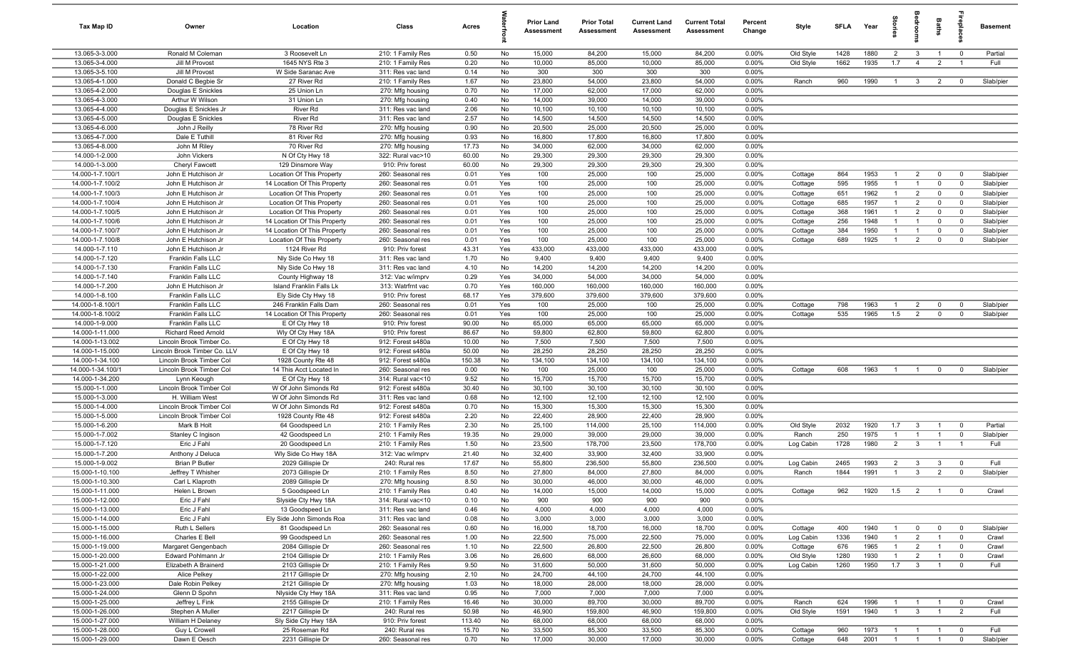| Tax Map ID                           | Owner                                      | Location                                     | Class                                  | Acres         |            | <b>Prior Land</b><br>Assessment | <b>Prior Total</b><br>Assessment | <b>Current Land</b><br>Assessment | <b>Current Total</b><br><b>Assessment</b> | Percent<br>Change | Style     | <b>SFLA</b> | Year | tories         | droom               | Baths          |                         | <b>Basement</b> |
|--------------------------------------|--------------------------------------------|----------------------------------------------|----------------------------------------|---------------|------------|---------------------------------|----------------------------------|-----------------------------------|-------------------------------------------|-------------------|-----------|-------------|------|----------------|---------------------|----------------|-------------------------|-----------------|
| 13.065-3-3.000                       | Ronald M Coleman                           | 3 Roosevelt Ln                               | 210: 1 Family Res                      | 0.50          | No         | 15,000                          | 84,200                           | 15,000                            | 84,200                                    | 0.00%             | Old Style | 1428        | 1880 | $\overline{2}$ | $\mathbf{3}$        | $\mathbf{1}$   | $\overline{0}$          | Partial         |
| 13.065-3-4.000                       | Jill M Provost                             | 1645 NYS Rte 3                               | 210: 1 Family Res                      | 0.20          | No         | 10,000                          | 85,000                           | 10,000                            | 85,000                                    | 0.00%             | Old Style | 1662        | 1935 | 1.7            | $\overline{4}$      | $\overline{2}$ | $\overline{1}$          | Full            |
| 13.065-3-5.100                       | Jill M Provost                             | W Side Saranac Ave                           | 311: Res vac land                      | 0.14          | No         | 300                             | 300                              | 300                               | 300                                       | 0.00%             |           |             |      |                |                     |                |                         |                 |
| 13.065-4-1.000                       | Donald C Begbie Sr                         | 27 River Rd                                  | 210: 1 Family Res                      | 1.67          | No         | 23,800                          | 54,000                           | 23,800                            | 54,000                                    | 0.00%             | Ranch     | 960         | 1990 | $\overline{1}$ | $\mathbf{3}$        | $\overline{2}$ | $\overline{\mathbf{0}}$ | Slab/pier       |
| 13.065-4-2.000                       | Douglas E Snickles                         | 25 Union Ln                                  | 270: Mfg housing                       | 0.70          | No         | 17,000                          | 62,000                           | 17,000                            | 62,000                                    | 0.00%             |           |             |      |                |                     |                |                         |                 |
| 13.065-4-3.000<br>13.065-4-4.000     | Arthur W Wilson<br>Douglas E Snickles Jr   | 31 Union Ln<br>River Rd                      | 270: Mfg housing<br>311: Res vac land  | 0.40<br>2.06  | No<br>No   | 14,000<br>10,100                | 39,000<br>10,100                 | 14,000<br>10,100                  | 39,000<br>10,100                          | 0.00%<br>0.00%    |           |             |      |                |                     |                |                         |                 |
| 13.065-4-5.000                       | Douglas E Snickles                         | River Rd                                     | 311: Res vac land                      | 2.57          | No         | 14,500                          | 14,500                           | 14,500                            | 14,500                                    | 0.00%             |           |             |      |                |                     |                |                         |                 |
| 13.065-4-6.000                       | John J Reilly                              | 78 River Rd                                  | 270: Mfg housing                       | 0.90          | No         | 20,500                          | 25,000                           | 20,500                            | 25,000                                    | 0.00%             |           |             |      |                |                     |                |                         |                 |
| 13.065-4-7.000                       | Dale E Tuthill                             | 81 River Rd                                  | 270: Mfg housing                       | 0.93          | No         | 16,800                          | 17,800                           | 16,800                            | 17,800                                    | 0.00%             |           |             |      |                |                     |                |                         |                 |
| 13.065-4-8.000                       | John M Riley                               | 70 River Rd                                  | 270: Mfg housing                       | 17.73         | No         | 34,000                          | 62,000                           | 34,000                            | 62,000                                    | 0.00%             |           |             |      |                |                     |                |                         |                 |
| 14.000-1-2.000                       | John Vickers                               | N Of Cty Hwy 18                              | 322: Rural vac>10                      | 60.00         | No         | 29,300                          | 29,300                           | 29,300                            | 29,300                                    | 0.00%             |           |             |      |                |                     |                |                         |                 |
| 14.000-1-3.000                       | Cheryl Fawcett                             | 129 Dinsmore Way                             | 910: Priv forest                       | 60.00         | No         | 29,300                          | 29,300                           | 29,300                            | 29,300                                    | 0.00%             |           |             |      |                |                     |                |                         |                 |
| 14.000-1-7.100/1                     | John E Hutchison Jr                        | Location Of This Property                    | 260: Seasonal res                      | 0.01          | Yes        | 100                             | 25,000                           | 100                               | 25,000                                    | 0.00%             | Cottage   | 864         | 1953 | $\mathbf{1}$   | $\overline{2}$      | $\mathbf{0}$   | $\overline{0}$          | Slab/pier       |
| 14.000-1-7.100/2                     | John E Hutchison Jr                        | 14 Location Of This Property                 | 260: Seasonal res                      | 0.01          | Yes        | 100                             | 25,000                           | 100                               | 25,000                                    | 0.00%             | Cottage   | 595         | 1955 | $\mathbf{1}$   | $\overline{1}$      | $\mathbf{0}$   | $\overline{0}$          | Slab/pier       |
| 14.000-1-7.100/3                     | John E Hutchison Jr                        | Location Of This Property                    | 260: Seasonal res                      | 0.01          | Yes        | 100                             | 25,000                           | 100                               | 25,000                                    | 0.00%             | Cottage   | 651         | 1962 | $\mathbf{1}$   | $\overline{2}$      | $\mathbf{0}$   | $\mathbf 0$             | Slab/pier       |
| 14.000-1-7.100/4                     | John E Hutchison Jr                        | Location Of This Property                    | 260: Seasonal res                      | 0.01          | Yes        | 100                             | 25,000                           | 100                               | 25,000                                    | 0.00%             | Cottage   | 685         | 1957 | $\mathbf{1}$   | $\overline{2}$      | $\mathbf 0$    | $\overline{0}$          | Slab/pier       |
| 14.000-1-7.100/5                     | John E Hutchison Jr                        | Location Of This Property                    | 260: Seasonal res                      | 0.01          | Yes        | 100                             | 25,000                           | 100                               | 25,000                                    | 0.00%             | Cottage   | 368         | 1961 | $\overline{1}$ | $\overline{2}$      | $\mathbf 0$    | $\overline{0}$          | Slab/pier       |
| 14.000-1-7.100/6                     | John E Hutchison Jr                        | 14 Location Of This Property                 | 260: Seasonal res                      | 0.01          | Yes        | 100                             | 25,000                           | 100                               | 25,000                                    | 0.00%             | Cottage   | 256         | 1948 | $\overline{1}$ | $\overline{1}$      | $\mathbf{0}$   | $\overline{\mathbf{0}}$ | Slab/pier       |
| 14.000-1-7.100/7                     | John E Hutchison Jr                        | 14 Location Of This Property                 | 260: Seasonal res                      | 0.01          | Yes        | 100                             | 25,000                           | 100                               | 25,000                                    | 0.00%             | Cottage   | 384         | 1950 | $\overline{1}$ | $\overline{1}$      | $\mathbf 0$    | $\overline{\mathbf{0}}$ | Slab/pier       |
| 14.000-1-7.100/8<br>14.000-1-7.110   | John E Hutchison Jr<br>John E Hutchison Jr | Location Of This Property<br>1124 River Rd   | 260: Seasonal res<br>910: Priv forest  | 0.01<br>43.31 | Yes<br>Yes | 100<br>433,000                  | 25,000<br>433,000                | 100<br>433,000                    | 25,000<br>433,000                         | 0.00%<br>0.00%    | Cottage   | 689         | 1925 | $\overline{1}$ | $\overline{2}$      | $\mathbf 0$    | $\overline{0}$          | Slab/pier       |
| 14.000-1-7.120                       | <b>Franklin Falls LLC</b>                  | Nly Side Co Hwy 18                           | 311: Res vac land                      | 1.70          | No         | 9,400                           | 9,400                            | 9,400                             | 9,400                                     | 0.00%             |           |             |      |                |                     |                |                         |                 |
| 14.000-1-7.130                       | Franklin Falls LLC                         | Nly Side Co Hwy 18                           | 311: Res vac land                      | 4.10          | No         | 14,200                          | 14,200                           | 14,200                            | 14,200                                    | 0.00%             |           |             |      |                |                     |                |                         |                 |
| 14.000-1-7.140                       | Franklin Falls LLC                         | County Highway 18                            | 312: Vac w/imprv                       | 0.29          | Yes        | 34,000                          | 54,000                           | 34,000                            | 54,000                                    | 0.00%             |           |             |      |                |                     |                |                         |                 |
| 14.000-1-7.200                       | John E Hutchison Jr                        | Island Franklin Falls Lk                     | 313: Watrfrnt vac                      | 0.70          | Yes        | 160,000                         | 160,000                          | 160,000                           | 160,000                                   | 0.00%             |           |             |      |                |                     |                |                         |                 |
| 14.000-1-8.100                       | Franklin Falls LLC                         | Ely Side Cty Hwy 18                          | 910: Priv forest                       | 68.17         | Yes        | 379,600                         | 379,600                          | 379,600                           | 379,600                                   | 0.00%             |           |             |      |                |                     |                |                         |                 |
| 14.000-1-8.100/1                     | Franklin Falls LLC                         | 246 Franklin Falls Dam                       | 260: Seasonal res                      | 0.01          | Yes        | 100                             | 25,000                           | 100                               | 25,000                                    | 0.00%             | Cottage   | 798         | 1963 | $\mathbf{1}$   | $\overline{2}$      | $\mathbf 0$    | $\overline{0}$          | Slab/pier       |
| 14.000-1-8.100/2                     | Franklin Falls LLC                         | 14 Location Of This Property                 | 260: Seasonal res                      | 0.01          | Yes        | 100                             | 25,000                           | 100                               | 25,000                                    | 0.00%             | Cottage   | 535         | 1965 | 1.5            | $\overline{2}$      | $\mathbf{0}$   | $\overline{0}$          | Slab/pier       |
| 14.000-1-9.000                       | Franklin Falls LLC                         | E Of Cty Hwy 18                              | 910: Priv forest                       | 90.00         | No         | 65,000                          | 65,000                           | 65,000                            | 65,000                                    | 0.00%             |           |             |      |                |                     |                |                         |                 |
| 14.000-1-11.000                      | <b>Richard Reed Arnold</b>                 | Wly Of Cty Hwy 18A                           | 910: Priv forest                       | 86.67         | No         | 59,800                          | 62,800                           | 59,800                            | 62,800                                    | 0.00%             |           |             |      |                |                     |                |                         |                 |
| 14.000-1-13.002                      | Lincoln Brook Timber Co.                   | E Of Cty Hwy 18                              | 912: Forest s480a                      | 10.00         | No         | 7,500                           | 7,500                            | 7,500                             | 7,500                                     | 0.00%             |           |             |      |                |                     |                |                         |                 |
| 14.000-1-15.000                      | Lincoln Brook Timber Co. LLV               | E Of Cty Hwy 18                              | 912: Forest s480a                      | 50.00         | No         | 28,250                          | 28,250                           | 28,250                            | 28,250                                    | 0.00%             |           |             |      |                |                     |                |                         |                 |
| 14.000-1-34.100                      | Lincoln Brook Timber Col                   | 1928 County Rte 48                           | 912: Forest s480a                      | 150.38        | No         | 134,100                         | 134,100                          | 134,100                           | 134,100                                   | 0.00%             |           |             |      |                |                     |                |                         |                 |
| 14.000-1-34.100/1<br>14.000-1-34.200 | Lincoln Brook Timber Col                   | 14 This Acct Located In                      | 260: Seasonal res                      | 0.00          | No         | 100                             | 25,000                           | 100                               | 25,000                                    | 0.00%<br>0.00%    | Cottage   | 608         | 1963 | $\overline{1}$ | $\overline{1}$      | $\mathbf{0}$   | $^{\circ}$              | Slab/pier       |
| 15.000-1-1.000                       | Lynn Keough<br>Lincoln Brook Timber Col    | E Of Cty Hwy 18<br>W Of John Simonds Rd      | 314: Rural vac<10<br>912: Forest s480a | 9.52<br>30.40 | No<br>No   | 15,700<br>30,100                | 15,700<br>30,100                 | 15,700<br>30,100                  | 15,700<br>30,100                          | 0.00%             |           |             |      |                |                     |                |                         |                 |
| 15.000-1-3.000                       | H. William West                            | W Of John Simonds Rd                         | 311: Res vac land                      | 0.68          | No         | 12,100                          | 12,100                           | 12,100                            | 12,100                                    | 0.00%             |           |             |      |                |                     |                |                         |                 |
| 15.000-1-4.000                       | Lincoln Brook Timber Col                   | W Of John Simonds Rd                         | 912: Forest s480a                      | 0.70          | No         | 15,300                          | 15,300                           | 15,300                            | 15,300                                    | 0.00%             |           |             |      |                |                     |                |                         |                 |
| 15.000-1-5.000                       | Lincoln Brook Timber Col                   | 1928 County Rte 48                           | 912: Forest s480a                      | 2.20          | No         | 22,400                          | 28,900                           | 22,400                            | 28,900                                    | 0.00%             |           |             |      |                |                     |                |                         |                 |
| 15.000-1-6.200                       | Mark B Holt                                | 64 Goodspeed Ln                              | 210: 1 Family Res                      | 2.30          | No         | 25,100                          | 114,000                          | 25,100                            | 114,000                                   | 0.00%             | Old Style | 2032        | 1920 | 1.7            | 3                   | $\overline{1}$ | $\overline{\mathbf{0}}$ | Partial         |
| 15.000-1-7.002                       | Stanley C Ingison                          | 42 Goodspeed Ln                              | 210: 1 Family Res                      | 19.35         | No         | 29,000                          | 39,000                           | 29,000                            | 39,000                                    | 0.00%             | Ranch     | 250         | 1975 | $\mathbf{1}$   | $\overline{1}$      | $\overline{1}$ | $\overline{\mathbf{0}}$ | Slab/pier       |
| 15.000-1-7.120                       | Eric J Fahl                                | 20 Goodspeed Ln                              | 210: 1 Family Res                      | 1.50          | No         | 23,500                          | 178,700                          | 23,500                            | 178,700                                   | 0.00%             | Log Cabin | 1728        | 1980 | $\overline{2}$ | $\mathbf{3}$        | $\overline{1}$ | $\overline{1}$          | Full            |
| 15.000-1-7.200                       | Anthony J Deluca                           | Wly Side Co Hwy 18A                          | 312: Vac w/imprv                       | 21.40         | No         | 32,400                          | 33,900                           | 32,400                            | 33,900                                    | 0.00%             |           |             |      |                |                     |                |                         |                 |
| 15.000-1-9.002                       | <b>Brian P Butler</b>                      | 2029 Gillispie Dr                            | 240: Rural res                         | 17.67         | No         | 55,800                          | 236,500                          | 55,800                            | 236,500                                   | 0.00%             | Log Cabin | 2465        | 1993 | $\overline{2}$ | -3                  | 3              | $\overline{0}$          | Full            |
| 15.000-1-10.100                      | Jeffrey T Whisher                          | 2073 Gillispie Dr                            | 210: 1 Family Res                      | 8.50          | No         | 27,800                          | 84,000                           | 27,800                            | 84,000                                    | 0.00%             | Ranch     | 1844        | 1991 | $\overline{1}$ | $\mathbf{3}$        | $\overline{2}$ | $\overline{0}$          | Slab/pier       |
| 15.000-1-10.300                      | Carl L Klaproth                            | 2089 Gillispie Dr                            | 270: Mfg housing                       | 8.50          | No.        | 30,000                          | 46,000                           | 30,000                            | 46,000                                    | 0.00%             |           |             |      |                |                     |                |                         |                 |
| 15.000-1-11.000                      | Helen L Brown                              | 5 Goodspeed Ln                               | 210: 1 Family Res                      | 0.40          | No         | 14,000                          | 15,000                           | 14,000                            | 15,000                                    | 0.00%             | Cottage   | 962         | 1920 | 1.5            | $\overline{2}$      | $\overline{1}$ | $\overline{0}$          | Crawl           |
| 15.000-1-12.000                      | Eric J Fahl                                | Slyside Cty Hwy 18A                          | 314: Rural vac<10                      | 0.10          | No         | 900                             | 900                              | 900                               | 900                                       | 0.00%             |           |             |      |                |                     |                |                         |                 |
| 15.000-1-13.000<br>15.000-1-14.000   | Eric J Fahl<br>Eric J Fahl                 | 13 Goodspeed Ln<br>Ely Side John Simonds Roa | 311: Res vac land<br>311: Res vac land | 0.46<br>0.08  | No<br>No   | 4,000<br>3,000                  | 4,000<br>3,000                   | 4,000<br>3,000                    | 4,000<br>3,000                            | 0.00%<br>0.00%    |           |             |      |                |                     |                |                         |                 |
| 15.000-1-15.000                      | Ruth L Sellers                             | 81 Goodspeed Ln                              | 260: Seasonal res                      | 0.60          | No         | 16,000                          | 18,700                           | 16,000                            | 18,700                                    | 0.00%             | Cottage   | 400         | 1940 | $\mathbf{1}$   | $\mathbf 0$         | $\mathbf 0$    | $\overline{0}$          | Slab/pier       |
| 15.000-1-16.000                      | Charles E Bell                             | 99 Goodspeed Ln                              | 260: Seasonal res                      | 1.00          | No         | 22,500                          | 75,000                           | 22,500                            | 75,000                                    | 0.00%             | Log Cabin | 1336        | 1940 |                | $\overline{2}$      | $\overline{1}$ | $\mathbf{0}$            | Crawl           |
| 15.000-1-19.000                      | Margaret Gengenbach                        | 2084 Gillispie Dr                            | 260: Seasonal res                      | 1.10          | No         | 22,500                          | 26,800                           | 22,500                            | 26,800                                    | 0.00%             | Cottage   | 676         | 1965 | $\mathbf{1}$   | $\overline{2}$      | $\overline{1}$ | $\overline{0}$          | Crawl           |
| 15.000-1-20.000                      | Edward Pohlmann Jr                         | 2104 Gillispie Dr                            | 210: 1 Family Res                      | 3.06          | No         | 26,600                          | 68,000                           | 26,600                            | 68,000                                    | 0.00%             | Old Style | 1280        | 1930 | $\mathbf{1}$   | $\overline{2}$      | $\overline{1}$ | $\overline{0}$          | Crawl           |
| 15.000-1-21.000                      | Elizabeth A Brainerd                       | 2103 Gillispie Dr                            | 210: 1 Family Res                      | 9.50          | No         | 31,600                          | 50,000                           | 31,600                            | 50,000                                    | 0.00%             | Log Cabin | 1260        | 1950 | 1.7            | $\mathbf{3}$        | $\overline{1}$ | $\overline{0}$          | Full            |
| 15.000-1-22.000                      | Alice Pelkey                               | 2117 Gillispie Dr                            | 270: Mfg housing                       | 2.10          | No         | 24,700                          | 44,100                           | 24,700                            | 44,100                                    | 0.00%             |           |             |      |                |                     |                |                         |                 |
| 15.000-1-23.000                      | Dale Robin Pelkey                          | 2121 Gillispie Dr                            | 270: Mfg housing                       | 1.03          | No         | 18,000                          | 28,000                           | 18,000                            | 28,000                                    | 0.00%             |           |             |      |                |                     |                |                         |                 |
| 15.000-1-24.000                      | Glenn D Spohn                              | Nlyside Cty Hwy 18A                          | 311: Res vac land                      | 0.95          | No         | 7,000                           | 7,000                            | 7,000                             | 7,000                                     | 0.00%             |           |             |      |                |                     |                |                         |                 |
| 15.000-1-25.000                      | Jeffrey L Fink                             | 2155 Gillispie Dr                            | 210: 1 Family Res                      | 16.46         | No         | 30,000                          | 89,700                           | 30,000                            | 89,700                                    | 0.00%             | Ranch     | 624         | 1996 | $\overline{1}$ | $\overline{1}$      | $\overline{1}$ | $\mathbf{0}$            | Crawl           |
| 15.000-1-26.000                      | Stephen A Muller                           | 2217 Gillispie Dr                            | 240: Rural res                         | 50.98         | No         | 46,900                          | 159,800                          | 46,900                            | 159,800                                   | 0.00%             | Old Style | 1591        | 1940 | $\mathbf{1}$   | $\mathbf{3}$        | $\overline{1}$ | $\overline{2}$          | Full            |
| 15.000-1-27.000                      | William H Delaney                          | Sly Side Cty Hwy 18A                         | 910: Priv forest                       | 113.40        | No         | 68,000                          | 68,000                           | 68,000                            | 68,000                                    | 0.00%             |           |             |      |                |                     |                |                         |                 |
| 15.000-1-28.000                      | Guy L Crowell                              | 25 Roseman Rd                                | 240: Rural res                         | 15.70         | No         | 33,500                          | 85,300                           | 33,500                            | 85,300                                    | 0.00%             | Cottage   | 960         | 1973 | $\mathbf{1}$   | $\blacksquare$ 1    | $\overline{1}$ | $\overline{\mathbf{0}}$ | Full            |
| 15.000-1-29.000                      | Dawn E Oesch                               | 2231 Gillispie Dr                            | 260: Seasonal res                      | 0.70          | No         | 17,000                          | 30,000                           | 17,000                            | 30,000                                    | 0.00%             | Cottage   | 648         | 2001 |                | $1 \quad 1 \quad 1$ |                | $\overline{0}$          | Slab/pier       |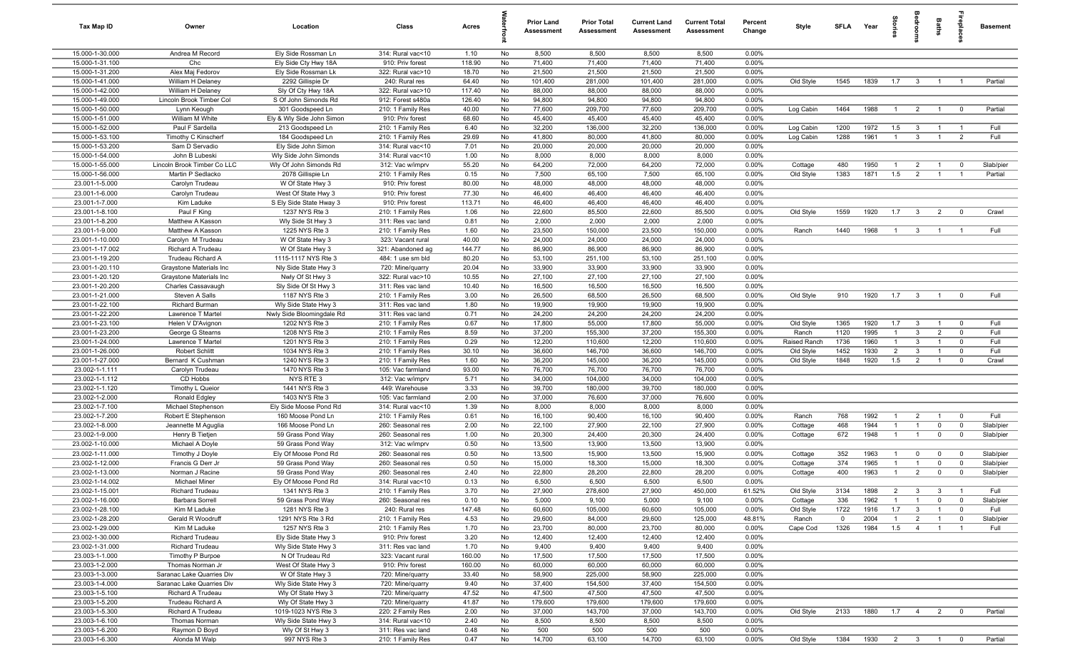| 15.000-1-30.000<br>Andrea M Record<br>Ely Side Rossman Ln<br>No<br>8,500<br>8,500<br>314: Rural vac<10<br>1.10<br>8,500<br>8,500<br>$0.00\%$<br>71,400<br>15.000-1-31.100<br>Chc<br>910: Priv forest<br>118.90<br>No<br>71,400<br>71,400<br>71,400<br>0.00%<br>Ely Side Cty Hwy 18A<br>15.000-1-31.200<br>Alex Maj Fedorov<br>18.70<br>No<br>21,500<br>21,500<br>21,500<br>21,500<br>0.00%<br>Ely Side Rossman Lk<br>322: Rural vac>10<br>15.000-1-41.000<br>64.40<br>101,400<br>101,400<br>281,000<br>0.00%<br>Old Style<br>1839<br>William H Delaney<br>2292 Gillispie Dr<br>240: Rural res<br>No<br>281,000<br>1545<br>1.7<br>$\overline{\mathbf{3}}$<br>Partial<br>$\overline{1}$<br>$\overline{1}$<br>15.000-1-42.000<br>Sly Of Cty Hwy 18A<br>322: Rural vac>10<br>117.40<br>88,000<br>88,000<br>88,000<br>88,000<br>0.00%<br>William H Delaney<br>No<br>15.000-1-49.000<br>Lincoln Brook Timber Col<br>S Of John Simonds Rd<br>912: Forest s480a<br>126.40<br>No<br>94,800<br>94,800<br>94,800<br>94,800<br>0.00%<br>15.000-1-50.000<br>40.00<br>77,600<br>209,700<br>77,600<br>209,700<br>0.00%<br>1464<br>1988<br>Partial<br>301 Goodspeed Ln<br>210: 1 Family Res<br>No<br>Log Cabin<br>$\overline{2}$<br>$\overline{1}$<br>$\mathbf 0$<br>Lynn Keough<br>$\overline{1}$<br>15.000-1-51.000<br>William M White<br>Ely & Wly Side John Simon<br>910: Priv forest<br>68.60<br>No<br>45,400<br>45,400<br>45,400<br>45,400<br>0.00%<br>15.000-1-52.000<br>Paul F Sardella<br>213 Goodspeed Ln<br>210: 1 Family Res<br>6.40<br>No<br>32,200<br>136,000<br>32,200<br>136,000<br>0.00%<br>Log Cabin<br>1200<br>1972<br>1.5<br>Full<br>$\mathbf{3}$<br>$\overline{1}$<br>$\overline{1}$<br>1961<br>Full<br>15.000-1-53.100<br>29.69<br>No<br>41,800<br>0.00%<br>1288<br>$\mathbf{3}$<br>2<br>Timothy C Kinscherf<br>184 Goodspeed Ln<br>210: 1 Family Res<br>80,000<br>41,800<br>80,000<br>Log Cabin<br>$\overline{1}$<br>$\overline{1}$<br>0.00%<br>15.000-1-53.200<br>7.01<br>20,000<br>20,000<br>20,000<br>20,000<br>Sam D Servadio<br>Ely Side John Simon<br>314: Rural vac<10<br>No<br>15.000-1-54.000<br>1.00<br>8,000<br>8,000<br>8,000<br>0.00%<br>John B Lubeski<br>Wly Side John Simonds<br>314: Rural vac<10<br>No<br>8,000<br>15.000-1-55.000<br>55.20<br>64,200<br>72,000<br>64,200<br>72,000<br>0.00%<br>480<br>1950<br>Slab/pier<br>Lincoln Brook Timber Co LLC<br>Wly Of John Simonds Rd<br>312: Vac w/imprv<br>No<br>Cottage<br>$\overline{2}$<br>$\mathbf 0$<br>-1<br>$\overline{1}$<br>15.000-1-56.000<br>0.15<br>7,500<br>65,100<br>7,500<br>65,100<br>0.00%<br>Old Style<br>1383<br>1871<br>1.5<br>$\overline{2}$<br>Partial<br>Martin P Sedlacko<br>2078 Gillispie Ln<br>210: 1 Family Res<br>No<br>$\overline{1}$<br>- 1<br>23.001-1-5.000<br>W Of State Hwy 3<br>910: Priv forest<br>80.00<br>No<br>48,000<br>48,000<br>48,000<br>48,000<br>0.00%<br>Carolyn Trudeau<br>77.30<br>46,400<br>0.00%<br>23.001-1-6.000<br>Carolyn Trudeau<br>West Of State Hwy 3<br>910: Priv forest<br>No<br>46,400<br>46,400<br>46,400<br>23.001-1-7.000<br>Kim Laduke<br>910: Priv forest<br>113.71<br>46,400<br>46,400<br>46,400<br>46,400<br>0.00%<br>S Ely Side State Hway 3<br>No<br>85,500<br>22,600<br>85,500<br>23.001-1-8.100<br>Paul F King<br>1.06<br>22,600<br>0.00%<br>Old Style<br>1559<br>1920<br>1.7<br>$\overline{\mathbf{3}}$<br>$\overline{2}$<br>Crawl<br>1237 NYS Rte 3<br>210: 1 Family Res<br>No<br>$\overline{0}$<br>23.001-1-8.200<br>Wly Side St Hwy 3<br>0.81<br>No<br>2,000<br>2,000<br>2,000<br>2,000<br>0.00%<br>Matthew A Kasson<br>311: Res vac land<br>23.001-1-9.000<br>1225 NYS Rte 3<br>1.60<br>23,500<br>150,000<br>23,500<br>150,000<br>0.00%<br>1440<br>1968<br>Full<br>Matthew A Kasson<br>210: 1 Family Res<br>No<br>Ranch<br>$\overline{1}$<br>$\overline{\mathbf{3}}$<br>$\overline{1}$<br>$\overline{1}$<br>23.001-1-10.000<br>W Of State Hwy 3<br>323: Vacant rural<br>40.00<br>No<br>24,000<br>24,000<br>24,000<br>24,000<br>0.00%<br>Carolyn M Trudeau<br>23.001-1-17.002<br>144.77<br>86,900<br>86,900<br>86,900<br>0.00%<br>Richard A Trudeau<br>W Of State Hwy 3<br>321: Abandoned ag<br>No<br>86,900<br>23.001-1-19.200<br>1115-1117 NYS Rte 3<br>484: 1 use sm bld<br>80.20<br>No<br>53,100<br>251,100<br>53,100<br>251,100<br>0.00%<br>Trudeau Richard A<br>23.001-1-20.110<br>20.04<br>33,900<br>33,900<br>33,900<br>33,900<br>0.00%<br>Graystone Materials Inc<br>Nly Side State Hwy 3<br>720: Mine/quarry<br>No<br>23.001-1-20.120<br>10.55<br>27,100<br>27,100<br>27,100<br>27,100<br>0.00%<br>Graystone Materials Inc<br>Nwly Of St Hwy 3<br>322: Rural vac>10<br>No<br>23.001-1-20.200<br>Sly Side Of St Hwy 3<br>10.40<br>16,500<br>16,500<br>16,500<br>16,500<br>0.00%<br>Charles Cassavaugh<br>311: Res vac land<br>No<br>Full<br>23.001-1-21.000<br>1187 NYS Rte 3<br>210: 1 Family Res<br>3.00<br>No<br>26,500<br>68,500<br>26,500<br>68,500<br>0.00%<br>Old Style<br>910<br>1920<br>1.7<br>$\overline{\mathbf{3}}$<br>Steven A Salls<br>$\overline{1}$<br>$\mathbf 0$<br>23.001-1-22.100<br>1.80<br>No<br>19,900<br>19,900<br>19,900<br>19,900<br>0.00%<br><b>Richard Burman</b><br>Wly Side State Hwy 3<br>311: Res vac land<br>23.001-1-22.200<br>0.71<br>24,200<br>24,200<br>24,200<br>0.00%<br>Lawrence T Martel<br>Nwly Side Bloomingdale Rd<br>311: Res vac land<br>No<br>24,200<br>23.001-1-23.100<br>1202 NYS Rte 3<br>0.67<br>17,800<br>55,000<br>17,800<br>55,000<br>1920<br>Full<br>210: 1 Family Res<br>No<br>0.00%<br>Old Style<br>1365<br>1.7<br>$\mathbf{3}$<br>$\mathbf 0$<br>Helen V D'Avignon<br>$\overline{1}$<br>1995<br>23.001-1-23.200<br>1208 NYS Rte 3<br>8.59<br>37,200<br>155,300<br>37,200<br>155,300<br>0.00%<br>1120<br>3<br>$\overline{2}$<br>Full<br>George G Stearns<br>210: 1 Family Res<br>No<br>Ranch<br>$\overline{1}$<br>$\mathbf 0$<br>23.001-1-24.000<br>12,200<br>1960<br>Lawrence T Martel<br>1201 NYS Rte 3<br>0.29<br>No<br>110,600<br>12,200<br>110,600<br>0.00%<br>Raised Ranch<br>1736<br>3<br>Full<br>210: 1 Family Res<br>$\overline{1}$<br>$\overline{1}$<br>$\mathbf 0$<br>23.001-1-26.000<br>Robert Schlitt<br>1034 NYS Rte 3<br>30.10<br>No<br>36,600<br>146,700<br>36,600<br>146,700<br>0.00%<br>Old Style<br>1452<br>1930<br>$\overline{2}$<br>$\mathbf{3}$<br>Full<br>210: 1 Family Res<br>$\overline{1}$<br>$\mathbf 0$<br>1240 NYS Rte 3<br>1848<br>1920<br>1.5<br>2<br>23.001-1-27.000<br>Bernard K Cushman<br>210: 1 Family Res<br>1.60<br>No<br>36,200<br>145,000<br>36,200<br>145,000<br>0.00%<br>Old Style<br>$\overline{1}$<br>$\mathbf 0$<br>Crawl<br>23.002-1-1.111<br>1470 NYS Rte 3<br>93.00<br>76,700<br>Carolyn Trudeau<br>105: Vac farmland<br>No<br>76,700<br>76,700<br>76,700<br>0.00%<br>23.002-1-1.112<br>NYS RTE 3<br>CD Hobbs<br>5.71<br>No<br>34,000<br>104,000<br>34,000<br>104,000<br>0.00%<br>312: Vac w/imprv<br>3.33<br>23.002-1-1.120<br>1441 NYS Rte 3<br>39,700<br>180,000<br>39,700<br>180,000<br>0.00%<br>Timothy L Queior<br>449: Warehouse<br>No<br>23.002-1-2.000<br>Ronald Edgley<br>1403 NYS Rte 3<br>105: Vac farmland<br>2.00<br>37,000<br>76,600<br>37,000<br>76,600<br>0.00%<br>No<br>23.002-1-7.100<br>Ely Side Moose Pond Rd<br>1.39<br>8,000<br>8,000<br>8,000<br>0.00%<br>Michael Stephenson<br>314: Rural vac<10<br>No<br>8,000<br>0.61<br>768<br>23.002-1-7.200<br>Robert E Stephenson<br>210: 1 Family Res<br>No<br>16,100<br>90,400<br>16,100<br>90,400<br>0.00%<br>Ranch<br>1992<br>$\overline{2}$<br>$\mathbf 0$<br>Full<br>160 Moose Pond Ln<br>$\overline{1}$<br>-1<br>23.002-1-8.000<br>2.00<br>22,100<br>27,900<br>22,100<br>27,900<br>468<br>1944<br>Slab/pier<br>Jeannette M Aguglia<br>166 Moose Pond Ln<br>260: Seasonal res<br>No<br>0.00%<br>Cottage<br>$\mathbf 0$<br>$^{\circ}$<br>$\overline{1}$<br>23.002-1-9.000<br>1.00<br>20,300<br>24,400<br>20,300<br>24,400<br>0.00%<br>672<br>1948<br>Henry B Tietjen<br>59 Grass Pond Way<br>260: Seasonal res<br>No<br>Cottage<br>$\mathbf 0$<br>Slab/pier<br>$\overline{1}$<br>$\mathbf 0$<br>23.002-1-10.000<br>0.50<br>13,500<br>13,900<br>13,500<br>13,900<br>0.00%<br>Michael A Doyle<br>59 Grass Pond Way<br>312: Vac w/imprv<br>No<br>23.002-1-11.000<br>0.50<br>13,500<br>15,900<br>13,500<br>15,900<br>0.00%<br>Ely Of Moose Pond Rd<br>260: Seasonal res<br>No<br>352<br>1963<br>$\mathbf{0}$<br>$\mathbf 0$<br>$\mathbf 0$<br>Slab/pier<br>Timothy J Doyle<br>Cottage<br>$\mathbf{1}$<br>374<br>23.002-1-12.000<br>Francis G Derr Jr<br>260: Seasonal res<br>0.50<br>No<br>15,000<br>18,300<br>15,000<br>18,300<br>0.00%<br>1965<br>$\mathbf 0$<br>59 Grass Pond Way<br>Cottage<br>$\overline{1}$<br>$\mathbf{1}$<br>$^{\circ}$<br>Slab/pier<br>2.40<br>22,800<br>28,200<br>23.002-1-13.000<br>No<br>22,800<br>28,200<br>0.00%<br>400<br>1963<br>2<br>$\mathbf 0$<br>Norman J Racine<br>59 Grass Pond Way<br>260: Seasonal res<br>Cottage<br>$\overline{1}$<br>$^{\circ}$<br>Slab/pier<br>23.002-1-14.002<br>Ely Of Moose Pond Rd<br>0.13<br>6,500<br>6,500<br>6,500<br>6,500<br><b>Michael Miner</b><br>314: Rural vac<10<br>No<br>0.00%<br>23.002-1-15.001<br>3.70<br>27,900<br>278,600<br>27,900<br>450,000<br>61.52%<br>Old Style<br>3134<br>1898<br>$\overline{2}$<br>$\mathbf{3}$<br>Full<br><b>Richard Trudeau</b><br>1341 NYS Rte 3<br>210: 1 Family Res<br>No<br>$\overline{\mathbf{3}}$<br>$\overline{1}$<br>336<br>1962<br>23.002-1-16.000<br>Barbara Sorrell<br>59 Grass Pond Way<br>260: Seasonal res<br>0.10<br>5,000<br>9,100<br>5,000<br>9,100<br>0.00%<br>Cottage<br>$\mathbf 0$<br>$\mathbf 0$<br>Slab/pier<br>No<br>$\overline{1}$<br>23.002-1-28.100<br>1281 NYS Rte 3<br>147.48<br>60,600<br>105,000<br>60,600<br>0.00%<br>Old Style<br>1722<br>1916<br>1.7<br>$\overline{\mathbf{3}}$<br>Full<br>Kim M Laduke<br>240: Rural res<br>No<br>105,000<br>$\mathbf{1}$<br>$\mathbf 0$<br>23.002-1-28.200<br>Gerald R Woodruff<br>1291 NYS Rte 3 Rd<br>210: 1 Family Res<br>4.53<br>29,600<br>84,000<br>29,600<br>125,000<br>48.81%<br>2004<br>$\overline{2}$<br>$\overline{1}$<br>$\mathbf 0$<br>Slab/pier<br>No<br>Ranch<br>$\mathbf 0$<br>$\mathbf{1}$<br>1984<br>1.5<br>23.002-1-29.000<br>Kim M Laduke<br>1257 NYS Rte 3<br>1.70<br>No<br>23,700<br>80,000<br>23,700<br>80,000<br>0.00%<br>Cape Cod<br>1326<br>$\overline{4}$<br>Full<br>210: 1 Family Res<br>$\overline{1}$<br>$\overline{1}$<br>3.20<br>23.002-1-30.000<br>No<br>12,400<br>12,400<br>12,400<br>12,400<br>0.00%<br>Richard Trudeau<br>Ely Side State Hwy 3<br>910: Priv forest<br>23.002-1-31.000<br>9,400<br>9,400<br>9,400<br>0.00%<br>Richard Trudeau<br>Wly Side State Hwy 3<br>311: Res vac land<br>1.70<br>No<br>9,400<br>160.00<br>17,500<br>17,500<br>17,500<br>0.00%<br>23.003-1-1.000<br>N Of Trudeau Rd<br>323: Vacant rural<br>17,500<br>Timothy P Burpoe<br>No<br>60,000<br>23.003-1-2.000<br>Thomas Norman Jr<br>West Of State Hwy 3<br>910: Priv forest<br>160.00<br>No<br>60,000<br>60,000<br>60,000<br>0.00%<br>23.003-1-3.000<br>Saranac Lake Quarries Div<br>W Of State Hwy 3<br>33.40<br>58,900<br>225,000<br>58,900<br>225,000<br>0.00%<br>720: Mine/quarry<br>No<br>23.003-1-4.000<br>Saranac Lake Quarries Div<br>Wly Side State Hwy 3<br>720: Mine/quarry<br>9.40<br>No<br>37,400<br>154,500<br>37,400<br>154,500<br>0.00%<br>23.003-1-5.100<br>47.52<br>47,500<br>47,500<br>47,500<br>0.00%<br>Richard A Trudeau<br>Wly Of State Hwy 3<br>720: Mine/quarry<br>No<br>47,500<br>23.003-1-5.200<br>Wly Of State Hwy 3<br>720: Mine/quarry<br>41.87<br>No<br>179,600<br>179,600<br>179,600<br>179,600<br>0.00%<br>Trudeau Richard A<br>1880<br>23.003-1-5.300<br>1019-1023 NYS Rte 3<br>2.00<br>37,000<br>37,000<br>143,700<br>0.00%<br>Old Style<br>2133<br>1.7<br>$\overline{4}$<br>$\overline{2}$<br>Partial<br>Richard A Trudeau<br>220: 2 Family Res<br>No<br>143,700<br>$\mathbf 0$<br>23.003-1-6.100<br>0.00%<br>Thomas Norman<br>Wly Side State Hwy 3<br>314: Rural vac<10<br>2.40<br>No<br>8,500<br>8,500<br>8,500<br>8,500<br>23.003-1-6.200<br>Wly Of St Hwy 3<br>0.48<br>500<br>500<br>500<br>500<br>0.00%<br>Raymon D Boyd<br>311: Res vac land<br>No<br>No<br>14,700<br>14,700<br>63,100<br>1384<br>1930 2 3 1<br>23.003-1-6.300<br>Alonda M Walp<br>997 NYS Rte 3<br>210: 1 Family Res<br>0.47<br>63,100<br>0.00%<br>Old Style<br>Partial<br>$\overline{\mathbf{0}}$ | <b>Tax Map ID</b> | Owner | Location | Class | Acres | <b>Prior Land</b><br>Assessment | <b>Prior Total</b><br><b>Assessment</b> | <b>Current Land</b><br><b>Assessment</b> | <b>Current Total</b><br><b>Assessment</b> | Percent<br>Change | Style | SFLA Year | igrie | Baths | <b>Basement</b> |
|----------------------------------------------------------------------------------------------------------------------------------------------------------------------------------------------------------------------------------------------------------------------------------------------------------------------------------------------------------------------------------------------------------------------------------------------------------------------------------------------------------------------------------------------------------------------------------------------------------------------------------------------------------------------------------------------------------------------------------------------------------------------------------------------------------------------------------------------------------------------------------------------------------------------------------------------------------------------------------------------------------------------------------------------------------------------------------------------------------------------------------------------------------------------------------------------------------------------------------------------------------------------------------------------------------------------------------------------------------------------------------------------------------------------------------------------------------------------------------------------------------------------------------------------------------------------------------------------------------------------------------------------------------------------------------------------------------------------------------------------------------------------------------------------------------------------------------------------------------------------------------------------------------------------------------------------------------------------------------------------------------------------------------------------------------------------------------------------------------------------------------------------------------------------------------------------------------------------------------------------------------------------------------------------------------------------------------------------------------------------------------------------------------------------------------------------------------------------------------------------------------------------------------------------------------------------------------------------------------------------------------------------------------------------------------------------------------------------------------------------------------------------------------------------------------------------------------------------------------------------------------------------------------------------------------------------------------------------------------------------------------------------------------------------------------------------------------------------------------------------------------------------------------------------------------------------------------------------------------------------------------------------------------------------------------------------------------------------------------------------------------------------------------------------------------------------------------------------------------------------------------------------------------------------------------------------------------------------------------------------------------------------------------------------------------------------------------------------------------------------------------------------------------------------------------------------------------------------------------------------------------------------------------------------------------------------------------------------------------------------------------------------------------------------------------------------------------------------------------------------------------------------------------------------------------------------------------------------------------------------------------------------------------------------------------------------------------------------------------------------------------------------------------------------------------------------------------------------------------------------------------------------------------------------------------------------------------------------------------------------------------------------------------------------------------------------------------------------------------------------------------------------------------------------------------------------------------------------------------------------------------------------------------------------------------------------------------------------------------------------------------------------------------------------------------------------------------------------------------------------------------------------------------------------------------------------------------------------------------------------------------------------------------------------------------------------------------------------------------------------------------------------------------------------------------------------------------------------------------------------------------------------------------------------------------------------------------------------------------------------------------------------------------------------------------------------------------------------------------------------------------------------------------------------------------------------------------------------------------------------------------------------------------------------------------------------------------------------------------------------------------------------------------------------------------------------------------------------------------------------------------------------------------------------------------------------------------------------------------------------------------------------------------------------------------------------------------------------------------------------------------------------------------------------------------------------------------------------------------------------------------------------------------------------------------------------------------------------------------------------------------------------------------------------------------------------------------------------------------------------------------------------------------------------------------------------------------------------------------------------------------------------------------------------------------------------------------------------------------------------------------------------------------------------------------------------------------------------------------------------------------------------------------------------------------------------------------------------------------------------------------------------------------------------------------------------------------------------------------------------------------------------------------------------------------------------------------------------------------------------------------------------------------------------------------------------------------------------------------------------------------------------------------------------------------------------------------------------------------------------------------------------------------------------------------------------------------------------------------------------------------------------------------------------------------------------------------------------------------------------------------------------------------------------------------------------------------------------------------------------------------------------------------------------------------------------------------------------------------------------------------------------------------------------------------------------------------------------------------------------------------------------------------------------------------------------------------------------------------------------------------------------------------------------------------------------------------------------------------------------------------------------------------------------------------------------------------------------------------------------------------------------------------------------------------------------------------------------------------------------------------------------------------------------------------------------------------------------------------------------------------------------------------------------------------------------------------------------------------------------------------------------------------------------------------------------------------------------------------------------------------------------------------------------------------------------------------------------------------------------------------------------------------------------------------------------------------------------------------------------------------------------------------------------------------------------------------------------------------------------------------------------------------------------------------------------------------------------------------------------------------------------------------------------------------------------------------------------------------------------------------------------------------------------------------------------------------------------------------------------------------------------------------------------------------------------------------------------------------------------------------------------------------------------------------------------------------------------------------------------------------------------------------------------------------------------------------------------------------------------------------------------------------------------------------------------------------------------------------------------------------------------------------------------------------------------------------------------------------------------------------------------------------------------------------------------------------------------------------------------------------------------------------------------------------------------------------------------------------------------------------------------------------------------------------------------------------------------------------------------------------------------------------------------------------------------------------------------------------------------------------------------------------------------------------------------------------------------------------------------------------------------------------------------------------------------------------------------------------------------------------------------------------------------------------------------------------------------------------------------------------------------------------------------------------------------------------------------------------------------------------------------------------------------------------------------------------------------------------------------------------------------------------------------------------------------------------------------------------------------------------------------------------------------------------------------------------------------------------------------------------------------------------------------------------------------------------------------------------------------------------------------------------------------------------------------------------------------------------------------------------------------------------------------------------------------------------------------------|-------------------|-------|----------|-------|-------|---------------------------------|-----------------------------------------|------------------------------------------|-------------------------------------------|-------------------|-------|-----------|-------|-------|-----------------|
|                                                                                                                                                                                                                                                                                                                                                                                                                                                                                                                                                                                                                                                                                                                                                                                                                                                                                                                                                                                                                                                                                                                                                                                                                                                                                                                                                                                                                                                                                                                                                                                                                                                                                                                                                                                                                                                                                                                                                                                                                                                                                                                                                                                                                                                                                                                                                                                                                                                                                                                                                                                                                                                                                                                                                                                                                                                                                                                                                                                                                                                                                                                                                                                                                                                                                                                                                                                                                                                                                                                                                                                                                                                                                                                                                                                                                                                                                                                                                                                                                                                                                                                                                                                                                                                                                                                                                                                                                                                                                                                                                                                                                                                                                                                                                                                                                                                                                                                                                                                                                                                                                                                                                                                                                                                                                                                                                                                                                                                                                                                                                                                                                                                                                                                                                                                                                                                                                                                                                                                                                                                                                                                                                                                                                                                                                                                                                                                                                                                                                                                                                                                                                                                                                                                                                                                                                                                                                                                                                                                                                                                                                                                                                                                                                                                                                                                                                                                                                                                                                                                                                                                                                                                                                                                                                                                                                                                                                                                                                                                                                                                                                                                                                                                                                                                                                                                                                                                                                                                                                                                                                                                                                                                                                                                                                                                                                                                                                                                                                                                                                                                                                                                                                                                                                                                                                                                                                                                                                                                                                                                                                                                                                                                                                                                                                                                                                                                                                                                                                                                                                                                                                                                                                                                                                                                                                                                                                                                                                                                                                                                                                                                                                                                                                                                                                                                                                                                                                                                                                                                                                                                                                                                                                                                                                                                                                                                                                                                                                                                                                                                                                                                                                                                                                                                                                                                                                                                                                                                                                                                                                                                                                                                                                                                                                                                                                                                                                    |                   |       |          |       |       |                                 |                                         |                                          |                                           |                   |       |           |       |       |                 |
|                                                                                                                                                                                                                                                                                                                                                                                                                                                                                                                                                                                                                                                                                                                                                                                                                                                                                                                                                                                                                                                                                                                                                                                                                                                                                                                                                                                                                                                                                                                                                                                                                                                                                                                                                                                                                                                                                                                                                                                                                                                                                                                                                                                                                                                                                                                                                                                                                                                                                                                                                                                                                                                                                                                                                                                                                                                                                                                                                                                                                                                                                                                                                                                                                                                                                                                                                                                                                                                                                                                                                                                                                                                                                                                                                                                                                                                                                                                                                                                                                                                                                                                                                                                                                                                                                                                                                                                                                                                                                                                                                                                                                                                                                                                                                                                                                                                                                                                                                                                                                                                                                                                                                                                                                                                                                                                                                                                                                                                                                                                                                                                                                                                                                                                                                                                                                                                                                                                                                                                                                                                                                                                                                                                                                                                                                                                                                                                                                                                                                                                                                                                                                                                                                                                                                                                                                                                                                                                                                                                                                                                                                                                                                                                                                                                                                                                                                                                                                                                                                                                                                                                                                                                                                                                                                                                                                                                                                                                                                                                                                                                                                                                                                                                                                                                                                                                                                                                                                                                                                                                                                                                                                                                                                                                                                                                                                                                                                                                                                                                                                                                                                                                                                                                                                                                                                                                                                                                                                                                                                                                                                                                                                                                                                                                                                                                                                                                                                                                                                                                                                                                                                                                                                                                                                                                                                                                                                                                                                                                                                                                                                                                                                                                                                                                                                                                                                                                                                                                                                                                                                                                                                                                                                                                                                                                                                                                                                                                                                                                                                                                                                                                                                                                                                                                                                                                                                                                                                                                                                                                                                                                                                                                                                                                                                                                                                                                                                    |                   |       |          |       |       |                                 |                                         |                                          |                                           |                   |       |           |       |       |                 |
|                                                                                                                                                                                                                                                                                                                                                                                                                                                                                                                                                                                                                                                                                                                                                                                                                                                                                                                                                                                                                                                                                                                                                                                                                                                                                                                                                                                                                                                                                                                                                                                                                                                                                                                                                                                                                                                                                                                                                                                                                                                                                                                                                                                                                                                                                                                                                                                                                                                                                                                                                                                                                                                                                                                                                                                                                                                                                                                                                                                                                                                                                                                                                                                                                                                                                                                                                                                                                                                                                                                                                                                                                                                                                                                                                                                                                                                                                                                                                                                                                                                                                                                                                                                                                                                                                                                                                                                                                                                                                                                                                                                                                                                                                                                                                                                                                                                                                                                                                                                                                                                                                                                                                                                                                                                                                                                                                                                                                                                                                                                                                                                                                                                                                                                                                                                                                                                                                                                                                                                                                                                                                                                                                                                                                                                                                                                                                                                                                                                                                                                                                                                                                                                                                                                                                                                                                                                                                                                                                                                                                                                                                                                                                                                                                                                                                                                                                                                                                                                                                                                                                                                                                                                                                                                                                                                                                                                                                                                                                                                                                                                                                                                                                                                                                                                                                                                                                                                                                                                                                                                                                                                                                                                                                                                                                                                                                                                                                                                                                                                                                                                                                                                                                                                                                                                                                                                                                                                                                                                                                                                                                                                                                                                                                                                                                                                                                                                                                                                                                                                                                                                                                                                                                                                                                                                                                                                                                                                                                                                                                                                                                                                                                                                                                                                                                                                                                                                                                                                                                                                                                                                                                                                                                                                                                                                                                                                                                                                                                                                                                                                                                                                                                                                                                                                                                                                                                                                                                                                                                                                                                                                                                                                                                                                                                                                                                                                                                    |                   |       |          |       |       |                                 |                                         |                                          |                                           |                   |       |           |       |       |                 |
|                                                                                                                                                                                                                                                                                                                                                                                                                                                                                                                                                                                                                                                                                                                                                                                                                                                                                                                                                                                                                                                                                                                                                                                                                                                                                                                                                                                                                                                                                                                                                                                                                                                                                                                                                                                                                                                                                                                                                                                                                                                                                                                                                                                                                                                                                                                                                                                                                                                                                                                                                                                                                                                                                                                                                                                                                                                                                                                                                                                                                                                                                                                                                                                                                                                                                                                                                                                                                                                                                                                                                                                                                                                                                                                                                                                                                                                                                                                                                                                                                                                                                                                                                                                                                                                                                                                                                                                                                                                                                                                                                                                                                                                                                                                                                                                                                                                                                                                                                                                                                                                                                                                                                                                                                                                                                                                                                                                                                                                                                                                                                                                                                                                                                                                                                                                                                                                                                                                                                                                                                                                                                                                                                                                                                                                                                                                                                                                                                                                                                                                                                                                                                                                                                                                                                                                                                                                                                                                                                                                                                                                                                                                                                                                                                                                                                                                                                                                                                                                                                                                                                                                                                                                                                                                                                                                                                                                                                                                                                                                                                                                                                                                                                                                                                                                                                                                                                                                                                                                                                                                                                                                                                                                                                                                                                                                                                                                                                                                                                                                                                                                                                                                                                                                                                                                                                                                                                                                                                                                                                                                                                                                                                                                                                                                                                                                                                                                                                                                                                                                                                                                                                                                                                                                                                                                                                                                                                                                                                                                                                                                                                                                                                                                                                                                                                                                                                                                                                                                                                                                                                                                                                                                                                                                                                                                                                                                                                                                                                                                                                                                                                                                                                                                                                                                                                                                                                                                                                                                                                                                                                                                                                                                                                                                                                                                                                                                                                    |                   |       |          |       |       |                                 |                                         |                                          |                                           |                   |       |           |       |       |                 |
|                                                                                                                                                                                                                                                                                                                                                                                                                                                                                                                                                                                                                                                                                                                                                                                                                                                                                                                                                                                                                                                                                                                                                                                                                                                                                                                                                                                                                                                                                                                                                                                                                                                                                                                                                                                                                                                                                                                                                                                                                                                                                                                                                                                                                                                                                                                                                                                                                                                                                                                                                                                                                                                                                                                                                                                                                                                                                                                                                                                                                                                                                                                                                                                                                                                                                                                                                                                                                                                                                                                                                                                                                                                                                                                                                                                                                                                                                                                                                                                                                                                                                                                                                                                                                                                                                                                                                                                                                                                                                                                                                                                                                                                                                                                                                                                                                                                                                                                                                                                                                                                                                                                                                                                                                                                                                                                                                                                                                                                                                                                                                                                                                                                                                                                                                                                                                                                                                                                                                                                                                                                                                                                                                                                                                                                                                                                                                                                                                                                                                                                                                                                                                                                                                                                                                                                                                                                                                                                                                                                                                                                                                                                                                                                                                                                                                                                                                                                                                                                                                                                                                                                                                                                                                                                                                                                                                                                                                                                                                                                                                                                                                                                                                                                                                                                                                                                                                                                                                                                                                                                                                                                                                                                                                                                                                                                                                                                                                                                                                                                                                                                                                                                                                                                                                                                                                                                                                                                                                                                                                                                                                                                                                                                                                                                                                                                                                                                                                                                                                                                                                                                                                                                                                                                                                                                                                                                                                                                                                                                                                                                                                                                                                                                                                                                                                                                                                                                                                                                                                                                                                                                                                                                                                                                                                                                                                                                                                                                                                                                                                                                                                                                                                                                                                                                                                                                                                                                                                                                                                                                                                                                                                                                                                                                                                                                                                                                                                    |                   |       |          |       |       |                                 |                                         |                                          |                                           |                   |       |           |       |       |                 |
|                                                                                                                                                                                                                                                                                                                                                                                                                                                                                                                                                                                                                                                                                                                                                                                                                                                                                                                                                                                                                                                                                                                                                                                                                                                                                                                                                                                                                                                                                                                                                                                                                                                                                                                                                                                                                                                                                                                                                                                                                                                                                                                                                                                                                                                                                                                                                                                                                                                                                                                                                                                                                                                                                                                                                                                                                                                                                                                                                                                                                                                                                                                                                                                                                                                                                                                                                                                                                                                                                                                                                                                                                                                                                                                                                                                                                                                                                                                                                                                                                                                                                                                                                                                                                                                                                                                                                                                                                                                                                                                                                                                                                                                                                                                                                                                                                                                                                                                                                                                                                                                                                                                                                                                                                                                                                                                                                                                                                                                                                                                                                                                                                                                                                                                                                                                                                                                                                                                                                                                                                                                                                                                                                                                                                                                                                                                                                                                                                                                                                                                                                                                                                                                                                                                                                                                                                                                                                                                                                                                                                                                                                                                                                                                                                                                                                                                                                                                                                                                                                                                                                                                                                                                                                                                                                                                                                                                                                                                                                                                                                                                                                                                                                                                                                                                                                                                                                                                                                                                                                                                                                                                                                                                                                                                                                                                                                                                                                                                                                                                                                                                                                                                                                                                                                                                                                                                                                                                                                                                                                                                                                                                                                                                                                                                                                                                                                                                                                                                                                                                                                                                                                                                                                                                                                                                                                                                                                                                                                                                                                                                                                                                                                                                                                                                                                                                                                                                                                                                                                                                                                                                                                                                                                                                                                                                                                                                                                                                                                                                                                                                                                                                                                                                                                                                                                                                                                                                                                                                                                                                                                                                                                                                                                                                                                                                                                                                                                    |                   |       |          |       |       |                                 |                                         |                                          |                                           |                   |       |           |       |       |                 |
|                                                                                                                                                                                                                                                                                                                                                                                                                                                                                                                                                                                                                                                                                                                                                                                                                                                                                                                                                                                                                                                                                                                                                                                                                                                                                                                                                                                                                                                                                                                                                                                                                                                                                                                                                                                                                                                                                                                                                                                                                                                                                                                                                                                                                                                                                                                                                                                                                                                                                                                                                                                                                                                                                                                                                                                                                                                                                                                                                                                                                                                                                                                                                                                                                                                                                                                                                                                                                                                                                                                                                                                                                                                                                                                                                                                                                                                                                                                                                                                                                                                                                                                                                                                                                                                                                                                                                                                                                                                                                                                                                                                                                                                                                                                                                                                                                                                                                                                                                                                                                                                                                                                                                                                                                                                                                                                                                                                                                                                                                                                                                                                                                                                                                                                                                                                                                                                                                                                                                                                                                                                                                                                                                                                                                                                                                                                                                                                                                                                                                                                                                                                                                                                                                                                                                                                                                                                                                                                                                                                                                                                                                                                                                                                                                                                                                                                                                                                                                                                                                                                                                                                                                                                                                                                                                                                                                                                                                                                                                                                                                                                                                                                                                                                                                                                                                                                                                                                                                                                                                                                                                                                                                                                                                                                                                                                                                                                                                                                                                                                                                                                                                                                                                                                                                                                                                                                                                                                                                                                                                                                                                                                                                                                                                                                                                                                                                                                                                                                                                                                                                                                                                                                                                                                                                                                                                                                                                                                                                                                                                                                                                                                                                                                                                                                                                                                                                                                                                                                                                                                                                                                                                                                                                                                                                                                                                                                                                                                                                                                                                                                                                                                                                                                                                                                                                                                                                                                                                                                                                                                                                                                                                                                                                                                                                                                                                                                                                    |                   |       |          |       |       |                                 |                                         |                                          |                                           |                   |       |           |       |       |                 |
|                                                                                                                                                                                                                                                                                                                                                                                                                                                                                                                                                                                                                                                                                                                                                                                                                                                                                                                                                                                                                                                                                                                                                                                                                                                                                                                                                                                                                                                                                                                                                                                                                                                                                                                                                                                                                                                                                                                                                                                                                                                                                                                                                                                                                                                                                                                                                                                                                                                                                                                                                                                                                                                                                                                                                                                                                                                                                                                                                                                                                                                                                                                                                                                                                                                                                                                                                                                                                                                                                                                                                                                                                                                                                                                                                                                                                                                                                                                                                                                                                                                                                                                                                                                                                                                                                                                                                                                                                                                                                                                                                                                                                                                                                                                                                                                                                                                                                                                                                                                                                                                                                                                                                                                                                                                                                                                                                                                                                                                                                                                                                                                                                                                                                                                                                                                                                                                                                                                                                                                                                                                                                                                                                                                                                                                                                                                                                                                                                                                                                                                                                                                                                                                                                                                                                                                                                                                                                                                                                                                                                                                                                                                                                                                                                                                                                                                                                                                                                                                                                                                                                                                                                                                                                                                                                                                                                                                                                                                                                                                                                                                                                                                                                                                                                                                                                                                                                                                                                                                                                                                                                                                                                                                                                                                                                                                                                                                                                                                                                                                                                                                                                                                                                                                                                                                                                                                                                                                                                                                                                                                                                                                                                                                                                                                                                                                                                                                                                                                                                                                                                                                                                                                                                                                                                                                                                                                                                                                                                                                                                                                                                                                                                                                                                                                                                                                                                                                                                                                                                                                                                                                                                                                                                                                                                                                                                                                                                                                                                                                                                                                                                                                                                                                                                                                                                                                                                                                                                                                                                                                                                                                                                                                                                                                                                                                                                                                                                    |                   |       |          |       |       |                                 |                                         |                                          |                                           |                   |       |           |       |       |                 |
|                                                                                                                                                                                                                                                                                                                                                                                                                                                                                                                                                                                                                                                                                                                                                                                                                                                                                                                                                                                                                                                                                                                                                                                                                                                                                                                                                                                                                                                                                                                                                                                                                                                                                                                                                                                                                                                                                                                                                                                                                                                                                                                                                                                                                                                                                                                                                                                                                                                                                                                                                                                                                                                                                                                                                                                                                                                                                                                                                                                                                                                                                                                                                                                                                                                                                                                                                                                                                                                                                                                                                                                                                                                                                                                                                                                                                                                                                                                                                                                                                                                                                                                                                                                                                                                                                                                                                                                                                                                                                                                                                                                                                                                                                                                                                                                                                                                                                                                                                                                                                                                                                                                                                                                                                                                                                                                                                                                                                                                                                                                                                                                                                                                                                                                                                                                                                                                                                                                                                                                                                                                                                                                                                                                                                                                                                                                                                                                                                                                                                                                                                                                                                                                                                                                                                                                                                                                                                                                                                                                                                                                                                                                                                                                                                                                                                                                                                                                                                                                                                                                                                                                                                                                                                                                                                                                                                                                                                                                                                                                                                                                                                                                                                                                                                                                                                                                                                                                                                                                                                                                                                                                                                                                                                                                                                                                                                                                                                                                                                                                                                                                                                                                                                                                                                                                                                                                                                                                                                                                                                                                                                                                                                                                                                                                                                                                                                                                                                                                                                                                                                                                                                                                                                                                                                                                                                                                                                                                                                                                                                                                                                                                                                                                                                                                                                                                                                                                                                                                                                                                                                                                                                                                                                                                                                                                                                                                                                                                                                                                                                                                                                                                                                                                                                                                                                                                                                                                                                                                                                                                                                                                                                                                                                                                                                                                                                                                                                    |                   |       |          |       |       |                                 |                                         |                                          |                                           |                   |       |           |       |       |                 |
|                                                                                                                                                                                                                                                                                                                                                                                                                                                                                                                                                                                                                                                                                                                                                                                                                                                                                                                                                                                                                                                                                                                                                                                                                                                                                                                                                                                                                                                                                                                                                                                                                                                                                                                                                                                                                                                                                                                                                                                                                                                                                                                                                                                                                                                                                                                                                                                                                                                                                                                                                                                                                                                                                                                                                                                                                                                                                                                                                                                                                                                                                                                                                                                                                                                                                                                                                                                                                                                                                                                                                                                                                                                                                                                                                                                                                                                                                                                                                                                                                                                                                                                                                                                                                                                                                                                                                                                                                                                                                                                                                                                                                                                                                                                                                                                                                                                                                                                                                                                                                                                                                                                                                                                                                                                                                                                                                                                                                                                                                                                                                                                                                                                                                                                                                                                                                                                                                                                                                                                                                                                                                                                                                                                                                                                                                                                                                                                                                                                                                                                                                                                                                                                                                                                                                                                                                                                                                                                                                                                                                                                                                                                                                                                                                                                                                                                                                                                                                                                                                                                                                                                                                                                                                                                                                                                                                                                                                                                                                                                                                                                                                                                                                                                                                                                                                                                                                                                                                                                                                                                                                                                                                                                                                                                                                                                                                                                                                                                                                                                                                                                                                                                                                                                                                                                                                                                                                                                                                                                                                                                                                                                                                                                                                                                                                                                                                                                                                                                                                                                                                                                                                                                                                                                                                                                                                                                                                                                                                                                                                                                                                                                                                                                                                                                                                                                                                                                                                                                                                                                                                                                                                                                                                                                                                                                                                                                                                                                                                                                                                                                                                                                                                                                                                                                                                                                                                                                                                                                                                                                                                                                                                                                                                                                                                                                                                                                                                    |                   |       |          |       |       |                                 |                                         |                                          |                                           |                   |       |           |       |       |                 |
|                                                                                                                                                                                                                                                                                                                                                                                                                                                                                                                                                                                                                                                                                                                                                                                                                                                                                                                                                                                                                                                                                                                                                                                                                                                                                                                                                                                                                                                                                                                                                                                                                                                                                                                                                                                                                                                                                                                                                                                                                                                                                                                                                                                                                                                                                                                                                                                                                                                                                                                                                                                                                                                                                                                                                                                                                                                                                                                                                                                                                                                                                                                                                                                                                                                                                                                                                                                                                                                                                                                                                                                                                                                                                                                                                                                                                                                                                                                                                                                                                                                                                                                                                                                                                                                                                                                                                                                                                                                                                                                                                                                                                                                                                                                                                                                                                                                                                                                                                                                                                                                                                                                                                                                                                                                                                                                                                                                                                                                                                                                                                                                                                                                                                                                                                                                                                                                                                                                                                                                                                                                                                                                                                                                                                                                                                                                                                                                                                                                                                                                                                                                                                                                                                                                                                                                                                                                                                                                                                                                                                                                                                                                                                                                                                                                                                                                                                                                                                                                                                                                                                                                                                                                                                                                                                                                                                                                                                                                                                                                                                                                                                                                                                                                                                                                                                                                                                                                                                                                                                                                                                                                                                                                                                                                                                                                                                                                                                                                                                                                                                                                                                                                                                                                                                                                                                                                                                                                                                                                                                                                                                                                                                                                                                                                                                                                                                                                                                                                                                                                                                                                                                                                                                                                                                                                                                                                                                                                                                                                                                                                                                                                                                                                                                                                                                                                                                                                                                                                                                                                                                                                                                                                                                                                                                                                                                                                                                                                                                                                                                                                                                                                                                                                                                                                                                                                                                                                                                                                                                                                                                                                                                                                                                                                                                                                                                                                                                    |                   |       |          |       |       |                                 |                                         |                                          |                                           |                   |       |           |       |       |                 |
|                                                                                                                                                                                                                                                                                                                                                                                                                                                                                                                                                                                                                                                                                                                                                                                                                                                                                                                                                                                                                                                                                                                                                                                                                                                                                                                                                                                                                                                                                                                                                                                                                                                                                                                                                                                                                                                                                                                                                                                                                                                                                                                                                                                                                                                                                                                                                                                                                                                                                                                                                                                                                                                                                                                                                                                                                                                                                                                                                                                                                                                                                                                                                                                                                                                                                                                                                                                                                                                                                                                                                                                                                                                                                                                                                                                                                                                                                                                                                                                                                                                                                                                                                                                                                                                                                                                                                                                                                                                                                                                                                                                                                                                                                                                                                                                                                                                                                                                                                                                                                                                                                                                                                                                                                                                                                                                                                                                                                                                                                                                                                                                                                                                                                                                                                                                                                                                                                                                                                                                                                                                                                                                                                                                                                                                                                                                                                                                                                                                                                                                                                                                                                                                                                                                                                                                                                                                                                                                                                                                                                                                                                                                                                                                                                                                                                                                                                                                                                                                                                                                                                                                                                                                                                                                                                                                                                                                                                                                                                                                                                                                                                                                                                                                                                                                                                                                                                                                                                                                                                                                                                                                                                                                                                                                                                                                                                                                                                                                                                                                                                                                                                                                                                                                                                                                                                                                                                                                                                                                                                                                                                                                                                                                                                                                                                                                                                                                                                                                                                                                                                                                                                                                                                                                                                                                                                                                                                                                                                                                                                                                                                                                                                                                                                                                                                                                                                                                                                                                                                                                                                                                                                                                                                                                                                                                                                                                                                                                                                                                                                                                                                                                                                                                                                                                                                                                                                                                                                                                                                                                                                                                                                                                                                                                                                                                                                                                                                    |                   |       |          |       |       |                                 |                                         |                                          |                                           |                   |       |           |       |       |                 |
|                                                                                                                                                                                                                                                                                                                                                                                                                                                                                                                                                                                                                                                                                                                                                                                                                                                                                                                                                                                                                                                                                                                                                                                                                                                                                                                                                                                                                                                                                                                                                                                                                                                                                                                                                                                                                                                                                                                                                                                                                                                                                                                                                                                                                                                                                                                                                                                                                                                                                                                                                                                                                                                                                                                                                                                                                                                                                                                                                                                                                                                                                                                                                                                                                                                                                                                                                                                                                                                                                                                                                                                                                                                                                                                                                                                                                                                                                                                                                                                                                                                                                                                                                                                                                                                                                                                                                                                                                                                                                                                                                                                                                                                                                                                                                                                                                                                                                                                                                                                                                                                                                                                                                                                                                                                                                                                                                                                                                                                                                                                                                                                                                                                                                                                                                                                                                                                                                                                                                                                                                                                                                                                                                                                                                                                                                                                                                                                                                                                                                                                                                                                                                                                                                                                                                                                                                                                                                                                                                                                                                                                                                                                                                                                                                                                                                                                                                                                                                                                                                                                                                                                                                                                                                                                                                                                                                                                                                                                                                                                                                                                                                                                                                                                                                                                                                                                                                                                                                                                                                                                                                                                                                                                                                                                                                                                                                                                                                                                                                                                                                                                                                                                                                                                                                                                                                                                                                                                                                                                                                                                                                                                                                                                                                                                                                                                                                                                                                                                                                                                                                                                                                                                                                                                                                                                                                                                                                                                                                                                                                                                                                                                                                                                                                                                                                                                                                                                                                                                                                                                                                                                                                                                                                                                                                                                                                                                                                                                                                                                                                                                                                                                                                                                                                                                                                                                                                                                                                                                                                                                                                                                                                                                                                                                                                                                                                                                                                    |                   |       |          |       |       |                                 |                                         |                                          |                                           |                   |       |           |       |       |                 |
|                                                                                                                                                                                                                                                                                                                                                                                                                                                                                                                                                                                                                                                                                                                                                                                                                                                                                                                                                                                                                                                                                                                                                                                                                                                                                                                                                                                                                                                                                                                                                                                                                                                                                                                                                                                                                                                                                                                                                                                                                                                                                                                                                                                                                                                                                                                                                                                                                                                                                                                                                                                                                                                                                                                                                                                                                                                                                                                                                                                                                                                                                                                                                                                                                                                                                                                                                                                                                                                                                                                                                                                                                                                                                                                                                                                                                                                                                                                                                                                                                                                                                                                                                                                                                                                                                                                                                                                                                                                                                                                                                                                                                                                                                                                                                                                                                                                                                                                                                                                                                                                                                                                                                                                                                                                                                                                                                                                                                                                                                                                                                                                                                                                                                                                                                                                                                                                                                                                                                                                                                                                                                                                                                                                                                                                                                                                                                                                                                                                                                                                                                                                                                                                                                                                                                                                                                                                                                                                                                                                                                                                                                                                                                                                                                                                                                                                                                                                                                                                                                                                                                                                                                                                                                                                                                                                                                                                                                                                                                                                                                                                                                                                                                                                                                                                                                                                                                                                                                                                                                                                                                                                                                                                                                                                                                                                                                                                                                                                                                                                                                                                                                                                                                                                                                                                                                                                                                                                                                                                                                                                                                                                                                                                                                                                                                                                                                                                                                                                                                                                                                                                                                                                                                                                                                                                                                                                                                                                                                                                                                                                                                                                                                                                                                                                                                                                                                                                                                                                                                                                                                                                                                                                                                                                                                                                                                                                                                                                                                                                                                                                                                                                                                                                                                                                                                                                                                                                                                                                                                                                                                                                                                                                                                                                                                                                                                                                                                    |                   |       |          |       |       |                                 |                                         |                                          |                                           |                   |       |           |       |       |                 |
|                                                                                                                                                                                                                                                                                                                                                                                                                                                                                                                                                                                                                                                                                                                                                                                                                                                                                                                                                                                                                                                                                                                                                                                                                                                                                                                                                                                                                                                                                                                                                                                                                                                                                                                                                                                                                                                                                                                                                                                                                                                                                                                                                                                                                                                                                                                                                                                                                                                                                                                                                                                                                                                                                                                                                                                                                                                                                                                                                                                                                                                                                                                                                                                                                                                                                                                                                                                                                                                                                                                                                                                                                                                                                                                                                                                                                                                                                                                                                                                                                                                                                                                                                                                                                                                                                                                                                                                                                                                                                                                                                                                                                                                                                                                                                                                                                                                                                                                                                                                                                                                                                                                                                                                                                                                                                                                                                                                                                                                                                                                                                                                                                                                                                                                                                                                                                                                                                                                                                                                                                                                                                                                                                                                                                                                                                                                                                                                                                                                                                                                                                                                                                                                                                                                                                                                                                                                                                                                                                                                                                                                                                                                                                                                                                                                                                                                                                                                                                                                                                                                                                                                                                                                                                                                                                                                                                                                                                                                                                                                                                                                                                                                                                                                                                                                                                                                                                                                                                                                                                                                                                                                                                                                                                                                                                                                                                                                                                                                                                                                                                                                                                                                                                                                                                                                                                                                                                                                                                                                                                                                                                                                                                                                                                                                                                                                                                                                                                                                                                                                                                                                                                                                                                                                                                                                                                                                                                                                                                                                                                                                                                                                                                                                                                                                                                                                                                                                                                                                                                                                                                                                                                                                                                                                                                                                                                                                                                                                                                                                                                                                                                                                                                                                                                                                                                                                                                                                                                                                                                                                                                                                                                                                                                                                                                                                                                                                                                    |                   |       |          |       |       |                                 |                                         |                                          |                                           |                   |       |           |       |       |                 |
|                                                                                                                                                                                                                                                                                                                                                                                                                                                                                                                                                                                                                                                                                                                                                                                                                                                                                                                                                                                                                                                                                                                                                                                                                                                                                                                                                                                                                                                                                                                                                                                                                                                                                                                                                                                                                                                                                                                                                                                                                                                                                                                                                                                                                                                                                                                                                                                                                                                                                                                                                                                                                                                                                                                                                                                                                                                                                                                                                                                                                                                                                                                                                                                                                                                                                                                                                                                                                                                                                                                                                                                                                                                                                                                                                                                                                                                                                                                                                                                                                                                                                                                                                                                                                                                                                                                                                                                                                                                                                                                                                                                                                                                                                                                                                                                                                                                                                                                                                                                                                                                                                                                                                                                                                                                                                                                                                                                                                                                                                                                                                                                                                                                                                                                                                                                                                                                                                                                                                                                                                                                                                                                                                                                                                                                                                                                                                                                                                                                                                                                                                                                                                                                                                                                                                                                                                                                                                                                                                                                                                                                                                                                                                                                                                                                                                                                                                                                                                                                                                                                                                                                                                                                                                                                                                                                                                                                                                                                                                                                                                                                                                                                                                                                                                                                                                                                                                                                                                                                                                                                                                                                                                                                                                                                                                                                                                                                                                                                                                                                                                                                                                                                                                                                                                                                                                                                                                                                                                                                                                                                                                                                                                                                                                                                                                                                                                                                                                                                                                                                                                                                                                                                                                                                                                                                                                                                                                                                                                                                                                                                                                                                                                                                                                                                                                                                                                                                                                                                                                                                                                                                                                                                                                                                                                                                                                                                                                                                                                                                                                                                                                                                                                                                                                                                                                                                                                                                                                                                                                                                                                                                                                                                                                                                                                                                                                                                                                    |                   |       |          |       |       |                                 |                                         |                                          |                                           |                   |       |           |       |       |                 |
|                                                                                                                                                                                                                                                                                                                                                                                                                                                                                                                                                                                                                                                                                                                                                                                                                                                                                                                                                                                                                                                                                                                                                                                                                                                                                                                                                                                                                                                                                                                                                                                                                                                                                                                                                                                                                                                                                                                                                                                                                                                                                                                                                                                                                                                                                                                                                                                                                                                                                                                                                                                                                                                                                                                                                                                                                                                                                                                                                                                                                                                                                                                                                                                                                                                                                                                                                                                                                                                                                                                                                                                                                                                                                                                                                                                                                                                                                                                                                                                                                                                                                                                                                                                                                                                                                                                                                                                                                                                                                                                                                                                                                                                                                                                                                                                                                                                                                                                                                                                                                                                                                                                                                                                                                                                                                                                                                                                                                                                                                                                                                                                                                                                                                                                                                                                                                                                                                                                                                                                                                                                                                                                                                                                                                                                                                                                                                                                                                                                                                                                                                                                                                                                                                                                                                                                                                                                                                                                                                                                                                                                                                                                                                                                                                                                                                                                                                                                                                                                                                                                                                                                                                                                                                                                                                                                                                                                                                                                                                                                                                                                                                                                                                                                                                                                                                                                                                                                                                                                                                                                                                                                                                                                                                                                                                                                                                                                                                                                                                                                                                                                                                                                                                                                                                                                                                                                                                                                                                                                                                                                                                                                                                                                                                                                                                                                                                                                                                                                                                                                                                                                                                                                                                                                                                                                                                                                                                                                                                                                                                                                                                                                                                                                                                                                                                                                                                                                                                                                                                                                                                                                                                                                                                                                                                                                                                                                                                                                                                                                                                                                                                                                                                                                                                                                                                                                                                                                                                                                                                                                                                                                                                                                                                                                                                                                                                                                                                    |                   |       |          |       |       |                                 |                                         |                                          |                                           |                   |       |           |       |       |                 |
|                                                                                                                                                                                                                                                                                                                                                                                                                                                                                                                                                                                                                                                                                                                                                                                                                                                                                                                                                                                                                                                                                                                                                                                                                                                                                                                                                                                                                                                                                                                                                                                                                                                                                                                                                                                                                                                                                                                                                                                                                                                                                                                                                                                                                                                                                                                                                                                                                                                                                                                                                                                                                                                                                                                                                                                                                                                                                                                                                                                                                                                                                                                                                                                                                                                                                                                                                                                                                                                                                                                                                                                                                                                                                                                                                                                                                                                                                                                                                                                                                                                                                                                                                                                                                                                                                                                                                                                                                                                                                                                                                                                                                                                                                                                                                                                                                                                                                                                                                                                                                                                                                                                                                                                                                                                                                                                                                                                                                                                                                                                                                                                                                                                                                                                                                                                                                                                                                                                                                                                                                                                                                                                                                                                                                                                                                                                                                                                                                                                                                                                                                                                                                                                                                                                                                                                                                                                                                                                                                                                                                                                                                                                                                                                                                                                                                                                                                                                                                                                                                                                                                                                                                                                                                                                                                                                                                                                                                                                                                                                                                                                                                                                                                                                                                                                                                                                                                                                                                                                                                                                                                                                                                                                                                                                                                                                                                                                                                                                                                                                                                                                                                                                                                                                                                                                                                                                                                                                                                                                                                                                                                                                                                                                                                                                                                                                                                                                                                                                                                                                                                                                                                                                                                                                                                                                                                                                                                                                                                                                                                                                                                                                                                                                                                                                                                                                                                                                                                                                                                                                                                                                                                                                                                                                                                                                                                                                                                                                                                                                                                                                                                                                                                                                                                                                                                                                                                                                                                                                                                                                                                                                                                                                                                                                                                                                                                                                                                    |                   |       |          |       |       |                                 |                                         |                                          |                                           |                   |       |           |       |       |                 |
|                                                                                                                                                                                                                                                                                                                                                                                                                                                                                                                                                                                                                                                                                                                                                                                                                                                                                                                                                                                                                                                                                                                                                                                                                                                                                                                                                                                                                                                                                                                                                                                                                                                                                                                                                                                                                                                                                                                                                                                                                                                                                                                                                                                                                                                                                                                                                                                                                                                                                                                                                                                                                                                                                                                                                                                                                                                                                                                                                                                                                                                                                                                                                                                                                                                                                                                                                                                                                                                                                                                                                                                                                                                                                                                                                                                                                                                                                                                                                                                                                                                                                                                                                                                                                                                                                                                                                                                                                                                                                                                                                                                                                                                                                                                                                                                                                                                                                                                                                                                                                                                                                                                                                                                                                                                                                                                                                                                                                                                                                                                                                                                                                                                                                                                                                                                                                                                                                                                                                                                                                                                                                                                                                                                                                                                                                                                                                                                                                                                                                                                                                                                                                                                                                                                                                                                                                                                                                                                                                                                                                                                                                                                                                                                                                                                                                                                                                                                                                                                                                                                                                                                                                                                                                                                                                                                                                                                                                                                                                                                                                                                                                                                                                                                                                                                                                                                                                                                                                                                                                                                                                                                                                                                                                                                                                                                                                                                                                                                                                                                                                                                                                                                                                                                                                                                                                                                                                                                                                                                                                                                                                                                                                                                                                                                                                                                                                                                                                                                                                                                                                                                                                                                                                                                                                                                                                                                                                                                                                                                                                                                                                                                                                                                                                                                                                                                                                                                                                                                                                                                                                                                                                                                                                                                                                                                                                                                                                                                                                                                                                                                                                                                                                                                                                                                                                                                                                                                                                                                                                                                                                                                                                                                                                                                                                                                                                                                                                    |                   |       |          |       |       |                                 |                                         |                                          |                                           |                   |       |           |       |       |                 |
|                                                                                                                                                                                                                                                                                                                                                                                                                                                                                                                                                                                                                                                                                                                                                                                                                                                                                                                                                                                                                                                                                                                                                                                                                                                                                                                                                                                                                                                                                                                                                                                                                                                                                                                                                                                                                                                                                                                                                                                                                                                                                                                                                                                                                                                                                                                                                                                                                                                                                                                                                                                                                                                                                                                                                                                                                                                                                                                                                                                                                                                                                                                                                                                                                                                                                                                                                                                                                                                                                                                                                                                                                                                                                                                                                                                                                                                                                                                                                                                                                                                                                                                                                                                                                                                                                                                                                                                                                                                                                                                                                                                                                                                                                                                                                                                                                                                                                                                                                                                                                                                                                                                                                                                                                                                                                                                                                                                                                                                                                                                                                                                                                                                                                                                                                                                                                                                                                                                                                                                                                                                                                                                                                                                                                                                                                                                                                                                                                                                                                                                                                                                                                                                                                                                                                                                                                                                                                                                                                                                                                                                                                                                                                                                                                                                                                                                                                                                                                                                                                                                                                                                                                                                                                                                                                                                                                                                                                                                                                                                                                                                                                                                                                                                                                                                                                                                                                                                                                                                                                                                                                                                                                                                                                                                                                                                                                                                                                                                                                                                                                                                                                                                                                                                                                                                                                                                                                                                                                                                                                                                                                                                                                                                                                                                                                                                                                                                                                                                                                                                                                                                                                                                                                                                                                                                                                                                                                                                                                                                                                                                                                                                                                                                                                                                                                                                                                                                                                                                                                                                                                                                                                                                                                                                                                                                                                                                                                                                                                                                                                                                                                                                                                                                                                                                                                                                                                                                                                                                                                                                                                                                                                                                                                                                                                                                                                                                                                    |                   |       |          |       |       |                                 |                                         |                                          |                                           |                   |       |           |       |       |                 |
|                                                                                                                                                                                                                                                                                                                                                                                                                                                                                                                                                                                                                                                                                                                                                                                                                                                                                                                                                                                                                                                                                                                                                                                                                                                                                                                                                                                                                                                                                                                                                                                                                                                                                                                                                                                                                                                                                                                                                                                                                                                                                                                                                                                                                                                                                                                                                                                                                                                                                                                                                                                                                                                                                                                                                                                                                                                                                                                                                                                                                                                                                                                                                                                                                                                                                                                                                                                                                                                                                                                                                                                                                                                                                                                                                                                                                                                                                                                                                                                                                                                                                                                                                                                                                                                                                                                                                                                                                                                                                                                                                                                                                                                                                                                                                                                                                                                                                                                                                                                                                                                                                                                                                                                                                                                                                                                                                                                                                                                                                                                                                                                                                                                                                                                                                                                                                                                                                                                                                                                                                                                                                                                                                                                                                                                                                                                                                                                                                                                                                                                                                                                                                                                                                                                                                                                                                                                                                                                                                                                                                                                                                                                                                                                                                                                                                                                                                                                                                                                                                                                                                                                                                                                                                                                                                                                                                                                                                                                                                                                                                                                                                                                                                                                                                                                                                                                                                                                                                                                                                                                                                                                                                                                                                                                                                                                                                                                                                                                                                                                                                                                                                                                                                                                                                                                                                                                                                                                                                                                                                                                                                                                                                                                                                                                                                                                                                                                                                                                                                                                                                                                                                                                                                                                                                                                                                                                                                                                                                                                                                                                                                                                                                                                                                                                                                                                                                                                                                                                                                                                                                                                                                                                                                                                                                                                                                                                                                                                                                                                                                                                                                                                                                                                                                                                                                                                                                                                                                                                                                                                                                                                                                                                                                                                                                                                                                                                                                    |                   |       |          |       |       |                                 |                                         |                                          |                                           |                   |       |           |       |       |                 |
|                                                                                                                                                                                                                                                                                                                                                                                                                                                                                                                                                                                                                                                                                                                                                                                                                                                                                                                                                                                                                                                                                                                                                                                                                                                                                                                                                                                                                                                                                                                                                                                                                                                                                                                                                                                                                                                                                                                                                                                                                                                                                                                                                                                                                                                                                                                                                                                                                                                                                                                                                                                                                                                                                                                                                                                                                                                                                                                                                                                                                                                                                                                                                                                                                                                                                                                                                                                                                                                                                                                                                                                                                                                                                                                                                                                                                                                                                                                                                                                                                                                                                                                                                                                                                                                                                                                                                                                                                                                                                                                                                                                                                                                                                                                                                                                                                                                                                                                                                                                                                                                                                                                                                                                                                                                                                                                                                                                                                                                                                                                                                                                                                                                                                                                                                                                                                                                                                                                                                                                                                                                                                                                                                                                                                                                                                                                                                                                                                                                                                                                                                                                                                                                                                                                                                                                                                                                                                                                                                                                                                                                                                                                                                                                                                                                                                                                                                                                                                                                                                                                                                                                                                                                                                                                                                                                                                                                                                                                                                                                                                                                                                                                                                                                                                                                                                                                                                                                                                                                                                                                                                                                                                                                                                                                                                                                                                                                                                                                                                                                                                                                                                                                                                                                                                                                                                                                                                                                                                                                                                                                                                                                                                                                                                                                                                                                                                                                                                                                                                                                                                                                                                                                                                                                                                                                                                                                                                                                                                                                                                                                                                                                                                                                                                                                                                                                                                                                                                                                                                                                                                                                                                                                                                                                                                                                                                                                                                                                                                                                                                                                                                                                                                                                                                                                                                                                                                                                                                                                                                                                                                                                                                                                                                                                                                                                                                                                                                    |                   |       |          |       |       |                                 |                                         |                                          |                                           |                   |       |           |       |       |                 |
|                                                                                                                                                                                                                                                                                                                                                                                                                                                                                                                                                                                                                                                                                                                                                                                                                                                                                                                                                                                                                                                                                                                                                                                                                                                                                                                                                                                                                                                                                                                                                                                                                                                                                                                                                                                                                                                                                                                                                                                                                                                                                                                                                                                                                                                                                                                                                                                                                                                                                                                                                                                                                                                                                                                                                                                                                                                                                                                                                                                                                                                                                                                                                                                                                                                                                                                                                                                                                                                                                                                                                                                                                                                                                                                                                                                                                                                                                                                                                                                                                                                                                                                                                                                                                                                                                                                                                                                                                                                                                                                                                                                                                                                                                                                                                                                                                                                                                                                                                                                                                                                                                                                                                                                                                                                                                                                                                                                                                                                                                                                                                                                                                                                                                                                                                                                                                                                                                                                                                                                                                                                                                                                                                                                                                                                                                                                                                                                                                                                                                                                                                                                                                                                                                                                                                                                                                                                                                                                                                                                                                                                                                                                                                                                                                                                                                                                                                                                                                                                                                                                                                                                                                                                                                                                                                                                                                                                                                                                                                                                                                                                                                                                                                                                                                                                                                                                                                                                                                                                                                                                                                                                                                                                                                                                                                                                                                                                                                                                                                                                                                                                                                                                                                                                                                                                                                                                                                                                                                                                                                                                                                                                                                                                                                                                                                                                                                                                                                                                                                                                                                                                                                                                                                                                                                                                                                                                                                                                                                                                                                                                                                                                                                                                                                                                                                                                                                                                                                                                                                                                                                                                                                                                                                                                                                                                                                                                                                                                                                                                                                                                                                                                                                                                                                                                                                                                                                                                                                                                                                                                                                                                                                                                                                                                                                                                                                                                                                    |                   |       |          |       |       |                                 |                                         |                                          |                                           |                   |       |           |       |       |                 |
|                                                                                                                                                                                                                                                                                                                                                                                                                                                                                                                                                                                                                                                                                                                                                                                                                                                                                                                                                                                                                                                                                                                                                                                                                                                                                                                                                                                                                                                                                                                                                                                                                                                                                                                                                                                                                                                                                                                                                                                                                                                                                                                                                                                                                                                                                                                                                                                                                                                                                                                                                                                                                                                                                                                                                                                                                                                                                                                                                                                                                                                                                                                                                                                                                                                                                                                                                                                                                                                                                                                                                                                                                                                                                                                                                                                                                                                                                                                                                                                                                                                                                                                                                                                                                                                                                                                                                                                                                                                                                                                                                                                                                                                                                                                                                                                                                                                                                                                                                                                                                                                                                                                                                                                                                                                                                                                                                                                                                                                                                                                                                                                                                                                                                                                                                                                                                                                                                                                                                                                                                                                                                                                                                                                                                                                                                                                                                                                                                                                                                                                                                                                                                                                                                                                                                                                                                                                                                                                                                                                                                                                                                                                                                                                                                                                                                                                                                                                                                                                                                                                                                                                                                                                                                                                                                                                                                                                                                                                                                                                                                                                                                                                                                                                                                                                                                                                                                                                                                                                                                                                                                                                                                                                                                                                                                                                                                                                                                                                                                                                                                                                                                                                                                                                                                                                                                                                                                                                                                                                                                                                                                                                                                                                                                                                                                                                                                                                                                                                                                                                                                                                                                                                                                                                                                                                                                                                                                                                                                                                                                                                                                                                                                                                                                                                                                                                                                                                                                                                                                                                                                                                                                                                                                                                                                                                                                                                                                                                                                                                                                                                                                                                                                                                                                                                                                                                                                                                                                                                                                                                                                                                                                                                                                                                                                                                                                                                                                    |                   |       |          |       |       |                                 |                                         |                                          |                                           |                   |       |           |       |       |                 |
|                                                                                                                                                                                                                                                                                                                                                                                                                                                                                                                                                                                                                                                                                                                                                                                                                                                                                                                                                                                                                                                                                                                                                                                                                                                                                                                                                                                                                                                                                                                                                                                                                                                                                                                                                                                                                                                                                                                                                                                                                                                                                                                                                                                                                                                                                                                                                                                                                                                                                                                                                                                                                                                                                                                                                                                                                                                                                                                                                                                                                                                                                                                                                                                                                                                                                                                                                                                                                                                                                                                                                                                                                                                                                                                                                                                                                                                                                                                                                                                                                                                                                                                                                                                                                                                                                                                                                                                                                                                                                                                                                                                                                                                                                                                                                                                                                                                                                                                                                                                                                                                                                                                                                                                                                                                                                                                                                                                                                                                                                                                                                                                                                                                                                                                                                                                                                                                                                                                                                                                                                                                                                                                                                                                                                                                                                                                                                                                                                                                                                                                                                                                                                                                                                                                                                                                                                                                                                                                                                                                                                                                                                                                                                                                                                                                                                                                                                                                                                                                                                                                                                                                                                                                                                                                                                                                                                                                                                                                                                                                                                                                                                                                                                                                                                                                                                                                                                                                                                                                                                                                                                                                                                                                                                                                                                                                                                                                                                                                                                                                                                                                                                                                                                                                                                                                                                                                                                                                                                                                                                                                                                                                                                                                                                                                                                                                                                                                                                                                                                                                                                                                                                                                                                                                                                                                                                                                                                                                                                                                                                                                                                                                                                                                                                                                                                                                                                                                                                                                                                                                                                                                                                                                                                                                                                                                                                                                                                                                                                                                                                                                                                                                                                                                                                                                                                                                                                                                                                                                                                                                                                                                                                                                                                                                                                                                                                                                                                    |                   |       |          |       |       |                                 |                                         |                                          |                                           |                   |       |           |       |       |                 |
|                                                                                                                                                                                                                                                                                                                                                                                                                                                                                                                                                                                                                                                                                                                                                                                                                                                                                                                                                                                                                                                                                                                                                                                                                                                                                                                                                                                                                                                                                                                                                                                                                                                                                                                                                                                                                                                                                                                                                                                                                                                                                                                                                                                                                                                                                                                                                                                                                                                                                                                                                                                                                                                                                                                                                                                                                                                                                                                                                                                                                                                                                                                                                                                                                                                                                                                                                                                                                                                                                                                                                                                                                                                                                                                                                                                                                                                                                                                                                                                                                                                                                                                                                                                                                                                                                                                                                                                                                                                                                                                                                                                                                                                                                                                                                                                                                                                                                                                                                                                                                                                                                                                                                                                                                                                                                                                                                                                                                                                                                                                                                                                                                                                                                                                                                                                                                                                                                                                                                                                                                                                                                                                                                                                                                                                                                                                                                                                                                                                                                                                                                                                                                                                                                                                                                                                                                                                                                                                                                                                                                                                                                                                                                                                                                                                                                                                                                                                                                                                                                                                                                                                                                                                                                                                                                                                                                                                                                                                                                                                                                                                                                                                                                                                                                                                                                                                                                                                                                                                                                                                                                                                                                                                                                                                                                                                                                                                                                                                                                                                                                                                                                                                                                                                                                                                                                                                                                                                                                                                                                                                                                                                                                                                                                                                                                                                                                                                                                                                                                                                                                                                                                                                                                                                                                                                                                                                                                                                                                                                                                                                                                                                                                                                                                                                                                                                                                                                                                                                                                                                                                                                                                                                                                                                                                                                                                                                                                                                                                                                                                                                                                                                                                                                                                                                                                                                                                                                                                                                                                                                                                                                                                                                                                                                                                                                                                                                                                    |                   |       |          |       |       |                                 |                                         |                                          |                                           |                   |       |           |       |       |                 |
|                                                                                                                                                                                                                                                                                                                                                                                                                                                                                                                                                                                                                                                                                                                                                                                                                                                                                                                                                                                                                                                                                                                                                                                                                                                                                                                                                                                                                                                                                                                                                                                                                                                                                                                                                                                                                                                                                                                                                                                                                                                                                                                                                                                                                                                                                                                                                                                                                                                                                                                                                                                                                                                                                                                                                                                                                                                                                                                                                                                                                                                                                                                                                                                                                                                                                                                                                                                                                                                                                                                                                                                                                                                                                                                                                                                                                                                                                                                                                                                                                                                                                                                                                                                                                                                                                                                                                                                                                                                                                                                                                                                                                                                                                                                                                                                                                                                                                                                                                                                                                                                                                                                                                                                                                                                                                                                                                                                                                                                                                                                                                                                                                                                                                                                                                                                                                                                                                                                                                                                                                                                                                                                                                                                                                                                                                                                                                                                                                                                                                                                                                                                                                                                                                                                                                                                                                                                                                                                                                                                                                                                                                                                                                                                                                                                                                                                                                                                                                                                                                                                                                                                                                                                                                                                                                                                                                                                                                                                                                                                                                                                                                                                                                                                                                                                                                                                                                                                                                                                                                                                                                                                                                                                                                                                                                                                                                                                                                                                                                                                                                                                                                                                                                                                                                                                                                                                                                                                                                                                                                                                                                                                                                                                                                                                                                                                                                                                                                                                                                                                                                                                                                                                                                                                                                                                                                                                                                                                                                                                                                                                                                                                                                                                                                                                                                                                                                                                                                                                                                                                                                                                                                                                                                                                                                                                                                                                                                                                                                                                                                                                                                                                                                                                                                                                                                                                                                                                                                                                                                                                                                                                                                                                                                                                                                                                                                                                                                    |                   |       |          |       |       |                                 |                                         |                                          |                                           |                   |       |           |       |       |                 |
|                                                                                                                                                                                                                                                                                                                                                                                                                                                                                                                                                                                                                                                                                                                                                                                                                                                                                                                                                                                                                                                                                                                                                                                                                                                                                                                                                                                                                                                                                                                                                                                                                                                                                                                                                                                                                                                                                                                                                                                                                                                                                                                                                                                                                                                                                                                                                                                                                                                                                                                                                                                                                                                                                                                                                                                                                                                                                                                                                                                                                                                                                                                                                                                                                                                                                                                                                                                                                                                                                                                                                                                                                                                                                                                                                                                                                                                                                                                                                                                                                                                                                                                                                                                                                                                                                                                                                                                                                                                                                                                                                                                                                                                                                                                                                                                                                                                                                                                                                                                                                                                                                                                                                                                                                                                                                                                                                                                                                                                                                                                                                                                                                                                                                                                                                                                                                                                                                                                                                                                                                                                                                                                                                                                                                                                                                                                                                                                                                                                                                                                                                                                                                                                                                                                                                                                                                                                                                                                                                                                                                                                                                                                                                                                                                                                                                                                                                                                                                                                                                                                                                                                                                                                                                                                                                                                                                                                                                                                                                                                                                                                                                                                                                                                                                                                                                                                                                                                                                                                                                                                                                                                                                                                                                                                                                                                                                                                                                                                                                                                                                                                                                                                                                                                                                                                                                                                                                                                                                                                                                                                                                                                                                                                                                                                                                                                                                                                                                                                                                                                                                                                                                                                                                                                                                                                                                                                                                                                                                                                                                                                                                                                                                                                                                                                                                                                                                                                                                                                                                                                                                                                                                                                                                                                                                                                                                                                                                                                                                                                                                                                                                                                                                                                                                                                                                                                                                                                                                                                                                                                                                                                                                                                                                                                                                                                                                                                                                    |                   |       |          |       |       |                                 |                                         |                                          |                                           |                   |       |           |       |       |                 |
|                                                                                                                                                                                                                                                                                                                                                                                                                                                                                                                                                                                                                                                                                                                                                                                                                                                                                                                                                                                                                                                                                                                                                                                                                                                                                                                                                                                                                                                                                                                                                                                                                                                                                                                                                                                                                                                                                                                                                                                                                                                                                                                                                                                                                                                                                                                                                                                                                                                                                                                                                                                                                                                                                                                                                                                                                                                                                                                                                                                                                                                                                                                                                                                                                                                                                                                                                                                                                                                                                                                                                                                                                                                                                                                                                                                                                                                                                                                                                                                                                                                                                                                                                                                                                                                                                                                                                                                                                                                                                                                                                                                                                                                                                                                                                                                                                                                                                                                                                                                                                                                                                                                                                                                                                                                                                                                                                                                                                                                                                                                                                                                                                                                                                                                                                                                                                                                                                                                                                                                                                                                                                                                                                                                                                                                                                                                                                                                                                                                                                                                                                                                                                                                                                                                                                                                                                                                                                                                                                                                                                                                                                                                                                                                                                                                                                                                                                                                                                                                                                                                                                                                                                                                                                                                                                                                                                                                                                                                                                                                                                                                                                                                                                                                                                                                                                                                                                                                                                                                                                                                                                                                                                                                                                                                                                                                                                                                                                                                                                                                                                                                                                                                                                                                                                                                                                                                                                                                                                                                                                                                                                                                                                                                                                                                                                                                                                                                                                                                                                                                                                                                                                                                                                                                                                                                                                                                                                                                                                                                                                                                                                                                                                                                                                                                                                                                                                                                                                                                                                                                                                                                                                                                                                                                                                                                                                                                                                                                                                                                                                                                                                                                                                                                                                                                                                                                                                                                                                                                                                                                                                                                                                                                                                                                                                                                                                                                                                    |                   |       |          |       |       |                                 |                                         |                                          |                                           |                   |       |           |       |       |                 |
|                                                                                                                                                                                                                                                                                                                                                                                                                                                                                                                                                                                                                                                                                                                                                                                                                                                                                                                                                                                                                                                                                                                                                                                                                                                                                                                                                                                                                                                                                                                                                                                                                                                                                                                                                                                                                                                                                                                                                                                                                                                                                                                                                                                                                                                                                                                                                                                                                                                                                                                                                                                                                                                                                                                                                                                                                                                                                                                                                                                                                                                                                                                                                                                                                                                                                                                                                                                                                                                                                                                                                                                                                                                                                                                                                                                                                                                                                                                                                                                                                                                                                                                                                                                                                                                                                                                                                                                                                                                                                                                                                                                                                                                                                                                                                                                                                                                                                                                                                                                                                                                                                                                                                                                                                                                                                                                                                                                                                                                                                                                                                                                                                                                                                                                                                                                                                                                                                                                                                                                                                                                                                                                                                                                                                                                                                                                                                                                                                                                                                                                                                                                                                                                                                                                                                                                                                                                                                                                                                                                                                                                                                                                                                                                                                                                                                                                                                                                                                                                                                                                                                                                                                                                                                                                                                                                                                                                                                                                                                                                                                                                                                                                                                                                                                                                                                                                                                                                                                                                                                                                                                                                                                                                                                                                                                                                                                                                                                                                                                                                                                                                                                                                                                                                                                                                                                                                                                                                                                                                                                                                                                                                                                                                                                                                                                                                                                                                                                                                                                                                                                                                                                                                                                                                                                                                                                                                                                                                                                                                                                                                                                                                                                                                                                                                                                                                                                                                                                                                                                                                                                                                                                                                                                                                                                                                                                                                                                                                                                                                                                                                                                                                                                                                                                                                                                                                                                                                                                                                                                                                                                                                                                                                                                                                                                                                                                                                                                    |                   |       |          |       |       |                                 |                                         |                                          |                                           |                   |       |           |       |       |                 |
|                                                                                                                                                                                                                                                                                                                                                                                                                                                                                                                                                                                                                                                                                                                                                                                                                                                                                                                                                                                                                                                                                                                                                                                                                                                                                                                                                                                                                                                                                                                                                                                                                                                                                                                                                                                                                                                                                                                                                                                                                                                                                                                                                                                                                                                                                                                                                                                                                                                                                                                                                                                                                                                                                                                                                                                                                                                                                                                                                                                                                                                                                                                                                                                                                                                                                                                                                                                                                                                                                                                                                                                                                                                                                                                                                                                                                                                                                                                                                                                                                                                                                                                                                                                                                                                                                                                                                                                                                                                                                                                                                                                                                                                                                                                                                                                                                                                                                                                                                                                                                                                                                                                                                                                                                                                                                                                                                                                                                                                                                                                                                                                                                                                                                                                                                                                                                                                                                                                                                                                                                                                                                                                                                                                                                                                                                                                                                                                                                                                                                                                                                                                                                                                                                                                                                                                                                                                                                                                                                                                                                                                                                                                                                                                                                                                                                                                                                                                                                                                                                                                                                                                                                                                                                                                                                                                                                                                                                                                                                                                                                                                                                                                                                                                                                                                                                                                                                                                                                                                                                                                                                                                                                                                                                                                                                                                                                                                                                                                                                                                                                                                                                                                                                                                                                                                                                                                                                                                                                                                                                                                                                                                                                                                                                                                                                                                                                                                                                                                                                                                                                                                                                                                                                                                                                                                                                                                                                                                                                                                                                                                                                                                                                                                                                                                                                                                                                                                                                                                                                                                                                                                                                                                                                                                                                                                                                                                                                                                                                                                                                                                                                                                                                                                                                                                                                                                                                                                                                                                                                                                                                                                                                                                                                                                                                                                                                                                                                    |                   |       |          |       |       |                                 |                                         |                                          |                                           |                   |       |           |       |       |                 |
|                                                                                                                                                                                                                                                                                                                                                                                                                                                                                                                                                                                                                                                                                                                                                                                                                                                                                                                                                                                                                                                                                                                                                                                                                                                                                                                                                                                                                                                                                                                                                                                                                                                                                                                                                                                                                                                                                                                                                                                                                                                                                                                                                                                                                                                                                                                                                                                                                                                                                                                                                                                                                                                                                                                                                                                                                                                                                                                                                                                                                                                                                                                                                                                                                                                                                                                                                                                                                                                                                                                                                                                                                                                                                                                                                                                                                                                                                                                                                                                                                                                                                                                                                                                                                                                                                                                                                                                                                                                                                                                                                                                                                                                                                                                                                                                                                                                                                                                                                                                                                                                                                                                                                                                                                                                                                                                                                                                                                                                                                                                                                                                                                                                                                                                                                                                                                                                                                                                                                                                                                                                                                                                                                                                                                                                                                                                                                                                                                                                                                                                                                                                                                                                                                                                                                                                                                                                                                                                                                                                                                                                                                                                                                                                                                                                                                                                                                                                                                                                                                                                                                                                                                                                                                                                                                                                                                                                                                                                                                                                                                                                                                                                                                                                                                                                                                                                                                                                                                                                                                                                                                                                                                                                                                                                                                                                                                                                                                                                                                                                                                                                                                                                                                                                                                                                                                                                                                                                                                                                                                                                                                                                                                                                                                                                                                                                                                                                                                                                                                                                                                                                                                                                                                                                                                                                                                                                                                                                                                                                                                                                                                                                                                                                                                                                                                                                                                                                                                                                                                                                                                                                                                                                                                                                                                                                                                                                                                                                                                                                                                                                                                                                                                                                                                                                                                                                                                                                                                                                                                                                                                                                                                                                                                                                                                                                                                                                                                    |                   |       |          |       |       |                                 |                                         |                                          |                                           |                   |       |           |       |       |                 |
|                                                                                                                                                                                                                                                                                                                                                                                                                                                                                                                                                                                                                                                                                                                                                                                                                                                                                                                                                                                                                                                                                                                                                                                                                                                                                                                                                                                                                                                                                                                                                                                                                                                                                                                                                                                                                                                                                                                                                                                                                                                                                                                                                                                                                                                                                                                                                                                                                                                                                                                                                                                                                                                                                                                                                                                                                                                                                                                                                                                                                                                                                                                                                                                                                                                                                                                                                                                                                                                                                                                                                                                                                                                                                                                                                                                                                                                                                                                                                                                                                                                                                                                                                                                                                                                                                                                                                                                                                                                                                                                                                                                                                                                                                                                                                                                                                                                                                                                                                                                                                                                                                                                                                                                                                                                                                                                                                                                                                                                                                                                                                                                                                                                                                                                                                                                                                                                                                                                                                                                                                                                                                                                                                                                                                                                                                                                                                                                                                                                                                                                                                                                                                                                                                                                                                                                                                                                                                                                                                                                                                                                                                                                                                                                                                                                                                                                                                                                                                                                                                                                                                                                                                                                                                                                                                                                                                                                                                                                                                                                                                                                                                                                                                                                                                                                                                                                                                                                                                                                                                                                                                                                                                                                                                                                                                                                                                                                                                                                                                                                                                                                                                                                                                                                                                                                                                                                                                                                                                                                                                                                                                                                                                                                                                                                                                                                                                                                                                                                                                                                                                                                                                                                                                                                                                                                                                                                                                                                                                                                                                                                                                                                                                                                                                                                                                                                                                                                                                                                                                                                                                                                                                                                                                                                                                                                                                                                                                                                                                                                                                                                                                                                                                                                                                                                                                                                                                                                                                                                                                                                                                                                                                                                                                                                                                                                                                                                                                    |                   |       |          |       |       |                                 |                                         |                                          |                                           |                   |       |           |       |       |                 |
|                                                                                                                                                                                                                                                                                                                                                                                                                                                                                                                                                                                                                                                                                                                                                                                                                                                                                                                                                                                                                                                                                                                                                                                                                                                                                                                                                                                                                                                                                                                                                                                                                                                                                                                                                                                                                                                                                                                                                                                                                                                                                                                                                                                                                                                                                                                                                                                                                                                                                                                                                                                                                                                                                                                                                                                                                                                                                                                                                                                                                                                                                                                                                                                                                                                                                                                                                                                                                                                                                                                                                                                                                                                                                                                                                                                                                                                                                                                                                                                                                                                                                                                                                                                                                                                                                                                                                                                                                                                                                                                                                                                                                                                                                                                                                                                                                                                                                                                                                                                                                                                                                                                                                                                                                                                                                                                                                                                                                                                                                                                                                                                                                                                                                                                                                                                                                                                                                                                                                                                                                                                                                                                                                                                                                                                                                                                                                                                                                                                                                                                                                                                                                                                                                                                                                                                                                                                                                                                                                                                                                                                                                                                                                                                                                                                                                                                                                                                                                                                                                                                                                                                                                                                                                                                                                                                                                                                                                                                                                                                                                                                                                                                                                                                                                                                                                                                                                                                                                                                                                                                                                                                                                                                                                                                                                                                                                                                                                                                                                                                                                                                                                                                                                                                                                                                                                                                                                                                                                                                                                                                                                                                                                                                                                                                                                                                                                                                                                                                                                                                                                                                                                                                                                                                                                                                                                                                                                                                                                                                                                                                                                                                                                                                                                                                                                                                                                                                                                                                                                                                                                                                                                                                                                                                                                                                                                                                                                                                                                                                                                                                                                                                                                                                                                                                                                                                                                                                                                                                                                                                                                                                                                                                                                                                                                                                                                                                                                    |                   |       |          |       |       |                                 |                                         |                                          |                                           |                   |       |           |       |       |                 |
|                                                                                                                                                                                                                                                                                                                                                                                                                                                                                                                                                                                                                                                                                                                                                                                                                                                                                                                                                                                                                                                                                                                                                                                                                                                                                                                                                                                                                                                                                                                                                                                                                                                                                                                                                                                                                                                                                                                                                                                                                                                                                                                                                                                                                                                                                                                                                                                                                                                                                                                                                                                                                                                                                                                                                                                                                                                                                                                                                                                                                                                                                                                                                                                                                                                                                                                                                                                                                                                                                                                                                                                                                                                                                                                                                                                                                                                                                                                                                                                                                                                                                                                                                                                                                                                                                                                                                                                                                                                                                                                                                                                                                                                                                                                                                                                                                                                                                                                                                                                                                                                                                                                                                                                                                                                                                                                                                                                                                                                                                                                                                                                                                                                                                                                                                                                                                                                                                                                                                                                                                                                                                                                                                                                                                                                                                                                                                                                                                                                                                                                                                                                                                                                                                                                                                                                                                                                                                                                                                                                                                                                                                                                                                                                                                                                                                                                                                                                                                                                                                                                                                                                                                                                                                                                                                                                                                                                                                                                                                                                                                                                                                                                                                                                                                                                                                                                                                                                                                                                                                                                                                                                                                                                                                                                                                                                                                                                                                                                                                                                                                                                                                                                                                                                                                                                                                                                                                                                                                                                                                                                                                                                                                                                                                                                                                                                                                                                                                                                                                                                                                                                                                                                                                                                                                                                                                                                                                                                                                                                                                                                                                                                                                                                                                                                                                                                                                                                                                                                                                                                                                                                                                                                                                                                                                                                                                                                                                                                                                                                                                                                                                                                                                                                                                                                                                                                                                                                                                                                                                                                                                                                                                                                                                                                                                                                                                                                                                    |                   |       |          |       |       |                                 |                                         |                                          |                                           |                   |       |           |       |       |                 |
|                                                                                                                                                                                                                                                                                                                                                                                                                                                                                                                                                                                                                                                                                                                                                                                                                                                                                                                                                                                                                                                                                                                                                                                                                                                                                                                                                                                                                                                                                                                                                                                                                                                                                                                                                                                                                                                                                                                                                                                                                                                                                                                                                                                                                                                                                                                                                                                                                                                                                                                                                                                                                                                                                                                                                                                                                                                                                                                                                                                                                                                                                                                                                                                                                                                                                                                                                                                                                                                                                                                                                                                                                                                                                                                                                                                                                                                                                                                                                                                                                                                                                                                                                                                                                                                                                                                                                                                                                                                                                                                                                                                                                                                                                                                                                                                                                                                                                                                                                                                                                                                                                                                                                                                                                                                                                                                                                                                                                                                                                                                                                                                                                                                                                                                                                                                                                                                                                                                                                                                                                                                                                                                                                                                                                                                                                                                                                                                                                                                                                                                                                                                                                                                                                                                                                                                                                                                                                                                                                                                                                                                                                                                                                                                                                                                                                                                                                                                                                                                                                                                                                                                                                                                                                                                                                                                                                                                                                                                                                                                                                                                                                                                                                                                                                                                                                                                                                                                                                                                                                                                                                                                                                                                                                                                                                                                                                                                                                                                                                                                                                                                                                                                                                                                                                                                                                                                                                                                                                                                                                                                                                                                                                                                                                                                                                                                                                                                                                                                                                                                                                                                                                                                                                                                                                                                                                                                                                                                                                                                                                                                                                                                                                                                                                                                                                                                                                                                                                                                                                                                                                                                                                                                                                                                                                                                                                                                                                                                                                                                                                                                                                                                                                                                                                                                                                                                                                                                                                                                                                                                                                                                                                                                                                                                                                                                                                                                                                    |                   |       |          |       |       |                                 |                                         |                                          |                                           |                   |       |           |       |       |                 |
|                                                                                                                                                                                                                                                                                                                                                                                                                                                                                                                                                                                                                                                                                                                                                                                                                                                                                                                                                                                                                                                                                                                                                                                                                                                                                                                                                                                                                                                                                                                                                                                                                                                                                                                                                                                                                                                                                                                                                                                                                                                                                                                                                                                                                                                                                                                                                                                                                                                                                                                                                                                                                                                                                                                                                                                                                                                                                                                                                                                                                                                                                                                                                                                                                                                                                                                                                                                                                                                                                                                                                                                                                                                                                                                                                                                                                                                                                                                                                                                                                                                                                                                                                                                                                                                                                                                                                                                                                                                                                                                                                                                                                                                                                                                                                                                                                                                                                                                                                                                                                                                                                                                                                                                                                                                                                                                                                                                                                                                                                                                                                                                                                                                                                                                                                                                                                                                                                                                                                                                                                                                                                                                                                                                                                                                                                                                                                                                                                                                                                                                                                                                                                                                                                                                                                                                                                                                                                                                                                                                                                                                                                                                                                                                                                                                                                                                                                                                                                                                                                                                                                                                                                                                                                                                                                                                                                                                                                                                                                                                                                                                                                                                                                                                                                                                                                                                                                                                                                                                                                                                                                                                                                                                                                                                                                                                                                                                                                                                                                                                                                                                                                                                                                                                                                                                                                                                                                                                                                                                                                                                                                                                                                                                                                                                                                                                                                                                                                                                                                                                                                                                                                                                                                                                                                                                                                                                                                                                                                                                                                                                                                                                                                                                                                                                                                                                                                                                                                                                                                                                                                                                                                                                                                                                                                                                                                                                                                                                                                                                                                                                                                                                                                                                                                                                                                                                                                                                                                                                                                                                                                                                                                                                                                                                                                                                                                                                                                    |                   |       |          |       |       |                                 |                                         |                                          |                                           |                   |       |           |       |       |                 |
|                                                                                                                                                                                                                                                                                                                                                                                                                                                                                                                                                                                                                                                                                                                                                                                                                                                                                                                                                                                                                                                                                                                                                                                                                                                                                                                                                                                                                                                                                                                                                                                                                                                                                                                                                                                                                                                                                                                                                                                                                                                                                                                                                                                                                                                                                                                                                                                                                                                                                                                                                                                                                                                                                                                                                                                                                                                                                                                                                                                                                                                                                                                                                                                                                                                                                                                                                                                                                                                                                                                                                                                                                                                                                                                                                                                                                                                                                                                                                                                                                                                                                                                                                                                                                                                                                                                                                                                                                                                                                                                                                                                                                                                                                                                                                                                                                                                                                                                                                                                                                                                                                                                                                                                                                                                                                                                                                                                                                                                                                                                                                                                                                                                                                                                                                                                                                                                                                                                                                                                                                                                                                                                                                                                                                                                                                                                                                                                                                                                                                                                                                                                                                                                                                                                                                                                                                                                                                                                                                                                                                                                                                                                                                                                                                                                                                                                                                                                                                                                                                                                                                                                                                                                                                                                                                                                                                                                                                                                                                                                                                                                                                                                                                                                                                                                                                                                                                                                                                                                                                                                                                                                                                                                                                                                                                                                                                                                                                                                                                                                                                                                                                                                                                                                                                                                                                                                                                                                                                                                                                                                                                                                                                                                                                                                                                                                                                                                                                                                                                                                                                                                                                                                                                                                                                                                                                                                                                                                                                                                                                                                                                                                                                                                                                                                                                                                                                                                                                                                                                                                                                                                                                                                                                                                                                                                                                                                                                                                                                                                                                                                                                                                                                                                                                                                                                                                                                                                                                                                                                                                                                                                                                                                                                                                                                                                                                                                                                    |                   |       |          |       |       |                                 |                                         |                                          |                                           |                   |       |           |       |       |                 |
|                                                                                                                                                                                                                                                                                                                                                                                                                                                                                                                                                                                                                                                                                                                                                                                                                                                                                                                                                                                                                                                                                                                                                                                                                                                                                                                                                                                                                                                                                                                                                                                                                                                                                                                                                                                                                                                                                                                                                                                                                                                                                                                                                                                                                                                                                                                                                                                                                                                                                                                                                                                                                                                                                                                                                                                                                                                                                                                                                                                                                                                                                                                                                                                                                                                                                                                                                                                                                                                                                                                                                                                                                                                                                                                                                                                                                                                                                                                                                                                                                                                                                                                                                                                                                                                                                                                                                                                                                                                                                                                                                                                                                                                                                                                                                                                                                                                                                                                                                                                                                                                                                                                                                                                                                                                                                                                                                                                                                                                                                                                                                                                                                                                                                                                                                                                                                                                                                                                                                                                                                                                                                                                                                                                                                                                                                                                                                                                                                                                                                                                                                                                                                                                                                                                                                                                                                                                                                                                                                                                                                                                                                                                                                                                                                                                                                                                                                                                                                                                                                                                                                                                                                                                                                                                                                                                                                                                                                                                                                                                                                                                                                                                                                                                                                                                                                                                                                                                                                                                                                                                                                                                                                                                                                                                                                                                                                                                                                                                                                                                                                                                                                                                                                                                                                                                                                                                                                                                                                                                                                                                                                                                                                                                                                                                                                                                                                                                                                                                                                                                                                                                                                                                                                                                                                                                                                                                                                                                                                                                                                                                                                                                                                                                                                                                                                                                                                                                                                                                                                                                                                                                                                                                                                                                                                                                                                                                                                                                                                                                                                                                                                                                                                                                                                                                                                                                                                                                                                                                                                                                                                                                                                                                                                                                                                                                                                                                                                    |                   |       |          |       |       |                                 |                                         |                                          |                                           |                   |       |           |       |       |                 |
|                                                                                                                                                                                                                                                                                                                                                                                                                                                                                                                                                                                                                                                                                                                                                                                                                                                                                                                                                                                                                                                                                                                                                                                                                                                                                                                                                                                                                                                                                                                                                                                                                                                                                                                                                                                                                                                                                                                                                                                                                                                                                                                                                                                                                                                                                                                                                                                                                                                                                                                                                                                                                                                                                                                                                                                                                                                                                                                                                                                                                                                                                                                                                                                                                                                                                                                                                                                                                                                                                                                                                                                                                                                                                                                                                                                                                                                                                                                                                                                                                                                                                                                                                                                                                                                                                                                                                                                                                                                                                                                                                                                                                                                                                                                                                                                                                                                                                                                                                                                                                                                                                                                                                                                                                                                                                                                                                                                                                                                                                                                                                                                                                                                                                                                                                                                                                                                                                                                                                                                                                                                                                                                                                                                                                                                                                                                                                                                                                                                                                                                                                                                                                                                                                                                                                                                                                                                                                                                                                                                                                                                                                                                                                                                                                                                                                                                                                                                                                                                                                                                                                                                                                                                                                                                                                                                                                                                                                                                                                                                                                                                                                                                                                                                                                                                                                                                                                                                                                                                                                                                                                                                                                                                                                                                                                                                                                                                                                                                                                                                                                                                                                                                                                                                                                                                                                                                                                                                                                                                                                                                                                                                                                                                                                                                                                                                                                                                                                                                                                                                                                                                                                                                                                                                                                                                                                                                                                                                                                                                                                                                                                                                                                                                                                                                                                                                                                                                                                                                                                                                                                                                                                                                                                                                                                                                                                                                                                                                                                                                                                                                                                                                                                                                                                                                                                                                                                                                                                                                                                                                                                                                                                                                                                                                                                                                                                                                                                    |                   |       |          |       |       |                                 |                                         |                                          |                                           |                   |       |           |       |       |                 |
|                                                                                                                                                                                                                                                                                                                                                                                                                                                                                                                                                                                                                                                                                                                                                                                                                                                                                                                                                                                                                                                                                                                                                                                                                                                                                                                                                                                                                                                                                                                                                                                                                                                                                                                                                                                                                                                                                                                                                                                                                                                                                                                                                                                                                                                                                                                                                                                                                                                                                                                                                                                                                                                                                                                                                                                                                                                                                                                                                                                                                                                                                                                                                                                                                                                                                                                                                                                                                                                                                                                                                                                                                                                                                                                                                                                                                                                                                                                                                                                                                                                                                                                                                                                                                                                                                                                                                                                                                                                                                                                                                                                                                                                                                                                                                                                                                                                                                                                                                                                                                                                                                                                                                                                                                                                                                                                                                                                                                                                                                                                                                                                                                                                                                                                                                                                                                                                                                                                                                                                                                                                                                                                                                                                                                                                                                                                                                                                                                                                                                                                                                                                                                                                                                                                                                                                                                                                                                                                                                                                                                                                                                                                                                                                                                                                                                                                                                                                                                                                                                                                                                                                                                                                                                                                                                                                                                                                                                                                                                                                                                                                                                                                                                                                                                                                                                                                                                                                                                                                                                                                                                                                                                                                                                                                                                                                                                                                                                                                                                                                                                                                                                                                                                                                                                                                                                                                                                                                                                                                                                                                                                                                                                                                                                                                                                                                                                                                                                                                                                                                                                                                                                                                                                                                                                                                                                                                                                                                                                                                                                                                                                                                                                                                                                                                                                                                                                                                                                                                                                                                                                                                                                                                                                                                                                                                                                                                                                                                                                                                                                                                                                                                                                                                                                                                                                                                                                                                                                                                                                                                                                                                                                                                                                                                                                                                                                                                                                    |                   |       |          |       |       |                                 |                                         |                                          |                                           |                   |       |           |       |       |                 |
|                                                                                                                                                                                                                                                                                                                                                                                                                                                                                                                                                                                                                                                                                                                                                                                                                                                                                                                                                                                                                                                                                                                                                                                                                                                                                                                                                                                                                                                                                                                                                                                                                                                                                                                                                                                                                                                                                                                                                                                                                                                                                                                                                                                                                                                                                                                                                                                                                                                                                                                                                                                                                                                                                                                                                                                                                                                                                                                                                                                                                                                                                                                                                                                                                                                                                                                                                                                                                                                                                                                                                                                                                                                                                                                                                                                                                                                                                                                                                                                                                                                                                                                                                                                                                                                                                                                                                                                                                                                                                                                                                                                                                                                                                                                                                                                                                                                                                                                                                                                                                                                                                                                                                                                                                                                                                                                                                                                                                                                                                                                                                                                                                                                                                                                                                                                                                                                                                                                                                                                                                                                                                                                                                                                                                                                                                                                                                                                                                                                                                                                                                                                                                                                                                                                                                                                                                                                                                                                                                                                                                                                                                                                                                                                                                                                                                                                                                                                                                                                                                                                                                                                                                                                                                                                                                                                                                                                                                                                                                                                                                                                                                                                                                                                                                                                                                                                                                                                                                                                                                                                                                                                                                                                                                                                                                                                                                                                                                                                                                                                                                                                                                                                                                                                                                                                                                                                                                                                                                                                                                                                                                                                                                                                                                                                                                                                                                                                                                                                                                                                                                                                                                                                                                                                                                                                                                                                                                                                                                                                                                                                                                                                                                                                                                                                                                                                                                                                                                                                                                                                                                                                                                                                                                                                                                                                                                                                                                                                                                                                                                                                                                                                                                                                                                                                                                                                                                                                                                                                                                                                                                                                                                                                                                                                                                                                                                                                                                    |                   |       |          |       |       |                                 |                                         |                                          |                                           |                   |       |           |       |       |                 |
|                                                                                                                                                                                                                                                                                                                                                                                                                                                                                                                                                                                                                                                                                                                                                                                                                                                                                                                                                                                                                                                                                                                                                                                                                                                                                                                                                                                                                                                                                                                                                                                                                                                                                                                                                                                                                                                                                                                                                                                                                                                                                                                                                                                                                                                                                                                                                                                                                                                                                                                                                                                                                                                                                                                                                                                                                                                                                                                                                                                                                                                                                                                                                                                                                                                                                                                                                                                                                                                                                                                                                                                                                                                                                                                                                                                                                                                                                                                                                                                                                                                                                                                                                                                                                                                                                                                                                                                                                                                                                                                                                                                                                                                                                                                                                                                                                                                                                                                                                                                                                                                                                                                                                                                                                                                                                                                                                                                                                                                                                                                                                                                                                                                                                                                                                                                                                                                                                                                                                                                                                                                                                                                                                                                                                                                                                                                                                                                                                                                                                                                                                                                                                                                                                                                                                                                                                                                                                                                                                                                                                                                                                                                                                                                                                                                                                                                                                                                                                                                                                                                                                                                                                                                                                                                                                                                                                                                                                                                                                                                                                                                                                                                                                                                                                                                                                                                                                                                                                                                                                                                                                                                                                                                                                                                                                                                                                                                                                                                                                                                                                                                                                                                                                                                                                                                                                                                                                                                                                                                                                                                                                                                                                                                                                                                                                                                                                                                                                                                                                                                                                                                                                                                                                                                                                                                                                                                                                                                                                                                                                                                                                                                                                                                                                                                                                                                                                                                                                                                                                                                                                                                                                                                                                                                                                                                                                                                                                                                                                                                                                                                                                                                                                                                                                                                                                                                                                                                                                                                                                                                                                                                                                                                                                                                                                                                                                                                                                    |                   |       |          |       |       |                                 |                                         |                                          |                                           |                   |       |           |       |       |                 |
|                                                                                                                                                                                                                                                                                                                                                                                                                                                                                                                                                                                                                                                                                                                                                                                                                                                                                                                                                                                                                                                                                                                                                                                                                                                                                                                                                                                                                                                                                                                                                                                                                                                                                                                                                                                                                                                                                                                                                                                                                                                                                                                                                                                                                                                                                                                                                                                                                                                                                                                                                                                                                                                                                                                                                                                                                                                                                                                                                                                                                                                                                                                                                                                                                                                                                                                                                                                                                                                                                                                                                                                                                                                                                                                                                                                                                                                                                                                                                                                                                                                                                                                                                                                                                                                                                                                                                                                                                                                                                                                                                                                                                                                                                                                                                                                                                                                                                                                                                                                                                                                                                                                                                                                                                                                                                                                                                                                                                                                                                                                                                                                                                                                                                                                                                                                                                                                                                                                                                                                                                                                                                                                                                                                                                                                                                                                                                                                                                                                                                                                                                                                                                                                                                                                                                                                                                                                                                                                                                                                                                                                                                                                                                                                                                                                                                                                                                                                                                                                                                                                                                                                                                                                                                                                                                                                                                                                                                                                                                                                                                                                                                                                                                                                                                                                                                                                                                                                                                                                                                                                                                                                                                                                                                                                                                                                                                                                                                                                                                                                                                                                                                                                                                                                                                                                                                                                                                                                                                                                                                                                                                                                                                                                                                                                                                                                                                                                                                                                                                                                                                                                                                                                                                                                                                                                                                                                                                                                                                                                                                                                                                                                                                                                                                                                                                                                                                                                                                                                                                                                                                                                                                                                                                                                                                                                                                                                                                                                                                                                                                                                                                                                                                                                                                                                                                                                                                                                                                                                                                                                                                                                                                                                                                                                                                                                                                                                                                    |                   |       |          |       |       |                                 |                                         |                                          |                                           |                   |       |           |       |       |                 |
|                                                                                                                                                                                                                                                                                                                                                                                                                                                                                                                                                                                                                                                                                                                                                                                                                                                                                                                                                                                                                                                                                                                                                                                                                                                                                                                                                                                                                                                                                                                                                                                                                                                                                                                                                                                                                                                                                                                                                                                                                                                                                                                                                                                                                                                                                                                                                                                                                                                                                                                                                                                                                                                                                                                                                                                                                                                                                                                                                                                                                                                                                                                                                                                                                                                                                                                                                                                                                                                                                                                                                                                                                                                                                                                                                                                                                                                                                                                                                                                                                                                                                                                                                                                                                                                                                                                                                                                                                                                                                                                                                                                                                                                                                                                                                                                                                                                                                                                                                                                                                                                                                                                                                                                                                                                                                                                                                                                                                                                                                                                                                                                                                                                                                                                                                                                                                                                                                                                                                                                                                                                                                                                                                                                                                                                                                                                                                                                                                                                                                                                                                                                                                                                                                                                                                                                                                                                                                                                                                                                                                                                                                                                                                                                                                                                                                                                                                                                                                                                                                                                                                                                                                                                                                                                                                                                                                                                                                                                                                                                                                                                                                                                                                                                                                                                                                                                                                                                                                                                                                                                                                                                                                                                                                                                                                                                                                                                                                                                                                                                                                                                                                                                                                                                                                                                                                                                                                                                                                                                                                                                                                                                                                                                                                                                                                                                                                                                                                                                                                                                                                                                                                                                                                                                                                                                                                                                                                                                                                                                                                                                                                                                                                                                                                                                                                                                                                                                                                                                                                                                                                                                                                                                                                                                                                                                                                                                                                                                                                                                                                                                                                                                                                                                                                                                                                                                                                                                                                                                                                                                                                                                                                                                                                                                                                                                                                                                                                    |                   |       |          |       |       |                                 |                                         |                                          |                                           |                   |       |           |       |       |                 |
|                                                                                                                                                                                                                                                                                                                                                                                                                                                                                                                                                                                                                                                                                                                                                                                                                                                                                                                                                                                                                                                                                                                                                                                                                                                                                                                                                                                                                                                                                                                                                                                                                                                                                                                                                                                                                                                                                                                                                                                                                                                                                                                                                                                                                                                                                                                                                                                                                                                                                                                                                                                                                                                                                                                                                                                                                                                                                                                                                                                                                                                                                                                                                                                                                                                                                                                                                                                                                                                                                                                                                                                                                                                                                                                                                                                                                                                                                                                                                                                                                                                                                                                                                                                                                                                                                                                                                                                                                                                                                                                                                                                                                                                                                                                                                                                                                                                                                                                                                                                                                                                                                                                                                                                                                                                                                                                                                                                                                                                                                                                                                                                                                                                                                                                                                                                                                                                                                                                                                                                                                                                                                                                                                                                                                                                                                                                                                                                                                                                                                                                                                                                                                                                                                                                                                                                                                                                                                                                                                                                                                                                                                                                                                                                                                                                                                                                                                                                                                                                                                                                                                                                                                                                                                                                                                                                                                                                                                                                                                                                                                                                                                                                                                                                                                                                                                                                                                                                                                                                                                                                                                                                                                                                                                                                                                                                                                                                                                                                                                                                                                                                                                                                                                                                                                                                                                                                                                                                                                                                                                                                                                                                                                                                                                                                                                                                                                                                                                                                                                                                                                                                                                                                                                                                                                                                                                                                                                                                                                                                                                                                                                                                                                                                                                                                                                                                                                                                                                                                                                                                                                                                                                                                                                                                                                                                                                                                                                                                                                                                                                                                                                                                                                                                                                                                                                                                                                                                                                                                                                                                                                                                                                                                                                                                                                                                                                                                                                    |                   |       |          |       |       |                                 |                                         |                                          |                                           |                   |       |           |       |       |                 |
|                                                                                                                                                                                                                                                                                                                                                                                                                                                                                                                                                                                                                                                                                                                                                                                                                                                                                                                                                                                                                                                                                                                                                                                                                                                                                                                                                                                                                                                                                                                                                                                                                                                                                                                                                                                                                                                                                                                                                                                                                                                                                                                                                                                                                                                                                                                                                                                                                                                                                                                                                                                                                                                                                                                                                                                                                                                                                                                                                                                                                                                                                                                                                                                                                                                                                                                                                                                                                                                                                                                                                                                                                                                                                                                                                                                                                                                                                                                                                                                                                                                                                                                                                                                                                                                                                                                                                                                                                                                                                                                                                                                                                                                                                                                                                                                                                                                                                                                                                                                                                                                                                                                                                                                                                                                                                                                                                                                                                                                                                                                                                                                                                                                                                                                                                                                                                                                                                                                                                                                                                                                                                                                                                                                                                                                                                                                                                                                                                                                                                                                                                                                                                                                                                                                                                                                                                                                                                                                                                                                                                                                                                                                                                                                                                                                                                                                                                                                                                                                                                                                                                                                                                                                                                                                                                                                                                                                                                                                                                                                                                                                                                                                                                                                                                                                                                                                                                                                                                                                                                                                                                                                                                                                                                                                                                                                                                                                                                                                                                                                                                                                                                                                                                                                                                                                                                                                                                                                                                                                                                                                                                                                                                                                                                                                                                                                                                                                                                                                                                                                                                                                                                                                                                                                                                                                                                                                                                                                                                                                                                                                                                                                                                                                                                                                                                                                                                                                                                                                                                                                                                                                                                                                                                                                                                                                                                                                                                                                                                                                                                                                                                                                                                                                                                                                                                                                                                                                                                                                                                                                                                                                                                                                                                                                                                                                                                                                                                    |                   |       |          |       |       |                                 |                                         |                                          |                                           |                   |       |           |       |       |                 |
|                                                                                                                                                                                                                                                                                                                                                                                                                                                                                                                                                                                                                                                                                                                                                                                                                                                                                                                                                                                                                                                                                                                                                                                                                                                                                                                                                                                                                                                                                                                                                                                                                                                                                                                                                                                                                                                                                                                                                                                                                                                                                                                                                                                                                                                                                                                                                                                                                                                                                                                                                                                                                                                                                                                                                                                                                                                                                                                                                                                                                                                                                                                                                                                                                                                                                                                                                                                                                                                                                                                                                                                                                                                                                                                                                                                                                                                                                                                                                                                                                                                                                                                                                                                                                                                                                                                                                                                                                                                                                                                                                                                                                                                                                                                                                                                                                                                                                                                                                                                                                                                                                                                                                                                                                                                                                                                                                                                                                                                                                                                                                                                                                                                                                                                                                                                                                                                                                                                                                                                                                                                                                                                                                                                                                                                                                                                                                                                                                                                                                                                                                                                                                                                                                                                                                                                                                                                                                                                                                                                                                                                                                                                                                                                                                                                                                                                                                                                                                                                                                                                                                                                                                                                                                                                                                                                                                                                                                                                                                                                                                                                                                                                                                                                                                                                                                                                                                                                                                                                                                                                                                                                                                                                                                                                                                                                                                                                                                                                                                                                                                                                                                                                                                                                                                                                                                                                                                                                                                                                                                                                                                                                                                                                                                                                                                                                                                                                                                                                                                                                                                                                                                                                                                                                                                                                                                                                                                                                                                                                                                                                                                                                                                                                                                                                                                                                                                                                                                                                                                                                                                                                                                                                                                                                                                                                                                                                                                                                                                                                                                                                                                                                                                                                                                                                                                                                                                                                                                                                                                                                                                                                                                                                                                                                                                                                                                                                                                    |                   |       |          |       |       |                                 |                                         |                                          |                                           |                   |       |           |       |       |                 |
|                                                                                                                                                                                                                                                                                                                                                                                                                                                                                                                                                                                                                                                                                                                                                                                                                                                                                                                                                                                                                                                                                                                                                                                                                                                                                                                                                                                                                                                                                                                                                                                                                                                                                                                                                                                                                                                                                                                                                                                                                                                                                                                                                                                                                                                                                                                                                                                                                                                                                                                                                                                                                                                                                                                                                                                                                                                                                                                                                                                                                                                                                                                                                                                                                                                                                                                                                                                                                                                                                                                                                                                                                                                                                                                                                                                                                                                                                                                                                                                                                                                                                                                                                                                                                                                                                                                                                                                                                                                                                                                                                                                                                                                                                                                                                                                                                                                                                                                                                                                                                                                                                                                                                                                                                                                                                                                                                                                                                                                                                                                                                                                                                                                                                                                                                                                                                                                                                                                                                                                                                                                                                                                                                                                                                                                                                                                                                                                                                                                                                                                                                                                                                                                                                                                                                                                                                                                                                                                                                                                                                                                                                                                                                                                                                                                                                                                                                                                                                                                                                                                                                                                                                                                                                                                                                                                                                                                                                                                                                                                                                                                                                                                                                                                                                                                                                                                                                                                                                                                                                                                                                                                                                                                                                                                                                                                                                                                                                                                                                                                                                                                                                                                                                                                                                                                                                                                                                                                                                                                                                                                                                                                                                                                                                                                                                                                                                                                                                                                                                                                                                                                                                                                                                                                                                                                                                                                                                                                                                                                                                                                                                                                                                                                                                                                                                                                                                                                                                                                                                                                                                                                                                                                                                                                                                                                                                                                                                                                                                                                                                                                                                                                                                                                                                                                                                                                                                                                                                                                                                                                                                                                                                                                                                                                                                                                                                                                                                    |                   |       |          |       |       |                                 |                                         |                                          |                                           |                   |       |           |       |       |                 |
|                                                                                                                                                                                                                                                                                                                                                                                                                                                                                                                                                                                                                                                                                                                                                                                                                                                                                                                                                                                                                                                                                                                                                                                                                                                                                                                                                                                                                                                                                                                                                                                                                                                                                                                                                                                                                                                                                                                                                                                                                                                                                                                                                                                                                                                                                                                                                                                                                                                                                                                                                                                                                                                                                                                                                                                                                                                                                                                                                                                                                                                                                                                                                                                                                                                                                                                                                                                                                                                                                                                                                                                                                                                                                                                                                                                                                                                                                                                                                                                                                                                                                                                                                                                                                                                                                                                                                                                                                                                                                                                                                                                                                                                                                                                                                                                                                                                                                                                                                                                                                                                                                                                                                                                                                                                                                                                                                                                                                                                                                                                                                                                                                                                                                                                                                                                                                                                                                                                                                                                                                                                                                                                                                                                                                                                                                                                                                                                                                                                                                                                                                                                                                                                                                                                                                                                                                                                                                                                                                                                                                                                                                                                                                                                                                                                                                                                                                                                                                                                                                                                                                                                                                                                                                                                                                                                                                                                                                                                                                                                                                                                                                                                                                                                                                                                                                                                                                                                                                                                                                                                                                                                                                                                                                                                                                                                                                                                                                                                                                                                                                                                                                                                                                                                                                                                                                                                                                                                                                                                                                                                                                                                                                                                                                                                                                                                                                                                                                                                                                                                                                                                                                                                                                                                                                                                                                                                                                                                                                                                                                                                                                                                                                                                                                                                                                                                                                                                                                                                                                                                                                                                                                                                                                                                                                                                                                                                                                                                                                                                                                                                                                                                                                                                                                                                                                                                                                                                                                                                                                                                                                                                                                                                                                                                                                                                                                                                                                    |                   |       |          |       |       |                                 |                                         |                                          |                                           |                   |       |           |       |       |                 |
|                                                                                                                                                                                                                                                                                                                                                                                                                                                                                                                                                                                                                                                                                                                                                                                                                                                                                                                                                                                                                                                                                                                                                                                                                                                                                                                                                                                                                                                                                                                                                                                                                                                                                                                                                                                                                                                                                                                                                                                                                                                                                                                                                                                                                                                                                                                                                                                                                                                                                                                                                                                                                                                                                                                                                                                                                                                                                                                                                                                                                                                                                                                                                                                                                                                                                                                                                                                                                                                                                                                                                                                                                                                                                                                                                                                                                                                                                                                                                                                                                                                                                                                                                                                                                                                                                                                                                                                                                                                                                                                                                                                                                                                                                                                                                                                                                                                                                                                                                                                                                                                                                                                                                                                                                                                                                                                                                                                                                                                                                                                                                                                                                                                                                                                                                                                                                                                                                                                                                                                                                                                                                                                                                                                                                                                                                                                                                                                                                                                                                                                                                                                                                                                                                                                                                                                                                                                                                                                                                                                                                                                                                                                                                                                                                                                                                                                                                                                                                                                                                                                                                                                                                                                                                                                                                                                                                                                                                                                                                                                                                                                                                                                                                                                                                                                                                                                                                                                                                                                                                                                                                                                                                                                                                                                                                                                                                                                                                                                                                                                                                                                                                                                                                                                                                                                                                                                                                                                                                                                                                                                                                                                                                                                                                                                                                                                                                                                                                                                                                                                                                                                                                                                                                                                                                                                                                                                                                                                                                                                                                                                                                                                                                                                                                                                                                                                                                                                                                                                                                                                                                                                                                                                                                                                                                                                                                                                                                                                                                                                                                                                                                                                                                                                                                                                                                                                                                                                                                                                                                                                                                                                                                                                                                                                                                                                                                                                                                    |                   |       |          |       |       |                                 |                                         |                                          |                                           |                   |       |           |       |       |                 |
|                                                                                                                                                                                                                                                                                                                                                                                                                                                                                                                                                                                                                                                                                                                                                                                                                                                                                                                                                                                                                                                                                                                                                                                                                                                                                                                                                                                                                                                                                                                                                                                                                                                                                                                                                                                                                                                                                                                                                                                                                                                                                                                                                                                                                                                                                                                                                                                                                                                                                                                                                                                                                                                                                                                                                                                                                                                                                                                                                                                                                                                                                                                                                                                                                                                                                                                                                                                                                                                                                                                                                                                                                                                                                                                                                                                                                                                                                                                                                                                                                                                                                                                                                                                                                                                                                                                                                                                                                                                                                                                                                                                                                                                                                                                                                                                                                                                                                                                                                                                                                                                                                                                                                                                                                                                                                                                                                                                                                                                                                                                                                                                                                                                                                                                                                                                                                                                                                                                                                                                                                                                                                                                                                                                                                                                                                                                                                                                                                                                                                                                                                                                                                                                                                                                                                                                                                                                                                                                                                                                                                                                                                                                                                                                                                                                                                                                                                                                                                                                                                                                                                                                                                                                                                                                                                                                                                                                                                                                                                                                                                                                                                                                                                                                                                                                                                                                                                                                                                                                                                                                                                                                                                                                                                                                                                                                                                                                                                                                                                                                                                                                                                                                                                                                                                                                                                                                                                                                                                                                                                                                                                                                                                                                                                                                                                                                                                                                                                                                                                                                                                                                                                                                                                                                                                                                                                                                                                                                                                                                                                                                                                                                                                                                                                                                                                                                                                                                                                                                                                                                                                                                                                                                                                                                                                                                                                                                                                                                                                                                                                                                                                                                                                                                                                                                                                                                                                                                                                                                                                                                                                                                                                                                                                                                                                                                                                                                                                    |                   |       |          |       |       |                                 |                                         |                                          |                                           |                   |       |           |       |       |                 |
|                                                                                                                                                                                                                                                                                                                                                                                                                                                                                                                                                                                                                                                                                                                                                                                                                                                                                                                                                                                                                                                                                                                                                                                                                                                                                                                                                                                                                                                                                                                                                                                                                                                                                                                                                                                                                                                                                                                                                                                                                                                                                                                                                                                                                                                                                                                                                                                                                                                                                                                                                                                                                                                                                                                                                                                                                                                                                                                                                                                                                                                                                                                                                                                                                                                                                                                                                                                                                                                                                                                                                                                                                                                                                                                                                                                                                                                                                                                                                                                                                                                                                                                                                                                                                                                                                                                                                                                                                                                                                                                                                                                                                                                                                                                                                                                                                                                                                                                                                                                                                                                                                                                                                                                                                                                                                                                                                                                                                                                                                                                                                                                                                                                                                                                                                                                                                                                                                                                                                                                                                                                                                                                                                                                                                                                                                                                                                                                                                                                                                                                                                                                                                                                                                                                                                                                                                                                                                                                                                                                                                                                                                                                                                                                                                                                                                                                                                                                                                                                                                                                                                                                                                                                                                                                                                                                                                                                                                                                                                                                                                                                                                                                                                                                                                                                                                                                                                                                                                                                                                                                                                                                                                                                                                                                                                                                                                                                                                                                                                                                                                                                                                                                                                                                                                                                                                                                                                                                                                                                                                                                                                                                                                                                                                                                                                                                                                                                                                                                                                                                                                                                                                                                                                                                                                                                                                                                                                                                                                                                                                                                                                                                                                                                                                                                                                                                                                                                                                                                                                                                                                                                                                                                                                                                                                                                                                                                                                                                                                                                                                                                                                                                                                                                                                                                                                                                                                                                                                                                                                                                                                                                                                                                                                                                                                                                                                                                                                    |                   |       |          |       |       |                                 |                                         |                                          |                                           |                   |       |           |       |       |                 |
|                                                                                                                                                                                                                                                                                                                                                                                                                                                                                                                                                                                                                                                                                                                                                                                                                                                                                                                                                                                                                                                                                                                                                                                                                                                                                                                                                                                                                                                                                                                                                                                                                                                                                                                                                                                                                                                                                                                                                                                                                                                                                                                                                                                                                                                                                                                                                                                                                                                                                                                                                                                                                                                                                                                                                                                                                                                                                                                                                                                                                                                                                                                                                                                                                                                                                                                                                                                                                                                                                                                                                                                                                                                                                                                                                                                                                                                                                                                                                                                                                                                                                                                                                                                                                                                                                                                                                                                                                                                                                                                                                                                                                                                                                                                                                                                                                                                                                                                                                                                                                                                                                                                                                                                                                                                                                                                                                                                                                                                                                                                                                                                                                                                                                                                                                                                                                                                                                                                                                                                                                                                                                                                                                                                                                                                                                                                                                                                                                                                                                                                                                                                                                                                                                                                                                                                                                                                                                                                                                                                                                                                                                                                                                                                                                                                                                                                                                                                                                                                                                                                                                                                                                                                                                                                                                                                                                                                                                                                                                                                                                                                                                                                                                                                                                                                                                                                                                                                                                                                                                                                                                                                                                                                                                                                                                                                                                                                                                                                                                                                                                                                                                                                                                                                                                                                                                                                                                                                                                                                                                                                                                                                                                                                                                                                                                                                                                                                                                                                                                                                                                                                                                                                                                                                                                                                                                                                                                                                                                                                                                                                                                                                                                                                                                                                                                                                                                                                                                                                                                                                                                                                                                                                                                                                                                                                                                                                                                                                                                                                                                                                                                                                                                                                                                                                                                                                                                                                                                                                                                                                                                                                                                                                                                                                                                                                                                                                                                    |                   |       |          |       |       |                                 |                                         |                                          |                                           |                   |       |           |       |       |                 |
|                                                                                                                                                                                                                                                                                                                                                                                                                                                                                                                                                                                                                                                                                                                                                                                                                                                                                                                                                                                                                                                                                                                                                                                                                                                                                                                                                                                                                                                                                                                                                                                                                                                                                                                                                                                                                                                                                                                                                                                                                                                                                                                                                                                                                                                                                                                                                                                                                                                                                                                                                                                                                                                                                                                                                                                                                                                                                                                                                                                                                                                                                                                                                                                                                                                                                                                                                                                                                                                                                                                                                                                                                                                                                                                                                                                                                                                                                                                                                                                                                                                                                                                                                                                                                                                                                                                                                                                                                                                                                                                                                                                                                                                                                                                                                                                                                                                                                                                                                                                                                                                                                                                                                                                                                                                                                                                                                                                                                                                                                                                                                                                                                                                                                                                                                                                                                                                                                                                                                                                                                                                                                                                                                                                                                                                                                                                                                                                                                                                                                                                                                                                                                                                                                                                                                                                                                                                                                                                                                                                                                                                                                                                                                                                                                                                                                                                                                                                                                                                                                                                                                                                                                                                                                                                                                                                                                                                                                                                                                                                                                                                                                                                                                                                                                                                                                                                                                                                                                                                                                                                                                                                                                                                                                                                                                                                                                                                                                                                                                                                                                                                                                                                                                                                                                                                                                                                                                                                                                                                                                                                                                                                                                                                                                                                                                                                                                                                                                                                                                                                                                                                                                                                                                                                                                                                                                                                                                                                                                                                                                                                                                                                                                                                                                                                                                                                                                                                                                                                                                                                                                                                                                                                                                                                                                                                                                                                                                                                                                                                                                                                                                                                                                                                                                                                                                                                                                                                                                                                                                                                                                                                                                                                                                                                                                                                                                                                                                    |                   |       |          |       |       |                                 |                                         |                                          |                                           |                   |       |           |       |       |                 |
|                                                                                                                                                                                                                                                                                                                                                                                                                                                                                                                                                                                                                                                                                                                                                                                                                                                                                                                                                                                                                                                                                                                                                                                                                                                                                                                                                                                                                                                                                                                                                                                                                                                                                                                                                                                                                                                                                                                                                                                                                                                                                                                                                                                                                                                                                                                                                                                                                                                                                                                                                                                                                                                                                                                                                                                                                                                                                                                                                                                                                                                                                                                                                                                                                                                                                                                                                                                                                                                                                                                                                                                                                                                                                                                                                                                                                                                                                                                                                                                                                                                                                                                                                                                                                                                                                                                                                                                                                                                                                                                                                                                                                                                                                                                                                                                                                                                                                                                                                                                                                                                                                                                                                                                                                                                                                                                                                                                                                                                                                                                                                                                                                                                                                                                                                                                                                                                                                                                                                                                                                                                                                                                                                                                                                                                                                                                                                                                                                                                                                                                                                                                                                                                                                                                                                                                                                                                                                                                                                                                                                                                                                                                                                                                                                                                                                                                                                                                                                                                                                                                                                                                                                                                                                                                                                                                                                                                                                                                                                                                                                                                                                                                                                                                                                                                                                                                                                                                                                                                                                                                                                                                                                                                                                                                                                                                                                                                                                                                                                                                                                                                                                                                                                                                                                                                                                                                                                                                                                                                                                                                                                                                                                                                                                                                                                                                                                                                                                                                                                                                                                                                                                                                                                                                                                                                                                                                                                                                                                                                                                                                                                                                                                                                                                                                                                                                                                                                                                                                                                                                                                                                                                                                                                                                                                                                                                                                                                                                                                                                                                                                                                                                                                                                                                                                                                                                                                                                                                                                                                                                                                                                                                                                                                                                                                                                                                                                                                    |                   |       |          |       |       |                                 |                                         |                                          |                                           |                   |       |           |       |       |                 |
|                                                                                                                                                                                                                                                                                                                                                                                                                                                                                                                                                                                                                                                                                                                                                                                                                                                                                                                                                                                                                                                                                                                                                                                                                                                                                                                                                                                                                                                                                                                                                                                                                                                                                                                                                                                                                                                                                                                                                                                                                                                                                                                                                                                                                                                                                                                                                                                                                                                                                                                                                                                                                                                                                                                                                                                                                                                                                                                                                                                                                                                                                                                                                                                                                                                                                                                                                                                                                                                                                                                                                                                                                                                                                                                                                                                                                                                                                                                                                                                                                                                                                                                                                                                                                                                                                                                                                                                                                                                                                                                                                                                                                                                                                                                                                                                                                                                                                                                                                                                                                                                                                                                                                                                                                                                                                                                                                                                                                                                                                                                                                                                                                                                                                                                                                                                                                                                                                                                                                                                                                                                                                                                                                                                                                                                                                                                                                                                                                                                                                                                                                                                                                                                                                                                                                                                                                                                                                                                                                                                                                                                                                                                                                                                                                                                                                                                                                                                                                                                                                                                                                                                                                                                                                                                                                                                                                                                                                                                                                                                                                                                                                                                                                                                                                                                                                                                                                                                                                                                                                                                                                                                                                                                                                                                                                                                                                                                                                                                                                                                                                                                                                                                                                                                                                                                                                                                                                                                                                                                                                                                                                                                                                                                                                                                                                                                                                                                                                                                                                                                                                                                                                                                                                                                                                                                                                                                                                                                                                                                                                                                                                                                                                                                                                                                                                                                                                                                                                                                                                                                                                                                                                                                                                                                                                                                                                                                                                                                                                                                                                                                                                                                                                                                                                                                                                                                                                                                                                                                                                                                                                                                                                                                                                                                                                                                                                                                                                    |                   |       |          |       |       |                                 |                                         |                                          |                                           |                   |       |           |       |       |                 |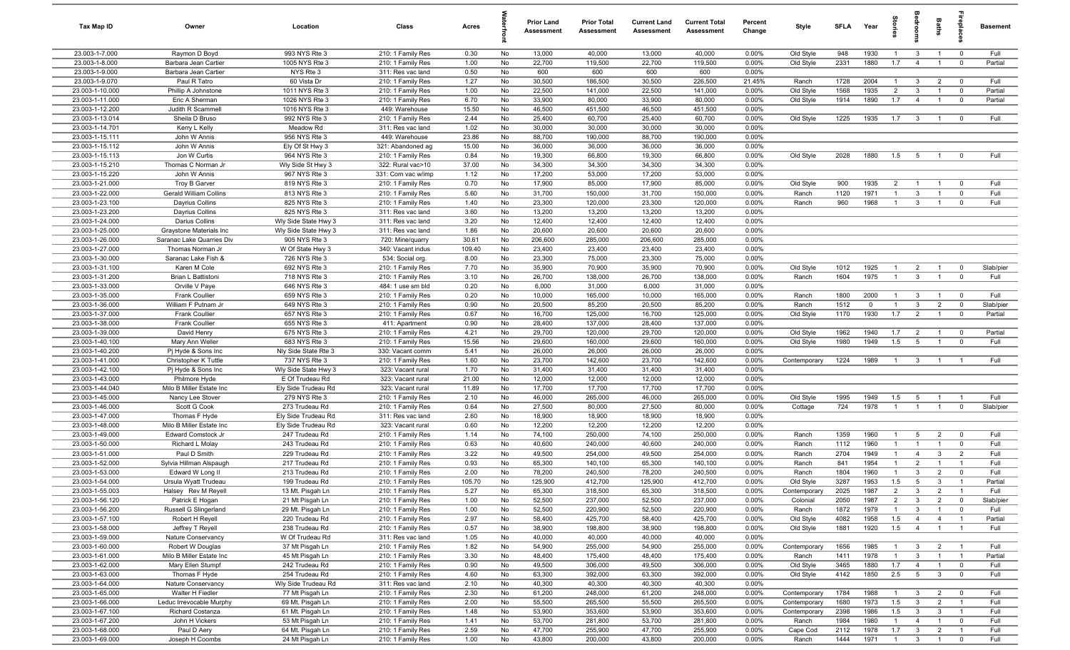| <b>Tax Map ID</b>                  | Owner                                         | Location                               | Class                                  | Acres           |          | <b>Prior Land</b><br>Assessment | <b>Prior Total</b><br><b>Assessment</b> | <b>Current Land</b><br>Assessment | <b>Current Total</b><br><b>Assessment</b> | Percent<br>Change | Style        | <b>SFLA</b> | Year         | tories         | droom                   | Baths                            |                                  | <b>Basement</b> |
|------------------------------------|-----------------------------------------------|----------------------------------------|----------------------------------------|-----------------|----------|---------------------------------|-----------------------------------------|-----------------------------------|-------------------------------------------|-------------------|--------------|-------------|--------------|----------------|-------------------------|----------------------------------|----------------------------------|-----------------|
| 23.003-1-7.000                     | Raymon D Boyd                                 | 993 NYS Rte 3                          | 210: 1 Family Res                      | 0.30            | No       | 13,000                          | 40,000                                  | 13,000                            | 40,000                                    | 0.00%             | Old Style    | 948         | 1930         | $\overline{1}$ | $\mathbf{3}$            | $\mathbf{1}$                     | $\overline{0}$                   | Full            |
| 23.003-1-8.000                     | Barbara Jean Cartier                          | 1005 NYS Rte 3                         | 210: 1 Family Res                      | 1.00            | No       | 22,700                          | 119,500                                 | 22,700                            | 119,500                                   | 0.00%             | Old Style    | 2331        | 1880         | 1.7            | $\overline{4}$          | $\overline{1}$                   | $\overline{0}$                   | Partial         |
| 23.003-1-9.000                     | Barbara Jean Cartier                          | NYS Rte 3                              | 311: Res vac land                      | 0.50            | No       | 600                             | 600                                     | 600                               | 600                                       | 0.00%             |              |             |              |                |                         |                                  |                                  |                 |
| 23.003-1-9.070                     | Paul R Tatro                                  | 60 Vista Dr                            | 210: 1 Family Res                      | 1.27            | No       | 30,500                          | 186,500                                 | 30,500                            | 226,500                                   | 21.45%            | Ranch        | 1728        | 2004         | $\overline{1}$ | $\mathbf{3}$            | $\overline{2}$                   | $\overline{\mathbf{0}}$          | Full            |
| 23.003-1-10.000                    | Phillip A Johnstone                           | 1011 NYS Rte 3                         | 210: 1 Family Res                      | 1.00            | No       | 22,500                          | 141,000                                 | 22,500                            | 141,000                                   | 0.00%             | Old Style    | 1568        | 1935         | $\overline{2}$ | 3                       | $\overline{1}$<br>$\overline{1}$ | $\overline{0}$                   | Partial         |
| 23.003-1-11.000<br>23.003-1-12.200 | Eric A Sherman<br>Judith R Scammell           | 1026 NYS Rte 3<br>1016 NYS Rte 3       | 210: 1 Family Res<br>449: Warehouse    | 6.70<br>15.50   | No<br>No | 33,900<br>46,500                | 80,000<br>451,500                       | 33,900<br>46,500                  | 80,000<br>451,500                         | 0.00%<br>0.00%    | Old Style    | 1914        | 1890         | 1.7            | $\overline{4}$          |                                  | $\overline{0}$                   | Partial         |
| 23.003-1-13.014                    | Sheila D Bruso                                | 992 NYS Rte 3                          | 210: 1 Family Res                      | 2.44            | No       | 25,400                          | 60,700                                  | 25,400                            | 60,700                                    | 0.00%             | Old Style    | 1225        | 1935         | 1.7            | $\overline{\mathbf{3}}$ | $\overline{1}$                   | $\overline{0}$                   | Full            |
| 23.003-1-14.701                    | Kerry L Kelly                                 | Meadow Rd                              | 311: Res vac land                      | 1.02            | No       | 30,000                          | 30,000                                  | 30,000                            | 30,000                                    | 0.00%             |              |             |              |                |                         |                                  |                                  |                 |
| 23.003-1-15.111                    | John W Annis                                  | 956 NYS Rte 3                          | 449: Warehouse                         | 23.86           | No       | 88,700                          | 190,000                                 | 88,700                            | 190,000                                   | 0.00%             |              |             |              |                |                         |                                  |                                  |                 |
| 23.003-1-15.112                    | John W Annis                                  | Ely Of St Hwy 3                        | 321: Abandoned ag                      | 15.00           | No       | 36,000                          | 36,000                                  | 36,000                            | 36,000                                    | 0.00%             |              |             |              |                |                         |                                  |                                  |                 |
| 23.003-1-15.113                    | Jon W Curtis                                  | 964 NYS Rte 3                          | 210: 1 Family Res                      | 0.84            | No       | 19,300                          | 66,800                                  | 19,300                            | 66,800                                    | 0.00%             | Old Style    | 2028        | 1880         | 1.5            | $5^{\circ}$             | $\overline{1}$                   | $\overline{0}$                   | Full            |
| 23.003-1-15.210                    | Thomas C Norman Jr                            | Wly Side St Hwy 3                      | 322: Rural vac>10                      | 37.00           | No       | 34,300                          | 34,300                                  | 34,300                            | 34,300                                    | 0.00%             |              |             |              |                |                         |                                  |                                  |                 |
| 23.003-1-15.220                    | John W Annis                                  | 967 NYS Rte 3                          | 331: Com vac w/imp                     | 1.12            | No       | 17,200                          | 53,000                                  | 17,200                            | 53,000                                    | 0.00%             |              |             |              |                |                         |                                  |                                  |                 |
| 23.003-1-21.000                    | Troy B Garver                                 | 819 NYS Rte 3                          | 210: 1 Family Res                      | 0.70            | No       | 17,900                          | 85,000                                  | 17,900                            | 85,000                                    | 0.00%             | Old Style    | 900         | 1935         | $\overline{2}$ | $\overline{1}$          | $\overline{1}$                   | $\overline{0}$                   | Full            |
| 23.003-1-22.000                    | <b>Gerald William Collins</b>                 | 813 NYS Rte 3                          | 210: 1 Family Res                      | 5.60            | No       | 31,700                          | 150,000                                 | 31,700                            | 150,000                                   | 0.00%             | Ranch        | 1120        | 1971         | $\mathbf{1}$   | $\mathbf{3}$            | $\overline{1}$                   | $\mathbf 0$                      | Full            |
| 23.003-1-23.100                    | Dayrius Collins                               | 825 NYS Rte 3                          | 210: 1 Family Res                      | 1.40            | No       | 23,300                          | 120,000                                 | 23,300                            | 120,000                                   | 0.00%             | Ranch        | 960         | 1968         | $\mathbf{1}$   | 3                       | -1                               | $\mathbf 0$                      | Full            |
| 23.003-1-23.200                    | Dayrius Collins                               | 825 NYS Rte 3                          | 311: Res vac land                      | 3.60            | No       | 13,200                          | 13,200                                  | 13,200                            | 13,200                                    | 0.00%             |              |             |              |                |                         |                                  |                                  |                 |
| 23.003-1-24.000                    | Darius Collins                                | Wly Side State Hwy 3                   | 311: Res vac land                      | 3.20            | No       | 12,400                          | 12,400                                  | 12,400                            | 12,400                                    | 0.00%             |              |             |              |                |                         |                                  |                                  |                 |
| 23.003-1-25.000                    | Graystone Materials Inc                       | Wly Side State Hwy 3                   | 311: Res vac land                      | 1.86            | No       | 20,600                          | 20,600                                  | 20,600                            | 20,600                                    | 0.00%             |              |             |              |                |                         |                                  |                                  |                 |
| 23.003-1-26.000<br>23.003-1-27.000 | Saranac Lake Quarries Div<br>Thomas Norman Jr | 905 NYS Rte 3<br>W Of State Hwy 3      | 720: Mine/quarry<br>340: Vacant indus  | 30.61<br>109.40 | No<br>No | 206,600<br>23,400               | 285,000<br>23,400                       | 206,600<br>23,400                 | 285,000<br>23,400                         | 0.00%<br>0.00%    |              |             |              |                |                         |                                  |                                  |                 |
| 23.003-1-30.000                    | Saranac Lake Fish &                           | 726 NYS Rte 3                          | 534: Social org.                       | 8.00            | No       | 23,300                          | 75,000                                  | 23,300                            | 75,000                                    | 0.00%             |              |             |              |                |                         |                                  |                                  |                 |
| 23.003-1-31.100                    | Karen M Cole                                  | 692 NYS Rte 3                          | 210: 1 Family Res                      | 7.70            | No       | 35,900                          | 70,900                                  | 35,900                            | 70,900                                    | 0.00%             | Old Style    | 1012        | 1925         | $\mathbf{1}$   | $\overline{2}$          | $\overline{1}$                   | $\overline{\mathbf{0}}$          | Slab/pier       |
| 23.003-1-31.200                    | Brian L Battistoni                            | 718 NYS Rte 3                          | 210: 1 Family Res                      | 3.10            | No       | 26,700                          | 138,000                                 | 26,700                            | 138,000                                   | 0.00%             | Ranch        | 1604        | 1975         | $\overline{1}$ | $\mathbf{3}$            | $\overline{1}$                   | $\overline{0}$                   | Full            |
| 23.003-1-33.000                    | Orville V Paye                                | 646 NYS Rte 3                          | 484: 1 use sm bld                      | 0.20            | No       | 6,000                           | 31,000                                  | 6,000                             | 31,000                                    | 0.00%             |              |             |              |                |                         |                                  |                                  |                 |
| 23.003-1-35.000                    | <b>Frank Coullier</b>                         | 659 NYS Rte 3                          | 210: 1 Family Res                      | 0.20            | No       | 10,000                          | 165,000                                 | 10,000                            | 165,000                                   | 0.00%             | Ranch        | 1800        | 2000         | $\overline{1}$ | 3                       | $\overline{1}$                   | $\overline{0}$                   | Full            |
| 23.003-1-36.000                    | William F Putnam Jr                           | 649 NYS Rte 3                          | 210: 1 Family Res                      | 0.90            | No       | 20,500                          | 85,200                                  | 20,500                            | 85,200                                    | 0.00%             | Ranch        | 1512        | $\Omega$     | $\mathbf{1}$   | $\mathbf{3}$            | $\overline{2}$                   | $\mathbf 0$                      | Slab/pier       |
| 23.003-1-37.000                    | <b>Frank Coullier</b>                         | 657 NYS Rte 3                          | 210: 1 Family Res                      | 0.67            | No       | 16,700                          | 125,000                                 | 16,700                            | 125,000                                   | 0.00%             | Old Style    | 1170        | 1930         | 1.7            | $\overline{2}$          | $\overline{1}$                   | $\overline{\mathbf{0}}$          | Partial         |
| 23.003-1-38.000                    | <b>Frank Coullier</b>                         | 655 NYS Rte 3                          | 411: Apartment                         | 0.90            | No       | 28,400                          | 137,000                                 | 28,400                            | 137,000                                   | 0.00%             |              |             |              |                |                         |                                  |                                  |                 |
| 23.003-1-39.000                    | David Henry                                   | 675 NYS Rte 3                          | 210: 1 Family Res                      | 4.21            | No       | 29,700                          | 120,000                                 | 29,700                            | 120,000                                   | 0.00%             | Old Style    | 1962        | 1940         | 1.7            | $\overline{2}$          | $\overline{1}$                   | $\overline{\mathbf{0}}$          | Partial         |
| 23.003-1-40.100                    | Mary Ann Weller                               | 683 NYS Rte 3                          | 210: 1 Family Res                      | 15.56           | No       | 29,600                          | 160,000                                 | 29,600                            | 160,000                                   | 0.00%             | Old Style    | 1980        | 1949         | 1.5            | 5                       | $\overline{1}$                   | $\overline{0}$                   | Full            |
| 23.003-1-40.200                    | Pj Hyde & Sons Inc                            | Nly Side State Rte 3                   | 330: Vacant comm                       | 5.41            | No       | 26,000                          | 26,000                                  | 26,000                            | 26,000                                    | 0.00%             |              |             |              |                |                         |                                  |                                  |                 |
| 23.003-1-41.000                    | Christopher K Tuttle                          | 737 NYS Rte 3                          | 210: 1 Family Res                      | 1.60            | No       | 23,700                          | 142,600                                 | 23,700                            | 142,600                                   | 0.00%             | Contemporary | 1224        | 1989         | $\overline{1}$ | $\mathbf{3}$            | $\overline{1}$                   | $\overline{1}$                   | Full            |
| 23.003-1-42.100<br>23.003-1-43.000 | Pj Hyde & Sons Inc                            | Wly Side State Hwy 3                   | 323: Vacant rural                      | 1.70            | No       | 31,400                          | 31,400                                  | 31,400                            | 31,400                                    | 0.00%             |              |             |              |                |                         |                                  |                                  |                 |
| 23.003-1-44.040                    | Philmore Hyde<br>Milo B Miller Estate Inc     | E Of Trudeau Rd<br>Ely Side Trudeau Rd | 323: Vacant rural                      | 21.00<br>11.89  | No<br>No | 12,000<br>17,700                | 12,000<br>17,700                        | 12,000<br>17,700                  | 12,000<br>17,700                          | 0.00%<br>0.00%    |              |             |              |                |                         |                                  |                                  |                 |
| 23.003-1-45.000                    | Nancy Lee Stover                              | 279 NYS Rte 3                          | 323: Vacant rural<br>210: 1 Family Res | 2.10            | No       | 46,000                          | 265,000                                 | 46,000                            | 265,000                                   | 0.00%             | Old Style    | 1995        | 1949         | 1.5            | 5                       | $\overline{1}$                   | $\overline{1}$                   | Full            |
| 23.003-1-46.000                    | Scott G Cook                                  | 273 Trudeau Rd                         | 210: 1 Family Res                      | 0.64            | No       | 27,500                          | 80,000                                  | 27,500                            | 80,000                                    | 0.00%             | Cottage      | 724         | 1978         | $\overline{1}$ | $\overline{1}$          | $\overline{1}$                   | $\overline{0}$                   | Slab/pier       |
| 23.003-1-47.000                    | Thomas F Hyde                                 | Ely Side Trudeau Rd                    | 311: Res vac land                      | 2.60            | No       | 18,900                          | 18,900                                  | 18,900                            | 18,900                                    | 0.00%             |              |             |              |                |                         |                                  |                                  |                 |
| 23.003-1-48.000                    | Milo B Miller Estate Inc                      | Ely Side Trudeau Rd                    | 323: Vacant rural                      | 0.60            | No       | 12,200                          | 12,200                                  | 12,200                            | 12,200                                    | 0.00%             |              |             |              |                |                         |                                  |                                  |                 |
| 23.003-1-49.000                    | Edward Comstock Jr                            | 247 Trudeau Rd                         | 210: 1 Family Res                      | 1.14            | No       | 74,100                          | 250,000                                 | 74,100                            | 250,000                                   | 0.00%             | Ranch        | 1359        | 1960         | $\overline{1}$ | 5                       | $\overline{2}$                   | $\overline{\mathbf{0}}$          | Full            |
| 23.003-1-50.000                    | Richard L Molay                               | 243 Trudeau Rd                         | 210: 1 Family Res                      | 0.63            | No       | 40,600                          | 240,000                                 | 40,600                            | 240,000                                   | 0.00%             | Ranch        | 1112        | 1960         | $\overline{1}$ | $\overline{1}$          | $\overline{1}$                   | $\overline{0}$                   | Full            |
| 23.003-1-51.000                    | Paul D Smith                                  | 229 Trudeau Rd                         | 210: 1 Family Res                      | 3.22            | No       | 49,500                          | 254,000                                 | 49,500                            | 254,000                                   | 0.00%             | Ranch        | 2704        | 1949         | $\overline{1}$ | $\overline{4}$          | $\mathbf{3}$                     | $\overline{2}$                   | Full            |
| 23.003-1-52.000                    | Sylvia Hillman Alspaugh                       | 217 Trudeau Rd                         | 210: 1 Family Res                      | 0.93            | No       | 65,300                          | 140,100                                 | 65,300                            | 140,100                                   | 0.00%             | Ranch        | 841         | 1954         | $\overline{1}$ | 2                       | $\overline{1}$                   | $\overline{1}$                   | Full            |
| 23.003-1-53.000                    | Edward W Long II                              | 213 Trudeau Rd                         | 210: 1 Family Res                      | 2.00            | No       | 78,200                          | 240,500                                 | 78,200                            | 240,500                                   | 0.00%             | Ranch        | 1804        | 1960         | $\overline{1}$ | $\mathbf{3}$            | $\overline{2}$                   | $\overline{0}$                   | Full            |
| 23.003-1-54.000                    | Ursula Wyatt Trudeau                          | 199 Trudeau Rd                         | 210: 1 Family Res                      | 105.70          | No       | 125,900                         | 412,700                                 | 125,900                           | 412,700                                   | 0.00%             | Old Style    | 3287        | 1953         | 1.5            | -5                      | $\mathbf{3}$                     | $\overline{1}$                   | Partial         |
| 23.003-1-55.003                    | Halsey Rev M Reyell                           | 13 Mt. Pisgah Ln                       | 210: 1 Family Res                      | 5.27            | No       | 65,300                          | 318,500                                 | 65,300                            | 318,500                                   | 0.00%             | Contemporary | 2025        | 1987         | $\overline{2}$ | $\mathbf{3}$            | $\overline{2}$                   | $\overline{1}$                   | Full            |
| 23.003-1-56.120                    | Patrick E Hogan                               | 21 Mt Pisgah Ln                        | 210: 1 Family Res                      | 1.00            | No       | 52,500                          | 237,000                                 | 52,500                            | 237,000                                   | 0.00%             | Colonial     | 2050        | 1987         | $\overline{2}$ | 3                       | $\overline{2}$                   | $\mathbf 0$                      | Slab/pier       |
| 23.003-1-56.200                    | Russell G Slingerland                         | 29 Mt. Pisgah Ln                       | 210: 1 Family Res                      | 1.00            | No       | 52,500                          | 220,900                                 | 52,500                            | 220,900                                   | 0.00%             | Ranch        | 1872        | 1979         | $\overline{1}$ | $\mathbf{3}$            | $\mathbf{1}$                     | $\overline{0}$                   | Full            |
| 23.003-1-57.100                    | Robert H Reyell                               | 220 Trudeau Rd                         | 210: 1 Family Res                      | 2.97            | No       | 58,400<br>38,900                | 425,700                                 | 58,400                            | 425,700                                   | 0.00%             | Old Style    | 4082        | 1958<br>1920 | 1.5<br>1.5     | $\overline{4}$          | $\overline{4}$<br>$\overline{1}$ | $\overline{1}$<br>$\overline{1}$ | Partial<br>Full |
| 23.003-1-58.000<br>23.003-1-59.000 | Jeffrey T Reyell<br>Nature Conservancy        | 238 Trudeau Rd<br>W Of Trudeau Rd      | 210: 1 Family Res<br>311: Res vac land | 0.57<br>1.05    | No<br>No | 40,000                          | 198,800<br>40,000                       | 38,900<br>40,000                  | 198,800<br>40,000                         | 0.00%<br>0.00%    | Old Style    | 1881        |              |                | $\overline{4}$          |                                  |                                  |                 |
| 23.003-1-60.000                    | Robert W Douglas                              | 37 Mt Pisgah Ln                        | 210: 1 Family Res                      | 1.82            | No       | 54,900                          | 255,000                                 | 54,900                            | 255,000                                   | 0.00%             | Contemporary | 1656        | 1985         | $\mathbf{1}$   | 3                       | $\overline{2}$                   | $\overline{1}$                   | Full            |
| 23.003-1-61.000                    | Milo B Miller Estate Inc                      | 45 Mt Pisgah Ln                        | 210: 1 Family Res                      | 3.30            | No       | 48,400                          | 175,400                                 | 48,400                            | 175,400                                   | 0.00%             | Ranch        | 1411        | 1978         | $\overline{1}$ | $\mathbf{3}$            | $\overline{1}$                   | $\overline{1}$                   | Partial         |
| 23.003-1-62.000                    | Mary Ellen Stumpf                             | 242 Trudeau Rd                         | 210: 1 Family Res                      | 0.90            | No       | 49,500                          | 306,000                                 | 49,500                            | 306,000                                   | 0.00%             | Old Style    | 3465        | 1880         | 1.7            | $\overline{4}$          | $\overline{1}$                   | $\overline{0}$                   | Full            |
| 23.003-1-63.000                    | Thomas F Hyde                                 | 254 Trudeau Rd                         | 210: 1 Family Res                      | 4.60            | No       | 63,300                          | 392,000                                 | 63,300                            | 392,000                                   | 0.00%             | Old Style    | 4142        | 1850         | 2.5            | $5\overline{)}$         | $\mathbf{3}$                     | $\overline{0}$                   | Full            |
| 23.003-1-64.000                    | Nature Conservancy                            | Wly Side Trudeau Rd                    | 311: Res vac land                      | 2.10            | No       | 40,300                          | 40,300                                  | 40,300                            | 40,300                                    | 0.00%             |              |             |              |                |                         |                                  |                                  |                 |
| 23.003-1-65.000                    | Walter H Fiedler                              | 77 Mt Pisgah Ln                        | 210: 1 Family Res                      | 2.30            | No       | 61,200                          | 248,000                                 | 61,200                            | 248,000                                   | 0.00%             | Contemporary | 1784        | 1988         | $\overline{1}$ | $\mathbf{3}$            | $\overline{2}$                   | $\overline{\mathbf{0}}$          | Full            |
| 23.003-1-66.000                    | Leduc Irrevocable Murphy                      | 69 Mt. Pisgah Ln                       | 210: 1 Family Res                      | 2.00            | No       | 55,500                          | 265,500                                 | 55,500                            | 265,500                                   | 0.00%             | Contemporary | 1680        | 1973         | 1.5            | $\mathbf{3}$            | $\overline{2}$                   | $\overline{1}$                   | Full            |
| 23.003-1-67.100                    | Richard Costanza                              | 61 Mt. Pisgah Ln                       | 210: 1 Family Res                      | 1.48            | No       | 53,900                          | 353,600                                 | 53,900                            | 353,600                                   | 0.00%             | Contemporary | 2398        | 1986         | 1.5            | $\mathbf{3}$            | $\mathbf{3}$                     | $\overline{1}$                   | Full            |
| 23.003-1-67.200                    | John H Vickers                                | 53 Mt Pisgah Ln                        | 210: 1 Family Res                      | 1.41            | No       | 53,700                          | 281,800                                 | 53,700                            | 281,800                                   | 0.00%             | Ranch        | 1984        | 1980         | $\overline{1}$ | $\overline{4}$          | $\overline{1}$                   | $\overline{0}$                   | Full            |
| 23.003-1-68.000                    | Paul D Aery                                   | 64 Mt. Pisgah Ln                       | 210: 1 Family Res                      | 2.59            | No       | 47,700                          | 255,900                                 | 47,700                            | 255,900                                   | 0.00%             | Cape Cod     | 2112        | 1978         | 1.7            | $\mathbf{3}$            | $\overline{2}$                   | $\overline{1}$                   | Full            |
| 23.003-1-69.000                    | Joseph H Coombs                               | 24 Mt Pisgah Ln                        | 210: 1 Family Res                      | 1.00            | No       | 43,800                          | 200,000                                 | 43,800                            | 200,000                                   | 0.00%             | Ranch        | 1444        | 1971         | $1 -$          | $\overline{\mathbf{3}}$ | $\overline{1}$                   | $\overline{0}$                   | Full            |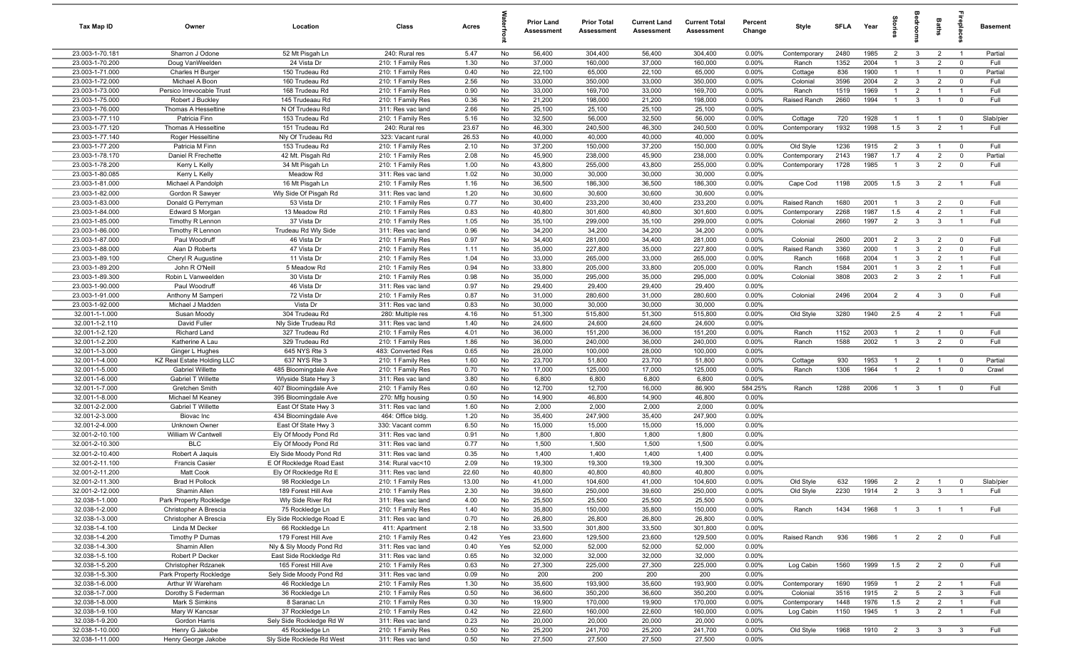| Tax Map ID                         | Owner                                | Location                                     | Class                                  | Acres        |           | <b>Prior Land</b><br>Assessment | <b>Prior Total</b><br><b>Assessment</b> | <b>Current Land</b><br>Assessment | <b>Current Total</b><br><b>Assessment</b> | Percent<br>Change | Style                    | SFLA         | Year         | tories                           | <b>Baths</b><br>droon            | repla                                                                | <b>Basement</b> |
|------------------------------------|--------------------------------------|----------------------------------------------|----------------------------------------|--------------|-----------|---------------------------------|-----------------------------------------|-----------------------------------|-------------------------------------------|-------------------|--------------------------|--------------|--------------|----------------------------------|----------------------------------|----------------------------------------------------------------------|-----------------|
| 23.003-1-70.181                    | Sharron J Odone                      | 52 Mt Pisgah Ln                              | 240: Rural res                         | 5.47         | No        | 56,400                          | 304,400                                 | 56,400                            | 304,400                                   | 0.00%             | Contemporary             | 2480         | 1985         | $\overline{2}$                   | $\mathbf{3}$                     | $\overline{2}$<br>$\overline{1}$                                     | Partial         |
| 23.003-1-70.200                    | Doug VanWeelden                      | 24 Vista Dr                                  | 210: 1 Family Res                      | 1.30         | No        | 37,000                          | 160,000                                 | 37,000                            | 160,000                                   | 0.00%             | Ranch                    | 1352         | 2004         | $\overline{1}$                   | 3                                | $\overline{2}$<br>$\overline{0}$                                     | Full            |
| 23.003-1-71.000                    | Charles H Burger                     | 150 Trudeau Rd                               | 210: 1 Family Res                      | 0.40         | No        | 22,100                          | 65,000                                  | 22,100                            | 65,000                                    | 0.00%             | Cottage                  | 836          | 1900         | $\mathbf{1}$                     | $\overline{1}$                   | $\overline{0}$<br>$\overline{1}$                                     | Partial         |
| 23.003-1-72.000                    | Michael A Boon                       | 160 Trudeau Rd                               | 210: 1 Family Res                      | 2.56         | No        | 33,000                          | 350,000                                 | 33,000                            | 350,000                                   | 0.00%             | Colonial                 | 3596         | 2004         | $\overline{2}$                   | $\mathbf{3}$                     | $\mathbf 0$<br>$\overline{2}$                                        | Full            |
| 23.003-1-73.000                    | Persico Irrevocable Trust            | 168 Trudeau Rd                               | 210: 1 Family Res                      | 0.90         | No        | 33,000                          | 169,700                                 | 33,000                            | 169,700                                   | 0.00%             | Ranch                    | 1519         | 1969         | $\mathbf{1}$                     | $\overline{2}$<br>$\mathbf{1}$   | $\overline{1}$                                                       | Full            |
| 23.003-1-75.000<br>23.003-1-76.000 | Robert J Buckley                     | 145 Trudeaau Rd                              | 210: 1 Family Res                      | 0.36<br>2.66 | No<br>No  | 21,200                          | 198,000                                 | 21,200<br>25,100                  | 198,000<br>25,100                         | 0.00%             | Raised Ranch             | 2660         | 1994         | $\overline{1}$                   | $\mathbf{3}$<br>$\mathbf{1}$     | $\overline{0}$                                                       | Full            |
| 23.003-1-77.110                    | Thomas A Hesseltine<br>Patricia Finn | N Of Trudeau Rd<br>153 Trudeau Rd            | 311: Res vac land<br>210: 1 Family Res | 5.16         | No        | 25,100<br>32,500                | 25,100<br>56,000                        | 32,500                            | 56,000                                    | 0.00%<br>0.00%    | Cottage                  | 720          | 1928         | $\overline{1}$                   | $\overline{1}$<br>$\overline{1}$ | $\overline{0}$                                                       | Slab/pier       |
| 23.003-1-77.120                    | Thomas A Hesseltine                  | 151 Trudeau Rd                               | 240: Rural res                         | 23.67        | No        | 46,300                          | 240,500                                 | 46,300                            | 240,500                                   | 0.00%             | Contemporary             | 1932         | 1998         | 1.5                              | $\overline{3}$                   | $\overline{2}$<br>$\overline{1}$                                     | Full            |
| 23.003-1-77.140                    | Roger Hesseltine                     | Nly Of Trudeau Rd                            | 323: Vacant rural                      | 26.53        | No        | 40,000                          | 40,000                                  | 40,000                            | 40,000                                    | 0.00%             |                          |              |              |                                  |                                  |                                                                      |                 |
| 23.003-1-77.200                    | Patricia M Finn                      | 153 Trudeau Rd                               | 210: 1 Family Res                      | 2.10         | No        | 37,200                          | 150,000                                 | 37,200                            | 150,000                                   | 0.00%             | Old Style                | 1236         | 1915         | $\overline{2}$                   | 3                                | $\overline{0}$<br>$\overline{1}$                                     | Full            |
| 23.003-1-78.170                    | Daniel R Frechette                   | 42 Mt. Pisgah Rd                             | 210: 1 Family Res                      | 2.08         | No        | 45,900                          | 238,000                                 | 45,900                            | 238,000                                   | 0.00%             | Contemporary             | 2143         | 1987         | 1.7                              | $\overline{4}$                   | $\overline{0}$<br>$\overline{2}$                                     | Partial         |
| 23.003-1-78.200                    | Kerry L Kelly                        | 34 Mt Pisgah Ln                              | 210: 1 Family Res                      | 1.00         | No        | 43,800                          | 255,000                                 | 43,800                            | 255,000                                   | 0.00%             | Contemporary             | 1728         | 1985         | $\overline{1}$                   | $\mathbf{3}$                     | $\overline{2}$<br>$\overline{0}$                                     | Full            |
| 23.003-1-80.085                    | Kerry L Kelly                        | Meadow Rd                                    | 311: Res vac land                      | 1.02         | No        | 30,000                          | 30,000                                  | 30,000                            | 30,000                                    | 0.00%             |                          |              |              |                                  |                                  |                                                                      |                 |
| 23.003-1-81.000                    | Michael A Pandolph                   | 16 Mt Pisgah Ln                              | 210: 1 Family Res                      | 1.16         | No        | 36,500                          | 186,300                                 | 36,500                            | 186,300                                   | 0.00%             | Cape Cod                 | 1198         | 2005         | 1.5                              | $\overline{3}$                   | $\overline{2}$<br>$\overline{1}$                                     | Full            |
| 23.003-1-82.000                    | Gordon R Sawyer                      | Wly Side Of Pisgah Rd                        | 311: Res vac land                      | 1.20         | No        | 30,600                          | 30,600                                  | 30,600                            | 30,600                                    | 0.00%             |                          |              |              |                                  |                                  |                                                                      |                 |
| 23.003-1-83.000                    | Donald G Perryman                    | 53 Vista Dr                                  | 210: 1 Family Res                      | 0.77         | No        | 30,400                          | 233,200                                 | 30,400                            | 233,200                                   | 0.00%             | Raised Ranch             | 1680         | 2001         | $\mathbf{1}$                     | 3                                | $\overline{0}$<br>$\overline{2}$                                     | Full            |
| 23.003-1-84.000                    | Edward S Morgan                      | 13 Meadow Rd                                 | 210: 1 Family Res                      | 0.83         | No        | 40,800                          | 301,600                                 | 40,800                            | 301,600                                   | 0.00%             | Contemporary             | 2268         | 1987         | 1.5                              | $\overline{4}$                   | $\overline{2}$<br>$\overline{1}$                                     | Full            |
| 23.003-1-85.000                    | Timothy R Lennon                     | 37 Vista Dr                                  | 210: 1 Family Res                      | 1.05         | No        | 35,100                          | 299,000                                 | 35,100                            | 299,000                                   | 0.00%             | Colonial                 | 2660         | 1997         | $\overline{2}$                   | $\mathbf{3}$                     | 3<br>$\overline{1}$                                                  | Full            |
| 23.003-1-86.000                    | Timothy R Lennon                     | Trudeau Rd Wly Side                          | 311: Res vac land                      | 0.96         | No        | 34,200                          | 34,200                                  | 34,200                            | 34,200                                    | 0.00%             |                          |              |              |                                  |                                  |                                                                      |                 |
| 23.003-1-87.000<br>23.003-1-88.000 | Paul Woodruff<br>Alan D Roberts      | 46 Vista Dr<br>47 Vista Dr                   | 210: 1 Family Res<br>210: 1 Family Res | 0.97<br>1.11 | No<br>No  | 34,400<br>35,000                | 281,000<br>227,800                      | 34,400<br>35,000                  | 281,000<br>227,800                        | 0.00%<br>0.00%    | Colonial<br>Raised Ranch | 2600<br>3360 | 2001<br>2000 | $\overline{2}$<br>$\overline{1}$ | $\mathbf{3}$<br>3                | $\overline{2}$<br>$\overline{0}$<br>$\overline{2}$<br>$\overline{0}$ | Full<br>Full    |
| 23.003-1-89.100                    | Cheryl R Augustine                   | 11 Vista Dr                                  | 210: 1 Family Res                      | 1.04         | No        | 33,000                          | 265,000                                 | 33,000                            | 265,000                                   | 0.00%             | Ranch                    | 1668         | 2004         | $\overline{1}$                   | 3                                | $\overline{2}$<br>$\overline{1}$                                     | Full            |
| 23.003-1-89.200                    | John R O'Neill                       | 5 Meadow Rd                                  | 210: 1 Family Res                      | 0.94         | No        | 33,800                          | 205,000                                 | 33,800                            | 205,000                                   | 0.00%             | Ranch                    | 1584         | 2001         | $\overline{1}$                   | $\mathbf{3}$                     | $\overline{2}$<br>$\overline{1}$                                     | Full            |
| 23.003-1-89.300                    | Robin L Vanweelden                   | 30 Vista Dr                                  | 210: 1 Family Res                      | 0.98         | No        | 35,000                          | 295,000                                 | 35,000                            | 295,000                                   | 0.00%             | Colonial                 | 3808         | 2003         | 2                                | $\mathbf{3}$                     | $\overline{2}$<br>$\overline{1}$                                     | Full            |
| 23.003-1-90.000                    | Paul Woodruff                        | 46 Vista Dr                                  | 311: Res vac land                      | 0.97         | No        | 29,400                          | 29,400                                  | 29,400                            | 29,400                                    | 0.00%             |                          |              |              |                                  |                                  |                                                                      |                 |
| 23.003-1-91.000                    | Anthony M Samperi                    | 72 Vista Dr                                  | 210: 1 Family Res                      | 0.87         | No        | 31,000                          | 280,600                                 | 31,000                            | 280,600                                   | 0.00%             | Colonial                 | 2496         | 2004         | $\overline{2}$                   | $\overline{4}$                   | 3 <sup>3</sup><br>$\overline{0}$                                     | Full            |
| 23.003-1-92.000                    | Michael J Madden                     | Vista Dr                                     | 311: Res vac land                      | 0.83         | No        | 30,000                          | 30,000                                  | 30,000                            | 30,000                                    | 0.00%             |                          |              |              |                                  |                                  |                                                                      |                 |
| 32.001-1-1.000                     | Susan Moody                          | 304 Trudeau Rd                               | 280: Multiple res                      | 4.16         | No        | 51,300                          | 515,800                                 | 51,300                            | 515,800                                   | 0.00%             | Old Style                | 3280         | 1940         | 2.5                              | $\overline{4}$                   | $\overline{2}$<br>$\overline{1}$                                     | Full            |
| 32.001-1-2.110                     | David Fuller                         | Nly Side Trudeau Rd                          | 311: Res vac land                      | 1.40         | No        | 24,600                          | 24,600                                  | 24,600                            | 24,600                                    | 0.00%             |                          |              |              |                                  |                                  |                                                                      |                 |
| 32.001-1-2.120                     | Richard Land                         | 327 Trudeau Rd                               | 210: 1 Family Res                      | 4.01         | No        | 36,000                          | 151,200                                 | 36,000                            | 151,200                                   | 0.00%             | Ranch                    | 1152         | 2003         | $\overline{1}$                   | $\overline{2}$                   | $\overline{\mathbf{0}}$<br>$\overline{1}$                            | Full            |
| 32.001-1-2.200                     | Katherine A Lau                      | 329 Trudeau Rd                               | 210: 1 Family Res                      | 1.86         | No        | 36,000                          | 240,000                                 | 36,000                            | 240,000                                   | 0.00%             | Ranch                    | 1588         | 2002         | $\overline{1}$                   | $\mathbf{3}$                     | $\overline{2}$<br>$\overline{0}$                                     | Full            |
| 32.001-1-3.000                     | Ginger L Hughes                      | 645 NYS Rte 3                                | 483: Converted Res                     | 0.65         | No        | 28,000                          | 100,000                                 | 28,000                            | 100,000                                   | 0.00%             |                          |              |              |                                  |                                  |                                                                      |                 |
| 32.001-1-4.000                     | KZ Real Estate Holding LLC           | 637 NYS Rte 3                                | 210: 1 Family Res                      | 1.60         | No        | 23,700                          | 51,800                                  | 23,700                            | 51,800                                    | 0.00%             | Cottage                  | 930          | 1953         | $\overline{1}$                   | $\overline{2}$<br>$\overline{1}$ | $\overline{0}$                                                       | Partial         |
| 32.001-1-5.000                     | <b>Gabriel Willette</b>              | 485 Bloomingdale Ave                         | 210: 1 Family Res                      | 0.70         | No        | 17,000                          | 125,000                                 | 17,000                            | 125,000                                   | 0.00%             | Ranch                    | 1306         | 1964         | $\overline{1}$                   | $\overline{2}$                   | $\overline{0}$<br>$\overline{1}$                                     | Crawl           |
| 32.001-1-6.000<br>32.001-1-7.000   | Gabriel T Willette                   | Wlyside State Hwy 3                          | 311: Res vac land<br>210: 1 Family Res | 3.80<br>0.60 | No<br>No  | 6,800                           | 6,800<br>12,700                         | 6,800<br>16,000                   | 6,800<br>86,900                           | 0.00%<br>584.25%  | Ranch                    | 1288         | 2006         | $\overline{1}$                   | 3                                | $\Omega$<br>$\overline{1}$                                           | Full            |
| 32.001-1-8.000                     | Gretchen Smith<br>Michael M Keaney   | 407 Bloomingdale Ave<br>395 Bloomingdale Ave | 270: Mfg housing                       | 0.50         | No        | 12,700<br>14,900                | 46,800                                  | 14,900                            | 46,800                                    | 0.00%             |                          |              |              |                                  |                                  |                                                                      |                 |
| 32.001-2-2.000                     | Gabriel T Willette                   | East Of State Hwy 3                          | 311: Res vac land                      | 1.60         | No        | 2,000                           | 2,000                                   | 2,000                             | 2,000                                     | 0.00%             |                          |              |              |                                  |                                  |                                                                      |                 |
| 32.001-2-3.000                     | Biovac Inc                           | 434 Bloomingdale Ave                         | 464: Office bldg.                      | 1.20         | No        | 35,400                          | 247,900                                 | 35,400                            | 247,900                                   | 0.00%             |                          |              |              |                                  |                                  |                                                                      |                 |
| 32.001-2-4.000                     | Unknown Owner                        | East Of State Hwy 3                          | 330: Vacant comm                       | 6.50         | No        | 15,000                          | 15,000                                  | 15,000                            | 15,000                                    | 0.00%             |                          |              |              |                                  |                                  |                                                                      |                 |
| 32.001-2-10.100                    | William W Cantwell                   | Ely Of Moody Pond Rd                         | 311: Res vac land                      | 0.91         | No        | 1,800                           | 1,800                                   | 1,800                             | 1,800                                     | 0.00%             |                          |              |              |                                  |                                  |                                                                      |                 |
| 32.001-2-10.300                    | <b>BLC</b>                           | Ely Of Moody Pond Rd                         | 311: Res vac land                      | 0.77         | No        | 1,500                           | 1,500                                   | 1,500                             | 1,500                                     | 0.00%             |                          |              |              |                                  |                                  |                                                                      |                 |
| 32.001-2-10.400                    | Robert A Jaquis                      | Ely Side Moody Pond Rd                       | 311: Res vac land                      | 0.35         | No        | 1,400                           | 1,400                                   | 1,400                             | 1,400                                     | 0.00%             |                          |              |              |                                  |                                  |                                                                      |                 |
| 32.001-2-11.100                    | <b>Francis Casier</b>                | E Of Rockledge Road East                     | 314: Rural vac<10                      | 2.09         | No        | 19,300                          | 19,300                                  | 19,300                            | 19,300                                    | 0.00%             |                          |              |              |                                  |                                  |                                                                      |                 |
| 32.001-2-11.200                    | Matt Cook                            | Ely Of Rockledge Rd E                        | 311: Res vac land                      | 22.60        | No        | 40,800                          | 40,800                                  | 40,800                            | 40,800                                    | 0.00%             |                          |              |              |                                  |                                  |                                                                      |                 |
| 32.001-2-11.300                    | <b>Brad H Pollock</b>                | 98 Rockledge Ln                              | 210: 1 Family Res                      | 13.00        | No        | 41,000                          | 104,600                                 | 41,000                            | 104,600                                   | 0.00%             | Old Style                | 632          | 1996         | $\overline{2}$                   | $\overline{2}$                   |                                                                      | Slab/pier       |
| 32.001-2-12.000                    | Shamin Allen                         | 189 Forest Hill Ave                          | 210: 1 Family Res                      | 2.30         | No        | 39,600                          | 250,000                                 | 39,600                            | 250,000                                   | 0.00%             | Old Style                | 2230         | 1914         | $\overline{2}$                   | $\overline{3}$                   | $\mathbf{3}$<br>$\overline{1}$                                       | Full            |
| 32.038-1-1.000                     | Park Property Rockledge              | Wly Side River Rd                            | 311: Res vac land                      | 4.00         | No        | 25,500                          | 25,500                                  | 25,500                            | 25,500                                    | 0.00%             |                          |              |              |                                  |                                  |                                                                      |                 |
| 32.038-1-2.000                     | Christopher A Brescia                | 75 Rockledge Ln                              | 210: 1 Family Res                      | 1.40         | No        | 35,800                          | 150,000                                 | 35,800                            | 150,000                                   | 0.00%             | Ranch                    | 1434         | 1968         | $\overline{1}$                   | $\mathbf{3}$                     | $\overline{1}$<br>$\overline{1}$                                     | Full            |
| 32.038-1-3.000                     | Christopher A Brescia                | Ely Side Rockledge Road E                    | 311: Res vac land                      | 0.70         | No        | 26,800                          | 26,800                                  | 26,800                            | 26,800                                    | 0.00%             |                          |              |              |                                  |                                  |                                                                      |                 |
| 32.038-1-4.100<br>32.038-1-4.200   | Linda M Decker<br>Timothy P Dumas    | 66 Rockledge Ln<br>179 Forest Hill Ave       | 411: Apartment<br>210: 1 Family Res    | 2.18<br>0.42 | No<br>Yes | 33,500<br>23,600                | 301,800<br>129,500                      | 33,500<br>23,600                  | 301,800<br>129,500                        | 0.00%<br>0.00%    | Raised Ranch             | 936          | 1986         | $\mathbf{1}$                     | $\overline{2}$                   | $\overline{2}$<br>$\overline{0}$                                     | Full            |
| 32.038-1-4.300                     | Shamin Allen                         | Nly & Sly Moody Pond Rd                      | 311: Res vac land                      | 0.40         | Yes       | 52,000                          | 52,000                                  | 52,000                            | 52,000                                    | 0.00%             |                          |              |              |                                  |                                  |                                                                      |                 |
| 32.038-1-5.100                     | Robert P Decker                      | East Side Rockledge Rd                       | 311: Res vac land                      | 0.65         | No        | 32,000                          | 32,000                                  | 32,000                            | 32,000                                    | 0.00%             |                          |              |              |                                  |                                  |                                                                      |                 |
| 32.038-1-5.200                     | Christopher Rdzanek                  | 165 Forest Hill Ave                          | 210: 1 Family Res                      | 0.63         | No        | 27,300                          | 225,000                                 | 27,300                            | 225,000                                   | 0.00%             | Log Cabin                | 1560         | 1999         | 1.5                              | $\overline{2}$                   | $\overline{2}$<br>$\overline{0}$                                     | Full            |
| 32.038-1-5.300                     | Park Property Rockledge              | Sely Side Moody Pond Rd                      | 311: Res vac land                      | 0.09         | No        | 200                             | 200                                     | 200                               | 200                                       | 0.00%             |                          |              |              |                                  |                                  |                                                                      |                 |
| 32.038-1-6.000                     | Arthur W Wareham                     | 46 Rockledge Ln                              | 210: 1 Family Res                      | 1.30         | No        | 35,600                          | 193,900                                 | 35,600                            | 193,900                                   | 0.00%             | Contemporary             | 1690         | 1959         | $\overline{1}$                   | $\overline{2}$                   | $\overline{2}$<br>$\overline{1}$                                     | Full            |
| 32.038-1-7.000                     | Dorothy S Federman                   | 36 Rockledge Ln                              | 210: 1 Family Res                      | 0.50         | No        | 36,600                          | 350,200                                 | 36,600                            | 350,200                                   | 0.00%             | Colonial                 | 3516         | 1915         | 2                                | 5                                | $\overline{2}$<br>$\mathbf{3}$                                       | Full            |
| 32.038-1-8.000                     | Mark S Simkins                       | 8 Saranac Ln                                 | 210: 1 Family Res                      | 0.30         | No        | 19,900                          | 170,000                                 | 19,900                            | 170,000                                   | 0.00%             | Contemporary             | 1448         | 1976         | 1.5                              | $\overline{2}$                   | $\overline{2}$<br>$\overline{1}$                                     | Full            |
| 32.038-1-9.100                     | Mary W Kancsar                       | 37 Rockledge Ln                              | 210: 1 Family Res                      | 0.42         | No        | 22,600                          | 160,000                                 | 22,600                            | 160,000                                   | 0.00%             | Log Cabin                | 1150         | 1945         | $\overline{1}$                   | $\mathbf{3}$                     | $\overline{2}$<br>$\overline{1}$                                     | Full            |
| 32.038-1-9.200                     | Gordon Harris                        | Sely Side Rockledge Rd W                     | 311: Res vac land                      | 0.23         | No        | 20,000                          | 20,000                                  | 20,000                            | 20,000                                    | 0.00%             |                          |              |              |                                  |                                  |                                                                      |                 |
| 32.038-1-10.000                    | Henry G Jakobe                       | 45 Rockledge Ln                              | 210: 1 Family Res                      | 0.50         | No        | 25,200                          | 241,700                                 | 25,200                            | 241,700                                   | 0.00%             | Old Style                | 1968         | 1910         | $\overline{2}$                   | $\overline{\mathbf{3}}$          | $\mathbf{3}$<br>$\mathbf{3}$                                         | Full            |
| 32.038-1-11.000                    | Henry George Jakobe                  | Sly Side Rocklede Rd West                    | 311: Res vac land                      | 0.50         | No        | 27,500                          | 27,500                                  | 27,500                            | 27,500                                    | 0.00%             |                          |              |              |                                  |                                  |                                                                      |                 |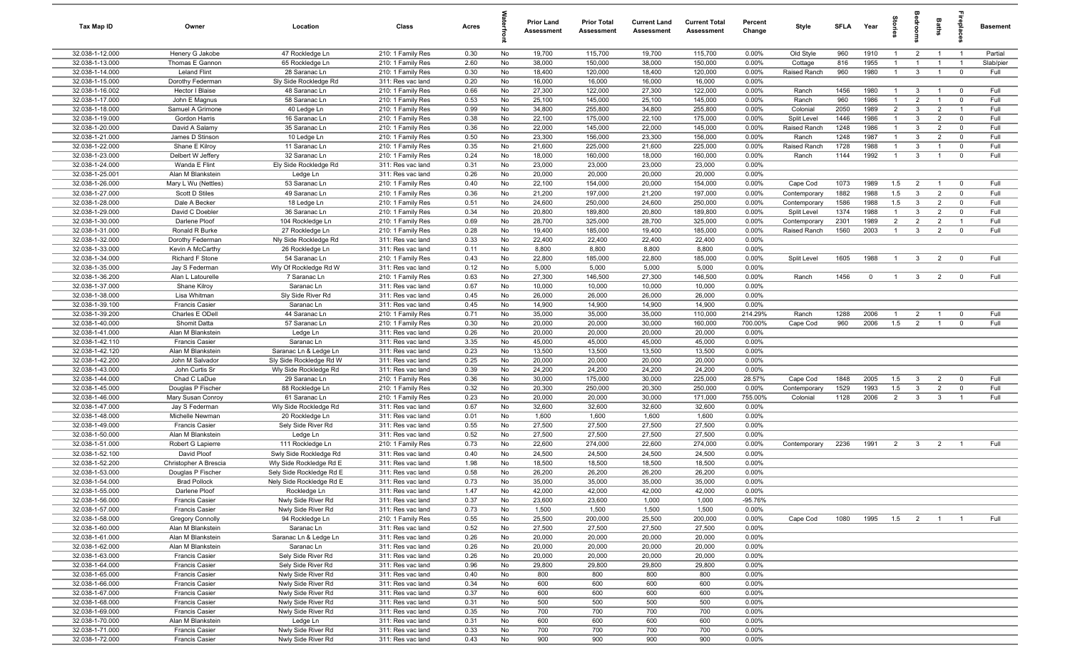| <b>Tax Map ID</b>                  | Owner                                          | Location                                          | Class                                  | Acres        |          | <b>Prior Land</b><br>Assessment | <b>Prior Total</b><br>Assessment | <b>Current Land</b><br><b>Assessment</b> | <b>Current Total</b><br><b>Assessment</b> | Percent<br>Change | Style                        | <b>SFLA</b>  | Year         | g<br>=                           | å                              | <b>Baths</b>                     | lebia                            | <b>Basement</b> |
|------------------------------------|------------------------------------------------|---------------------------------------------------|----------------------------------------|--------------|----------|---------------------------------|----------------------------------|------------------------------------------|-------------------------------------------|-------------------|------------------------------|--------------|--------------|----------------------------------|--------------------------------|----------------------------------|----------------------------------|-----------------|
| 32.038-1-12.000                    | Henery G Jakobe                                | 47 Rockledge Ln                                   | 210: 1 Family Res                      | 0.30         | No       | 19,700                          | 115,700                          | 19,700                                   | 115,700                                   | 0.00%             | Old Style                    | 960          | 1910         | $\overline{1}$                   | $\overline{2}$                 | $\overline{1}$                   | $\overline{1}$                   | Partial         |
| 32.038-1-13.000                    | Thomas E Gannon                                | 65 Rockledge Ln                                   | 210: 1 Family Res                      | 2.60         | No       | 38,000                          | 150,000                          | 38,000                                   | 150,000                                   | 0.00%             | Cottage                      | 816          | 1955         | $\overline{1}$                   | $\overline{1}$                 | $\overline{1}$                   | $\overline{1}$                   | Slab/pier       |
| 32.038-1-14.000                    | <b>Leland Flint</b>                            | 28 Saranac Ln                                     | 210: 1 Family Res                      | 0.30         | No       | 18,400                          | 120,000                          | 18,400                                   | 120,000                                   | 0.00%             | Raised Ranch                 | 960          | 1980         | $\overline{1}$                   | $\mathbf{3}$                   | $\overline{1}$                   | $\overline{0}$                   | Full            |
| 32.038-1-15.000                    | Dorothy Federman                               | Sly Side Rockledge Rd                             | 311: Res vac land                      | 0.20         | No       | 16,000                          | 16,000                           | 16,000                                   | 16,000                                    | 0.00%             |                              |              |              |                                  |                                |                                  |                                  |                 |
| 32.038-1-16.002                    | Hector I Blaise                                | 48 Saranac Ln                                     | 210: 1 Family Res                      | 0.66         | No       | 27,300                          | 122,000                          | 27,300                                   | 122,000                                   | 0.00%             | Ranch                        | 1456         | 1980         | $\overline{1}$                   | $\mathbf{3}$                   | $\overline{1}$                   | $\overline{\mathbf{0}}$          | Full            |
| 32.038-1-17.000<br>32.038-1-18.000 | John E Magnus<br>Samuel A Grimone              | 58 Saranac Ln                                     | 210: 1 Family Res                      | 0.53<br>0.99 | No<br>No | 25,100<br>34,800                | 145,000<br>255,800               | 25,100<br>34,800                         | 145,000<br>255,800                        | 0.00%<br>0.00%    | Ranch<br>Colonia             | 960<br>2050  | 1986<br>1989 | $\overline{1}$<br>$\overline{2}$ | $\overline{2}$<br>$\mathbf{3}$ | $\mathbf{1}$<br>2                | $\overline{0}$<br>$\overline{1}$ | Full<br>Full    |
| 32.038-1-19.000                    | Gordon Harris                                  | 40 Ledge Ln<br>16 Saranac Ln                      | 210: 1 Family Res<br>210: 1 Family Res | 0.38         | No       | 22,100                          | 175,000                          | 22,100                                   | 175,000                                   | 0.00%             | Split Level                  | 1446         | 1986         | $\overline{1}$                   | $\mathbf{3}$                   | $\overline{2}$                   | $\overline{0}$                   | Full            |
| 32.038-1-20.000                    | David A Salamy                                 | 35 Saranac Ln                                     | 210: 1 Family Res                      | 0.36         | No       | 22,000                          | 145,000                          | 22,000                                   | 145,000                                   | 0.00%             | Raised Ranch                 | 1248         | 1986         | $\overline{1}$                   | $\mathbf{3}$                   | $\overline{2}$                   | $\overline{0}$                   | Full            |
| 32.038-1-21.000                    | James D Stinson                                | 10 Ledge Ln                                       | 210: 1 Family Res                      | 0.50         | No       | 23,300                          | 156,000                          | 23,300                                   | 156,000                                   | 0.00%             | Ranch                        | 1248         | 1987         | $\overline{1}$                   | $\mathbf{3}$                   | 2                                | $\overline{0}$                   | Full            |
| 32.038-1-22.000                    | Shane E Kilroy                                 | 11 Saranac Ln                                     | 210: 1 Family Res                      | 0.35         | No       | 21,600                          | 225,000                          | 21,600                                   | 225,000                                   | 0.00%             | Raised Ranch                 | 1728         | 1988         | $\overline{1}$                   | $\mathbf{3}$                   | -1                               | $\overline{\mathbf{0}}$          | Full            |
| 32.038-1-23.000                    | Delbert W Jeffery                              | 32 Saranac Ln                                     | 210: 1 Family Res                      | 0.24         | No       | 18,000                          | 160,000                          | 18,000                                   | 160,000                                   | 0.00%             | Ranch                        | 1144         | 1992         | $\overline{1}$                   | $\mathbf{3}$                   | $\overline{1}$                   | $\mathbf 0$                      | Full            |
| 32.038-1-24.000                    | Wanda E Flint                                  | Ely Side Rockledge Rd                             | 311: Res vac land                      | 0.31         | No       | 23,000                          | 23,000                           | 23,000                                   | 23,000                                    | 0.00%             |                              |              |              |                                  |                                |                                  |                                  |                 |
| 32.038-1-25.001                    | Alan M Blankstein                              | Ledge Ln                                          | 311: Res vac land                      | 0.26         | No       | 20,000                          | 20,000                           | 20,000                                   | 20,000                                    | 0.00%             |                              |              |              |                                  |                                |                                  |                                  |                 |
| 32.038-1-26.000                    | Mary L Wu (Nettles)                            | 53 Saranac Ln                                     | 210: 1 Family Res                      | 0.40         | No       | 22,100                          | 154,000                          | 20,000                                   | 154,000                                   | 0.00%             | Cape Cod                     | 1073         | 1989         | 1.5                              | $\overline{2}$                 | $\overline{1}$                   | $\overline{0}$                   | Full            |
| 32.038-1-27.000                    | Scott D Stiles                                 | 49 Saranac Ln                                     | 210: 1 Family Res                      | 0.36         | No       | 21,200                          | 197,000                          | 21,200                                   | 197,000                                   | 0.00%             | Contemporary                 | 1882         | 1988         | 1.5                              | $\mathbf{3}$                   | $\overline{2}$                   | $\mathbf 0$                      | Full            |
| 32.038-1-28.000                    | Dale A Becker                                  | 18 Ledge Ln                                       | 210: 1 Family Res                      | 0.51         | No       | 24,600                          | 250,000                          | 24,600                                   | 250,000                                   | 0.00%             | Contemporary                 | 1586         | 1988         | 1.5                              | $\mathbf{3}$                   | $\overline{2}$                   | $^{\circ}$                       | Full            |
| 32.038-1-29.000                    | David C Doebler                                | 36 Saranac Ln                                     | 210: 1 Family Res                      | 0.34         | No       | 20,800                          | 189,800                          | 20,800                                   | 189,800                                   | 0.00%             | Split Level                  | 1374         | 1988         | $\mathbf{1}$                     | $\mathbf{3}$                   | $\overline{2}$                   | $\overline{0}$                   | Full            |
| 32.038-1-30.000<br>32.038-1-31.000 | Darlene Ploof<br>Ronald R Burke                | 104 Rockledge Ln<br>27 Rockledge Ln               | 210: 1 Family Res<br>210: 1 Family Res | 0.69<br>0.28 | No<br>No | 28,700<br>19,400                | 325,000<br>185,000               | 28,700<br>19,400                         | 325,000<br>185,000                        | 0.00%<br>0.00%    | Contemporary<br>Raised Ranch | 2301<br>1560 | 1989<br>2003 | $\overline{2}$<br>$\overline{1}$ | $\overline{2}$<br>$\mathbf{3}$ | $\overline{2}$<br>$\overline{2}$ | $\overline{1}$<br>$\overline{0}$ | Full<br>Full    |
| 32.038-1-32.000                    | Dorothy Federman                               | Nly Side Rockledge Rd                             | 311: Res vac land                      | 0.33         | No       | 22,400                          | 22,400                           | 22,400                                   | 22,400                                    | 0.00%             |                              |              |              |                                  |                                |                                  |                                  |                 |
| 32.038-1-33.000                    | Kevin A McCarthy                               | 26 Rockledge Ln                                   | 311: Res vac land                      | 0.11         | No       | 8,800                           | 8,800                            | 8,800                                    | 8,800                                     | 0.00%             |                              |              |              |                                  |                                |                                  |                                  |                 |
| 32.038-1-34.000                    | Richard F Stone                                | 54 Saranac Ln                                     | 210: 1 Family Res                      | 0.43         | No       | 22,800                          | 185,000                          | 22,800                                   | 185,000                                   | 0.00%             | Split Level                  | 1605         | 1988         | $\overline{1}$                   | $\mathbf{3}$                   | $\overline{2}$                   | $\overline{0}$                   | Full            |
| 32.038-1-35.000                    | Jay S Federman                                 | Wly Of Rockledge Rd W                             | 311: Res vac land                      | 0.12         | No       | 5,000                           | 5,000                            | 5,000                                    | 5,000                                     | 0.00%             |                              |              |              |                                  |                                |                                  |                                  |                 |
| 32.038-1-36.200                    | Alan L Latourelle                              | 7 Saranac Ln                                      | 210: 1 Family Res                      | 0.63         | No       | 27,300                          | 146,500                          | 27,300                                   | 146,500                                   | 0.00%             | Ranch                        | 1456         | $\mathbf 0$  | $\overline{1}$                   | $\mathbf{3}$                   | $\overline{2}$                   | $\overline{0}$                   | Full            |
| 32.038-1-37.000                    | Shane Kilroy                                   | Saranac Ln                                        | 311: Res vac land                      | 0.67         | No       | 10,000                          | 10,000                           | 10,000                                   | 10,000                                    | 0.00%             |                              |              |              |                                  |                                |                                  |                                  |                 |
| 32.038-1-38.000                    | Lisa Whitman                                   | Sly Side River Rd                                 | 311: Res vac land                      | 0.45         | No       | 26,000                          | 26,000                           | 26,000                                   | 26,000                                    | 0.00%             |                              |              |              |                                  |                                |                                  |                                  |                 |
| 32.038-1-39.100                    | <b>Francis Casier</b>                          | Saranac Ln                                        | 311: Res vac land                      | 0.45         | No       | 14,900                          | 14,900                           | 14,900                                   | 14,900                                    | 0.00%             |                              |              |              |                                  |                                |                                  |                                  |                 |
| 32.038-1-39.200                    | Charles E ODell                                | 44 Saranac Ln                                     | 210: 1 Family Res                      | 0.71         | No       | 35,000                          | 35,000                           | 35,000                                   | 110,000                                   | 214.29%           | Ranch                        | 1288         | 2006         | $\mathbf{1}$                     | $\overline{2}$                 | $\overline{1}$                   | $\overline{0}$                   | Full            |
| 32.038-1-40.000                    | Shomit Datta                                   | 57 Saranac Ln                                     | 210: 1 Family Res                      | 0.30         | No       | 20,000                          | 20,000                           | 30,000                                   | 160,000                                   | 700.00%           | Cape Cod                     | 960          | 2006         | 1.5                              | $\overline{2}$                 |                                  | $^{\circ}$                       | Full            |
| 32.038-1-41.000                    | Alan M Blankstein                              | Ledge Ln                                          | 311: Res vac land                      | 0.26         | No       | 20,000                          | 20,000                           | 20,000                                   | 20,000                                    | 0.00%             |                              |              |              |                                  |                                |                                  |                                  |                 |
| 32.038-1-42.110<br>32.038-1-42.120 | <b>Francis Casier</b><br>Alan M Blankstein     | Saranac Ln<br>Saranac Ln & Ledge Ln               | 311: Res vac land<br>311: Res vac land | 3.35<br>0.23 | No<br>No | 45,000<br>13,500                | 45,000<br>13,500                 | 45,000<br>13,500                         | 45,000<br>13,500                          | 0.00%<br>0.00%    |                              |              |              |                                  |                                |                                  |                                  |                 |
| 32.038-1-42.200                    | John M Salvador                                | Sly Side Rockledge Rd W                           | 311: Res vac land                      | 0.25         | No       | 20,000                          | 20,000                           | 20,000                                   | 20,000                                    | 0.00%             |                              |              |              |                                  |                                |                                  |                                  |                 |
| 32.038-1-43.000                    | John Curtis Sr                                 | Wly Side Rockledge Rd                             | 311: Res vac land                      | 0.39         | No       | 24,200                          | 24,200                           | 24,200                                   | 24,200                                    | 0.00%             |                              |              |              |                                  |                                |                                  |                                  |                 |
| 32.038-1-44.000                    | Chad C LaDue                                   | 29 Saranac Ln                                     | 210: 1 Family Res                      | 0.36         | No       | 30,000                          | 175,000                          | 30,000                                   | 225,000                                   | 28.57%            | Cape Cod                     | 1848         | 2005         | 1.5                              | $\mathbf{3}$                   | $\overline{2}$                   | $\overline{0}$                   | Full            |
| 32.038-1-45.000                    | Douglas P Fischer                              | 88 Rockledge Ln                                   | 210: 1 Family Res                      | 0.32         | No       | 20,300                          | 250,000                          | 20,300                                   | 250,000                                   | 0.00%             | Contemporary                 | 1529         | 1993         | 1.5                              | $\mathbf{3}$                   | $\overline{2}$                   | $^{\circ}$                       | Full            |
| 32.038-1-46.000                    | Mary Susan Conroy                              | 61 Saranac Ln                                     | 210: 1 Family Res                      | 0.23         | No       | 20,000                          | 20,000                           | 30,000                                   | 171,000                                   | 755.00%           | Colonial                     | 1128         | 2006         | $\overline{2}$                   | $\mathbf{3}$                   | $\mathbf{3}$                     | $\overline{1}$                   | Full            |
| 32.038-1-47.000                    | Jay S Federman                                 | Wly Side Rockledge Rd                             | 311: Res vac land                      | 0.67         | No       | 32,600                          | 32,600                           | 32,600                                   | 32,600                                    | 0.00%             |                              |              |              |                                  |                                |                                  |                                  |                 |
| 32.038-1-48.000                    | Michelle Newman                                | 20 Rockledge Ln                                   | 311: Res vac land                      | 0.01         | No       | 1,600                           | 1,600                            | 1,600                                    | 1,600                                     | 0.00%             |                              |              |              |                                  |                                |                                  |                                  |                 |
| 32.038-1-49.000                    | <b>Francis Casier</b>                          | Sely Side River Rd                                | 311: Res vac land                      | 0.55         | No       | 27,500                          | 27,500                           | 27,500                                   | 27,500                                    | 0.00%             |                              |              |              |                                  |                                |                                  |                                  |                 |
| 32.038-1-50.000                    | Alan M Blankstein                              | Ledge Ln                                          | 311: Res vac land                      | 0.52         | No       | 27,500                          | 27,500                           | 27,500                                   | 27,500                                    | 0.00%             |                              |              |              |                                  |                                |                                  |                                  |                 |
| 32.038-1-51.000                    | Robert G Lapierre                              | 111 Rockledge Ln                                  | 210: 1 Family Res                      | 0.73         | No       | 22,600                          | 274,000                          | 22,600                                   | 274,000                                   | 0.00%             | Contemporary                 | 2236         | 1991         | $\overline{2}$                   | $\mathbf{3}$                   | $\overline{2}$                   | $\overline{1}$                   | Full            |
| 32.038-1-52.100<br>32.038-1-52.200 | David Ploof<br>Christopher A Brescia           | Swly Side Rockledge Rd<br>Wly Side Rockledge Rd E | 311: Res vac land                      | 0.40<br>1.98 | No<br>No | 24,500<br>18,500                | 24,500<br>18,500                 | 24,500<br>18,500                         | 24,500<br>18,500                          | 0.00%<br>0.00%    |                              |              |              |                                  |                                |                                  |                                  |                 |
| 32.038-1-53.000                    | Douglas P Fischer                              | Sely Side Rockledge Rd E                          | 311: Res vac land<br>311: Res vac land | 0.58         | No       | 26,200                          | 26,200                           | 26,200                                   | 26,200                                    | 0.00%             |                              |              |              |                                  |                                |                                  |                                  |                 |
| 32.038-1-54.000                    | <b>Brad Pollock</b>                            | Nely Side Rockledge Rd E                          | 311: Res vac land                      | 0.73         | No       | 35,000                          | 35,000                           | 35,000                                   | 35,000                                    | 0.00%             |                              |              |              |                                  |                                |                                  |                                  |                 |
| 32.038-1-55.000                    | Darlene Ploof                                  | Rockledge Ln                                      | 311: Res vac land                      | 1.47         | No       | 42,000                          | 42,000                           | 42,000                                   | 42,000                                    | 0.00%             |                              |              |              |                                  |                                |                                  |                                  |                 |
| 32.038-1-56.000                    | <b>Francis Casier</b>                          | Nwly Side River Rd                                | 311: Res vac land                      | 0.37         | No       | 23,600                          | 23,600                           | 1,000                                    | 1,000                                     | $-95.76%$         |                              |              |              |                                  |                                |                                  |                                  |                 |
| 32.038-1-57.000                    | <b>Francis Casier</b>                          | Nwly Side River Rd                                | 311: Res vac land                      | 0.73         | No       | 1,500                           | 1,500                            | 1,500                                    | 1,500                                     | 0.00%             |                              |              |              |                                  |                                |                                  |                                  |                 |
| 32.038-1-58.000                    | <b>Gregory Connolly</b>                        | 94 Rockledge Ln                                   | 210: 1 Family Res                      | 0.55         | No       | 25,500                          | 200,000                          | 25,500                                   | 200,000                                   | 0.00%             | Cape Cod                     | 1080         | 1995         | 1.5                              |                                | 2 1 1                            |                                  | Full            |
| 32.038-1-60.000                    | Alan M Blankstein                              | Saranac Ln                                        | 311: Res vac land                      | 0.52         | No       | 27,500                          | 27,500                           | 27,500                                   | 27,500                                    | 0.00%             |                              |              |              |                                  |                                |                                  |                                  |                 |
| 32.038-1-61.000                    | Alan M Blankstein                              | Saranac Ln & Ledge Ln                             | 311: Res vac land                      | 0.26         | No       | 20,000                          | 20,000                           | 20,000                                   | 20,000                                    | 0.00%             |                              |              |              |                                  |                                |                                  |                                  |                 |
| 32.038-1-62.000                    | Alan M Blankstein                              | Saranac Ln                                        | 311: Res vac land                      | 0.26         | No       | 20,000                          | 20,000                           | 20,000                                   | 20,000                                    | 0.00%             |                              |              |              |                                  |                                |                                  |                                  |                 |
| 32.038-1-63.000                    | <b>Francis Casier</b>                          | Sely Side River Rd                                | 311: Res vac land                      | 0.26         | No       | 20,000                          | 20,000                           | 20,000                                   | 20,000                                    | 0.00%             |                              |              |              |                                  |                                |                                  |                                  |                 |
| 32.038-1-64.000<br>32.038-1-65.000 | <b>Francis Casier</b><br><b>Francis Casier</b> | Sely Side River Rd                                | 311: Res vac land<br>311: Res vac land | 0.96<br>0.40 | No<br>No | 29,800<br>800                   | 29,800<br>800                    | 29,800<br>800                            | 29,800<br>800                             | 0.00%<br>0.00%    |                              |              |              |                                  |                                |                                  |                                  |                 |
| 32.038-1-66.000                    | <b>Francis Casier</b>                          | Nwly Side River Rd<br>Nwly Side River Rd          | 311: Res vac land                      | 0.34         | No       | 600                             | 600                              | 600                                      | 600                                       | 0.00%             |                              |              |              |                                  |                                |                                  |                                  |                 |
| 32.038-1-67.000                    | <b>Francis Casier</b>                          | Nwly Side River Rd                                | 311: Res vac land                      | 0.37         | No       | 600                             | 600                              | 600                                      | 600                                       | 0.00%             |                              |              |              |                                  |                                |                                  |                                  |                 |
| 32.038-1-68.000                    | <b>Francis Casier</b>                          | Nwly Side River Rd                                | 311: Res vac land                      | 0.31         | No       | 500                             | 500                              | 500                                      | 500                                       | 0.00%             |                              |              |              |                                  |                                |                                  |                                  |                 |
| 32.038-1-69.000                    | <b>Francis Casier</b>                          | Nwly Side River Rd                                | 311: Res vac land                      | 0.35         | No       | 700                             | 700                              | 700                                      | 700                                       | 0.00%             |                              |              |              |                                  |                                |                                  |                                  |                 |
| 32.038-1-70.000                    | Alan M Blankstein                              | Ledge Ln                                          | 311: Res vac land                      | 0.31         | No       | 600                             | 600                              | 600                                      | 600                                       | 0.00%             |                              |              |              |                                  |                                |                                  |                                  |                 |
| 32.038-1-71.000                    | <b>Francis Casier</b>                          | Nwly Side River Rd                                | 311: Res vac land                      | 0.33         | No       | 700                             | 700                              | 700                                      | 700                                       | $0.00\%$          |                              |              |              |                                  |                                |                                  |                                  |                 |
| 32.038-1-72.000                    | <b>Francis Casier</b>                          | Nwly Side River Rd                                | 311: Res vac land                      | 0.43         | No       | 900                             | 900                              | 900                                      | 900                                       | $0.00\%$          |                              |              |              |                                  |                                |                                  |                                  |                 |